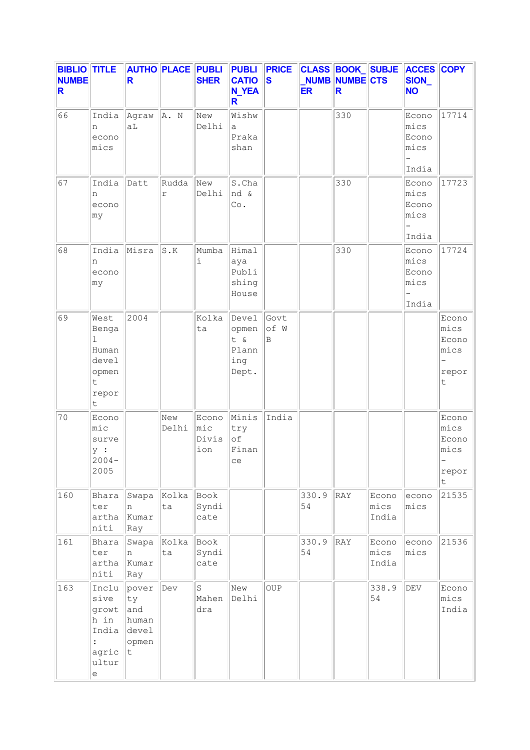| <b>BIBLIO TITLE</b><br><b>NUMBE</b><br>R |                                                                                                                | R                                                  |                             | <b>AUTHO PLACE PUBLI</b><br><b>SHER</b> | <b>PUBLI</b><br><b>CATIO</b><br><b>N_YEA</b><br>R | <b>PRICE</b><br>$\mathbf{s}$ | <b>ER</b>   | <b>NUMB NUMBE CTS</b><br>R. | CLASS BOOK_SUBJE       | <b>ACCES COPY</b><br>SION_<br><b>NO</b> |                                               |
|------------------------------------------|----------------------------------------------------------------------------------------------------------------|----------------------------------------------------|-----------------------------|-----------------------------------------|---------------------------------------------------|------------------------------|-------------|-----------------------------|------------------------|-----------------------------------------|-----------------------------------------------|
| 66                                       | India<br>n<br>econo<br>mics                                                                                    | Agraw<br>aL                                        | A. N                        | New<br>Delhi                            | Wishw<br>а<br>Praka<br>shan                       |                              |             | 330                         |                        | Econo<br>mics<br>Econo<br>mics<br>India | 17714                                         |
| 67                                       | India<br>n<br>econo<br>my                                                                                      | Datt                                               | Rudda<br>$\Upsilon$         | New<br>Delhi                            | S.Cha<br>nd &<br>Co.                              |                              |             | 330                         |                        | Econo<br>mics<br>Econo<br>mics<br>India | 17723                                         |
| 68                                       | India<br>n<br>econo<br>my                                                                                      | Misra                                              | $\texttt{S}$ . $\texttt{K}$ | Mumba<br>$\dot{\mathtt{l}}$             | Himal<br>aya<br>Publi<br>shing<br>House           |                              |             | 330                         |                        | Econo<br>mics<br>Econo<br>mics<br>India | 17724                                         |
| 69                                       | West<br>Benga<br>$\mathbf 1$<br>Human<br>devel<br>opmen<br>$\mathsf t$<br>repor<br>t                           | 2004                                               |                             | Kolka<br>ta                             | Devel<br>opmen<br>t &<br>Plann<br>ing<br>Dept.    | Govt<br>of W<br>B            |             |                             |                        |                                         | Econo<br>mics<br>Econo<br>mics<br>repor<br>t  |
| 70                                       | Econo<br>mic<br>surve<br>y :<br>$2004 -$<br>2005                                                               |                                                    | New<br>Delhi                | Econo<br>$ $ mic<br>Divis<br>ion        | Minis<br>try<br>of<br>Finan<br>ce                 | India                        |             |                             |                        |                                         | Econo<br>mics<br>Econo<br>mics<br>repor<br>t. |
| 160                                      | Bhara<br>ter<br>artha<br>niti                                                                                  | Swapa<br>n<br>Kumar<br>Ray                         | Kolka<br>ta                 | Book<br>Syndi<br>cate                   |                                                   |                              | 330.9<br>54 | RAY                         | Econo<br>mics<br>India | econo<br>mics                           | 21535                                         |
| 161                                      | Bhara<br>ter<br>artha<br>niti                                                                                  | Swapa<br>n<br>Kumar<br>Ray                         | Kolka<br>ta                 | Book<br>Syndi<br>cate                   |                                                   |                              | 330.9<br>54 | RAY                         | Econo<br>mics<br>India | econo<br>mics                           | 21536                                         |
| 163                                      | Inclu<br>sive<br>growt<br>h in<br>India<br>$\ddot{\phantom{a}}$<br>agric<br>ultur<br>$\mathop{\rm e}\nolimits$ | pover<br>ty<br>and<br>human<br>devel<br>opmen<br>t | Dev                         | S<br>Mahen<br>dra                       | New<br>Delhi                                      | OUP                          |             |                             | 338.9<br>54            | $\mathrm{DEV}$                          | Econo<br>mics<br>India                        |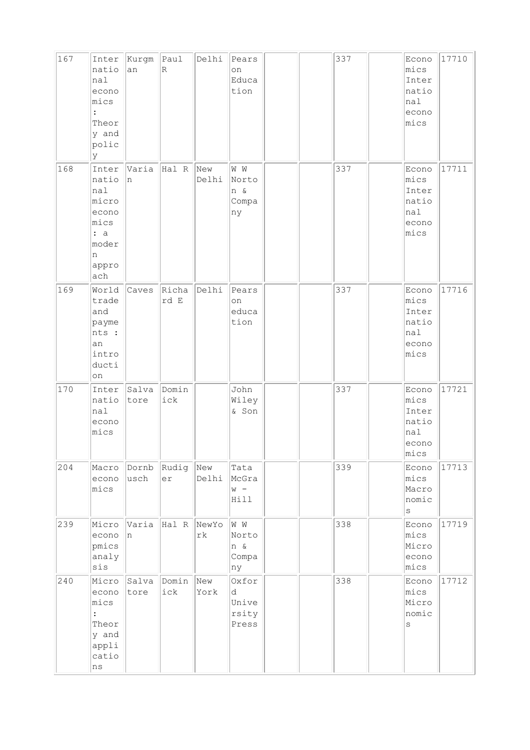| 167 | Inter<br>natio<br>nal<br>econo<br>mics<br>$\ddot{\phantom{a}}$<br>Theor<br>y and<br>polic<br>lУ | Kurgm<br>an   | Paul<br>$\overline{\mathbb{R}}$ | Delhi        | Pears<br>on<br>Educa<br>tion          |  | 337 | Econo<br>mics<br>Inter<br>natio<br>nal<br>econo<br>mics     | 17710 |
|-----|-------------------------------------------------------------------------------------------------|---------------|---------------------------------|--------------|---------------------------------------|--|-----|-------------------------------------------------------------|-------|
| 168 | Inter<br>natio<br>nal<br>micro<br>econo<br>mics<br>: a<br>moder<br>n<br>appro<br>ach            | Varia<br>n    | Hal R                           | New<br>Delhi | W W<br>Norto<br>n &<br>Compa<br>ny    |  | 337 | Econo<br>mics<br>Inter<br>natio<br>nal<br>econo<br>mics     | 17711 |
| 169 | World<br>trade<br>and<br>payme<br>nts :<br>an<br>intro<br>ducti<br>on                           | Caves         | Richa<br>rd E                   | Delhi        | Pears<br>on<br>educa<br>tion          |  | 337 | Econo<br>mics<br>Inter<br>natio<br>$ $ nal<br>econo<br>mics | 17716 |
| 170 | Inter<br>natio<br>nal<br>econo<br>mics                                                          | Salva<br>tore | Domin<br>ick                    |              | John<br>Wiley<br>& Son                |  | 337 | Econo<br>mics<br>Inter<br>natio<br>nal<br>econo<br>mics     | 17721 |
| 204 | Macro<br>econo<br>mics                                                                          | Dornb<br>usch | Rudig<br>er                     | New<br>Delhi | Tata<br>McGra<br>$W -$<br>Hill        |  | 339 | Econo<br>mics<br>Macro<br>nomic<br>$\rm s$                  | 17713 |
| 239 | Micro<br>econo<br>pmics<br>analy<br>sis                                                         | Varia<br>In.  | Hal R NewYo                     | rk           | W W<br>Norto<br>n &<br>Compa<br>ny    |  | 338 | Econo<br>mics<br>Micro<br>econo<br>mics                     | 17719 |
| 240 | Micro<br>econo<br>mics<br>$\ddot{\cdot}$<br>Theor<br>y and<br>appli<br>catio<br>ns              | Salva<br>tore | Domin<br>ick                    | New<br>York  | Oxfor<br>d<br>Unive<br>rsity<br>Press |  | 338 | Econo<br>mics<br>Micro<br>nomic<br>$\mathtt{s}$             | 17712 |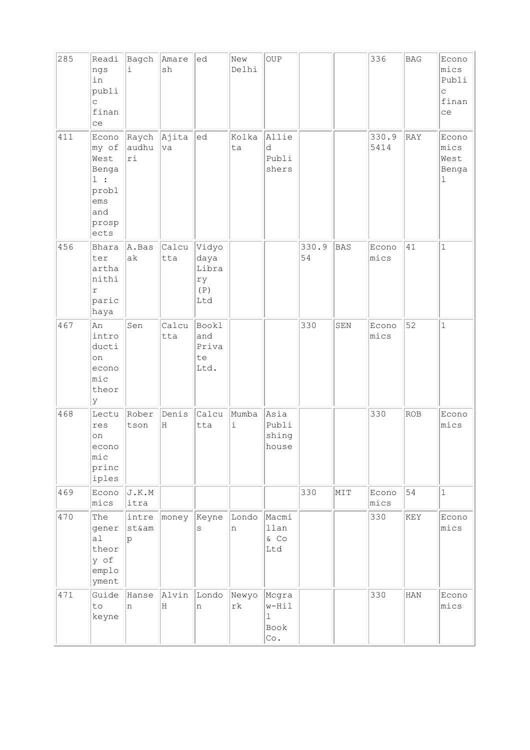| 285 | Readi<br>ngs<br>in<br>publi<br>$\mathsf{C}$<br>finan<br>ce                    | Bagch<br>i                 | Amare<br>sh  | ed                                         | New<br>Delhi                | OUP                                          |             |     | 336           | <b>BAG</b> | Econo<br>mics<br>Publi<br>C<br>finan<br>ce |
|-----|-------------------------------------------------------------------------------|----------------------------|--------------|--------------------------------------------|-----------------------------|----------------------------------------------|-------------|-----|---------------|------------|--------------------------------------------|
| 411 | Econo<br>my of<br>West<br>Benga<br>1:<br>probl<br>ems<br>and<br>prosp<br>ects | Raych Ajita<br>audhu<br>ri | va           | ed                                         | Kolka<br>ta                 | Allie<br>d<br>Publi<br>shers                 |             |     | 330.9<br>5414 | RAY        | Econo<br>mics<br>West<br>Benga<br>ı        |
| 456 | Bhara<br>ter<br>artha<br>nithi<br>$\Upsilon$<br>paric<br>haya                 | A.Bas<br>ak                | Calcu<br>tta | Vidyo<br>daya<br>Libra<br>ry<br>(P)<br>Ltd |                             |                                              | 330.9<br>54 | BAS | Econo<br>mics | 41         | $\mathbf{1}$                               |
| 467 | An<br>intro<br>ducti<br>on<br>econo<br>mic<br>theor<br>У                      | Sen                        | Calcu<br>tta | Bookl<br>and<br>Priva<br>te<br>Ltd.        |                             |                                              | 330         | SEN | Econo<br>mics | 52         | $\mathbf{1}$                               |
| 468 | Lectu<br>res<br>on<br>econo<br>mic<br>princ<br>iples                          | Rober<br>tson              | Denis<br>H   | Calcu<br>tta                               | Mumba<br>$\dot{\mathtt{l}}$ | Asia<br>Publi<br>shing<br>house              |             |     | 330           | ROB        | Econo<br>mics                              |
| 469 | Econo<br>mics                                                                 | J.K.M<br>itra              |              |                                            |                             |                                              | 330         | NIT | Econo<br>mics | 54         | $\mathbf{1}$                               |
| 470 | The<br>gener<br>a1<br>theor<br>y of<br>emplo<br>yment                         | intre<br>st&am<br>p        | money        | Keyne<br>S                                 | Londo<br>n                  | Macmi<br>llan<br>& CO<br>Ltd                 |             |     | 330           | KEY        | Econo<br>mics                              |
| 471 | Guide<br>to<br>keyne                                                          | Hanse<br>n                 | Alvin<br>H   | Londo<br>n                                 | Newyo<br>$\mathtt{rk}$      | Mcgra<br>w-Hil<br>$\mathbf 1$<br>Book<br>Co. |             |     | 330           | HAN        | Econo<br>mics                              |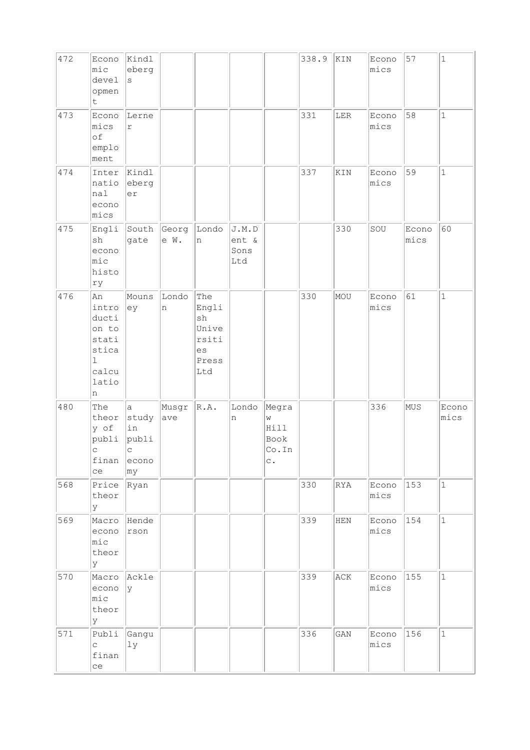| 472 | Econo<br>mic<br>devel<br>opmen<br>$\sf t$                                             | Kindl<br>eberg<br>S                                                           |               |                                                                    |                               |                                                       | 338.9 | KIN        | Econo<br>mics | 57            | $\mathbf 1$   |
|-----|---------------------------------------------------------------------------------------|-------------------------------------------------------------------------------|---------------|--------------------------------------------------------------------|-------------------------------|-------------------------------------------------------|-------|------------|---------------|---------------|---------------|
| 473 | Econo<br>mics<br>of<br>emplo<br>ment                                                  | Lerne<br>$\Upsilon$                                                           |               |                                                                    |                               |                                                       | 331   | LER        | Econo<br>mics | 58            | $\mathbf 1$   |
| 474 | Inter<br>natio<br>nal<br>econo<br>mics                                                | Kindl<br>eberg<br>er                                                          |               |                                                                    |                               |                                                       | 337   | KIN        | Econo<br>mics | 59            | $\mathbf 1$   |
| 475 | Engli<br>sh<br>econo<br>mic<br>histo<br>ry                                            | South<br>gate                                                                 | Georg<br>e W. | Londo<br>n                                                         | J.M.D<br>ent &<br>Sons<br>Ltd |                                                       |       | 330        | SOU           | Econo<br>mics | 60            |
| 476 | An<br>intro<br>ducti<br>on to<br>stati<br>stica<br>$\mathbf 1$<br>calcu<br>latio<br>n | Mouns<br>ey                                                                   | Londo<br>n    | The<br>Engli<br>${\tt sh}$<br>Unive<br>rsiti<br>es<br>Press<br>Ltd |                               |                                                       | 330   | MOU        | Econo<br>mics | 61            | $\mathbf 1$   |
| 480 | The<br>theor<br>y of<br>publi<br>$\overline{C}$<br>ce                                 | $\mathsf{a}$<br>study<br>in<br>publi<br>$\mathsf{C}$<br>$f$ inan econo<br> my | Musgr<br>ave  | R.A.                                                               | Londo<br>n                    | Megra<br>W<br>Hill<br>Book<br>Co.In<br>$\mathsf{C}$ . |       |            | 336           | MUS           | Econo<br>mics |
| 568 | Price Ryan<br>theor<br>У                                                              |                                                                               |               |                                                                    |                               |                                                       | 330   | <b>RYA</b> | Econo<br>mics | $ 153\rangle$ | $1\,$         |
| 569 | Macro Hende<br>econo<br>mic<br>theor<br>У                                             | rson                                                                          |               |                                                                    |                               |                                                       | 339   | HEN        | Econo<br>mics | 154           | $\mathbf 1$   |
| 570 | Macro Ackle<br>econo<br>mic<br>theor<br>У                                             | y                                                                             |               |                                                                    |                               |                                                       | 339   | ACK        | Econo<br>mics | 155           | $1\,$         |
| 571 | Publi Gangu<br>$\mathtt{C}$<br>finan<br>ce                                            | 1y                                                                            |               |                                                                    |                               |                                                       | 336   | GAN        | Econo<br>mics | 156           | $\mathbf 1$   |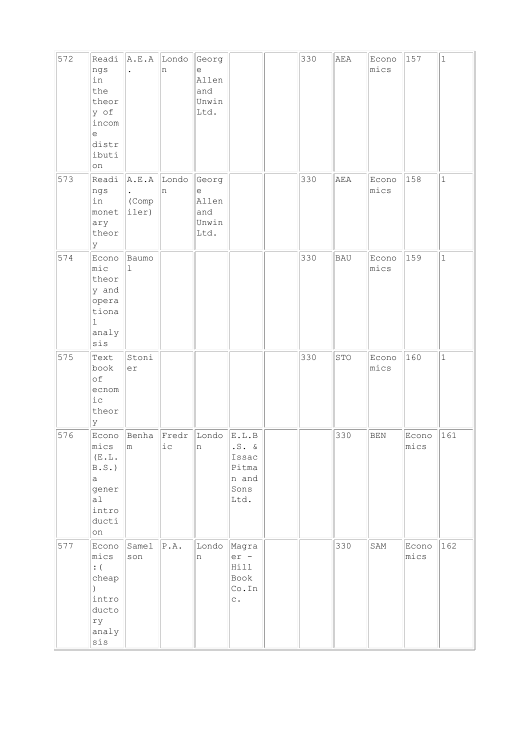| 572 | Readi<br>ngs<br>in<br>the<br>theor<br>y of<br>incom<br>e<br>distr<br>ibuti<br>on       | A.E.A                   | Londo<br>n                     | Georg<br>e<br>Allen<br>and<br>Unwin<br>Ltd.                     |                                                              | 330 | AEA        | Econo<br>mics | 157           | $\mathbf 1$  |
|-----|----------------------------------------------------------------------------------------|-------------------------|--------------------------------|-----------------------------------------------------------------|--------------------------------------------------------------|-----|------------|---------------|---------------|--------------|
| 573 | Readi<br>ngs<br>in<br>monet<br>ary<br>theor<br>Y                                       | A.E.A<br>(Comp<br>iler) | Londo<br>n                     | Georg<br>$\mathop{\mathrm{e}}$<br>Allen<br>and<br>Unwin<br>Ltd. |                                                              | 330 | AEA        | Econo<br>mics | 158           | $\mathbf 1$  |
| 574 | Econo<br>$ $ mic<br>theor<br>y and<br>opera<br>tiona<br>$\mathbf 1$<br>analy<br>sis    | Baumo<br>$\mathbf{1}$   |                                |                                                                 |                                                              | 330 | <b>BAU</b> | Econo<br>mics | 159           | $\mathbf{1}$ |
| 575 | Text<br>book<br>of<br>ecnom<br>$i\,c$<br>theor<br>y                                    | Stoni<br>er             |                                |                                                                 |                                                              | 330 | STO        | Econo<br>mics | 160           | $\mathbf{1}$ |
| 576 | Econo<br>mics<br>(E.L.<br>B.S.<br>$\mathsf{a}$<br>gener<br>a1<br>intro<br>ducti<br>on  | Benha<br>m              | Fredr<br>$\rm \dot{1}$ $\rm C$ | Londo<br>n                                                      | E.L.B<br>$.S. \&$<br>Issac<br>Pitma<br>n and<br>Sons<br>Ltd. |     | 330        | $\rm BEN$     | Econo<br>mics | 161          |
| 577 | Econo<br>mics<br>: (<br>cheap<br>$\mathcal{C}$<br>intro<br>ducto<br>ry<br>analy<br>sis | Samel<br>son            | $\texttt{P.A.}$                | Londo<br>n                                                      | Magra<br>er -<br>Hill<br>Book<br>Co.In<br>$\mathtt{C}$ .     |     | 330        | SAM           | Econo<br>mics | 162          |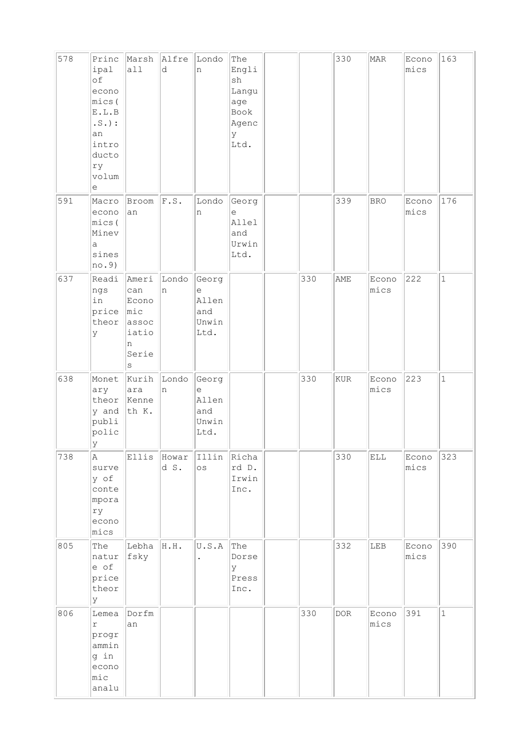| 578 | Princ<br>ipal<br>of<br>econo<br>mics(<br>${\tt E}$ . ${\tt L}$ . ${\tt B}$<br>$\ldots \mathbb{S}$ . ) :<br>an<br>intro<br>ducto<br>ry<br>volum<br>e | Marsh<br>all                                                       | Alfre<br>d          | Londo<br>n                                  | The<br>Engli<br>sh<br>Langu<br>age<br>Book<br>Agenc<br>У<br>Ltd. |     | 330 | MAR           | Econo<br>mics | 163          |
|-----|-----------------------------------------------------------------------------------------------------------------------------------------------------|--------------------------------------------------------------------|---------------------|---------------------------------------------|------------------------------------------------------------------|-----|-----|---------------|---------------|--------------|
| 591 | Macro<br>econo<br>mics (<br>Minev<br>a<br>sines<br>no.9)                                                                                            | Broom<br>an                                                        | F.S.                | Londo<br>n                                  | Georg<br>е<br>Allel<br>and<br>Urwin<br>Ltd.                      |     | 339 | <b>BRO</b>    | Econo<br>mics | 176          |
| 637 | Readi<br>ngs<br>in<br>price<br>theor<br>У                                                                                                           | Ameri<br>can<br>Econo<br> mic<br>assoc<br>iatio<br>n<br>Serie<br>S | Londo<br>n          | Georg<br>e<br>Allen<br>and<br>Unwin<br>Ltd. |                                                                  | 330 | AME | Econo<br>mics | 222           | $\mathbf 1$  |
| 638 | Monet<br>ary<br>theor<br>y and<br>publi<br>polic<br>У                                                                                               | Kurih<br>ara<br>Kenne<br>th K.                                     | Londo<br>n          | Georg<br>е<br>Allen<br>and<br>Unwin<br>Ltd. |                                                                  | 330 | KUR | Econo<br>mics | 223           | $\mathbf{1}$ |
| 738 | Α<br>surve<br>y of<br>conte<br>mpora<br>ry<br>econo<br>mics                                                                                         |                                                                    | Ellis Howar<br>d S. | Illin Richa<br>$\circ$ s                    | rd D.<br>Irwin<br>Inc.                                           |     | 330 | ELL           | Econo<br>mics | 323          |
| 805 | The<br>natur<br>e of<br>price<br>theor<br>У                                                                                                         | Lebha H.H.<br>fsky                                                 |                     | U.S.A                                       | The<br>Dorse<br>У<br>Press<br>Inc.                               |     | 332 | LEB           | Econo<br>mics | 390          |
| 806 | Lemea<br>$\Upsilon$<br>progr<br>ammin<br>g in<br>econo<br>mic<br>analu                                                                              | Dorfm<br>an                                                        |                     |                                             |                                                                  | 330 | DOR | Econo<br>mics | 391           | $\mathbf{1}$ |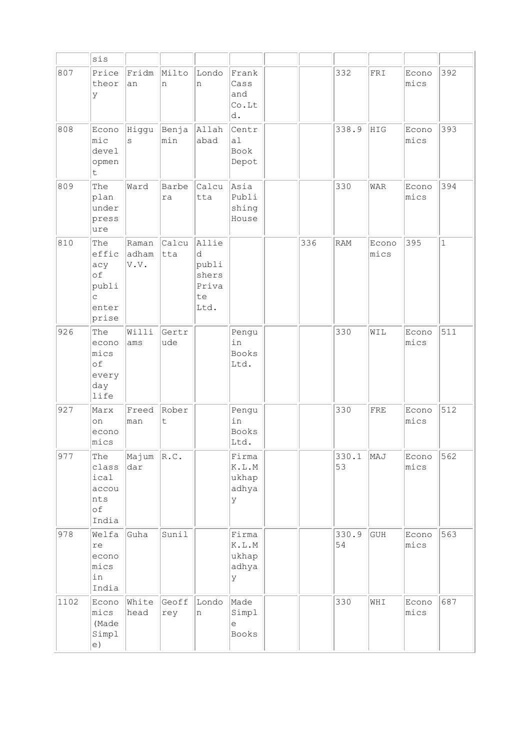|      | sis                                                                  |                        |              |                                                     |                                                                         |     |             |               |               |              |
|------|----------------------------------------------------------------------|------------------------|--------------|-----------------------------------------------------|-------------------------------------------------------------------------|-----|-------------|---------------|---------------|--------------|
| 807  | Price<br>theor<br>У                                                  | Fridm<br>an            | Milto<br>n   | Londo<br>n                                          | Frank<br>Cass<br>and<br>Co.Lt<br>d.                                     |     | 332         | FRI           | Econo<br>mics | 392          |
| 808  | Econo<br>mic<br>devel<br>opmen<br>t                                  | Higgu<br>S             | Benja<br>min | Allah<br>abad                                       | Centr<br>a1<br>Book<br>Depot                                            |     | 338.9       | HIG           | Econo<br>mics | 393          |
| 809  | The<br>plan<br>under<br>press<br>ure                                 | Ward                   | Barbe<br>ra  | Calcu<br>tta                                        | Asia<br>Publi<br>shing<br>House                                         |     | 330         | WAR           | Econo<br>mics | 394          |
| 810  | The<br>effic<br>acy<br>of<br>publi<br>$\mathsf{C}$<br>enter<br>prise | Raman<br>adham<br>V.V. | Calcu<br>tta | Allie<br>d<br>publi<br>shers<br>Priva<br>te<br>Ltd. |                                                                         | 336 | RAM         | Econo<br>mics | 395           | $\mathbf{1}$ |
| 926  | The<br>econo<br>mics<br>of<br>every<br>day<br>life                   | Willi<br>ams           | Gertr<br>ude |                                                     | Pengu<br>in<br><b>Books</b><br>Ltd.                                     |     | 330         | WIL           | Econo<br>mics | 511          |
| 927  | Marx<br>on<br>econo<br>mics                                          | Freed<br>man           | Rober<br>t   |                                                     | Pengu<br>in<br><b>Books</b><br>Ltd.                                     |     | 330         | FRE           | Econo<br>mics | 512          |
| 977  | The<br>class<br>ical<br>accou<br>nts<br>of<br>India                  | Majum<br>dar           | R.C.         |                                                     | Firma<br>$\mathbb K$ . $\mathbb L$ . $\mathbb M$<br>ukhap<br>adhya<br>У |     | 330.1<br>53 | MAJ           | Econo<br>mics | 562          |
| 978  | Welfa<br>re<br>econo<br>mics<br>in<br>India                          | Guha                   | Sunil        |                                                     | Firma<br>$\mathbb K$ . $\mathbb L$ . $\mathbb M$<br>ukhap<br>adhya<br>У |     | 330.9<br>54 | GUH           | Econo<br>mics | 563          |
| 1102 | Econo<br>mics<br>(Made<br>Simpl<br>e)                                | White<br>head          | Geoff<br>rey | Londo<br>n                                          | Made<br>Simpl<br>е<br>Books                                             |     | 330         | WHI           | Econo<br>mics | 687          |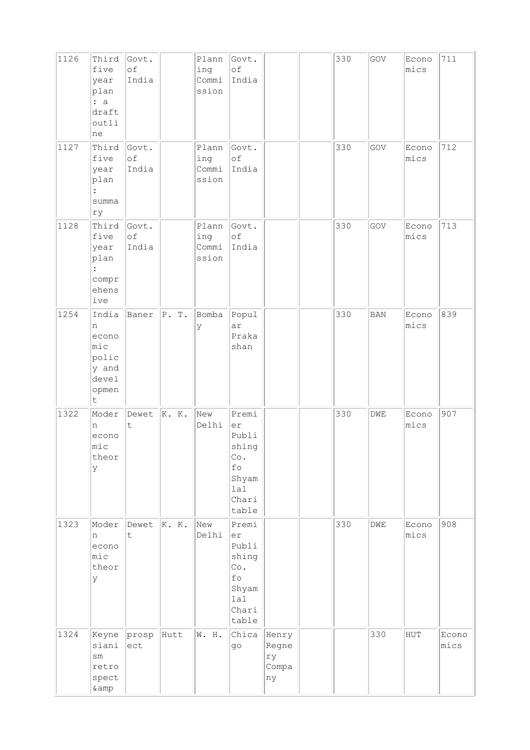| 1126 | Third<br>five<br>year<br>plan<br>: a<br>draft<br>outli<br>ne             | Govt.<br>of<br>India |       | Plann<br>ing<br>Commi<br>ssion | Govt.<br>of<br>India                                                         |                                     | 330 | GOV          | Econo<br>mics | 711           |
|------|--------------------------------------------------------------------------|----------------------|-------|--------------------------------|------------------------------------------------------------------------------|-------------------------------------|-----|--------------|---------------|---------------|
| 1127 | Third<br>five<br>year<br>plan<br>summa<br>ry                             | Govt.<br>of<br>India |       | Plann<br>ing<br>Commi<br>ssion | Govt.<br>of<br>India                                                         |                                     | 330 | GOV          | Econo<br>mics | 712           |
| 1128 | Third<br>five<br>year<br>plan<br>$\ddot{\cdot}$<br>compr<br>ehens<br>ive | Govt.<br>of<br>India |       | Plann<br>ing<br>Commi<br>ssion | Govt.<br>of<br>India                                                         |                                     | 330 | GOV          | Econo<br>mics | 713           |
| 1254 | India<br>n<br>econo<br>mic<br>polic<br>y and<br>devel<br>opmen<br>t.     | Baner                | P. T. | Bomba<br>У                     | Popul<br>ar<br>Praka<br>shan                                                 |                                     | 330 | $_{\rm BAN}$ | Econo<br>mics | 839           |
| 1322 | Moder<br>n<br>econo<br>$ $ mic<br>theor<br>У                             | Dewet<br>t           | K. K. | New<br>Delhi                   | Premi<br>er<br>Publi<br>shing<br>Co.<br>fo<br>Shyam<br>lal<br>Chari<br>table |                                     | 330 | DWE          | Econo<br>mics | 907           |
| 1323 | Moder<br>n<br>econo<br>$ $ mic<br>theor<br>У                             | Dewet<br>t.          | K. K. | New<br>Delhi                   | Premi<br>er<br>Publi<br>shing<br>Co.<br>fo<br>Shyam<br>lal<br>Chari<br>table |                                     | 330 | DWE          | Econo<br>mics | 908           |
| 1324 | Keyne<br>siani<br>$\texttt{sm}$<br>retro<br>spect<br>&                   | prosp<br>ect         | Hutt  | W. H.                          | Chica<br>go                                                                  | Henry<br>Regne<br>ry<br>Compa<br>ny |     | 330          | HUT           | Econo<br>mics |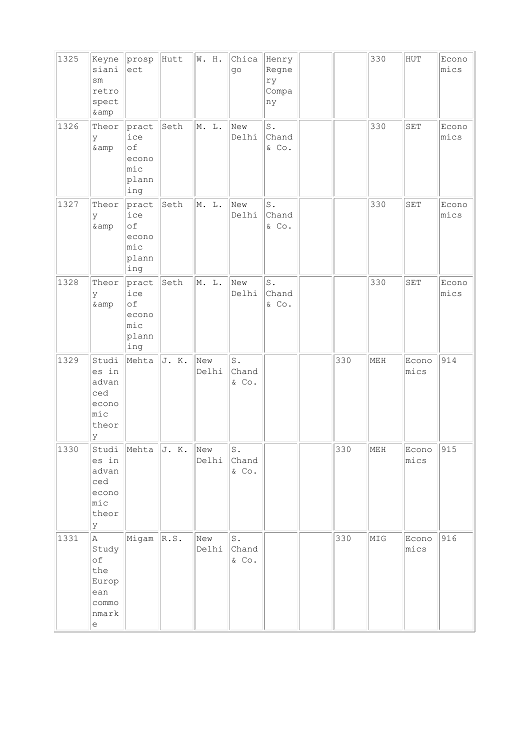| 1325 | Keyne<br>siani<br>$\texttt{sm}$<br>retro<br>spect<br>& amp                                                             | prosp<br>$ $ ect                                       | Hutt  | W. H.        | Chica<br>go                      | Henry<br>Regne<br>ry<br>Compa<br>ny                |     | 330 | ${\rm HUT}$          | Econo<br>mics |
|------|------------------------------------------------------------------------------------------------------------------------|--------------------------------------------------------|-------|--------------|----------------------------------|----------------------------------------------------|-----|-----|----------------------|---------------|
| 1326 | Theor<br>У<br>& amp                                                                                                    | pract<br>ice<br>of<br>econo<br>$ $ mic<br>plann<br>ing | Seth  | M. L.        | New<br>Delhi                     | $\operatorname{\mathsf{S}}$ .<br>Chand<br>$\&$ Co. |     | 330 | SET                  | Econo<br>mics |
| 1327 | Theor<br>У<br>$\&amp$                                                                                                  | pract<br>ice<br>of<br>econo<br>$ $ mic<br>plann<br>ing | Seth  | M. L.        | New<br>Delhi                     | $\texttt{S}$ .<br>Chand<br>& Co.                   |     | 330 | $\operatorname{SET}$ | Econo<br>mics |
| 1328 | Theor<br>У<br>& amp                                                                                                    | pract<br>ice<br>оf<br>econo<br>mic<br>plann<br>ing     | Seth  | M. L.        | New<br>Delhi                     | $\mathtt{S}$ .<br>Chand<br>$\&$ Co.                |     | 330 | $\operatorname{SET}$ | Econo<br>mics |
| 1329 | Studi<br>es in<br>advan<br>ced<br>econo<br>mic<br>theor<br>У                                                           | Mehta                                                  | J. K. | New<br>Delhi | $\mathtt{S}$ .<br>Chand<br>& Co. |                                                    | 330 | MEH | Econo<br>mics        | 914           |
| 1330 | es in<br>advan<br>ced<br>econo<br>mic<br>theor<br>У                                                                    | Studi Mehta $J. K.$                                    |       | New<br>Delhi | S.<br>Chand<br>& Co.             |                                                    | 330 | MEH | Econo<br>mics        | 915           |
| 1331 | $\mathbb A$<br>Study<br>$\circ f$<br>the<br>Europ<br>ean<br>commo<br>nmark<br>$\mathrel{\mathop{\mathrm{e}}\nolimits}$ | $Migam \,  R.S.$                                       |       | New<br>Delhi | $S$ .<br>Chand<br>$\&$ Co.       |                                                    | 330 | MIG | Econo<br>mics        | 916           |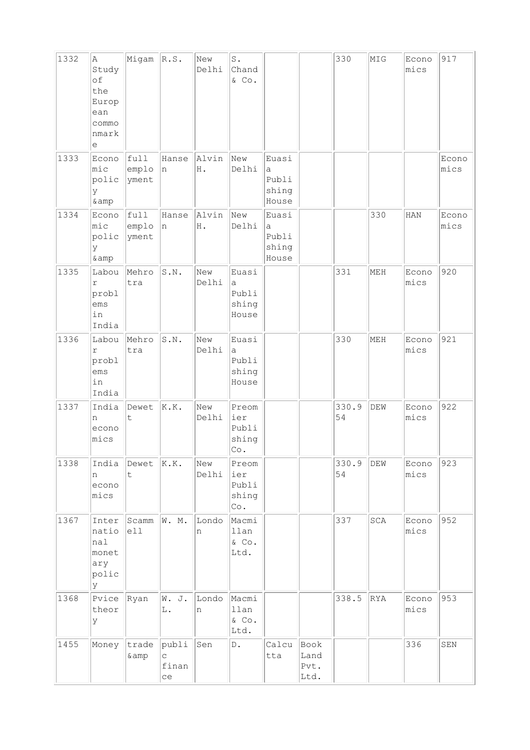| 1332 | Α<br>Study<br>of<br>the<br>Europ<br>ean<br>commo<br>nmark<br>е | Migam                  | R.S.                                                  | New<br>Delhi | $\mathtt{S}$ .<br>Chand<br>& Co.       |                                       |                              | 330         | MIG        | Econo<br>mics | 917           |
|------|----------------------------------------------------------------|------------------------|-------------------------------------------------------|--------------|----------------------------------------|---------------------------------------|------------------------------|-------------|------------|---------------|---------------|
| 1333 | Econo<br>mic<br>polic<br>У<br>& amp                            | full<br>emplo<br>yment | Hanse<br>n                                            | Alvin<br>Η.  | New<br>Delhi                           | Euasi<br>a<br>Publi<br>shing<br>House |                              |             |            |               | Econo<br>mics |
| 1334 | Econo<br>mic<br>polic<br>У<br>& amp                            | full<br>emplo<br>yment | Hanse<br>n                                            | Alvin<br>H . | New<br>Delhi                           | Euasi<br>a<br>Publi<br>shing<br>House |                              |             | 330        | HAN           | Econo<br>mics |
| 1335 | Labou<br>$\Upsilon$<br>probl<br>ems<br>in<br>India             | Mehro<br>tra           | S.N.                                                  | New<br>Delhi | Euasi<br>a<br>Publi<br>shing<br>House  |                                       |                              | 331         | MEH        | Econo<br>mics | 920           |
| 1336 | Labou<br>$\Upsilon$<br>probl<br>ems<br>in<br>India             | Mehro<br>tra           | S.N.                                                  | New<br>Delhi | Euasi<br>а<br>Publi<br>shing<br>House  |                                       |                              | 330         | MEH        | Econo<br>mics | 921           |
| 1337 | India<br>n<br>econo<br>mics                                    | Dewet<br>t             | K.K.                                                  | New<br>Delhi | Preom<br>ier<br>Publi<br>shing<br> Co. |                                       |                              | 330.9<br>54 | DEW        | Econo<br>mics | 922           |
| 1338 | India<br>n<br>econo<br>mics                                    | Dewet<br>t             | K.K.                                                  | New<br>Delhi | Preom<br>ier<br>Publi<br>shing<br>Co.  |                                       |                              | 330.9<br>54 | DEW        | Econo<br>mics | 923           |
| 1367 | Inter<br>natio<br>nal<br>monet<br>ary<br>polic<br>У            | Scamm<br>e11           | W. M.                                                 | Londo<br>n   | Macmi<br>llan<br>& Co.<br>Ltd.         |                                       |                              | 337         | SCA        | Econo<br>mics | 952           |
| 1368 | Pvice<br>theor<br>У                                            | Ryan                   | W. J.<br>L.                                           | Londo<br>n   | Macmi<br>llan<br>$&$ Co.<br>Ltd.       |                                       |                              | 338.5       | <b>RYA</b> | Econo<br>mics | 953           |
| 1455 | Money                                                          | trade<br>& amp         | publi<br>$\mathop{\rm \bf C}\nolimits$<br>finan<br>ce | Sen          | D.                                     | Calcu<br>tta                          | Book<br>Land<br>Pvt.<br>Ltd. |             |            | 336           | ${\tt SEM}$   |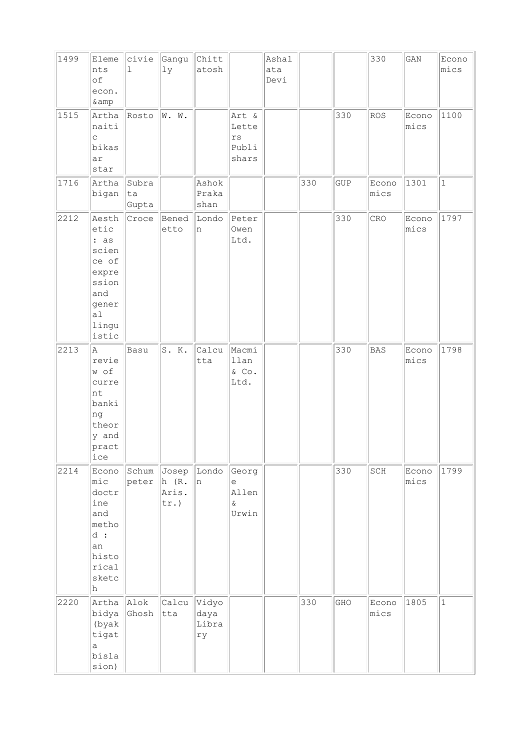| 1499 | Eleme<br>nts<br>of<br>econ.<br>& amp                                                              | civie<br>ı           | Gangu<br>lу                  | Chitt<br>atosh               |                                                   | Ashal<br>ata<br>Devi |     |     | 330           | $\mathop{\rm GAN}\nolimits$ | Econo<br>mics |
|------|---------------------------------------------------------------------------------------------------|----------------------|------------------------------|------------------------------|---------------------------------------------------|----------------------|-----|-----|---------------|-----------------------------|---------------|
| 1515 | Artha<br>naiti<br>C<br>bikas<br>ar<br>star                                                        | Rosto                | W. W.                        |                              | Art &<br>Lette<br>$\mathtt{rs}$<br>Publi<br>shars |                      |     | 330 | <b>ROS</b>    | Econo<br>mics               | 1100          |
| 1716 | Artha<br>bigan                                                                                    | Subra<br>ta<br>Gupta |                              | Ashok<br>Praka<br>shan       |                                                   |                      | 330 | GUP | Econo<br>mics | 1301                        | $\mathbf 1$   |
| 2212 | Aesth<br>etic<br>: as<br>scien<br>ce of<br>expre<br>ssion<br>and<br>gener<br>a1<br>lingu<br>istic | Croce                | Bened<br>etto                | Londo<br>n                   | Peter<br>Owen<br>Ltd.                             |                      |     | 330 | CRO           | Econo<br>mics               | 1797          |
| 2213 | A<br>revie<br>w of<br>curre<br>nt<br>banki<br>ng<br>theor<br>y and<br>pract<br>ice                | Basu                 | S. K.                        | Calcu<br>tta                 | Macmi<br>llan<br>& Co.<br>Ltd.                    |                      |     | 330 | <b>BAS</b>    | Econo<br>mics               | 1798          |
| 2214 | Econo<br>mic<br>doctr<br>ine<br>and<br>metho<br>$d$ :<br>an<br>histo<br>rical<br>sketc<br>h       | Schum Josep<br>peter | $ h$ (R.<br>Aris.<br>$tr.$ ) | Londo<br>n                   | Georg<br>e<br>Allen<br>$\&$<br>Urwin              |                      |     | 330 | SCH           | Econo<br>mics               | 1799          |
| 2220 | Artha<br>bidya<br>(byak<br>tigat<br>a<br>bisla<br>sion)                                           | Alok<br>Ghosh        | Calcu<br>tta                 | Vidyo<br>daya<br>Libra<br>ry |                                                   |                      | 330 | GHO | Econo<br>mics | 1805                        | $\mathbf{1}$  |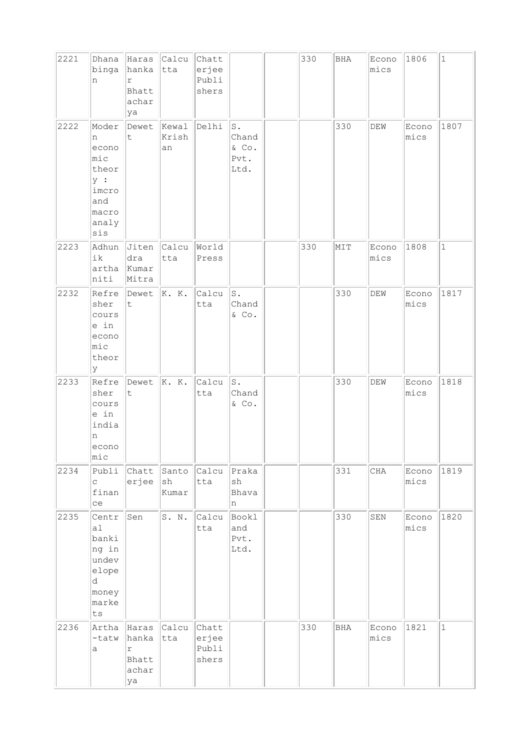| 2221 | Dhana<br>binga<br>n                                                                 | Haras<br>hanka<br>r<br>Bhatt<br>achar<br>ya          | $ $ Calcu $ $<br>tta                  | Chatt<br>erjee<br>Publi<br>shers |                                         | 330 | <b>BHA</b> | Econo<br>mics               | 1806          | $\mathbf{1}$ |
|------|-------------------------------------------------------------------------------------|------------------------------------------------------|---------------------------------------|----------------------------------|-----------------------------------------|-----|------------|-----------------------------|---------------|--------------|
| 2222 | Moder<br>n<br>econo<br>mic<br>theor<br>y :<br>imcro<br>and<br>macro<br>analy<br>sis | Dewet<br>t                                           | Kewal<br>Krish<br>an                  | Delhi                            | s.<br>Chand<br>$\&$ Co.<br>Pvt.<br>Ltd. |     | 330        | DEW                         | Econo<br>mics | 1807         |
| 2223 | Adhun<br>ik<br>artha<br>niti                                                        | Jiten<br>dra<br>Kumar<br>Mitra                       | Calcu<br>tta                          | World<br>Press                   |                                         | 330 | MIT        | Econo<br>mics               | 1808          | $\mathbf{1}$ |
| 2232 | Refre<br>sher<br>cours<br>e in<br>econo<br>mic<br>theor<br>lУ                       | Dewet<br>t.                                          | K. K.                                 | Calcu<br>tta                     | $\texttt{S}$ .<br>Chand<br>& Co.        |     | 330        | $\mathop{\rm DEW}\nolimits$ | Econo<br>mics | 1817         |
| 2233 | Refre<br>sher<br>cours<br>e in<br>india<br>n<br>econo<br>$ $ mic                    | Dewet<br>$\mathsf t$                                 | K. K.                                 | Calcu<br>tta                     | s.<br>Chand<br>& Co.                    |     | 330        | DEW                         | Econo<br>mics | 1818         |
| 2234 | Publi<br>$\mathsf{C}$<br>finan<br>ce                                                | Chatt<br>erjee                                       | Santo<br>$\operatorname{sh}$<br>Kumar | Calcu<br>tta                     | Praka<br>sh<br>Bhava<br>n               |     | 331        | $\rm CHA$                   | Econo<br>mics | 1819         |
| 2235 | Centr<br> a <br>banki<br>ng in<br>undev<br>elope<br>d.<br>money<br>marke<br>ts      | Sen                                                  | S. N.                                 | Calcu<br>tta                     | Bookl<br>and<br>Pvt.<br>Ltd.            |     | 330        | SEN                         | Econo<br>mics | 1820         |
| 2236 | Artha<br>-tatw<br>a                                                                 | Haras<br>hanka<br>$\Upsilon$<br>Bhatt<br>achar<br>ya | Calcu<br>tta                          | Chatt<br>erjee<br>Publi<br>shers |                                         | 330 | BHA        | Econo<br>mics               | 1821          | $\mathbf{1}$ |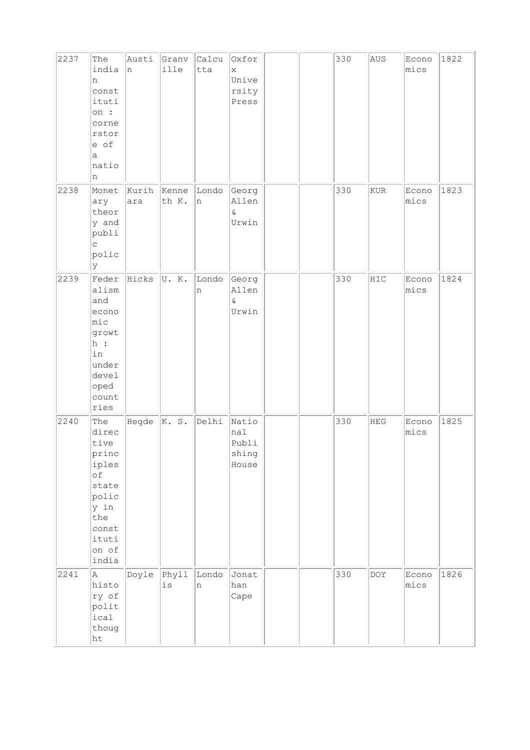| 2237 | The<br>india<br>n<br>const<br>ituti<br>on :<br>corne<br>rstor<br>e of<br>a<br>natio<br>n                          | Austi<br>n     | Granv<br>ille          | Calcu<br>tta | Oxfor<br>X<br>Unive<br>rsity<br>Press   |  | 330 | AUS        | Econo<br>mics | 1822 |
|------|-------------------------------------------------------------------------------------------------------------------|----------------|------------------------|--------------|-----------------------------------------|--|-----|------------|---------------|------|
| 2238 | Monet<br>ary<br>theor<br>y and<br>publi<br>$\mathsf C$<br>polic<br> y                                             | Kurih<br>ara   | Kenne<br>th K.         | Londo<br>n   | Georg<br>Allen<br>$\&$<br>Urwin         |  | 330 | KUR        | Econo<br>mics | 1823 |
| 2239 | Feder<br>alism<br>and<br>econo<br>$ $ mic<br>growt<br>h:<br>in<br>under<br>devel<br>oped<br>count<br>ries         | Hicks          | U.K.                   | Londo<br>n   | Georg<br>Allen<br>$\&$<br>Urwin         |  | 330 | HIC        | Econo<br>mics | 1824 |
| 2240 | The<br>direc<br>tive<br>princ<br>iples<br>of<br>state<br>polic<br>y in<br>the<br>const<br>ituti<br>on of<br>india | Hegde $ K. S.$ |                        | Delhi        | Natio<br>nal<br>Publi<br>shing<br>House |  | 330 | <b>HEG</b> | Econo<br>mics | 1825 |
| 2241 | A<br>histo<br>ry of<br>polit<br>ical<br>thoug<br>ht                                                               | Doyle          | Phyll<br>$\mathtt{is}$ | Londo<br>n   | Jonat<br>han<br>Cape                    |  | 330 | DOY        | Econo<br>mics | 1826 |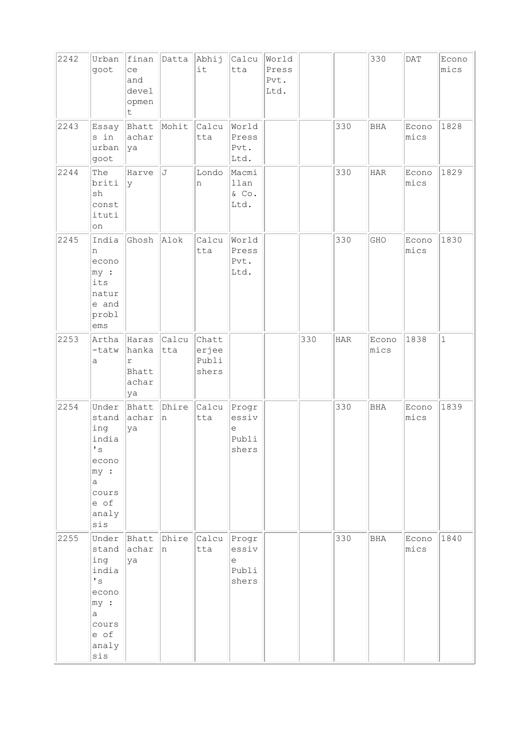| 2242 | Urban<br>goot                                                                                                      | finan<br>ce<br>and<br>devel<br>opmen<br>t.           | Datta        | Abhij<br>it                      | Calcu<br>tta                          | World<br>Press<br>Pvt.<br>Ltd. |     |            | 330           | $\mathsf{DAT}$ | Econo<br>mics |
|------|--------------------------------------------------------------------------------------------------------------------|------------------------------------------------------|--------------|----------------------------------|---------------------------------------|--------------------------------|-----|------------|---------------|----------------|---------------|
| 2243 | Essay<br>s in<br>urban<br>goot                                                                                     | Bhatt<br>achar<br> ya                                | Mohit        | Calcu<br>tta                     | World<br>Press<br>Pvt.<br>Ltd.        |                                |     | 330        | BHA           | Econo<br>mics  | 1828          |
| 2244 | The<br>briti<br>sh<br>const<br>ituti<br>on                                                                         | Harve<br>lУ                                          | J            | Londo<br>n                       | Macmi<br>llan<br>& Co.<br>Ltd.        |                                |     | 330        | $_{\rm HAR}$  | Econo<br>mics  | 1829          |
| 2245 | India<br>n<br>econo<br>my:<br>its<br>natur<br>e and<br>probl<br>$\rm{ems}$                                         | Ghosh                                                | Alok         | Calcu<br>tta                     | World<br>Press<br>Pvt.<br>Ltd.        |                                |     | 330        | GHO           | Econo<br>mics  | 1830          |
| 2253 | Artha<br>-tatw<br>а                                                                                                | Haras<br>hanka<br>$\Upsilon$<br>Bhatt<br>achar<br>ya | Calcu<br>tta | Chatt<br>erjee<br>Publi<br>shers |                                       |                                | 330 | <b>HAR</b> | Econo<br>mics | 1838           | $\mathbf{1}$  |
| 2254 | Under<br>stand<br>ing<br>india<br>$\mathbf{I}$ s<br>econo<br>$ my $ :<br>a<br>cours<br>e of<br>analy<br>sis        | Bhatt<br>achar<br>ya                                 | Dhire<br>n   | Calcu<br>tta                     | Progr<br>essiv<br>е<br>Publi<br>shers |                                |     | 330        | <b>BHA</b>    | Econo<br>mics  | 1839          |
| 2255 | Under<br>stand<br>ing<br>india<br>$\mathbf{I}$ s<br>econo<br>$ my $ :<br>$\alpha$<br>cours<br>e of<br>analy<br>sis | Bhatt<br>achar<br>ya                                 | Dhire<br>n   | Calcu<br>tta                     | Progr<br>essiv<br>е<br>Publi<br>shers |                                |     | 330        | <b>BHA</b>    | Econo<br>mics  | 1840          |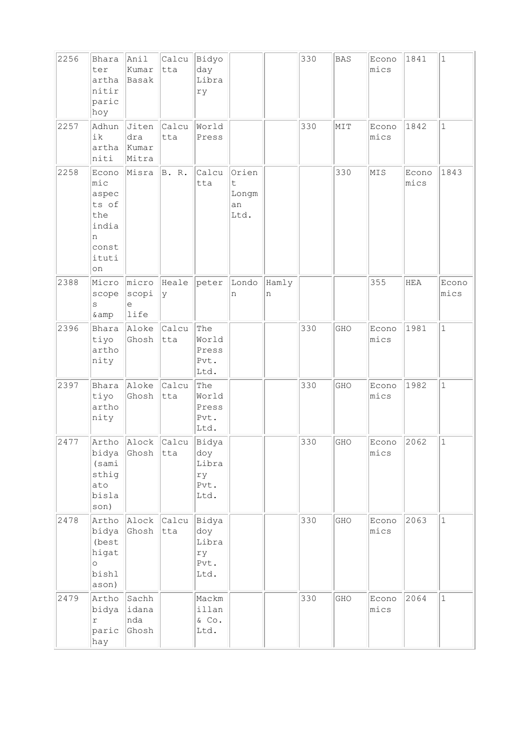| 2256 | Bhara<br>ter<br>artha<br>nitir<br>paric<br>hoy                              | Anil<br>kumar<br>Basak         | Calcu<br>tta       | Bidyo<br>day<br>Libra<br>ry                 |                                    |            | 330 | <b>BAS</b> | Econo<br>mics | 1841          | $\mathbf{1}$  |
|------|-----------------------------------------------------------------------------|--------------------------------|--------------------|---------------------------------------------|------------------------------------|------------|-----|------------|---------------|---------------|---------------|
| 2257 | Adhun<br>ik<br>artha<br>niti                                                | Jiten<br>dra<br>Kumar<br>Mitra | Calcu<br>tta       | World<br>Press                              |                                    |            | 330 | MIT        | Econo<br>mics | 1842          | $\mathbf{1}$  |
| 2258 | Econo<br>mic<br>aspec<br>ts of<br>the<br>india<br>n<br>const<br>ituti<br>on | Misra                          | B. R.              | Calcu<br>tta                                | Orien<br>t.<br>Longm<br>an<br>Ltd. |            |     | 330        | MIS           | Econo<br>mics | 1843          |
| 2388 | Micro<br>scope<br>$\rm s$<br>& amp                                          | micro<br>scopi<br>е<br>life    | Heale<br>У         | peter                                       | Londo<br>n                         | Hamly<br>n |     |            | 355           | <b>HEA</b>    | Econo<br>mics |
| 2396 | Bhara<br>tiyo<br>artho<br>nity                                              | Aloke<br>Ghosh                 | Calcu<br>tta       | The<br>World<br>Press<br>Pvt.<br>Ltd.       |                                    |            | 330 | GHO        | Econo<br>mics | 1981          | $\mathbf{1}$  |
| 2397 | Bhara<br>tiyo<br>artho<br>nity                                              | Aloke<br>Ghosh                 | Calcu<br>tta       | The<br>World<br>Press<br>Pvt.<br>Ltd.       |                                    |            | 330 | GHO        | Econo<br>mics | 1982          | $\mathbf{1}$  |
| 2477 | Artho<br>bidya<br>(sami<br>sthig<br>ato<br>bisla<br>son)                    | Alock<br>Ghosh                 | Calcu<br> tta      | Bidya<br>doy<br>Libra<br>ry<br>Pvt.<br>Ltd. |                                    |            | 330 | GHO        | Econo<br>mics | 2062          | $\mathbf{1}$  |
| 2478 | Artho<br>bidya<br>(best<br>higat<br>$\circ$<br>bishl<br>ason)               | Alock<br>Ghosh                 | Calcu Bidya<br>tta | doy<br>Libra<br>ry<br>Pvt.<br>Ltd.          |                                    |            | 330 | GHO        | Econo<br>mics | 2063          | $\vert$ 1     |
| 2479 | Artho<br>bidya<br>$\Upsilon$<br>paric<br>hay                                | Sachh<br>idana<br>nda<br>Ghosh |                    | Mackm<br>illan<br>$\&$ Co.<br>Ltd.          |                                    |            | 330 | GHO        | Econo<br>mics | 2064          | $\mathbf{1}$  |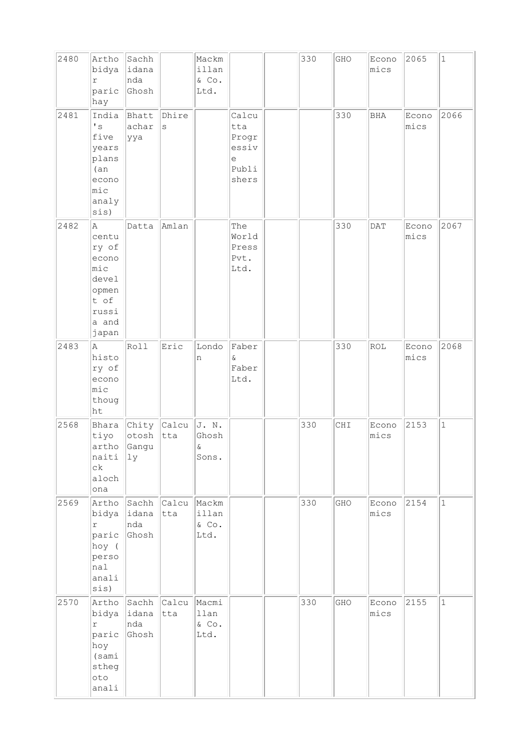| 2480 | Artho<br>bidya<br>$\Upsilon$<br>paric<br>hay                                             | Sachh<br>lidana<br>nda<br>Ghosh             |                       | Mackm<br>illan<br>$\&$ Co.<br>Ltd. |                                                       | 330 | GHO | Econo<br>mics | 2065          | $\mathbf{1}$ |
|------|------------------------------------------------------------------------------------------|---------------------------------------------|-----------------------|------------------------------------|-------------------------------------------------------|-----|-----|---------------|---------------|--------------|
| 2481 | India<br>$^\prime$ s<br>five<br>years<br>plans<br>(an)<br>econo<br>mic<br>analy<br>sis)  | Bhatt<br>achar<br>ууа                       | Dhire<br>$\mathtt{s}$ |                                    | Calcu<br>tta<br>Progr<br>essiv<br>е<br>Publi<br>shers |     | 330 | BHA           | Econo<br>mics | 2066         |
| 2482 | A<br>centu<br>ry of<br>econo<br>mic<br>devel<br>opmen<br>t of<br>russi<br>a and<br>japan | Datta                                       | Amlan                 |                                    | The<br>World<br>Press<br>Pvt.<br>Ltd.                 |     | 330 | DAT           | Econo<br>mics | 2067         |
| 2483 | Α<br>histo<br>ry of<br>econo<br>mic<br>thoug<br>ht                                       | Roll                                        | Eric                  | Londo<br>n                         | Faber<br>$\delta$<br>Faber<br>Ltd.                    |     | 330 | <b>ROL</b>    | Econo<br>mics | 2068         |
| 2568 | tiyo<br>artho<br>naiti<br>$c\,k$<br>aloch<br>ona                                         | Bhara Chity Calcu<br>otosh<br>Gangu<br> 1y  | tta                   | J. N.<br>Ghosh<br>$\&$<br>Sons.    |                                                       | 330 | CHI | Econo<br>mics | 2153          | $\mathbf{1}$ |
| 2569 | Artho<br>bidya<br>$\Upsilon$<br>paric<br>hoy (<br>perso<br>nal<br>anali<br>sis)          | Sachh Calcu Mackm<br>lidana<br>nda<br>Ghosh | tta                   | illan<br>$\&$ Co.<br>Ltd.          |                                                       | 330 | GHO | Econo<br>mics | 2154          | $\mathbf{1}$ |
| 2570 | Artho<br>bidya<br>$\Upsilon$<br>paric<br>hoy<br>(sami)<br>stheg<br>oto<br>anali          | Sachh<br> idana<br>nda<br>Ghosh             | <b>Calcu</b><br>tta   | Macmi<br>llan<br>$\&$ Co.<br>Ltd.  |                                                       | 330 | GHO | Econo<br>mics | 2155          | $\mathbf{1}$ |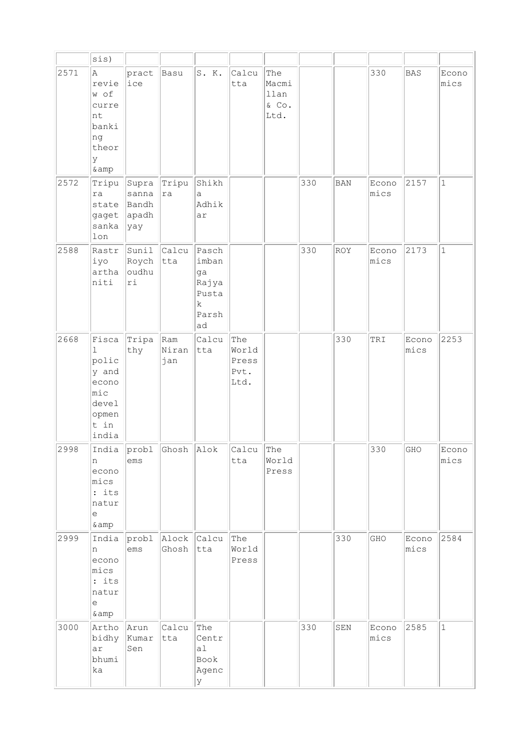|      | sis)                                                                                  |                                         |                     |                                                                      |                                       |                                          |     |            |               |               |               |
|------|---------------------------------------------------------------------------------------|-----------------------------------------|---------------------|----------------------------------------------------------------------|---------------------------------------|------------------------------------------|-----|------------|---------------|---------------|---------------|
| 2571 | A<br>revie<br>w of<br>curre<br>nt<br>banki<br>ng<br>theor<br>У<br>& amp               | pract<br>ice                            | Basu                | S. K.                                                                | Calcu<br>tta                          | The<br>Macmi<br>llan<br>$\&$ Co.<br>Ltd. |     |            | 330           | <b>BAS</b>    | Econo<br>mics |
| 2572 | Tripu<br>ra<br>state<br>gaget<br>sanka<br>lon                                         | Supra<br>sanna<br>Bandh<br>apadh<br>yay | Tripu<br>ra         | Shikh<br>а<br>Adhik<br>ar                                            |                                       |                                          | 330 | <b>BAN</b> | Econo<br>mics | 2157          | $1\,$         |
| 2588 | Rastr<br>iyo<br>artha<br>niti                                                         | Sunil<br>Roych<br>oudhu<br>ri           | Calcu<br>tta        | Pasch<br>imban<br>ga<br>Rajya<br>Pusta<br>$\mathbf k$<br>Parsh<br>ad |                                       |                                          | 330 | <b>ROY</b> | Econo<br>mics | 2173          | $\mathbf{1}$  |
| 2668 | Fisca<br>ı<br>polic<br>y and<br>econo<br>mic<br>devel<br>opmen<br>t in<br>india       | Tripa<br>thy                            | Ram<br>Niran<br>jan | Calcu<br>tta                                                         | The<br>World<br>Press<br>Pvt.<br>Ltd. |                                          |     | 330        | TRI           | Econo<br>mics | 2253          |
| 2998 | India<br>n<br>econo<br>mics<br>$:$ its<br>natur<br>$\mathop{\rm e}\nolimits$<br>& amp | $ $ probl<br>ems                        | Ghosh Alok          |                                                                      | Calcu<br>tta                          | The<br>World<br>Press                    |     |            | 330           | GHO           | Econo<br>mics |
| 2999 | India<br>n<br>econo<br>mics<br>: its<br>natur<br>$\epsilon$<br>&                      | probl<br>ems                            | Alock<br>Ghosh      | Calcu<br>tta                                                         | The<br>World<br>Press                 |                                          |     | 330        | GHO           | Econo<br>mics | 2584          |
| 3000 | Artho<br>bidhy<br>ar<br>bhumi<br>ka                                                   | Arun<br>Kumar<br>Sen                    | Calcu<br>tta        | The<br>Centr<br>al<br>Book<br>Agenc<br>У                             |                                       |                                          | 330 | SEN        | Econo<br>mics | 2585          | $\mathbf 1$   |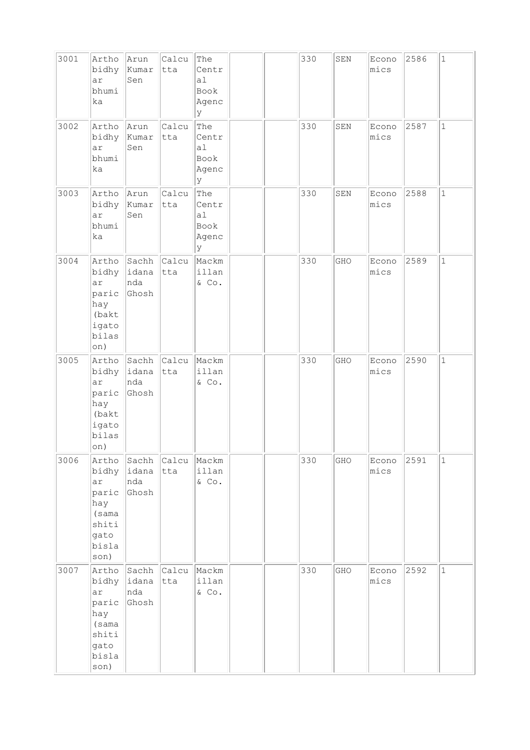| 3001 | Artho<br>bidhy<br>ar<br>bhumi<br>ka                                             | Arun<br>Kumar<br>Sen                        | Calcu<br>tta       | The<br>Centr<br>a1<br>Book<br>Agenc<br>У             |  | 330 | ${\tt SEN}$ | Econo<br>mics | 2586 | $\mathbf{1}$ |
|------|---------------------------------------------------------------------------------|---------------------------------------------|--------------------|------------------------------------------------------|--|-----|-------------|---------------|------|--------------|
| 3002 | Artho<br>bidhy<br>ar<br>bhumi<br>ka                                             | Arun<br>Kumar<br>Sen                        | Calcu<br>tta       | The<br>Centr<br>a <sub>1</sub><br>Book<br>Agenc<br>У |  | 330 | SEN         | Econo<br>mics | 2587 | $\mathbf{1}$ |
| 3003 | Artho<br>bidhy<br>ar<br>bhumi<br>ka                                             | Arun<br>Kumar<br>Sen                        | Calcu<br>tta       | The<br>Centr<br>a1<br>Book<br>Agenc<br>У             |  | 330 | SEN         | Econo<br>mics | 2588 | $\mathbf{1}$ |
| 3004 | bidhy<br>ar<br>paric<br>hay<br>(bakt<br>igato<br>bilas<br>on)                   | Artho Sachh Calcu<br>lidana<br>nda<br>Ghosh | tta                | Mackm<br>illan<br>$&$ Co.                            |  | 330 | GHO         | Econo<br>mics | 2589 | $\mathbf{1}$ |
| 3005 | Artho<br>bidhy<br>ar<br>paric<br>hay<br>(bakt<br>igato<br>bilas<br>on)          | Sachh Calcu<br> idana<br>nda<br>Ghosh       | tta                | Mackm<br>illan<br>& Co.                              |  | 330 | GHO         | Econo<br>mics | 2590 | $\mathbf{1}$ |
| 3006 | Artho<br>bidhy<br>ar<br>paric<br>hay<br>(sama<br>shiti<br>gato<br>bisla<br>son) | Sachh<br>idana<br>nda<br>Ghosh              | Calcu Mackm<br>tta | illan<br>$\&$ Co.                                    |  | 330 | GHO         | Econo<br>mics | 2591 | $\mathbf 1$  |
| 3007 | Artho<br>bidhy<br>ar<br>paric<br>hay<br>(sama<br>shiti<br>gato<br>bisla<br>son) | Sachh<br>idana<br>nda<br>Ghosh              | Calcu<br>tta       | Mackm<br>illan<br>$\&$ Co.                           |  | 330 | GHO         | Econo<br>mics | 2592 | $\mathbf 1$  |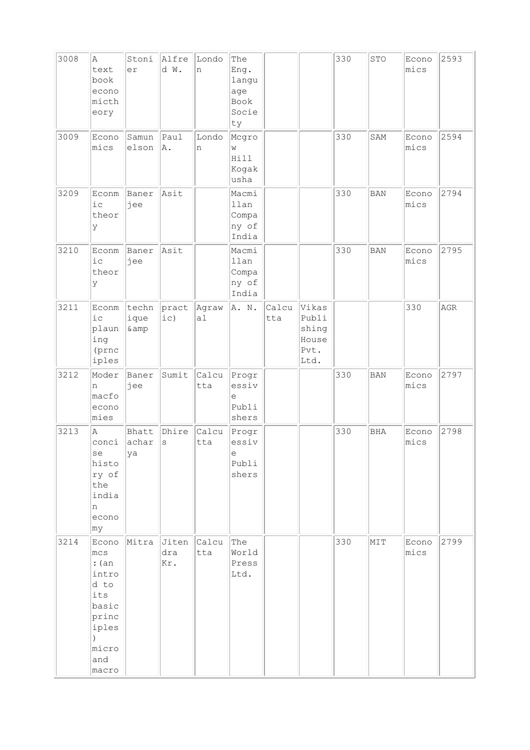| 3008 | A<br>text<br>book<br>econo<br>micth<br>eory                                                                     | Stoni<br>er            | Alfre<br>d W.       | Londo<br>n   | The<br>Eng.<br>langu<br>age<br>Book<br>Socie<br>ty |              |                                                  | 330 | STO        | Econo<br>mics | 2593 |
|------|-----------------------------------------------------------------------------------------------------------------|------------------------|---------------------|--------------|----------------------------------------------------|--------------|--------------------------------------------------|-----|------------|---------------|------|
| 3009 | Econo<br>mics                                                                                                   | Samun<br>elson         | Paul<br>A.          | Londo<br>n   | Mcgro<br>W<br>Hill<br>Kogak<br>usha                |              |                                                  | 330 | SAM        | Econo<br>mics | 2594 |
| 3209 | Econm<br>iс<br>theor<br>У                                                                                       | Baner<br>jee           | Asit                |              | Macmi<br>llan<br>Compa<br>ny of<br>India           |              |                                                  | 330 | <b>BAN</b> | Econo<br>mics | 2794 |
| 3210 | Econm<br>ic<br>theor<br>У                                                                                       | Baner<br>jee           | Asit                |              | Macmi<br>llan<br>Compa<br>ny of<br>India           |              |                                                  | 330 | <b>BAN</b> | Econo<br>mics | 2795 |
| 3211 | Econm<br>iс<br>plaun<br>ing<br>(prnc<br>iples                                                                   | techn<br>ique<br>& amp | pract<br>ic)        | Agraw<br>a1  | A. N.                                              | Calcu<br>tta | Vikas<br>Publi<br>shing<br>House<br>Pvt.<br>Ltd. |     |            | 330           | AGR  |
| 3212 | Moder<br>n<br>macfo<br>econo<br>mies                                                                            | Baner<br>jee           | Sumit               | Calcu<br>tta | Progr<br>essiv<br>e<br>Publi<br>shers              |              |                                                  | 330 | <b>BAN</b> | Econo<br>mics | 2797 |
| 3213 | Α<br>conci<br>se<br>histo<br>ry of<br>the<br>india<br>n<br>econo<br> my                                         | Bhatt<br>achar<br>ya   | Dhire<br>S          | Calcu<br>tta | Progr<br>essiv<br>е<br>Publi<br>shers              |              |                                                  | 330 | <b>BHA</b> | Econo<br>mics | 2798 |
| 3214 | Econo<br>mcs<br>: (an)<br>intro<br>d to<br>its<br>basic<br>princ<br>iples<br>$\lambda$<br>micro<br>and<br>macro | Mitra                  | Jiten<br>dra<br>Kr. | Calcu<br>tta | The<br>World<br>Press<br>Ltd.                      |              |                                                  | 330 | MIT        | Econo<br>mics | 2799 |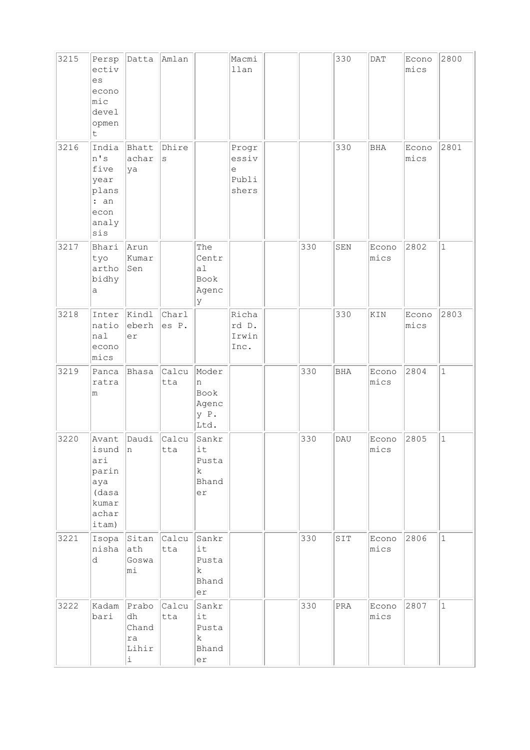| 3215 | Persp<br>ectiv<br>es<br>econo<br>mic<br>devel<br>opmen<br>t               | Datta                                                     | Amlan            |                                                       | Macmi<br>llan                         |     | 330          | DATA          | Econo<br>mics | 2800         |
|------|---------------------------------------------------------------------------|-----------------------------------------------------------|------------------|-------------------------------------------------------|---------------------------------------|-----|--------------|---------------|---------------|--------------|
| 3216 | India<br>n's<br>five<br>year<br>plans<br>: an<br>econ<br>analy<br>sis     | Bhatt<br>achar<br>ya                                      | Dhire<br>S       |                                                       | Progr<br>essiv<br>е<br>Publi<br>shers |     | 330          | <b>BHA</b>    | Econo<br>mics | 2801         |
| 3217 | Bhari<br>tyo<br>artho<br>bidhy<br>а                                       | Arun<br>Kumar<br>Sen                                      |                  | The<br>Centr<br>a <sub>1</sub><br>Book<br>Agenc<br>lУ |                                       | 330 | SEN          | Econo<br>mics | 2802          | $\mathbf{1}$ |
| 3218 | Inter<br>natio<br>nal<br>econo<br>mics                                    | Kindl<br>eberh<br>er                                      | Charl<br>es P.   |                                                       | Richa<br>rd D.<br>Irwin<br>Inc.       |     | 330          | KIN           | Econo<br>mics | 2803         |
| 3219 | Panca<br>ratra<br>m                                                       | Bhasa                                                     | Calcu<br>tta     | Moder<br>n<br>Book<br>Agenc<br>y P.<br>Ltd.           |                                       | 330 | <b>BHA</b>   | Econo<br>mics | 2804          | $\mathbf{1}$ |
| 3220 | Avant<br>isund<br>ari<br>parin<br>aya<br>(dasa<br>kumar<br>achar<br>itam) | Daudi<br>$ n -$                                           | Calcu<br>tta     | Sankr<br>it<br>Pusta<br>$\mathbf k$<br>Bhand<br>er    |                                       | 330 | DAU          | Econo<br>mics | 2805          | $\mathbf 1$  |
| 3221 | nisha<br>d                                                                | Isopa Sitan Calcu<br>ath<br>Goswa<br>mi                   | tta              | Sankr<br>it<br>Pusta<br>k<br>Bhand<br>er              |                                       | 330 | SIT          | Econo<br>mics | 2806          | $\mathbf{1}$ |
| 3222 | Kadam<br>bari                                                             | Prabo<br>dh<br>Chand<br>ra<br>Lihir<br>$\dot{\mathtt{l}}$ | $ $ Calcu<br>tta | Sankr<br>lit<br>Pusta<br>$\mathbf k$<br>Bhand<br>er   |                                       | 330 | $\mbox{PRA}$ | Econo<br>mics | 2807          | $\mathbf 1$  |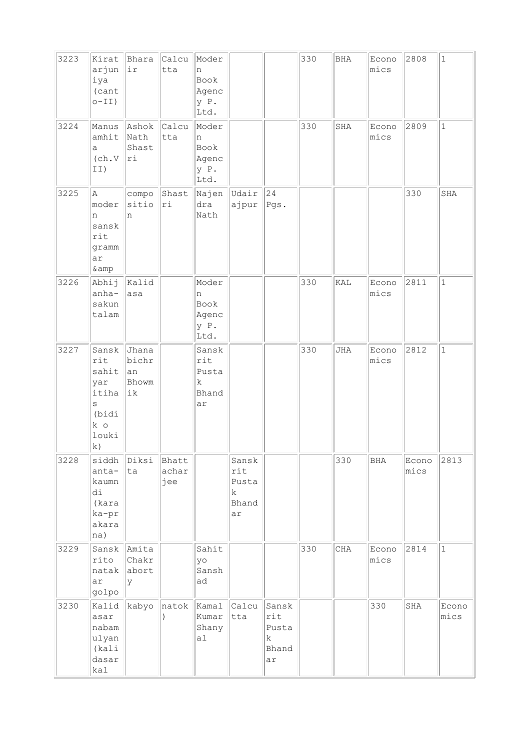| 3223 | Kirat<br>arjun<br>iya<br>(cant<br>$O-II)$                                  | Bhara<br>ir                         | Calcu<br>tta          | Moder<br>n<br>Book<br>Agenc<br>y P.<br>Ltd. |                                           |                                           | 330 | BHA | Econo<br>mics | 2808          | $\mathbf 1$   |
|------|----------------------------------------------------------------------------|-------------------------------------|-----------------------|---------------------------------------------|-------------------------------------------|-------------------------------------------|-----|-----|---------------|---------------|---------------|
| 3224 | Manus<br>amhit<br>a<br>(ch.V<br>II)                                        | Ashok<br>Nath<br>Shast<br>ri        | $ $ Calcu<br>tta      | Moder<br>n<br>Book<br>Agenc<br>y P.<br>Ltd. |                                           |                                           | 330 | SHA | Econo<br>mics | 2809          | $\mathbf{1}$  |
| 3225 | A<br>moder<br>n<br>sansk<br>rit<br>gramm<br>ar<br>& amp                    | compo<br>sitio<br>n                 | Shast<br>ri           | Najen<br>dra<br>Nath                        | Udair<br>ajpur                            | $\sqrt{24}$<br>Pgs.                       |     |     |               | 330           | SHA           |
| 3226 | Abhij<br>anha-<br>sakun<br>talam                                           | Kalid<br>asa                        |                       | Moder<br>n<br>Book<br>Agenc<br>y P.<br>Ltd. |                                           |                                           | 330 | KAL | Econo<br>mics | 2811          | $\mathbf{1}$  |
| 3227 | Sansk<br>rit<br>sahit<br>yar<br>itiha<br>S<br>(bidi<br>k o<br>louki<br> k) | Jhana<br>bichr<br>an<br>Bhowm<br>ik |                       | Sansk<br>rit<br>Pusta<br>k<br>Bhand<br>ar   |                                           |                                           | 330 | JHA | Econo<br>mics | 2812          | $\mathbf{1}$  |
| 3228 | siddh<br>anta-<br>kaumn<br>di<br>(kara<br>ka-pr<br>akara<br>na)            | Diksi<br>ta                         | Bhatt<br>achar<br>jee |                                             | Sansk<br>rit<br>Pusta<br>k<br>Bhand<br>ar |                                           |     | 330 | BHA           | Econo<br>mics | 2813          |
| 3229 | Sansk<br>rito<br>natak<br>ar<br>golpo                                      | Amita<br>Chakr<br>abort<br>У        |                       | Sahit<br>yo<br>Sansh<br>ad                  |                                           |                                           | 330 | CHA | Econo<br>mics | 2814          | $\mathbf{1}$  |
| 3230 | Kalid<br>asar<br>nabam<br>ulyan<br>(kali<br>dasar<br>kal                   | kabyo                               | natok                 | Kamal<br>Kumar<br>Shany<br>a1               | Calcu<br>tta                              | Sansk<br>rit<br>Pusta<br>k<br>Bhand<br>ar |     |     | 330           | SHA           | Econo<br>mics |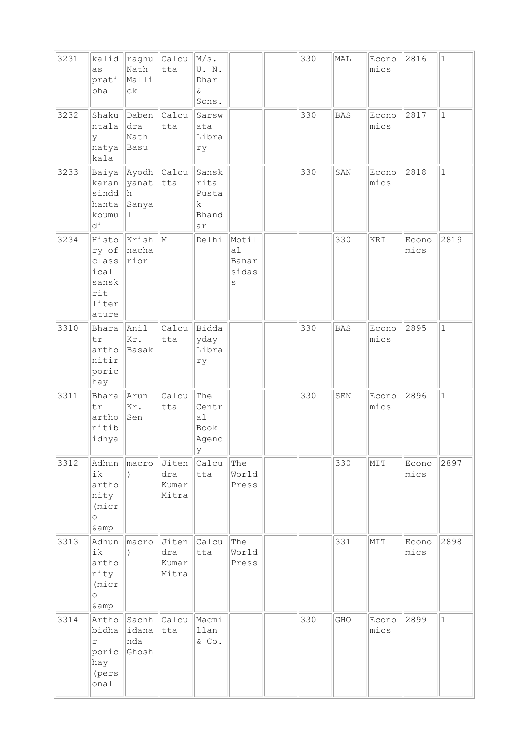| 3231 | kalid<br>as<br>prati<br>bha                                       | raghu<br>Nath<br>Malli<br>${\tt c}$                             | $ $ Calcu<br>tta                   | $M/s$ .<br>U.N.<br>Dhar<br>&<br>Sons.                      |                                    | 330 | MAL        | Econo<br>mics | 2816          | $1\,$        |
|------|-------------------------------------------------------------------|-----------------------------------------------------------------|------------------------------------|------------------------------------------------------------|------------------------------------|-----|------------|---------------|---------------|--------------|
| 3232 | Shaku<br>ntala<br>У<br>natya<br>kala                              | Daben<br>dra<br>Nath<br>Basu                                    | Calcu<br>tta                       | Sarsw<br>ata<br>Libra<br>ry                                |                                    | 330 | <b>BAS</b> | Econo<br>mics | 2817          | $\mathbf{1}$ |
| 3233 | karan<br>sindd<br>hanta<br>koumu<br>di                            | Baiya Ayodh Calcu<br><b>yanat</b><br> h<br>Sanya<br>$\mathbf 1$ | tta                                | Sansk<br>rita<br>Pusta<br>k<br>Bhand<br>ar                 |                                    | 330 | SAN        | Econo<br>mics | 2818          | $\mathbf{1}$ |
| 3234 | Histo<br>ry of<br>class<br>ical<br>sansk<br>rit<br>liter<br>ature | Krish<br>nacha<br>rior                                          | $\mathbb{M}$                       | Delhi                                                      | Motil<br>al<br>Banar<br>sidas<br>S |     | 330        | KRI           | Econo<br>mics | 2819         |
| 3310 | Bhara<br>tr<br>artho<br>nitir<br>poric<br>hay                     | Anil<br>Kr.<br>Basak                                            | Calcu<br>tta                       | Bidda<br>yday<br>Libra<br>ry                               |                                    | 330 | <b>BAS</b> | Econo<br>mics | 2895          | $\mathbf{1}$ |
| 3311 | Bhara<br>tr<br>artho<br>nitib<br>idhya                            | Arun<br>Kr.<br>Sen                                              | Calcu<br>tta                       | The<br>Centr<br>a <sub>1</sub><br>Book<br>Agenc<br>$\ Y\ $ |                                    | 330 | SEN        | Econo<br>mics | 2896          | $\mathbf{1}$ |
| 3312 | ik<br>artho<br>nity<br>(micr)<br>$\circ$<br>& amp                 | Adhun  macro                                                    | $ J$ iten<br>dra<br>Kumar<br>Mitra | Calcu<br>tta                                               | The<br>World<br>Press              |     | 330        | MIT           | Econo<br>mics | 2897         |
| 3313 | Adhun<br>ik<br>artho<br>nity<br>(micr)<br>$\circ$<br>& amp        | macro                                                           | Jiten<br>dra<br>Kumar<br>Mitra     | Calcu<br>tta                                               | The<br>World<br>Press              |     | 331        | MIT           | Econo<br>mics | 2898         |
| 3314 | Artho<br>bidha<br>r<br>poric<br>hay<br>(pers<br>onal              | Sachh Calcu Macmi<br> idana<br>nda<br>Ghosh                     | tta                                | llan<br>& Co.                                              |                                    | 330 | GHO        | Econo<br>mics | 2899          | $\mathbf 1$  |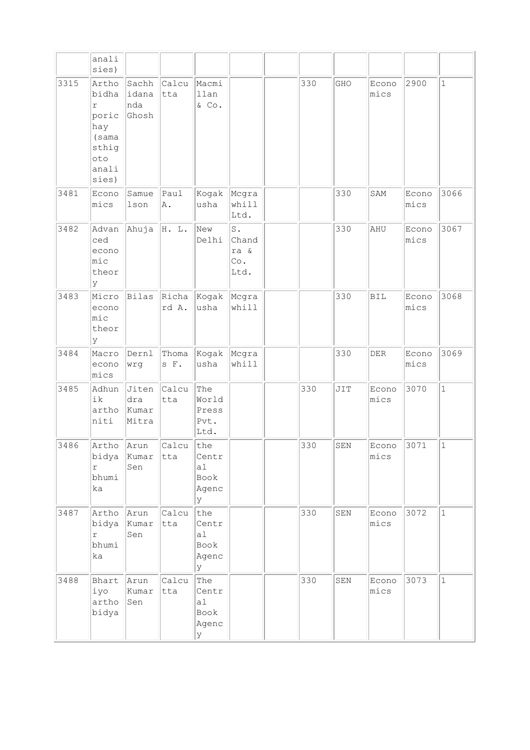|      | anali<br>sies)                                                                 |                                |               |                                                       |                                    |     |     |               |               |              |
|------|--------------------------------------------------------------------------------|--------------------------------|---------------|-------------------------------------------------------|------------------------------------|-----|-----|---------------|---------------|--------------|
| 3315 | Artho<br>bidha<br>r<br>poric<br>hay<br>(sama<br>sthig<br>oto<br>anali<br>sies) | Sachh<br>idana<br>nda<br>Ghosh | Calcu<br>tta  | Macmi<br>llan<br>& Co.                                |                                    | 330 | GHO | Econo<br>mics | 2900          | $\mathbf{1}$ |
| 3481 | Econo<br>mics                                                                  | Samue<br>lson                  | Paul<br>A.    | Kogak<br>usha                                         | Mcgra<br>whill<br>Ltd.             |     | 330 | SAM           | Econo<br>mics | 3066         |
| 3482 | Advan<br>ced<br>econo<br>mic<br>theor<br>У                                     | Ahuja                          | H. L.         | New<br>Delhi                                          | S.<br>Chand<br>ra &<br>Co.<br>Ltd. |     | 330 | AHU           | Econo<br>mics | 3067         |
| 3483 | Micro<br>econo<br>mic<br>theor<br>ly                                           | Bilas                          | rd A.         | $ $ Richa $ $ Kogak<br>usha                           | Mcgra<br>whill                     |     | 330 | <b>BIL</b>    | Econo<br>mics | 3068         |
| 3484 | Macro<br>econo<br>mics                                                         | Dernl<br>wrg                   | Thoma<br>s F. | Kogak<br>usha                                         | Mcgra<br>whill                     |     | 330 | DER           | Econo<br>mics | 3069         |
| 3485 | Adhun<br>ik<br>artho<br>niti                                                   | Jiten<br>dra<br>Kumar<br>Mitra | Calcu<br>tta  | The<br>World<br>Press<br>Pvt.<br>Ltd.                 |                                    | 330 | JIT | Econo<br>mics | 3070          | $\mathbf{1}$ |
| 3486 | Artho<br>bidya<br>$\Upsilon$<br>bhumi<br>ka                                    | Arun<br>Kumar<br>Sen           | Calcu<br>tta  | the<br>Centr<br>a1<br>Book<br>Agenc<br>lУ             |                                    | 330 | SEN | Econo<br>mics | 3071          | $\mathbf 1$  |
| 3487 | Artho<br>bidya<br>r<br>bhumi<br>ka                                             | Arun<br>Kumar<br>Sen           | Calcu<br>tta  | the<br>Centr<br>a <sub>1</sub><br>Book<br>Agenc<br>lУ |                                    | 330 | SEN | Econo<br>mics | 3072          | $\mathbf{1}$ |
| 3488 | Bhart<br>iyo<br>artho<br>bidya                                                 | Arun<br>Kumar<br>Sen           | Calcu<br>tta  | The<br>Centr<br>a1<br>Book<br>Agenc<br>Y              |                                    | 330 | SEN | Econo<br>mics | 3073          | $\mathbf 1$  |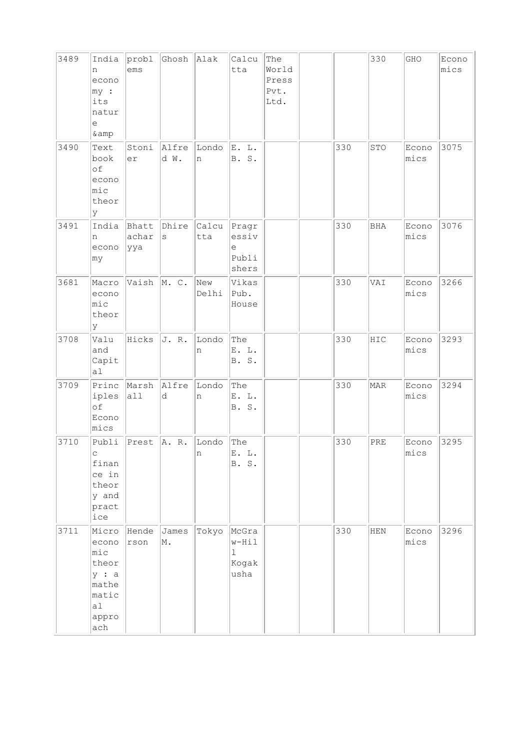| 3489 | India<br>n<br>econo<br>my:<br>its<br>natur<br>e<br>& amp                         | probl<br>ems          | Ghosh         | Alak         | Calcu<br>tta                                   | The<br>World<br>Press<br>Pvt.<br>Ltd. |     | 330         | GHO           | Econo<br>mics |
|------|----------------------------------------------------------------------------------|-----------------------|---------------|--------------|------------------------------------------------|---------------------------------------|-----|-------------|---------------|---------------|
| 3490 | Text<br>book<br>of<br>econo<br>mic<br>theor<br>Y                                 | Stoni<br>er           | Alfre<br>d W. | Londo<br>n   | E. L.<br>${\tt S}$ .<br><b>B</b> .             |                                       | 330 | STO         | Econo<br>mics | 3075          |
| 3491 | India<br>n<br>econo<br>my                                                        | Bhatt<br>achar<br>ууа | Dhire<br>S    | Calcu<br>tta | Pragr<br>essiv<br>e<br>Publi<br>shers          |                                       | 330 | <b>BHA</b>  | Econo<br>mics | 3076          |
| 3681 | Macro<br>econo<br>mic<br>theor<br>Y                                              | Vaish                 | M.C.          | New<br>Delhi | Vikas<br>Pub.<br>House                         |                                       | 330 | VAI         | Econo<br>mics | 3266          |
| 3708 | Valu<br>and<br>Capit<br>a1                                                       | Hicks                 | J. R.         | Londo<br>n   | The<br>E. L.<br>B. S.                          |                                       | 330 | HIC         | Econo<br>mics | 3293          |
| 3709 | Princ<br>iples<br>of<br>Econo<br>mics                                            | Marsh<br>a11          | Alfre<br>d    | Londo<br>n   | The<br>E. L.<br>B. S.                          |                                       | 330 | <b>MAR</b>  | Econo<br>mics | 3294          |
| 3710 | Publi<br>C<br>finan<br>ce in<br>theor<br>y and<br>pract<br>ice                   | Prest                 | A. R.         | Londo<br>n   | The<br>E. L.<br>B. S.                          |                                       | 330 | PRE         | Econo<br>mics | 3295          |
| 3711 | Micro<br>econo<br>mic<br>theor<br>y : a<br>mathe<br>matic<br> a <br>appro<br>ach | Hende<br>rson         | James<br>M.   | Tokyo        | McGra<br>w-Hil<br>$\mathbf 1$<br>Kogak<br>usha |                                       | 330 | ${\tt HEN}$ | Econo<br>mics | 3296          |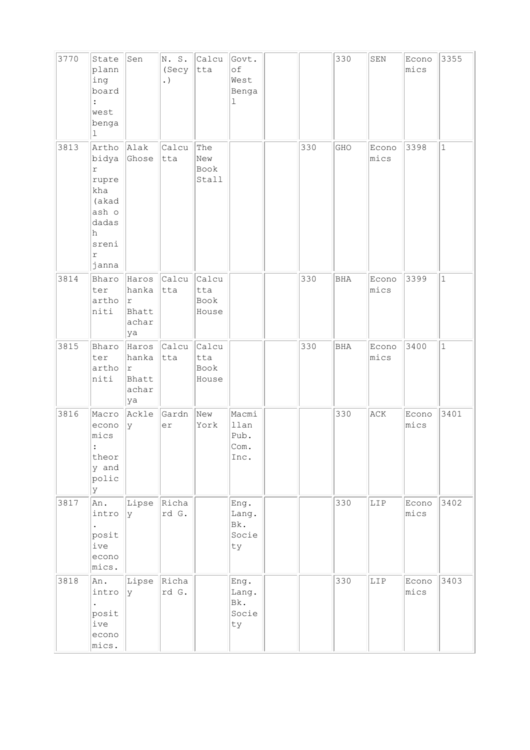| 3770 | State<br>plann<br>ing<br>board<br>west<br>benga<br>1                                                         | Sen                                          | N.S.<br>(Secy<br>. $)$ | Calcu<br>tta                  | Govt.<br>of<br>West<br>Benga<br>$\mathbf 1$ |     | 330        | SEN           | Econo<br>mics | 3355         |
|------|--------------------------------------------------------------------------------------------------------------|----------------------------------------------|------------------------|-------------------------------|---------------------------------------------|-----|------------|---------------|---------------|--------------|
| 3813 | Artho<br>bidya<br>$\Upsilon$<br>rupre<br>kha<br>(akad<br>ash o<br>dadas<br>h<br>sreni<br>$\Upsilon$<br>janna | Alak<br>Ghose                                | Calcu<br>tta           | The<br>New<br>Book<br>Stall   |                                             | 330 | GHO        | Econo<br>mics | 3398          | $\mathbf{1}$ |
| 3814 | Bharo<br>ter<br>artho<br>niti                                                                                | Haros<br>hanka<br> r<br>Bhatt<br>achar<br>ya | Calcu<br>tta           | Calcu<br>tta<br>Book<br>House |                                             | 330 | <b>BHA</b> | Econo<br>mics | 3399          | $\mathbf{1}$ |
| 3815 | Bharo<br>ter<br>artho<br>niti                                                                                | hanka<br>r<br>Bhatt<br>achar<br>ya           | Haros Calcu<br>tta     | Calcu<br>tta<br>Book<br>House |                                             | 330 | BHA        | Econo<br>mics | 3400          | $\mathbf{1}$ |
| 3816 | Macro<br>econo<br>mics<br>$\ddot{\cdot}$<br>theor<br>y and<br>polic<br>У                                     | Ackle<br>У                                   | Gardn<br>er            | New<br>York                   | Macmi<br>llan<br>Pub.<br>Com.<br>Inc.       |     | 330        | ACK           | Econo<br>mics | 3401         |
| 3817 | An.<br>intro<br>posit<br>ive<br>econo<br>mics.                                                               | Lipse<br>lУ                                  | Richa<br>rd G.         |                               | Eng.<br>Lang.<br>Bk.<br>Socie<br>ty         |     | 330        | LIP           | Econo<br>mics | 3402         |
| 3818 | An.<br>intro<br>$\bullet$<br>posit<br>ive<br>econo<br>mics.                                                  | Lipse<br>Ιy                                  | Richa<br>rd G.         |                               | Eng.<br>Lang.<br>Bk.<br>Socie<br>ty         |     | 330        | LIP           | Econo<br>mics | 3403         |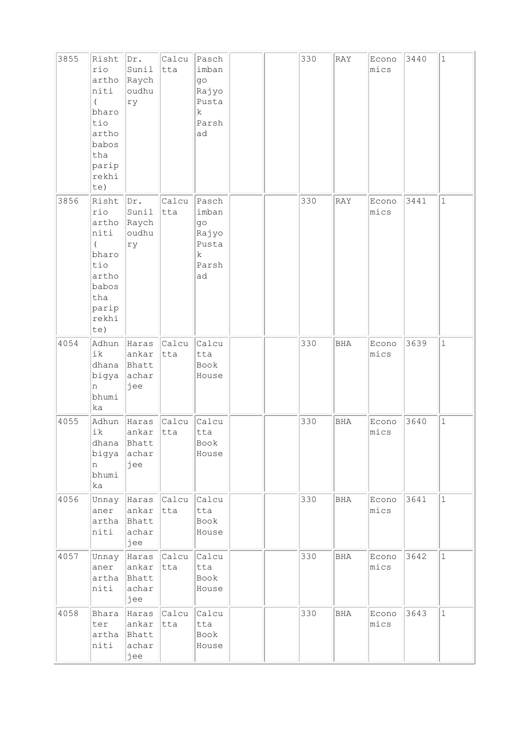| 3855 | Risht<br>rio<br>artho<br>niti<br>$\left($<br>bharo<br>tio<br>artho<br>babos<br>tha<br>parip<br>rekhi<br>te) | Dr.<br>Sunil<br>Raych<br>oudhu<br>ry    | Calcu<br>tta       | Pasch<br>imban<br>go<br>Rajyo<br>Pusta<br>$\mathbf{k}$<br>Parsh<br>ad |  | 330 | RAY        | Econo<br>mics | 3440 | $\mathbf{1}$ |
|------|-------------------------------------------------------------------------------------------------------------|-----------------------------------------|--------------------|-----------------------------------------------------------------------|--|-----|------------|---------------|------|--------------|
| 3856 | Risht<br>rio<br>artho<br>niti<br>$\left($<br>bharo<br>tio<br>artho<br>babos<br>tha<br>parip<br>rekhi<br>te) | Dr.<br>Sunil<br>Raych<br>oudhu<br>ry    | Calcu<br>tta       | Pasch<br>imban<br>go<br>Rajyo<br>Pusta<br>$\rm k$<br>Parsh<br>ad      |  | 330 | RAY        | Econo<br>mics | 3441 | $\mathbf{1}$ |
| 4054 | Adhun<br>ik<br>dhana<br>bigya<br>n<br>bhumi<br>ka                                                           | Haras<br>ankar<br>Bhatt<br>achar<br>jee | Calcu<br>tta       | Calcu<br>tta<br>Book<br>House                                         |  | 330 | <b>BHA</b> | Econo<br>mics | 3639 | $\mathbf{1}$ |
| 4055 | Adhun<br>ik<br>dhana<br>bigya<br>n<br>bhumi<br>ka                                                           | Haras<br>ankar<br>Bhatt<br>achar<br>jee | Calcu<br>tta       | Calcu<br>tta<br>Book<br>House                                         |  | 330 | BHA        | Econo<br>mics | 3640 | $\mathbf{1}$ |
| 4056 | Unnay<br>aner<br>artha<br>niti                                                                              | Haras<br>ankar<br>Bhatt<br>achar<br>jee | Calcu<br>tta       | Calcu<br>tta<br>Book<br>House                                         |  | 330 | <b>BHA</b> | Econo<br>mics | 3641 | $\mathbf{1}$ |
| 4057 | Unnay<br>aner<br>artha<br>niti                                                                              | ankar<br>Bhatt<br>achar<br>jee          | Haras Calcu<br>tta | Calcu<br>tta<br>Book<br>House                                         |  | 330 | BHA        | Econo<br>mics | 3642 | $\mathbf 1$  |
| 4058 | Bhara<br>ter<br>artha<br>niti                                                                               | Haras<br>ankar<br>Bhatt<br>achar<br>jee | Calcu<br>tta       | Calcu<br>tta<br>Book<br>House                                         |  | 330 | <b>BHA</b> | Econo<br>mics | 3643 | $\mathbf 1$  |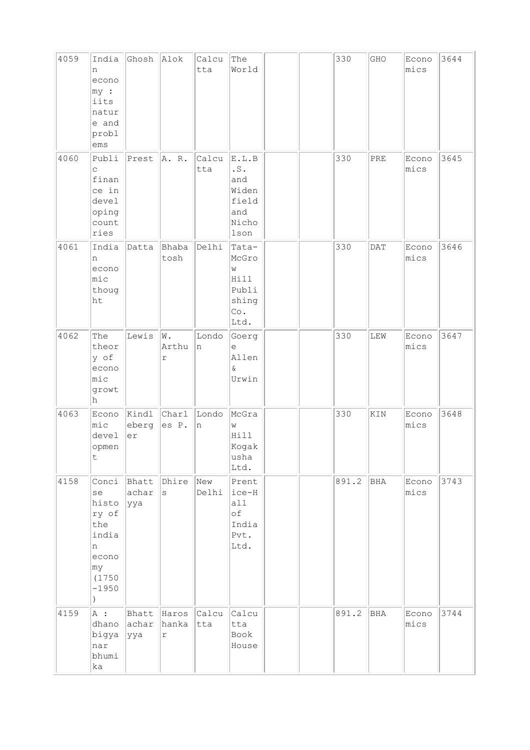| 4059 | India<br>n<br>econo<br>$ my $ :<br>iits<br>natur<br>e and<br>probl<br>ems                                       | Ghosh Alok             |                                | Calcu<br>tta | The<br>World                                                          |  | 330   | GHO         | Econo<br>mics | 3644 |
|------|-----------------------------------------------------------------------------------------------------------------|------------------------|--------------------------------|--------------|-----------------------------------------------------------------------|--|-------|-------------|---------------|------|
| 4060 | Publi<br>C<br>finan<br>ce in<br>devel<br>oping<br>count<br>ries                                                 | Prest                  | A. R.                          | Calcu<br>tta | E.L.B<br>$\cdot$ S .<br>and<br>Widen<br>field<br>and<br>Nicho<br>lson |  | 330   | PRE         | Econo<br>mics | 3645 |
| 4061 | India<br>n<br>econo<br>$ $ mic<br>thoug<br>ht                                                                   | Datta                  | Bhaba<br>tosh                  | Delhi        | Tata-<br>McGro<br>W<br>Hill<br>Publi<br>shing<br>Co.<br>Ltd.          |  | 330   | <b>DAT</b>  | Econo<br>mics | 3646 |
| 4062 | The<br>theor<br>y of<br>econo<br>mic<br>growt<br>h                                                              | Lewis                  | W.<br>Arthu<br>r               | Londo<br>n   | Goerg<br>е<br>Allen<br>Q.<br>Urwin                                    |  | 330   | ${\tt LEW}$ | Econo<br>mics | 3647 |
| 4063 | Econo<br>$ $ mic<br>devel<br>opmen<br>$\mathsf t$                                                               | eberg<br>er            | Kindl Charl<br>es P.           | Londo<br>n   | McGra<br>W<br>Hill<br>Kogak<br>usha<br>Ltd.                           |  | 330   | KIN         | Econo<br>mics | 3648 |
| 4158 | Conci<br>se<br>histo<br>ry of<br>the<br>india<br>n<br>econo<br>$ \texttt{my} $<br>(1750<br>$-1950$<br>$\lambda$ | Bhatt<br>achar<br> yya | Dhire<br>$\mathtt{s}$          | New<br>Delhi | Prent<br>ice-H<br>a11<br>оf<br>India<br>Pvt.<br>Ltd.                  |  | 891.2 | BHA         | Econo<br>mics | 3743 |
| 4159 | A:<br>dhano<br>bigya<br>nar<br>bhumi<br>ka                                                                      | Bhatt<br>achar<br> yya | Haros<br>hanka<br>$\mathtt{r}$ | Calcu<br>tta | Calcu<br>tta<br>Book<br>House                                         |  | 891.2 | BHA         | Econo<br>mics | 3744 |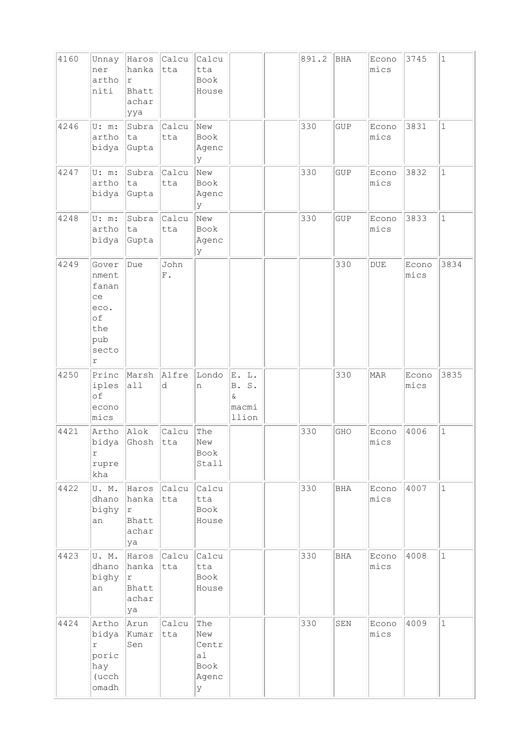| 4160 | Unnay<br>ner<br>artho<br>niti                                                    | Haros<br>hanka<br>$\Upsilon$<br>Bhatt<br>achar<br>ууа | Calcu<br>tta             | Calcu<br>tta<br>Book<br>House                   |                                          | 891.2 | <b>BHA</b>  | Econo<br>mics  | 3745          | $\vert$ 1    |
|------|----------------------------------------------------------------------------------|-------------------------------------------------------|--------------------------|-------------------------------------------------|------------------------------------------|-------|-------------|----------------|---------------|--------------|
| 4246 | U: m:<br>artho<br>bidya                                                          | Subra<br>ta<br>Gupta                                  | Calcu<br>tta             | New<br>Book<br>Agenc<br><sup>y</sup>            |                                          | 330   | <b>GUP</b>  | Econo<br>mics  | 3831          | $\mathbf{1}$ |
| 4247 | U: m:<br>artho<br>bidya                                                          | Subra<br>ta<br>Gupta                                  | Calcu<br>tta             | New<br>Book<br>Agenc<br>У                       |                                          | 330   | <b>GUP</b>  | Econo<br>mics  | 3832          | $\mathbf{1}$ |
| 4248 | U: m:<br>artho<br>bidya                                                          | Subra<br>ta<br>Gupta                                  | Calcu<br>tta             | New<br>Book<br>Agenc<br>y                       |                                          | 330   | GUP         | Econo<br>mics  | 3833          | $\mathbf{1}$ |
| 4249 | Gover<br>nment<br>fanan<br>ce<br>eco.<br>of<br>the<br>pub<br>secto<br>$\Upsilon$ | Due                                                   | John<br>${\bf F}$ .      |                                                 |                                          |       | 330         | $\texttt{DUE}$ | Econo<br>mics | 3834         |
| 4250 | Princ<br>iples<br>of<br>econo<br>mics                                            | Marsh<br>a11                                          | Alfre<br>d               | Londo<br>n                                      | E. L.<br>S.<br>B.<br>&<br>macmi<br>llion |       | 330         | MAR            | Econo<br>mics | 3835         |
| 4421 | Artho<br>þidya<br>r<br>rupre<br>kha                                              | Alok<br>Ghosh                                         | Calcu<br> tta            | The<br>New<br>Book<br>Stall                     |                                          | 330   | GHO         | Econo<br>Imics | 4006          | $\mathbf{1}$ |
| 4422 | U.M.<br>dhano<br>bighy<br>an                                                     | hanka<br> r <br>Bhatt<br>achar<br>ya                  | Haros Calcu Calcu<br>tta | tta<br>Book<br>House                            |                                          | 330   | <b>BHA</b>  | Econo<br>mics  | 4007          | $\mathbf{1}$ |
| 4423 | U.M.<br>dhano<br>bighy<br>an                                                     | hanka tta<br> r <br>Bhatt<br>achar<br>ya              | Haros Calcu Calcu        | tta<br>Book<br>House                            |                                          | 330   | BHA         | Econo<br>mics  | 4008          | $\vert$ 1    |
| 4424 | Artho<br>bidya<br>r<br>poric<br>hay<br>(ucch<br>omadh                            | Arun<br>Kumar<br>Sen                                  | Calcu<br>tta             | The<br>New<br>Centr<br>al<br>Book<br>Agenc<br>У |                                          | 330   | ${\tt SEM}$ | Econo<br>mics  | 4009          | $\mathbf{1}$ |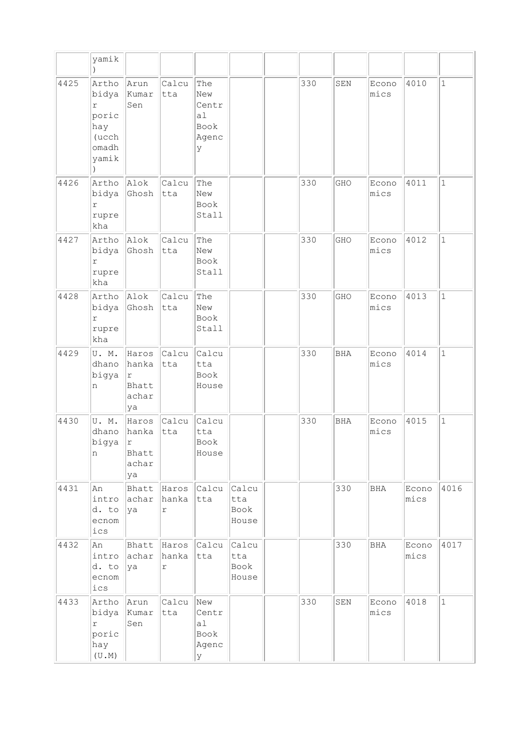|      | yamik                                                          |                                              |                                |                                                 |                                      |     |            |               |               |              |
|------|----------------------------------------------------------------|----------------------------------------------|--------------------------------|-------------------------------------------------|--------------------------------------|-----|------------|---------------|---------------|--------------|
| 4425 | Artho<br>bidya<br>r<br>poric<br>hay<br>(ucch<br>omadh<br>yamik | Arun<br>Kumar<br>Sen                         | Calcu<br>tta                   | The<br>New<br>Centr<br>a1<br>Book<br>Agenc<br>У |                                      | 330 | SEN        | Econo<br>mics | 4010          | $\mathbf{1}$ |
| 4426 | Artho<br>bidya<br>r<br>rupre<br>kha                            | Alok<br>Ghosh                                | Calcu<br>tta                   | The<br>New<br>Book<br>Stall                     |                                      | 330 | GHO        | Econo<br>mics | 4011          | $\mathbf 1$  |
| 4427 | Artho<br>bidya<br>r<br>rupre<br>kha                            | Alok<br>Ghosh                                | Calcu<br>tta                   | The<br>New<br>Book<br>Stall                     |                                      | 330 | GHO        | Econo<br>mics | 4012          | $\mathbf{1}$ |
| 4428 | Artho<br>bidya<br>$\Upsilon$<br>rupre<br>kha                   | Alok<br>Ghosh                                | Calcu<br>tta                   | The<br>New<br>Book<br>Stall                     |                                      | 330 | GHO        | Econo<br>mics | 4013          | $\mathbf{1}$ |
| 4429 | U.M.<br>dhano<br>bigya<br>n                                    | Haros<br>hanka<br>١r<br>Bhatt<br>achar<br>ya | Calcu<br>tta                   | Calcu<br>tta<br>Book<br>House                   |                                      | 330 | <b>BHA</b> | Econo<br>mics | 4014          | $\mathbf{1}$ |
| 4430 | U.M.<br>dhano<br>bigya<br>n                                    | Haros<br>hanka<br> r<br>Bhatt<br>achar<br>ya | Calcu<br>tta                   | Calcu<br>tta<br>Book<br>House                   |                                      | 330 | <b>BHA</b> | Econo<br>mics | 4015          | $\mathbf 1$  |
| 4431 | An<br>intro<br>d. to<br>ecnom<br>ics                           | Bhatt<br>achar<br>ya                         | Haros<br>hanka<br>$\mathtt{r}$ | Calcu<br>tta                                    | Calcu<br>tta<br><b>Book</b><br>House |     | 330        | BHA           | Econo<br>mics | 4016         |
| 4432 | An<br>intro<br>d. to<br>ecnom<br>ics                           | Bhatt<br>achar<br>ya                         | Haros<br>hanka<br>r            | Calcu<br>tta                                    | Calcu<br>tta<br>Book<br>House        |     | 330        | <b>BHA</b>    | Econo<br>mics | 4017         |
| 4433 | Artho<br>bidya<br>r<br>poric<br>hay<br>(U.M)                   | Arun<br>Kumar<br>Sen                         | Calcu<br>tta                   | New<br>Centr<br>a1<br>Book<br>Agenc<br>У        |                                      | 330 | SEN        | Econo<br>mics | 4018          | $\mathbf{1}$ |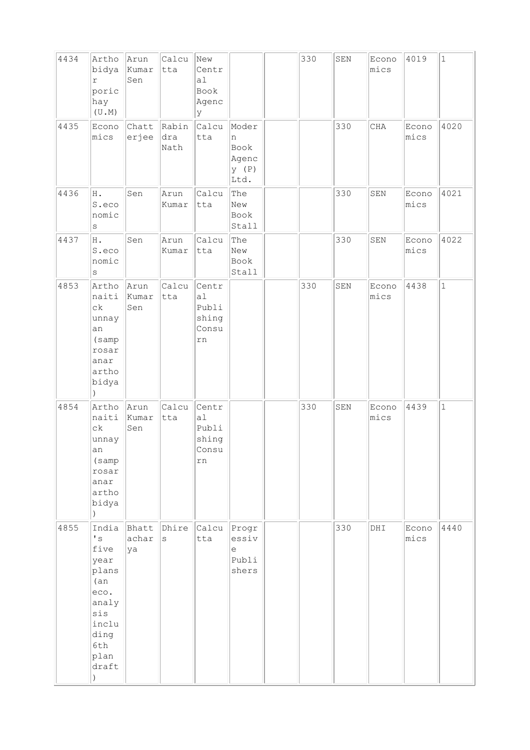| 4434 | Artho<br>bidya<br>$\Upsilon$<br>poric<br>hay<br>(U.M)                                                                                  | Arun<br>Kumar<br>Sen | Calcu<br>tta         | New<br>Centr<br>a1<br>Book<br>Agenc<br>У     |                                                               | 330 | SEN         | Econo<br>mics | 4019          | $\vert$ 1    |
|------|----------------------------------------------------------------------------------------------------------------------------------------|----------------------|----------------------|----------------------------------------------|---------------------------------------------------------------|-----|-------------|---------------|---------------|--------------|
| 4435 | Econo<br>mics                                                                                                                          | Chatt<br>erjee       | Rabin<br>dra<br>Nath | Calcu<br>tta                                 | Moder<br>n<br>Book<br>Agenc<br>y (P)<br>Ltd.                  |     | 330         | CHA           | Econo<br>mics | 4020         |
| 4436 | H.<br>S.eco<br>nomic<br>$\rm s$                                                                                                        | Sen                  | Arun<br>Kumar        | Calcu<br>tta                                 | The<br>New<br>Book<br>Stall                                   |     | 330         | SEN           | Econo<br>mics | 4021         |
| 4437 | H.<br>S.eco<br>nomic<br>$\rm s$                                                                                                        | Sen                  | Arun<br>Kumar        | Calcu<br>tta                                 | The<br>New<br>Book<br>Stall                                   |     | 330         | SEN           | Econo<br>mics | 4022         |
| 4853 | Artho<br>naiti<br>$c\,k$<br>unnay<br>an<br>(samp<br>rosar<br>anar<br>artho<br>bidya<br>$\lambda$                                       | Arun<br>Kumar<br>Sen | Calcu<br>tta         | Centr<br>a1<br>Publi<br>shing<br>Consu<br>rn |                                                               | 330 | ${\tt SEM}$ | Econo<br>mics | 4438          | $\mathbf{1}$ |
| 4854 | Artho<br>naiti<br>$c\,k$<br>unnay<br>an<br>(samp<br>rosar<br>anar<br>artho<br>bidya                                                    | Arun<br>Kumar<br>Sen | Calcu<br>tta         | Centr<br>a1<br>Publi<br>shing<br>Consu<br>rn |                                                               | 330 | SEN         | Econo<br>mics | 4439          | $\mathbf{1}$ |
| 4855 | India<br>$\mathbf{I}$ s<br>five<br>year<br>plans<br>(an)<br>eco.<br>analy<br>sis<br>inclu<br>ding<br>6th<br>plan<br>draft<br>$\lambda$ | Bhatt<br>achar<br>ya | Dhire<br>S           | Calcu<br>tta                                 | Progr<br>essiv<br>$\mathop{\rm e}\nolimits$<br>Publi<br>shers |     | 330         | DHI           | Econo<br>mics | 4440         |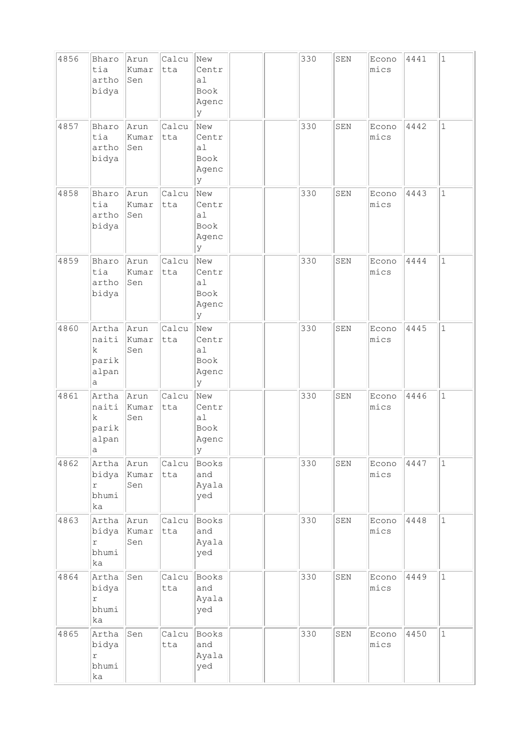| 4856 | Bharo<br>tia<br>artho<br>bidya                        | Arun<br>Kumar<br>Sen | Calcu<br>tta | New<br>Centr<br>a1<br>Book<br>Agenc<br>У  |  | 330 | SEN         | Econo<br>mics | 4441 | $\mathbf{1}$ |
|------|-------------------------------------------------------|----------------------|--------------|-------------------------------------------|--|-----|-------------|---------------|------|--------------|
| 4857 | Bharo<br>tia<br>artho<br>bidya                        | Arun<br>Kumar<br>Sen | Calcu<br>tta | New<br>Centr<br>a1<br>Book<br>Agenc<br>У  |  | 330 | SEN         | Econo<br>mics | 4442 | $\mathbf 1$  |
| 4858 | Bharo<br>tia<br>artho<br>bidya                        | Arun<br>Kumar<br>Sen | Calcu<br>tta | New<br>Centr<br>a1<br>Book<br>Agenc<br>Y  |  | 330 | SEN         | Econo<br>mics | 4443 | $\mathbf{1}$ |
| 4859 | Bharo<br>tia<br>artho<br>bidya                        | Arun<br>Kumar<br>Sen | Calcu<br>tta | New<br>Centr<br>a1<br>Book<br>Agenc<br>У  |  | 330 | SEN         | Econo<br>mics | 4444 | $\mathbf{1}$ |
| 4860 | Artha<br>naiti<br>$\mathbf k$<br>parik<br>alpan<br>а  | Arun<br>Kumar<br>Sen | Calcu<br>tta | New<br>Centr<br>a1<br>Book<br>Agenc<br>lУ |  | 330 | SEN         | Econo<br>mics | 4445 | $\mathbf{1}$ |
| 4861 | Artha<br>naiti<br>$\mathbf k$<br>parik<br>alpan<br> a | Arun<br>Kumar<br>Sen | Calcu<br>tta | New<br>Centr<br>a1<br>Book<br>Agenc<br> y |  | 330 | SEN         | Econo<br>mics | 4446 | $\mathbf 1$  |
| 4862 | Artha<br>bidya<br>r<br>bhumi<br>ka                    | Arun<br>Kumar<br>Sen | Calcu<br>tta | Books<br>and<br>Ayala<br>yed              |  | 330 | ${\tt SEM}$ | Econo<br>mics | 4447 | $1\,$        |
| 4863 | Artha<br>bidya<br>$\mathtt{r}$<br>bhumi<br>ka         | Arun<br>Kumar<br>Sen | Calcu<br>tta | Books<br>and<br>Ayala<br>yed              |  | 330 | SEN         | Econo<br>mics | 4448 | $\mathbf{1}$ |
| 4864 | Artha<br>bidya<br>r<br>bhumi<br>ka                    | Sen                  | Calcu<br>tta | Books<br>and<br>Ayala<br>yed              |  | 330 | SEN         | Econo<br>mics | 4449 | $\mathbf 1$  |
| 4865 | Artha<br>bidya<br>$\Upsilon$<br>bhumi<br>ka           | Sen                  | Calcu<br>tta | Books<br>and<br>Ayala<br>yed              |  | 330 | ${\tt SEN}$ | Econo<br>mics | 4450 | $\mathbf{1}$ |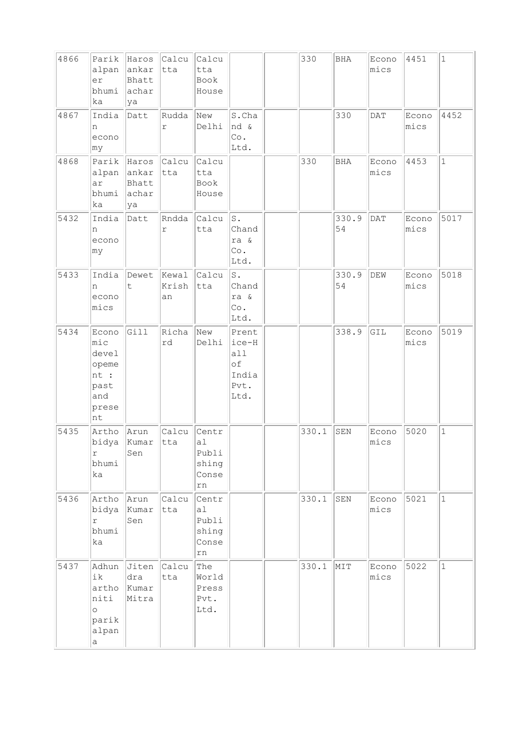| 4866 | Parik<br>alpan<br>er<br>bhumi<br>ka                                  | Haros<br>ankar<br>Bhatt<br>achar<br>ya | Calcu<br>tta         | Calcu<br>tta<br>Book<br>House                            |                                                      | 330   | <b>BHA</b>  | Econo<br>mics | 4451          | $\mathbf{1}$ |
|------|----------------------------------------------------------------------|----------------------------------------|----------------------|----------------------------------------------------------|------------------------------------------------------|-------|-------------|---------------|---------------|--------------|
| 4867 | India<br>n<br>econo<br>∣my                                           | Datt                                   | Rudda<br>$\Upsilon$  | New<br>Delhi                                             | S.Cha<br>nd &<br>$\circ$ .<br>Ltd.                   |       | 330         | DAT           | Econo<br>mics | 4452         |
| 4868 | Parik<br>alpan<br>ar<br>bhumi<br>ka                                  | Haros<br>ankar<br>Bhatt<br>achar<br>ya | Calcu<br>tta         | Calcu<br>tta<br>Book<br>House                            |                                                      | 330   | BHA         | Econo<br>mics | 4453          | $\mathbf{1}$ |
| 5432 | India<br>n<br>econo<br>my                                            | Datt                                   | Rndda<br>$\Upsilon$  | Calcu<br>tta                                             | s.<br>Chand<br>ra &<br>Co.<br>Ltd.                   |       | 330.9<br>54 | DATA          | Econo<br>mics | 5017         |
| 5433 | India<br>n<br>econo<br>mics                                          | Dewet<br>t                             | Kewal<br>Krish<br>an | Calcu<br>tta                                             | s.<br>Chand<br>ra &<br>Co.<br>Ltd.                   |       | 330.9<br>54 | DEW           | Econo<br>mics | 5018         |
| 5434 | Econo<br>mic<br>devel<br>opeme<br>nt :<br>past<br>and<br>prese<br>nt | Gill                                   | Richa<br>rd          | New<br>Delhi                                             | Prent<br>ice-H<br>a11<br>of<br>India<br>Pvt.<br>Ltd. |       | 338.9       | GIL           | Econo<br>mics | 5019         |
| 5435 | Artho<br>bidya<br>r<br>bhumi<br>ka                                   | Arun<br>Kumar<br>Sen                   | Calcu<br>tta         | Centr<br>a1<br>Publi<br>shing<br>Conse<br>rn             |                                                      | 330.1 | SEN         | Econo<br>mics | 5020          | $\mathbf 1$  |
| 5436 | Artho<br>bidya<br>r<br>bhumi<br>ka                                   | Arun<br>Kumar<br>Sen                   | Calcu<br>tta         | Centr<br>a <sub>l</sub><br>Publi<br>shing<br>Conse<br>rn |                                                      | 330.1 | SEN         | Econo<br>mics | 5021          | $\mathbf{1}$ |
| 5437 | Adhun<br>ik<br>artho<br>niti<br>$\circ$<br>parik<br>alpan<br>a       | Jiten<br>dra<br>Kumar<br>Mitra         | Calcu<br>tta         | The<br>World<br>Press<br>Pvt.<br>Ltd.                    |                                                      | 330.1 | MIT         | Econo<br>mics | 5022          | $\mathbf{1}$ |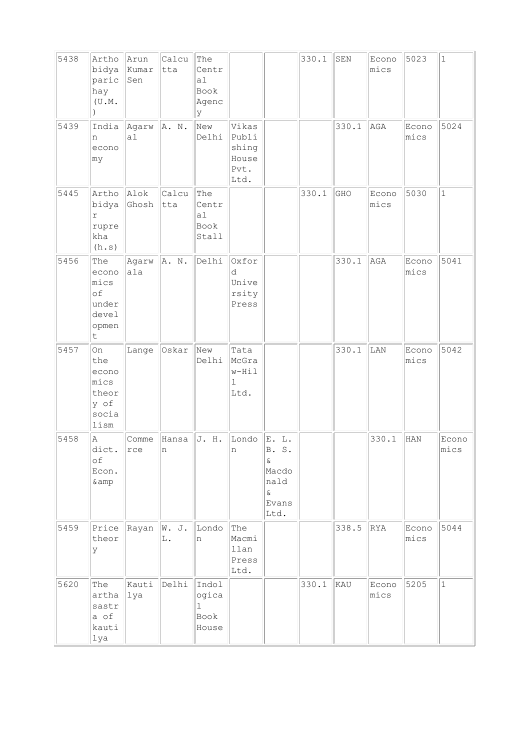| 5438 | Artho<br>bidya<br>paric<br>hay<br>(U.M.                          | Arun<br>Kumar<br>Sen        | Calcu<br>tta | The<br>Centr<br>a1<br>Book<br>Agenc<br>У        |                                                  |                                                                | 330.1 | ${\tt SEN}$ | Econo<br>mics | 5023          | $\mathbf 1$   |
|------|------------------------------------------------------------------|-----------------------------|--------------|-------------------------------------------------|--------------------------------------------------|----------------------------------------------------------------|-------|-------------|---------------|---------------|---------------|
| 5439 | India<br>n<br>econo<br>my                                        | Agarw<br>a1                 | A. N.        | New<br>Delhi                                    | Vikas<br>Publi<br>shing<br>House<br>Pvt.<br>Ltd. |                                                                |       | 330.1       | AGA           | Econo<br>mics | 5024          |
| 5445 | Artho<br>bidya<br>r<br>rupre<br>kha<br>(h.s)                     | Alok<br>Ghosh               | Calcu<br>tta | The<br>Centr<br>a1<br>Book<br>Stall             |                                                  |                                                                | 330.1 | GHO         | Econo<br>mics | 5030          | $\mathbf{1}$  |
| 5456 | The<br>econo<br>mics<br>of<br>under<br>devel<br>opmen<br>$\sf t$ | Agarw<br>ala                | A. N.        | Delhi                                           | Oxfor<br>d<br>Unive<br>rsity<br>Press            |                                                                |       | 330.1       | AGA           | Econo<br>mics | 5041          |
| 5457 | On<br>the<br>econo<br>mics<br>theor<br>y of<br>socia<br>lism     | Lange                       | Oskar        | New<br>Delhi                                    | Tata<br>McGra<br>w-Hil<br>ı<br>Ltd.              |                                                                |       | 330.1       | LAN           | Econo<br>mics | 5042          |
| 5458 | Α<br>dict.<br>оf<br>Econ.<br>&                                   | Comme<br>rce                | Hansa<br> n  | J. H.                                           | Londo<br>n                                       | E. L.<br>B. S.<br>&.<br>Macdo<br>nald<br>$\&$<br>Evans<br>Ltd. |       |             | 330.1         | HAN           | Econo<br>mics |
| 5459 | Price<br>theor<br>У                                              | $\vert$ Rayan $\vert$ W. J. | L.           | Londo<br>n                                      | The<br>Macmi<br>llan<br>Press<br>Ltd.            |                                                                |       | 338.5       | RYA           | Econo<br>mics | 5044          |
| 5620 | The<br>artha<br>sastr<br>a of<br>kauti<br>lya                    | Kauti<br> lya               | Delhi        | Indol<br>ogica<br>$\mathbf{1}$<br>Book<br>House |                                                  |                                                                | 330.1 | KAU         | Econo<br>mics | 5205          | $\mathbf 1$   |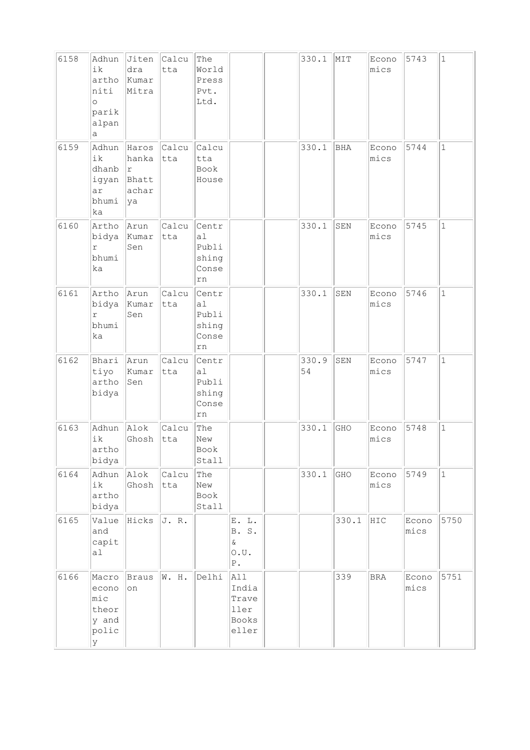| 6158 | Adhun<br>ik<br>artho<br>niti<br>$\circ$<br>parik<br>alpan<br>а | Jiten<br>dra<br>Kumar<br>Mitra                | Calcu<br>tta | The<br>World<br>Press<br>Pvt.<br>Ltd.                    |                                                                | 330.1       | MIT        | Econo<br>mics | 5743          | $\mathbf{1}$ |
|------|----------------------------------------------------------------|-----------------------------------------------|--------------|----------------------------------------------------------|----------------------------------------------------------------|-------------|------------|---------------|---------------|--------------|
| 6159 | Adhun<br>ik<br>dhanb<br>igyan<br>ar<br>bhumi<br>ka             | Haros<br>hanka<br>١r<br>Bhatt<br>achar<br> ya | Calcu<br>tta | Calcu<br>tta<br>Book<br>House                            |                                                                | 330.1       | <b>BHA</b> | Econo<br>mics | 5744          | 1            |
| 6160 | Artho<br>bidya<br>$\Upsilon$<br>bhumi<br>ka                    | Arun<br>Kumar<br>Sen                          | Calcu<br>tta | Centr<br>a1<br>Publi<br>shing<br>Conse<br>rn             |                                                                | 330.1       | SEN        | Econo<br>mics | 5745          | $\mathbf{1}$ |
| 6161 | Artho<br>bidya<br>r<br>bhumi<br>ka                             | Arun<br>Kumar<br>Sen                          | Calcu<br>tta | Centr<br>a1<br>Publi<br>shing<br>Conse<br>rn             |                                                                | 330.1       | SEN        | Econo<br>mics | 5746          | $\mathbf{1}$ |
| 6162 | Bhari<br>tiyo<br>artho<br>bidya                                | Arun<br>Kumar<br>Sen                          | Calcu<br>tta | Centr<br>a <sub>1</sub><br>Publi<br>shing<br>Conse<br>rn |                                                                | 330.9<br>54 | SEN        | Econo<br>mics | 5747          | $\mathbf{1}$ |
| 6163 | Adhun<br>ik<br>artho<br>bidya                                  | Alok<br>Ghosh                                 | Calcu<br>tta | The<br>New<br>Book<br>Stall                              |                                                                | 330.1       | GHO        | Econo<br>mics | 5748          | $\mathbf 1$  |
| 6164 | Adhun<br>ik<br>artho<br>bidya                                  | Alok<br>Ghosh                                 | Calcu<br>tta | The<br>New<br>Book<br>Stall                              |                                                                | 330.1       | GHO        | Econo<br>mics | 5749          | $\mathbf 1$  |
| 6165 | Value<br>and<br>capit<br>al                                    | Hicks                                         | J.R.         |                                                          | E. L.<br>B. S.<br>$\delta$<br>$\circ$ . $\circ$<br>${\tt P}$ . |             | 330.1      | HIC           | Econo<br>mics | 5750         |
| 6166 | Macro<br>econo<br>mic<br>theor<br>y and<br>polic<br>У          | Braus<br>on                                   | W. H.        | Delhi                                                    | All<br>India<br>Trave<br>ller<br>Books<br>eller                |             | 339        | $_{\rm BRA}$  | Econo<br>mics | 5751         |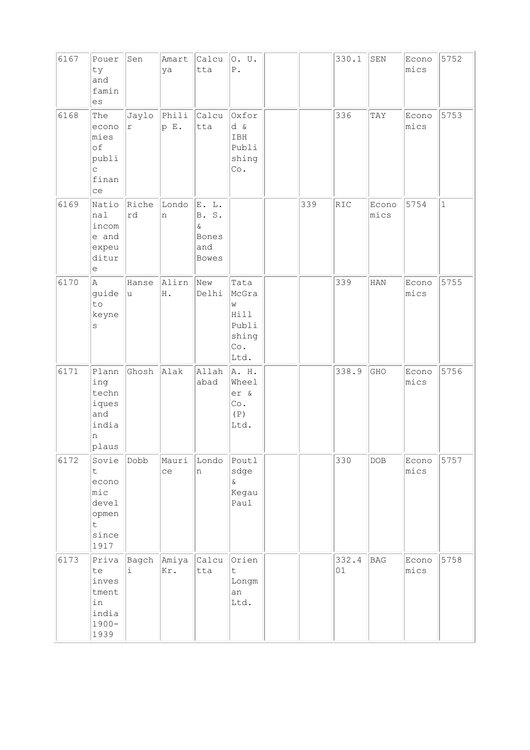| 6167 | Pouer<br>ty<br>and<br>famin<br>es                                              | Sen         | Amart<br>ya         | Calcu<br>tta                                           | 0. U.<br>${\mathbb P}$ .                                    |     | 330.1       | SEN           | Econo<br>mics | 5752         |
|------|--------------------------------------------------------------------------------|-------------|---------------------|--------------------------------------------------------|-------------------------------------------------------------|-----|-------------|---------------|---------------|--------------|
| 6168 | The<br>econo<br>mies<br>of<br>publi<br>$\mathop{\mathsf{C}}$<br>finan<br>ce    | $\Upsilon$  | Jaylo Phili<br>p E. | Calcu<br>tta                                           | Oxfor<br>d &<br>IBH<br>Publi<br>shing<br>Co.                |     | 336         | TAY           | Econo<br>mics | 5753         |
| 6169 | Natio<br>nal<br>incom<br>e and<br>expeu<br>ditur<br>e                          | Riche<br>rd | Londo<br>n          | E. L.<br>B. S.<br>$\&$<br>Bones<br>and<br><b>Bowes</b> |                                                             | 339 | RIC         | Econo<br>mics | 5754          | $\mathbf{1}$ |
| 6170 | $\mathbb{A}$<br>guide<br>to<br>keyne<br>S                                      | Hanse<br> u | Alirn<br>H .        | New<br>Delhi                                           | Tata<br>McGra<br>W<br>Hill<br>Publi<br>shing<br>Co.<br>Ltd. |     | 339         | <b>HAN</b>    | Econo<br>mics | 5755         |
| 6171 | Plann<br>ing<br>techn<br>iques<br>and<br>india<br>n<br>plaus                   | Ghosh       | Alak                | Allah<br>abad                                          | A. H.<br>Wheel<br>er &<br>Co.<br>(P)<br>Ltd.                |     | 338.9       | GHO           | Econo<br>mics | 5756         |
| 6172 | Sovie<br>t.<br>econo<br>mic<br>devel<br>opmen<br>$\mathsf{t}$<br>since<br>1917 | Dobb        | Mauri<br>ce         | Londo<br>n                                             | Poutl<br>sdge<br>$\delta$<br>Kegau<br>Paul                  |     | 330         | DOB           | Econo<br>mics | 5757         |
| 6173 | Priva<br>te<br>inves<br>tment<br>in<br>india<br>$1900 -$<br>1939               | Bagch<br>i. | Amiya<br>Kr.        | Calcu<br>tta                                           | Orien<br>$\mathsf t$<br>Longm<br>an<br>Ltd.                 |     | 332.4<br>01 | BAG           | Econo<br>mics | 5758         |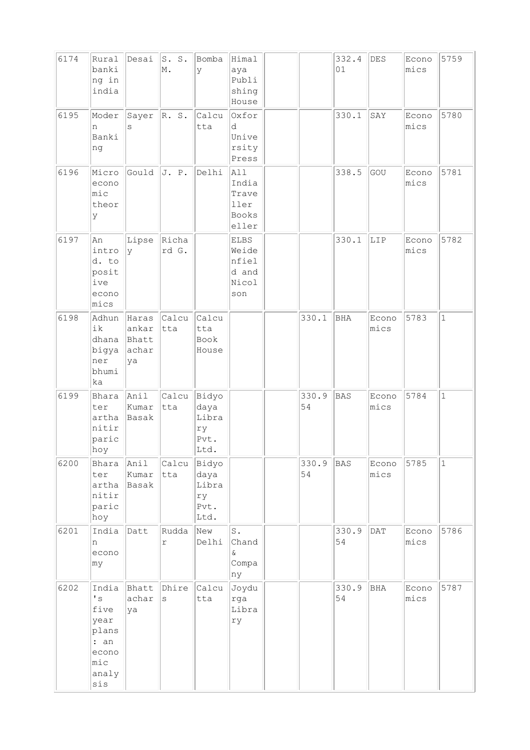| 6174 | Rural<br>banki<br>ng in<br>india                                                                         | Desai                                  | S. S.<br>M.           | Bomba<br>У                           | Himal<br>aya<br>Publi<br>shing<br>House                |             | 332.4<br>01 | DES           | Econo<br>mics | 5759         |
|------|----------------------------------------------------------------------------------------------------------|----------------------------------------|-----------------------|--------------------------------------|--------------------------------------------------------|-------------|-------------|---------------|---------------|--------------|
| 6195 | Moder<br>n<br>Banki<br>ng                                                                                | Sayer<br>S                             | R. S.                 | Calcu<br>tta                         | Oxfor<br>d<br>Unive<br>rsity<br>Press                  |             | 330.1       | SAY           | Econo<br>mics | 5780         |
| 6196 | Micro<br>econo<br>mic<br>theor<br>У                                                                      | Gould                                  | J. P.                 | Delhi                                | AI1<br>India<br>Trave<br>ller<br>Books<br>eller        |             | 338.5       | GOU           | Econo<br>mics | 5781         |
| 6197 | An<br>intro<br>d. to<br>posit<br>ive<br>econo<br>mics                                                    | Lipse<br>l V                           | Richa<br>rd G.        |                                      | <b>ELBS</b><br>Weide<br>nfiel<br>d and<br>Nicol<br>son |             | 330.1       | LIP           | Econo<br>mics | 5782         |
| 6198 | Adhun<br>ik<br>dhana<br>bigya<br>ner<br>bhumi<br>ka                                                      | Haras<br>ankar<br>Bhatt<br>achar<br>ya | Calcu<br>tta          | <i>calcu</i><br>tta<br>Book<br>House |                                                        | 330.1       | BHA         | Econo<br>mics | 5783          | $\mathbf{1}$ |
| 6199 | Bhara<br>ter<br>artha<br>nitir<br>paric<br>hoy                                                           | Anil<br>Kumar<br>Basak                 | Calcu Bidyo<br>tta    | daya<br>Libra<br>ry<br>Pvt.<br>Ltd.  |                                                        | 330.9<br>54 | <b>BAS</b>  | Econo<br>mics | 5784          | $\mathbf{1}$ |
| 6200 | Bhara<br>ter<br>artha<br>nitir<br>paric<br>hoy                                                           | Anil<br>Kumar<br>Basak                 | Calcu Bidyo<br>tta    | daya<br>Libra<br>ry<br>Pvt.<br>Ltd.  |                                                        | 330.9<br>54 | BAS         | Econo<br>mics | 5785          | $\mathbf{1}$ |
| 6201 | India<br>n<br>econo<br>my                                                                                | Datt                                   | Rudda<br>$\Upsilon$   | New<br>Delhi                         | $\mathtt{S}$ .<br>Chand<br>&.<br>Compa<br>ny           |             | 330.9<br>54 | DATA          | Econo<br>mics | 5786         |
| 6202 | India<br>$\mathbf{I}$ s<br>five<br>year<br>plans<br>: an<br>econo<br>$\mathtt{mic}$<br>analy<br>$\sin s$ | Bhatt<br>achar<br>ya                   | Dhire<br>$\mathtt{s}$ | Calcu<br>tta                         | Joydu<br>rga<br>Libra<br>ry                            |             | 330.9<br>54 | BHA           | Econo<br>mics | 5787         |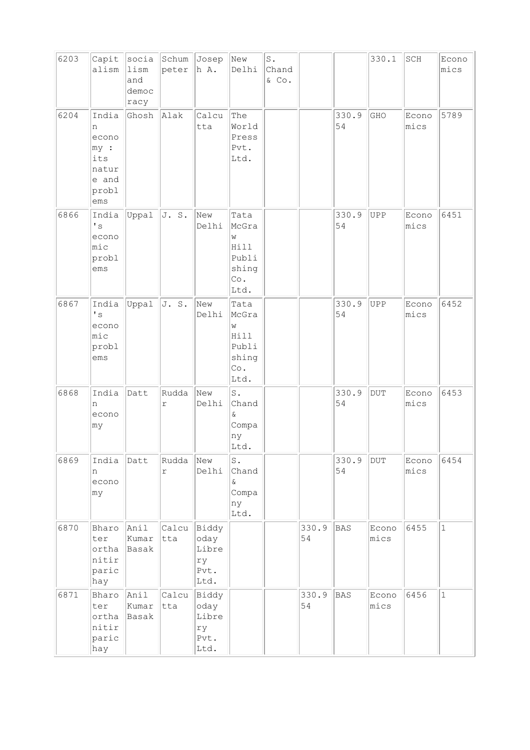| 6203 | Capit<br>alism                                                      | socia<br>lism<br>and<br>democ<br>racy | peter                   | Schum Josep<br>h A.                          | New<br>Delhi                                                        | $\texttt{S}$ .<br>Chand<br>$\&$ Co. |             |             | 330.1         | SCH           | Econo<br>mics |
|------|---------------------------------------------------------------------|---------------------------------------|-------------------------|----------------------------------------------|---------------------------------------------------------------------|-------------------------------------|-------------|-------------|---------------|---------------|---------------|
| 6204 | India<br>n<br>econo<br>my:<br>its<br>natur<br>e and<br>probl<br>ems | Ghosh                                 | Alak                    | Calcu<br>tta                                 | The<br>World<br>Press<br>Pvt.<br>Ltd.                               |                                     |             | 330.9<br>54 | GHO           | Econo<br>mics | 5789          |
| 6866 | India<br>$\mathbf{I}$ s<br>econo<br>mic<br>probl<br>ems             | Uppal                                 | J. S.                   | New<br>Delhi                                 | Tata<br>McGra<br>W<br>Hill<br>Publi<br>shing<br>Co.<br>Ltd.         |                                     |             | 330.9<br>54 | UPP           | Econo<br>mics | 6451          |
| 6867 | India<br>$\mathbf{I}$ s<br>econo<br>mic<br>probl<br>ems             | Uppal                                 | J. S.                   | New<br>Delhi                                 | Tata<br>McGra<br>W<br>Hill<br>Publi<br>shing<br>Co.<br>Ltd.         |                                     |             | 330.9<br>54 | UPP           | Econo<br>mics | 6452          |
| 6868 | India<br>n<br>econo<br>my                                           | Datt                                  | Rudda<br>$\Upsilon$     | New<br>Delhi                                 | $\operatorname{\mathsf{S}}$ .<br>Chand<br>&<br>Compa<br>ny<br>Ltd.  |                                     |             | 330.9<br>54 | <b>DUT</b>    | Econo<br>mics | 6453          |
| 6869 | India<br>n<br>econo<br>my                                           | Datt                                  | Rudda New<br>$\Upsilon$ | Delhi                                        | $\operatorname{\mathsf{S}}$ .<br>Chand<br>&.<br>Compa<br>ny<br>Ltd. |                                     |             | 330.9<br>54 | DUT           | Econo<br>mics | 6454          |
| 6870 | Bharo<br>ter<br>ortha<br>nitir<br>paric<br>hay                      | Anil<br>Kumar<br>Basak                | Calcu Biddy<br>tta      | oday<br>Libre<br>ry<br>Pvt.<br>Ltd.          |                                                                     |                                     | 330.9<br>54 | BAS         | Econo<br>mics | 6455          | $\mathbf{1}$  |
| 6871 | Bharo<br>ter<br>ortha<br>nitir<br>paric<br>hay                      | Anil<br>Kumar<br>Basak                | Calcu<br>tta            | Biddy<br>oday<br>Libre<br>ry<br>Pvt.<br>Ltd. |                                                                     |                                     | 330.9<br>54 | BAS         | Econo<br>mics | 6456          | $\mathbf{1}$  |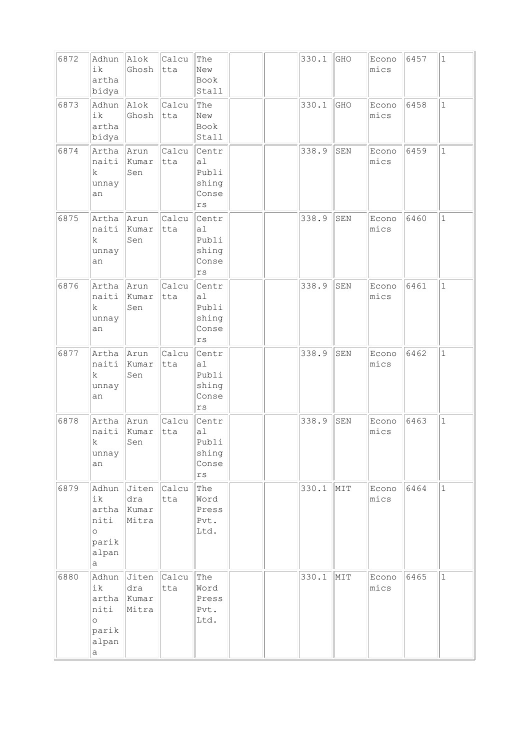| 6872 | Adhun<br>ik<br>artha<br>bidya                                  | Alok<br>Ghosh                  | Calcu<br> tta | The<br>New<br>Book<br>Stall                              |  | 330.1 | GHO         | Econo<br>mics | 6457 | $\mathbf 1$  |
|------|----------------------------------------------------------------|--------------------------------|---------------|----------------------------------------------------------|--|-------|-------------|---------------|------|--------------|
| 6873 | Adhun<br>ik<br>artha<br>bidya                                  | Alok<br>Ghosh                  | Calcu<br>tta  | The<br>New<br>Book<br>Stall                              |  | 330.1 | GHO         | Econo<br>mics | 6458 | $\mathbf{1}$ |
| 6874 | Artha<br>naiti<br>k<br>unnay<br>an                             | Arun<br>Kumar<br>Sen           | Calcu<br>tta  | Centr<br>a1<br>Publi<br>shing<br>Conse<br>rs             |  | 338.9 | SEN         | Econo<br>mics | 6459 | $\mathbf{1}$ |
| 6875 | Artha<br>naiti<br>k.<br>unnay<br>an                            | Arun<br>Kumar<br>Sen           | Calcu<br>tta  | Centr<br>a1<br>Publi<br>shing<br>Conse<br>$\mathtt{rs}$  |  | 338.9 | SEN         | Econo<br>mics | 6460 | $\mathbf{1}$ |
| 6876 | Artha<br>naiti<br>k<br>unnay<br>an                             | Arun<br>Kumar<br>Sen           | Calcu<br>tta  | Centr<br>a1<br>Publi<br>shing<br>Conse<br>$\mathtt{rs}$  |  | 338.9 | SEN         | Econo<br>mics | 6461 | $\mathbf{1}$ |
| 6877 | Artha<br>naiti<br>k<br>unnay<br>an                             | Arun<br>Kumar<br>Sen           | Calcu<br>tta  | Centr<br>a <sub>1</sub><br>Publi<br>shing<br>Conse<br>rs |  | 338.9 | SEN         | Econo<br>mics | 6462 | $\mathbf{1}$ |
| 6878 | Artha<br>naiti<br>k<br>unnay<br>an                             | Arun<br>Kumar<br>Sen           | Calcu<br>tta  | Centr<br>a1<br>Publi<br>shing<br>Conse<br>$\mathtt{rs}$  |  | 338.9 | ${\tt SEN}$ | Econo<br>mics | 6463 | $\mathbf{1}$ |
| 6879 | Adhun<br>ik<br>artha<br>niti<br>$\circ$<br>parik<br>alpan<br>а | Jiten<br>dra<br>Kumar<br>Mitra | Calcu<br>tta  | The<br>Word<br>Press<br>Pvt.<br>Ltd.                     |  | 330.1 | MIT         | Econo<br>mics | 6464 | $\vert$ 1    |
| 6880 | Adhun<br>ik<br>artha<br>niti<br>$\circ$<br>parik<br>alpan<br>a | Jiten<br>dra<br>Kumar<br>Mitra | Calcu<br>tta  | The<br>Word<br>Press<br>Pvt.<br>Ltd.                     |  | 330.1 | MIT         | Econo<br>mics | 6465 | $\mathbf{1}$ |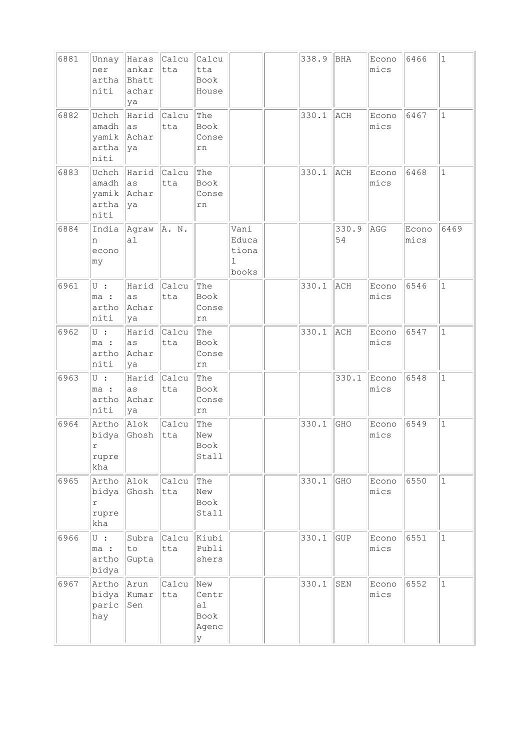| 6881 | Unnay<br>ner<br>artha<br>niti                | Haras<br>ankar<br>Bhatt<br>achar<br>ya | Calcu<br> tta | Calcu<br>tta<br>Book<br>House            |                                      | 338.9 | BHA         | Econo<br>mics | 6466          | $\mathbf{1}$ |
|------|----------------------------------------------|----------------------------------------|---------------|------------------------------------------|--------------------------------------|-------|-------------|---------------|---------------|--------------|
| 6882 | Uchch<br>amadh<br>yamik<br>artha<br>niti     | Harid Calcu<br> as<br>Achar<br> ya     | tta           | The<br>Book<br>Conse<br>rn               |                                      | 330.1 | ACH         | Econo<br>mics | 6467          | $\mathbf{1}$ |
| 6883 | Uchch<br>amadh<br>yamik<br>artha<br>niti     | Harid Calcu<br> as<br>Achar<br> ya     | tta           | The<br>Book<br>Conse<br>rn               |                                      | 330.1 | ACH         | Econo<br>mics | 6468          | $\mathbf{1}$ |
| 6884 | India<br>n<br>econo<br>my                    | Agraw<br>a <sub>1</sub>                | A. N.         |                                          | Vani<br>Educa<br>tiona<br>1<br>books |       | 330.9<br>54 | AGG           | Econo<br>mics | 6469         |
| 6961 | $\cup$ :<br>ma :<br>artho<br>niti            | Harid<br>as<br>Achar<br>ya             | Calcu<br>tta  | The<br>Book<br>Conse<br>rn               |                                      | 330.1 | ACH         | Econo<br>mics | 6546          | $\mathbf{1}$ |
| 6962 | $U$ :<br>ma :<br>artho<br>niti               | Harid<br>as<br>Achar<br>ya             | Calcu<br>tta  | The<br>Book<br>Conse<br>rn               |                                      | 330.1 | ACH         | Econo<br>mics | 6547          | $\mathbf{1}$ |
| 6963 | $U$ :<br>ma :<br>artho<br>niti               | Harid Calcu<br>as<br>Achar<br>ya       | tta           | The<br>Book<br>Conse<br>rn               |                                      |       | 330.1       | Econo<br>mics | 6548          | $\mathbf{1}$ |
| 6964 | Artho<br>bidya<br>$\Upsilon$<br>rupre<br>kha | Alok<br>Ghosh                          | Calcu<br> tta | The<br>New<br>Book<br>Stall              |                                      | 330.1 | GHO         | Econo<br>mics | 6549          | $\mathbf{1}$ |
| 6965 | Artho<br>bidya<br>r<br>rupre<br>kha          | Alok<br>Ghosh                          | Calcu<br>tta  | The<br>New<br>Book<br>Stall              |                                      | 330.1 | GHO         | Econo<br>mics | 6550          | $\mathbf{1}$ |
| 6966 | $U$ :<br>ma :<br>artho<br>bidya              | Subra<br>to<br>Gupta                   | Calcu<br>tta  | Kiubi<br>Publi<br>shers                  |                                      | 330.1 | GUP         | Econo<br>mics | 6551          | $\mathbf{1}$ |
| 6967 | Artho<br>bidya<br>paric<br>hay               | Arun<br>Kumar<br>Sen                   | Calcu<br>tta  | New<br>Centr<br>al<br>Book<br>Agenc<br>У |                                      | 330.1 | ${\tt SEN}$ | Econo<br>mics | 6552          | $\mathbf 1$  |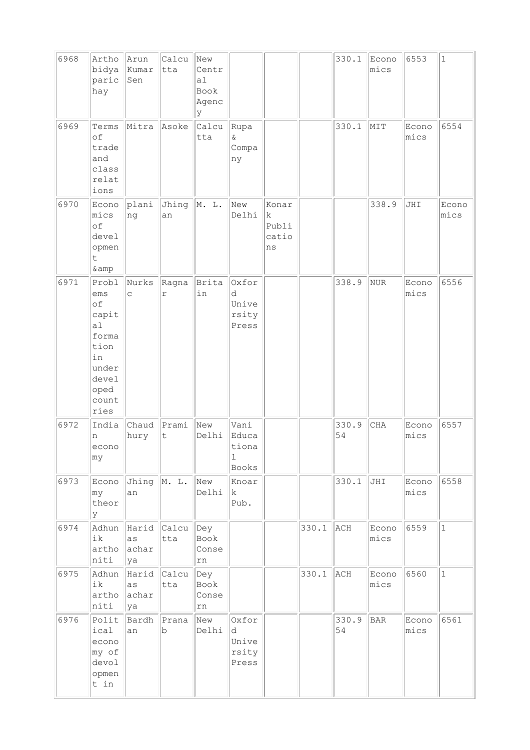| 6968 | Artho<br>bidya<br>paric<br>hay                                                                      | Arun<br>Kumar<br>Sen              | Calcu<br>tta | New<br>Centr<br>a1<br>Book<br>Agenc<br>У |                                                |                                    |       | 330.1       | Econo<br>mics | 6553          | $1\,$         |
|------|-----------------------------------------------------------------------------------------------------|-----------------------------------|--------------|------------------------------------------|------------------------------------------------|------------------------------------|-------|-------------|---------------|---------------|---------------|
| 6969 | Terms<br>of<br>trade<br>and<br>class<br>relat<br>ions                                               | Mitra                             | Asoke        | Calcu<br>tta                             | Rupa<br>$\delta$<br>Compa<br>ny                |                                    |       | 330.1       | MIT           | Econo<br>mics | 6554          |
| 6970 | Econo<br>mics<br>of<br>devel<br>opmen<br>t<br>& amp                                                 | plani<br>ng                       | Jhing<br>an  | M. L.                                    | New<br>Delhi                                   | Konar<br>k<br>Publi<br>catio<br>ns |       |             | 338.9         | JHI           | Econo<br>mics |
| 6971 | Probl<br>ems<br>of<br>capit<br>al<br>forma<br>tion<br>in<br>under<br>devel<br>oped<br>count<br>ries | Nurks<br>$\mathsf{C}$             | Ragna<br>r   | Brita<br>in                              | Oxfor<br>d<br>Unive<br>rsity<br>Press          |                                    |       | 338.9       | NUR           | Econo<br>mics | 6556          |
| 6972 | India<br>n<br>econo<br>my                                                                           | Chaud<br>hury                     | Prami<br>t   | New<br>Delhi                             | Vani<br>Educa<br>tiona<br>$\mathbf 1$<br>Books |                                    |       | 330.9<br>54 | <b>CHA</b>    | Econo<br>mics | 6557          |
| 6973 | Econo<br>my<br>theor<br>lУ                                                                          | Jhing $\ $ M. L.<br>an            |              | New<br>Delhi                             | Knoar<br>$\mathbf{k}$<br>Pub.                  |                                    |       | 330.1       | JHI           | Econo<br>mics | 6558          |
| 6974 | Adhun<br>ik<br>artho<br>niti                                                                        | Harid Calcu<br>as<br>achar<br> ya | tta          | Dey<br>Book<br>Conse<br>rn               |                                                |                                    | 330.1 | ACH         | Econo<br>mics | 6559          | $\mathbf{1}$  |
| 6975 | Adhun<br>ik<br>artho<br>niti                                                                        | Harid<br>as<br>achar<br>ya        | Calcu<br>tta | Dey<br>Book<br>Conse<br>rn               |                                                |                                    | 330.1 | ACH         | Econo<br>mics | 6560          | $\mathbf{1}$  |
| 6976 | Polit<br>ical<br>econo<br>my of<br>devol<br>opmen<br>t in                                           | Bardh<br>an                       | Prana<br>b   | New<br>Delhi                             | Oxfor<br>d<br>Unive<br>rsity<br>Press          |                                    |       | 330.9<br>54 | <b>BAR</b>    | Econo<br>mics | 6561          |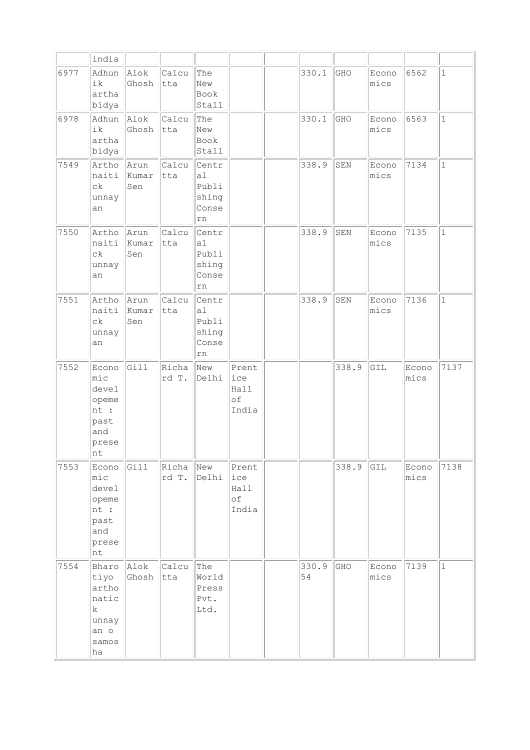|      | india                                                                    |                      |                |                                              |                                     |             |             |               |               |              |
|------|--------------------------------------------------------------------------|----------------------|----------------|----------------------------------------------|-------------------------------------|-------------|-------------|---------------|---------------|--------------|
| 6977 | Adhun<br>ik<br>artha<br>bidya                                            | Alok<br>Ghosh        | Calcu<br>tta   | The<br>New<br>Book<br>Stall                  |                                     | 330.1       | GHO         | Econo<br>mics | 6562          | $\mathbf{1}$ |
| 6978 | Adhun<br>ik<br>artha<br>bidya                                            | Alok<br>Ghosh        | Calcu<br>tta   | The<br>New<br>Book<br>Stall                  |                                     | 330.1       | GHO         | Econo<br>mics | 6563          | $\mathbf{1}$ |
| 7549 | Artho<br>naiti<br>сk<br>unnay<br>an                                      | Arun<br>kumar<br>Sen | Calcu<br>tta   | Centr<br>a1<br>Publi<br>shing<br>Conse<br>rn |                                     | 338.9       | SEN         | Econo<br>mics | 7134          | $\mathbf 1$  |
| 7550 | Artho<br>naiti<br>сk<br>unnay<br>an                                      | Arun<br>Kumar<br>Sen | Calcu<br>tta   | Centr<br>a1<br>Publi<br>shing<br>Conse<br>rn |                                     | 338.9       | ${\tt SEM}$ | Econo<br>mics | 7135          | $\mathbf{1}$ |
| 7551 | Artho<br>naiti<br>сk<br>unnay<br>an                                      | Arun<br>Kumar<br>Sen | Calcu<br>tta   | Centr<br>al<br>Publi<br>shing<br>Conse<br>rn |                                     | 338.9       | SEN         | Econo<br>mics | 7136          | $\mathbf 1$  |
| 7552 | Econo<br>$ $ mic<br>devel<br>opeme<br>nt :<br>past<br>and<br>prese<br>nt | Gill                 | Richa<br>rd T. | New<br>Delhi                                 | Prent<br>ice<br>Hall<br>оf<br>India |             | 338.9       | GIL           | Econo<br>mics | 7137         |
| 7553 | Econo<br>$ $ mic<br>devel<br>opeme<br>nt :<br>past<br>and<br>prese<br>nt | Gill                 | Richa<br>rd T. | New<br>Delhi                                 | Prent<br>ice<br>Hall<br>оf<br>India |             | 338.9       | GIL           | Econo<br>mics | 7138         |
| 7554 | Bharo<br>tiyo<br>artho<br>natic<br>k<br>unnay<br>an o<br>samos<br>ha     | Alok<br>Ghosh        | Calcu<br>tta   | The<br>World<br>Press<br>Pvt.<br>Ltd.        |                                     | 330.9<br>54 | GHO         | Econo<br>mics | 7139          | $\mathbf{1}$ |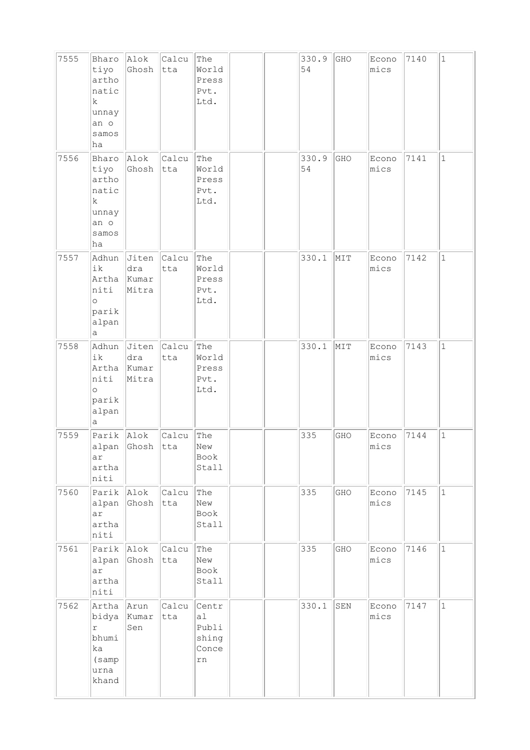| 7555 | Bharo<br>tiyo<br>artho<br>natic<br>k<br>unnay<br>an o<br>samos<br>ha           | Alok<br>Ghosh                  | Calcu<br>tta | The<br>World<br>Press<br>Pvt.<br>Ltd.                            |  | 330.9<br>54 | GHO | Econo<br>mics | 7140 | $\mathbf 1$  |
|------|--------------------------------------------------------------------------------|--------------------------------|--------------|------------------------------------------------------------------|--|-------------|-----|---------------|------|--------------|
| 7556 | Bharo<br>tiyo<br>artho<br>natic<br>$\mathbf k$<br>unnay<br>an o<br>samos<br>ha | Alok<br>Ghosh                  | Calcu<br>tta | The<br>World<br>Press<br>Pvt.<br>Ltd.                            |  | 330.9<br>54 | GHO | Econo<br>mics | 7141 | $\mathbf 1$  |
| 7557 | Adhun<br>ik<br>Artha<br>niti<br>$\circ$<br>parik<br>alpan<br>а                 | Jiten<br>dra<br>Kumar<br>Mitra | Calcu<br>tta | The<br>World<br>Press<br>Pvt.<br>Ltd.                            |  | 330.1       | MIT | Econo<br>mics | 7142 | $\mathbf{1}$ |
| 7558 | Adhun<br>ik<br>Artha<br>niti<br>$\circ$<br>parik<br>alpan<br>а                 | Jiten<br>dra<br>Kumar<br>Mitra | Calcu<br>tta | The<br>World<br>Press<br>Pvt.<br>Ltd.                            |  | 330.1       | MIT | Econo<br>mics | 7143 | $\mathbf{1}$ |
| 7559 | Parik<br>alpan<br>ar<br>artha<br>niti                                          | Alok<br>Ghosh                  | Calcu<br>tta | The<br>New<br>Book<br>Stall                                      |  | 335         | GHO | Econo<br>mics | 7144 | $\mathbf 1$  |
| 7560 | Parik<br>alpan<br>ar<br>artha<br>niti                                          | $ $ Alok<br>Ghosh              | Calcu<br>tta | The<br>New<br>Book<br>Stall                                      |  | 335         | GHO | Econo<br>mics | 7145 | $\mathbf{1}$ |
| 7561 | Parik<br>alpan<br>ar<br>artha<br>niti                                          | Alok<br>Ghosh                  | Calcu<br>tta | The<br>New<br>Book<br>Stall                                      |  | 335         | GHO | Econo<br>mics | 7146 | $\mathbf{1}$ |
| 7562 | Artha<br>bidya<br>r<br>bhumi<br>ka<br>(samp<br>urna<br>khand                   | Arun<br>Kumar<br>Sen           | Calcu<br>tta | Centr<br>a <sub>l</sub><br>Publi<br>shing<br>Conce<br>${\tt rn}$ |  | 330.1       | SEN | Econo<br>mics | 7147 | $\mathbf 1$  |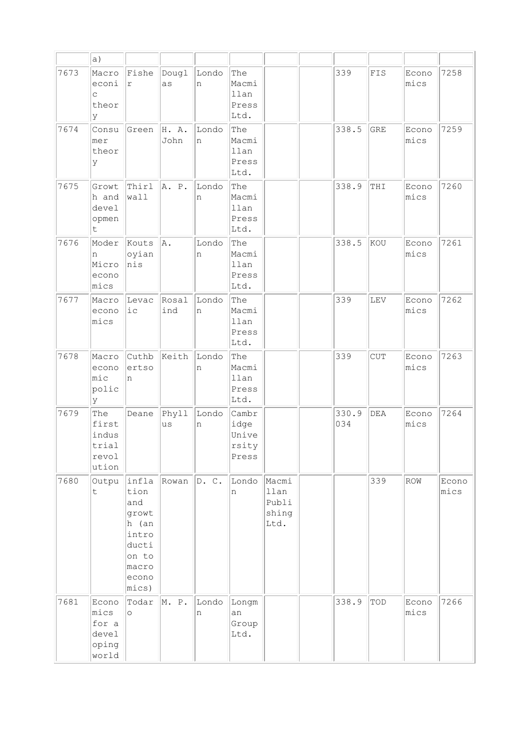|      | a)                                                |                                                                                                       |               |            |                                          |                                         |              |             |               |               |
|------|---------------------------------------------------|-------------------------------------------------------------------------------------------------------|---------------|------------|------------------------------------------|-----------------------------------------|--------------|-------------|---------------|---------------|
| 7673 | Macro<br>econi<br>$\mathsf C$<br>theor<br>У       | Fishe<br>r                                                                                            | Dougl<br>as   | Londo<br>n | The<br>Macmi<br>llan<br>Press<br>Ltd.    |                                         | 339          | ${\tt FIS}$ | Econo<br>mics | 7258          |
| 7674 | Consu<br>mer<br>theor<br>У                        | Green                                                                                                 | H. A.<br>John | Londo<br>n | The<br>Macmi<br>llan<br>Press<br>Ltd.    |                                         | 338.5        | <b>GRE</b>  | Econo<br>mics | 7259          |
| 7675 | Growt<br>h and<br>devel<br>opmen<br>t             | Thirl<br>wall                                                                                         | A. P.         | Londo<br>n | The<br>Macmi<br>llan<br>Press<br>Ltd.    |                                         | 338.9        | THI         | Econo<br>mics | 7260          |
| 7676 | Moder<br>n<br>Micro<br>econo<br>mics              | Kouts<br>oyian<br>nis                                                                                 | A.            | Londo<br>n | The<br>Macmi<br>llan<br>Press<br>Ltd.    |                                         | 338.5        | kou         | Econo<br>mics | 7261          |
| 7677 | Macro<br>econo<br>mics                            | Levac<br>$i\,c$                                                                                       | Rosal<br>ind  | Londo<br>n | The<br>Macmi<br>llan<br>Press<br>Ltd.    |                                         | 339          | LEV         | Econo<br>mics | 7262          |
| 7678 | Macro<br>econo<br>mic<br>polic<br>У               | Cuthb<br>ertso<br>n                                                                                   | Keith         | Londo<br>n | The<br>Macmi<br>llan<br>Press<br>Ltd.    |                                         | 339          | <b>CUT</b>  | Econo<br>mics | 7263          |
| 7679 | The<br>first<br>indus<br>trial<br>revol<br>ution  | Deane                                                                                                 | Phyll<br>us   | Londo<br>n | Cambr<br>idge<br>Unive<br>rsity<br>Press |                                         | 330.9<br>034 | DEA         | Econo<br>mics | 7264          |
| 7680 | Outpu<br>t                                        | infla<br>tion<br>and<br>growt<br>h (an<br>intro<br>ducti<br>on to<br>macro<br>econo<br>$ mics\rangle$ | Rowan         | D. C.      | Londo<br>n                               | Macmi<br>llan<br>Publi<br>shing<br>Ltd. |              | 339         | ROW           | Econo<br>mics |
| 7681 | Econo<br>mics<br>for a<br>devel<br>oping<br>world | Todar<br>$\circ$                                                                                      | M. P.         | Londo<br>n | Longm<br>an<br>Group<br>Ltd.             |                                         | 338.9        | TOD         | Econo<br>mics | 7266          |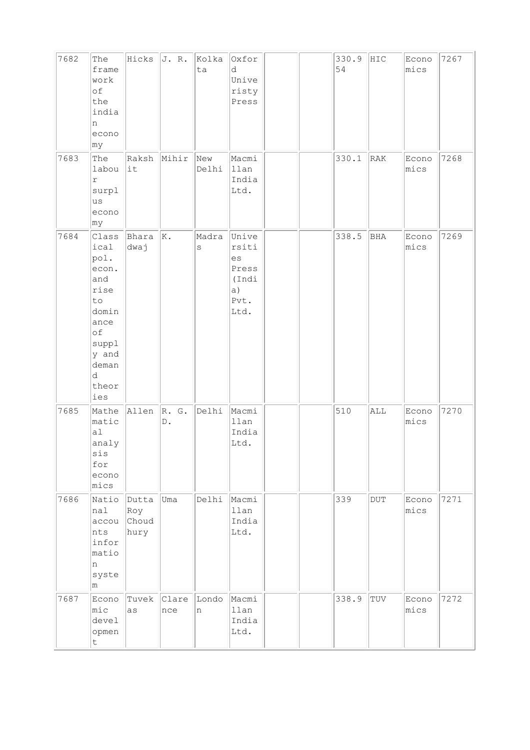| 7682 | The<br>frame<br>work<br>of<br>the<br>india<br>n<br>econo<br> my                                                            | Hicks                         | J. R.                  | Kolka<br>ta      | Oxfor<br>d<br>Unive<br>risty<br>Press                        |  | 330.9<br>54 | HIC       | Econo<br>mics | 7267 |
|------|----------------------------------------------------------------------------------------------------------------------------|-------------------------------|------------------------|------------------|--------------------------------------------------------------|--|-------------|-----------|---------------|------|
| 7683 | The<br>labou<br>$\mathbf r$<br>surpl<br>us<br>econo<br> my                                                                 | Raksh<br>it                   | Mihir                  | New<br>Delhi     | Macmi<br>llan<br>India<br>Ltd.                               |  | 330.1       | RAK       | Econo<br>mics | 7268 |
| 7684 | Class<br>ical<br>pol.<br>econ.<br>and<br>rise<br>to<br>domin<br>ance<br>of<br>suppl<br>y and<br>deman<br>d<br>theor<br>ies | Bhara<br>dwaj                 | $\vert$ K.             | Madra<br>$\rm s$ | Unive<br>rsiti<br>es<br>Press<br>(Indi<br>a)<br>Pvt.<br>Ltd. |  | 338.5       | BHA       | Econo<br>mics | 7269 |
| 7685 | Mathe<br>matic<br>a1<br>analy<br>sis<br>for<br>econo<br>mics                                                               | Allen                         | R. G.<br>$\mathbb D$ . | Delhi            | Macmi<br>llan<br>India<br>Ltd.                               |  | 510         | ALL       | Econo<br>mics | 7270 |
| 7686 | Natio<br>nal<br>accou<br>nts<br>infor<br>matio<br>n<br>syste<br>m                                                          | Dutta<br>Roy<br>Choud<br>hury | Uma                    | Delhi            | Macmi<br>llan<br>India<br>Ltd.                               |  | 339         | $\rm DUT$ | Econo<br>mics | 7271 |
| 7687 | Econo<br>$ $ mic<br>devel<br>opmen<br>$\sf t$                                                                              | Tuvek<br>as                   | Clare<br>nce           | Londo<br>n       | Macmi<br>llan<br>India<br>Ltd.                               |  | 338.9       | TUV       | Econo<br>mics | 7272 |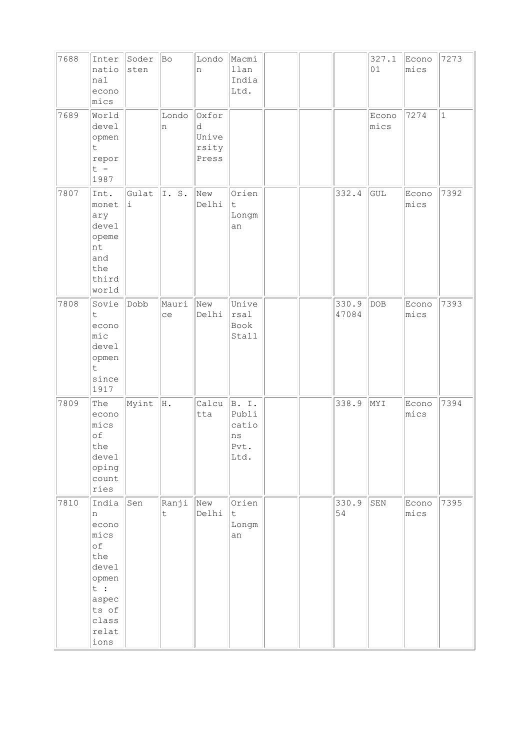| 7688 | Inter<br>natio<br>nal<br>econo<br>mics                                                                        | Soder<br>sten | Bo                   | Londo<br>n                            | Macmi<br>llan<br>India<br>Ltd.                     |  |                | 327.1<br>01    | Econo<br>mics | 7273         |
|------|---------------------------------------------------------------------------------------------------------------|---------------|----------------------|---------------------------------------|----------------------------------------------------|--|----------------|----------------|---------------|--------------|
| 7689 | World<br>devel<br>opmen<br>$\mathsf t$<br>repor<br>$t -$<br>1987                                              |               | Londo<br>n           | Oxfor<br>d<br>Unive<br>rsity<br>Press |                                                    |  |                | Econo<br>mics  | 7274          | $\mathbf{1}$ |
| 7807 | Int.<br>monet<br>ary<br>devel<br>opeme<br>nt<br>and<br>the<br>third<br>world                                  | Gulat<br>i.   | I.S.                 | New<br>Delhi                          | Orien<br>$\mathsf t$<br>Longm<br>an                |  | 332.4          | GUL            | Econo<br>mics | 7392         |
| 7808 | Sovie<br>t.<br>econo<br>mic<br>devel<br>opmen<br>$\mathsf{t}$<br>since<br>1917                                | Dobb          | Mauri<br>ce          | New<br>Delhi                          | Unive<br>rsal<br>Book<br>Stall                     |  | 330.9<br>47084 | $\mathtt{DOB}$ | Econo<br>mics | 7393         |
| 7809 | The<br>econo<br>mics<br>of<br>the<br>devel<br>oping<br>count<br>ries                                          | Myint         | H.                   | Calcu<br>tta                          | B.I.<br>Publi<br>catio<br>$\rm ns$<br>Pvt.<br>Ltd. |  | 338.9          | NYI            | Econo<br>mics | 7394         |
| 7810 | India<br>n<br>econo<br>mics<br>of<br>the<br>devel<br>opmen<br>t :<br>aspec<br>ts of<br>class<br>relat<br>ions | Sen           | Ranji<br>$\mathsf t$ | New<br>Delhi                          | Orien<br>$\mathsf t$<br>Longm<br>an                |  | 330.9<br>54    | ${\tt SEN}$    | Econo<br>mics | 7395         |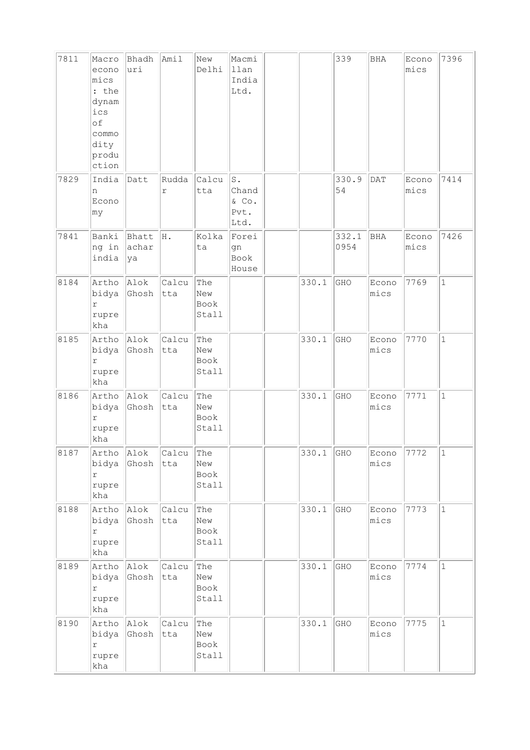| 7811 | Macro<br>econo<br>mics<br>: the<br>dynam<br>ics<br>of<br>commo<br>dity<br>produ<br>ction | Bhadh<br>uri         | Amil         | New<br>Delhi                | Macmi<br>llan<br>India<br>Ltd.                       |       | 339           | BHA           | Econo<br>mics | 7396         |
|------|------------------------------------------------------------------------------------------|----------------------|--------------|-----------------------------|------------------------------------------------------|-------|---------------|---------------|---------------|--------------|
| 7829 | India<br>n<br>Econo<br>my                                                                | Datt                 | Rudda<br>r   | Calcu<br>tta                | $\mathbbm{S}$ .<br>Chand<br>$\&$ Co.<br>Pvt.<br>Ltd. |       | 330.9<br>54   | <b>DAT</b>    | Econo<br>mics | 7414         |
| 7841 | Banki<br>ng in<br>india                                                                  | Bhatt<br>achar<br>ya | H.           | Kolka<br>ta                 | Forei<br>gn<br>Book<br>House                         |       | 332.1<br>0954 | BHA           | Econo<br>mics | 7426         |
| 8184 | Artho<br>bidya<br>r<br>rupre<br>kha                                                      | Alok<br>Ghosh        | Calcu<br>tta | The<br>New<br>Book<br>Stall |                                                      | 330.1 | GHO           | Econo<br>mics | 7769          | $\mathbf 1$  |
| 8185 | Artho<br>bidya<br>$\Upsilon$<br>rupre<br>kha                                             | Alok<br>Ghosh        | Calcu<br>tta | The<br>New<br>Book<br>Stall |                                                      | 330.1 | GHO           | Econo<br>mics | 7770          | $\mathbf 1$  |
| 8186 | Artho<br>bidya<br>$\mathtt{r}$<br>rupre<br>kha                                           | Alok<br>Ghosh        | Calcu<br>tta | The<br>New<br>Book<br>Stall |                                                      | 330.1 | GHO           | Econo<br>mics | 7771          | $\mathbf{1}$ |
| 8187 | Artho<br>bidya<br>$\Upsilon$<br>rupre<br>kha                                             | Alok<br>Ghosh        | Calcu<br>tta | The<br>New<br>Book<br>Stall |                                                      | 330.1 | GHO           | Econo<br>mics | 7772          | $\mathbf 1$  |
| 8188 | Artho<br>bidya<br>r<br>rupre<br>kha                                                      | Alok<br>Ghosh        | Calcu<br>tta | The<br>New<br>Book<br>Stall |                                                      | 330.1 | GHO           | Econo<br>mics | 7773          | $\mathbf{1}$ |
| 8189 | Artho<br>bidya<br>r<br>rupre<br>kha                                                      | Alok<br>Ghosh        | Calcu<br>tta | The<br>New<br>Book<br>Stall |                                                      | 330.1 | GHO           | Econo<br>mics | 7774          | $\mathbf 1$  |
| 8190 | Artho<br>bidya<br>$\Upsilon$<br>rupre<br>kha                                             | Alok<br>Ghosh        | Calcu<br>tta | The<br>New<br>Book<br>Stall |                                                      | 330.1 | GHO           | Econo<br>mics | 7775          | $\mathbf{1}$ |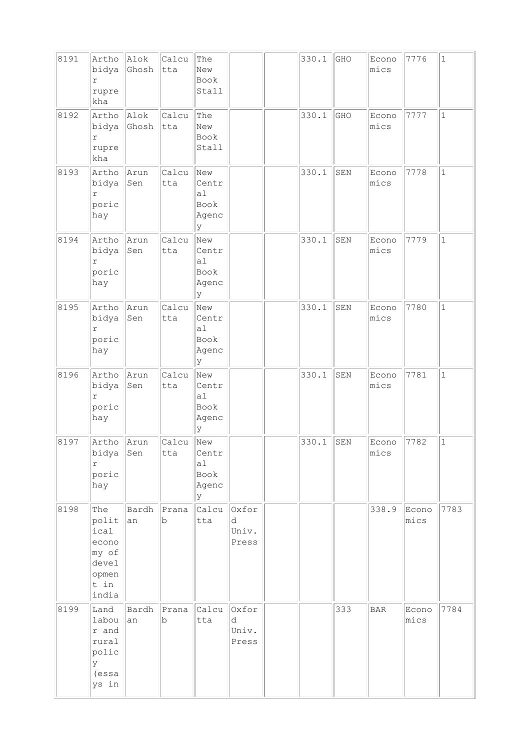| 8191 | Artho<br>bidya<br>r<br>rupre<br>kha                                       | Alok<br>Ghosh | Calcu<br>tta | The<br>New<br>Book<br>Stall               |                              | 330.1 | GHO | Econo<br>mics | 7776          | $1\,$        |
|------|---------------------------------------------------------------------------|---------------|--------------|-------------------------------------------|------------------------------|-------|-----|---------------|---------------|--------------|
| 8192 | Artho<br>bidya<br>r<br>rupre<br>kha                                       | Alok<br>Ghosh | Calcu<br>tta | The<br>New<br>Book<br>Stall               |                              | 330.1 | GHO | Econo<br>mics | 7777          | $\mathbf{1}$ |
| 8193 | Artho<br>bidya<br>$\Upsilon$<br>poric<br>hay                              | Arun<br>Sen   | Calcu<br>tta | New<br>Centr<br>a1<br>Book<br>Agenc<br>Y  |                              | 330.1 | SEN | Econo<br>mics | 7778          | $\mathbf{1}$ |
| 8194 | Artho<br>bidya<br>r<br>poric<br>hay                                       | Arun<br>Sen   | Calcu<br>tta | New<br>Centr<br>a1<br>Book<br>Agenc<br>lУ |                              | 330.1 | SEN | Econo<br>mics | 7779          | $\mathbf{1}$ |
| 8195 | Artho<br>bidya<br>$\Upsilon$<br>poric<br>hay                              | Arun<br>Sen   | Calcu<br>tta | New<br>Centr<br>a1<br>Book<br>Agenc<br>lУ |                              | 330.1 | SEN | Econo<br>mics | 7780          | $\mathbf{1}$ |
| 8196 | Artho<br>bidya<br>$\Upsilon$<br>poric<br>hay                              | Arun<br>Sen   | Calcu<br>tta | New<br>Centr<br>a1<br>Book<br>Agenc<br>lУ |                              | 330.1 | SEN | Econo<br>mics | 7781          | $\mathbf{1}$ |
| 8197 | Artho<br>bidya<br>$\Upsilon$<br>poric<br>hay                              | Arun<br>Sen   | Calcu<br>tta | New<br>Centr<br>al<br>Book<br>Agenc<br>lУ |                              | 330.1 | SEN | Econo<br>mics | 7782          | $\mathbf{1}$ |
| 8198 | The<br>polit<br>ical<br>econo<br>my of<br>devel<br>opmen<br>t in<br>india | Bardh<br>an   | Prana<br>b   | Calcu<br>tta                              | Oxfor<br>d<br>Univ.<br>Press |       |     | 338.9         | Econo<br>mics | 7783         |
| 8199 | Land<br>labou<br>r and<br>rural<br>polic<br>У<br>(essa<br>ys in           | Bardh<br>an   | Prana<br>b   | Calcu<br>tta                              | Oxfor<br>d<br>Univ.<br>Press |       | 333 | <b>BAR</b>    | Econo<br>mics | 7784         |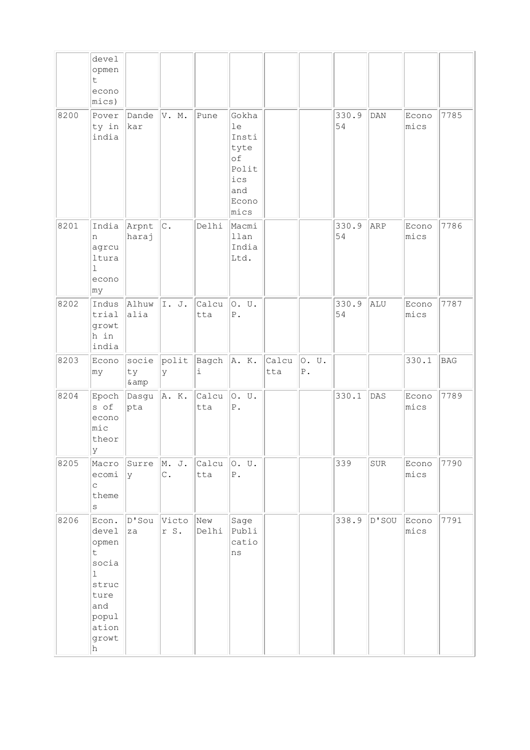|      | devel<br>opmen<br>t.<br>econo<br>$ mics\rangle$             |                      |                         |                  |                                                                            |              |                      |             |     |               |            |
|------|-------------------------------------------------------------|----------------------|-------------------------|------------------|----------------------------------------------------------------------------|--------------|----------------------|-------------|-----|---------------|------------|
| 8200 | Pover<br>ty in<br>india                                     | Dande<br>kar         | V. M.                   | Pune             | Gokha<br>1e<br>Insti<br>tyte<br>оf<br>Polit<br>ics<br>and<br>Econo<br>mics |              |                      | 330.9<br>54 | DAN | Econo<br>mics | 7785       |
| 8201 | India<br>n<br>agrcu<br>ltura<br>$\mathbf{1}$<br>econo<br>my | Arpnt<br>haraj       | c.                      | Delhi            | Macmi<br>llan<br>India<br>Ltd.                                             |              |                      | 330.9<br>54 | ARP | Econo<br>mics | 7786       |
| 8202 | Indus<br>trial<br>growt<br>h in<br>india                    | Alhuw<br>alia        | I. J.                   | Calcu<br>tta     | O. U.<br>${\tt P}$ .                                                       |              |                      | 330.9<br>54 | ALU | Econo<br>mics | 7787       |
| 8203 | Econo<br> my                                                | socie<br>ty<br>& amp | polit<br>У              | Bagch A. K.<br>i |                                                                            | Calcu<br>tta | O. U.<br>${\tt P}$ . |             |     | 330.1         | <b>BAG</b> |
| 8204 | Epoch<br>s of                                               | Dasgu<br> pta        | A. K.                   | Calcu<br>tta     | O. U.                                                                      |              |                      | 330.1       | DAS | Econo<br>mics | 7789       |
|      | econo<br>mic<br>theor                                       |                      |                         |                  | ${\mathbb P}$ .                                                            |              |                      |             |     |               |            |
| 8205 | Y <br>Macro<br>ecomi<br>$\mathop{\mathsf{C}}$<br>theme<br>S | Surre<br>lУ          | M. J.<br>$\mathtt{C}$ . | Calcu<br>tta     | o. u.<br>${\mathbb P}$ .                                                   |              |                      | 339         | SUR | Econo<br>mics | 7790       |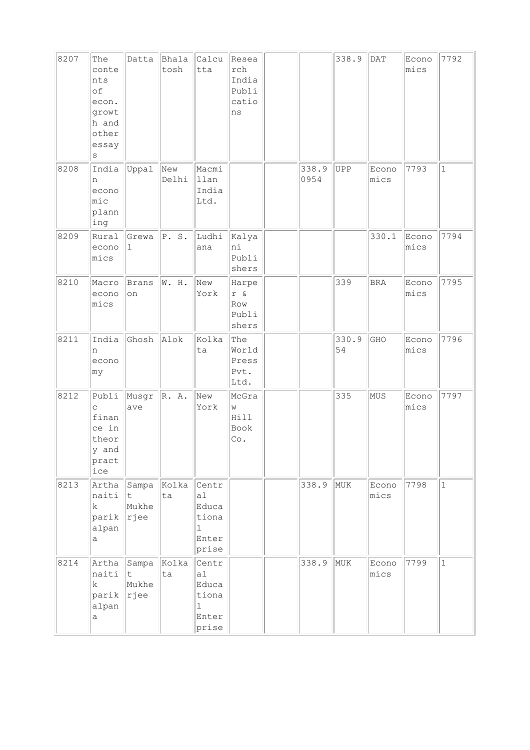| 8207 | The<br>conte<br>nts<br>οf<br>econ.<br>growt<br>h and<br>other<br>essay<br>S | Datta                             | Bhala<br>tosh | Calcu<br>tta                                                    | Resea<br>rch<br>India<br>Publi<br>catio<br>ns |               | 338.9       | DAT           | Econo<br>mics | 7792         |
|------|-----------------------------------------------------------------------------|-----------------------------------|---------------|-----------------------------------------------------------------|-----------------------------------------------|---------------|-------------|---------------|---------------|--------------|
| 8208 | India<br>n<br>econo<br>mic<br>plann<br>ing                                  | Uppal                             | New<br>Delhi  | Macmi<br>llan<br>India<br>Ltd.                                  |                                               | 338.9<br>0954 | <b>UPP</b>  | Econo<br>mics | 7793          | $\mathbf{1}$ |
| 8209 | Rural<br>econo<br>mics                                                      | Grewa<br>$\perp$                  | P.S.          | Ludhi<br>ana                                                    | kalya<br>ni<br>Publi<br>shers                 |               |             | 330.1         | Econo<br>mics | 7794         |
| 8210 | Macro<br>econo<br>mics                                                      | Brans<br>on                       | W. H.         | New<br>York                                                     | Harpe<br>$r \&$<br>Row<br>Publi<br>shers      |               | 339         | <b>BRA</b>    | Econo<br>mics | 7795         |
| 8211 | India<br>n<br>econo<br>my                                                   | Ghosh                             | Alok          | Kolka<br>ta                                                     | The<br>World<br>Press<br>Pvt.<br>Ltd.         |               | 330.9<br>54 | GHO           | Econo<br>mics | 7796         |
| 8212 | Publi<br>C<br>finan<br>ce in<br>theor<br>y and<br>pract<br>ice              | Musgr<br>ave                      | R. A.         | New<br>York                                                     | McGra<br>W<br>Hill<br>Book<br>Co.             |               | 335         | MUS           | Econo<br>mics | 7797         |
| 8213 | Artha<br>naiti<br>k.<br>parik<br>alpan<br>a                                 | Sampa Kolka<br>t<br>Mukhe<br>rjee | ta            | Centr<br>a1<br>Educa<br>tiona<br>$\mathbf 1$<br>Enter<br>prise  |                                               | 338.9         | MUK         | Econo<br>mics | 7798          | $\mathbf{1}$ |
| 8214 | Artha<br>naiti<br>k.<br>parik<br>alpan<br>а                                 | Sampa<br>∣t.<br>Mukhe<br>rjee     | Kolka<br>ta   | Centr<br>a1<br>Educa<br>tiona<br>$\mathbf{1}$<br>Enter<br>prise |                                               | 338.9         | MUK         | Econo<br>mics | 7799          | $\mathbf{1}$ |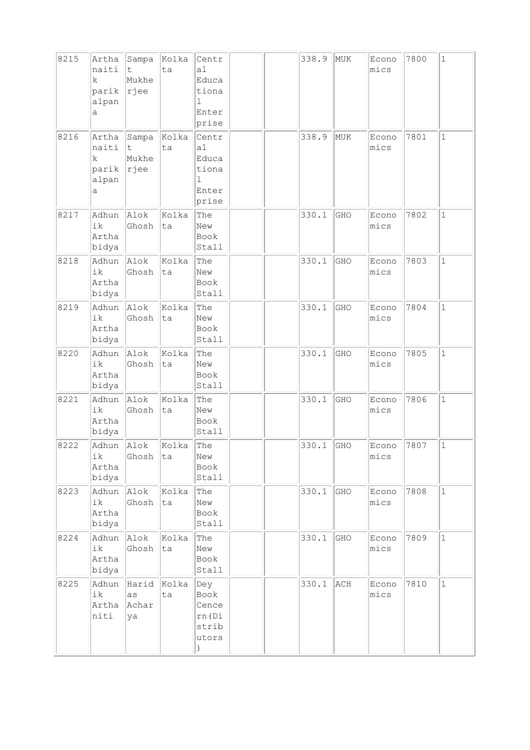| 8215 | Artha<br>naiti<br>k<br>parik<br>alpan<br>а | Sampa<br>t.<br>Mukhe<br>rjee | Kolka<br>ta | Centr<br>a1<br>Educa<br>tiona<br>1<br>Enter<br>prise |  | 338.9 | MUK | Econo<br>mics | 7800 | $\mathbf{1}$ |
|------|--------------------------------------------|------------------------------|-------------|------------------------------------------------------|--|-------|-----|---------------|------|--------------|
| 8216 | Artha<br>naiti<br>k<br>parik<br>alpan<br>а | Sampa<br>t<br>Mukhe<br>rjee  | Kolka<br>ta | Centr<br>a1<br>Educa<br>tiona<br>1<br>Enter<br>prise |  | 338.9 | MUK | Econo<br>mics | 7801 | $\mathbf 1$  |
| 8217 | Adhun<br>ik<br>Artha<br>bidya              | Alok<br>Ghosh                | Kolka<br>ta | The<br>New<br>Book<br>Stall                          |  | 330.1 | GHO | Econo<br>mics | 7802 | $\mathbf 1$  |
| 8218 | Adhun<br>ik<br>Artha<br>bidya              | Alok<br>Ghosh                | Kolka<br>ta | The<br>New<br>Book<br>Stall                          |  | 330.1 | GHO | Econo<br>mics | 7803 | $\mathbf{1}$ |
| 8219 | Adhun<br>ik<br>Artha<br>bidya              | Alok<br>Ghosh                | Kolka<br>ta | The<br>New<br>Book<br>Stall                          |  | 330.1 | GHO | Econo<br>mics | 7804 | $\mathbf{1}$ |
| 8220 | Adhun<br>ik<br>Artha<br>bidya              | Alok<br>Ghosh                | Kolka<br>ta | The<br>New<br>Book<br>Stall                          |  | 330.1 | GHO | Econo<br>mics | 7805 | $\mathbf{1}$ |
| 8221 | Adhun<br>ik<br>Artha<br>bidya              | Alok<br>Ghosh                | Kolka<br>ta | The<br>New<br>Book<br>Stall                          |  | 330.1 | GHO | Econo<br>mics | 7806 | $\mathbf 1$  |
| 8222 | Adhun<br>ik<br>Artha<br>bidya              | Alok<br>Ghosh                | Kolka<br>ta | The<br>New<br>Book<br>Stall                          |  | 330.1 | GHO | Econo<br>mics | 7807 | $\mathbf 1$  |
| 8223 | Adhun<br>ik<br>Artha<br>bidya              | Alok<br>Ghosh                | Kolka<br>ta | The<br>New<br>Book<br>Stall                          |  | 330.1 | GHO | Econo<br>mics | 7808 | $\mathbf 1$  |
| 8224 | Adhun<br>ik<br>Artha<br>bidya              | Alok<br>Ghosh                | Kolka<br>ta | The<br>New<br>Book<br>Stall                          |  | 330.1 | GHO | Econo<br>mics | 7809 | $\mathbf{1}$ |
| 8225 | Adhun<br>ik<br>Artha<br>niti               | Harid<br>as<br>Achar<br>ya   | Kolka<br>ta | Dey<br>Book<br>Cence<br>rn (Di<br>strib<br>utors     |  | 330.1 | ACH | Econo<br>mics | 7810 | $\mathbf{1}$ |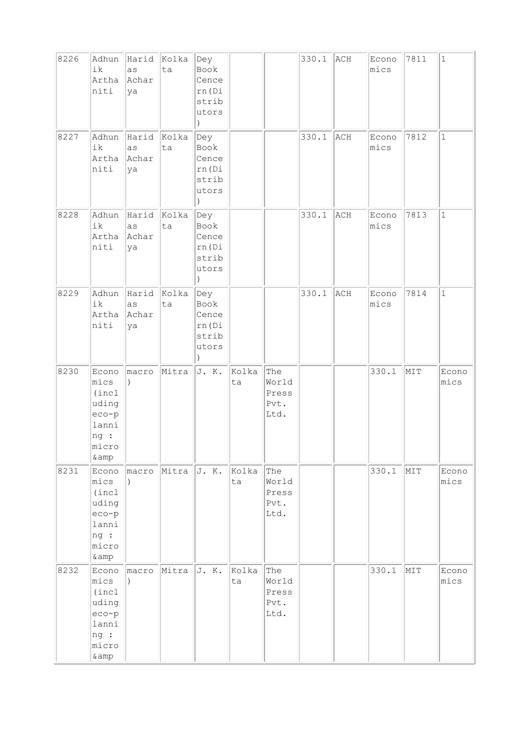| 8226 | Adhun<br>ik<br>Artha<br>niti                                                  | Harid<br>as<br>Achar<br>ya       | Kolka<br>ta | Dey<br>Book<br>Cence<br>rn (Di<br>strib<br>utors<br>$\lambda$     |             |                                       | 330.1 | ACH | Econo<br>mics | 7811 | $\mathbf{1}$  |
|------|-------------------------------------------------------------------------------|----------------------------------|-------------|-------------------------------------------------------------------|-------------|---------------------------------------|-------|-----|---------------|------|---------------|
| 8227 | Adhun<br>ik<br>Artha<br>niti                                                  | Harid<br>as<br>Achar<br>ya       | Kolka<br>ta | Dey<br>Book<br>Cence<br>rn (Di<br>strib<br>utors<br>$\lambda$     |             |                                       | 330.1 | ACH | Econo<br>mics | 7812 | $\mathbf{1}$  |
| 8228 | Adhun<br>ik<br>Artha<br>niti                                                  | Harid<br>as<br>Achar<br>ya       | Kolka<br>ta | Dey<br>Book<br>Cence<br>rn (Di<br>strib<br>utors<br>$\mathcal{L}$ |             |                                       | 330.1 | ACH | Econo<br>mics | 7813 | $\mathbf 1$   |
| 8229 | Adhun<br>ik<br>Artha<br>niti                                                  | Harid Kolka<br>as<br>Achar<br>ya | ta          | Dey<br>Book<br>Cence<br>rn (Di<br>strib<br>utors<br>$\lambda$     |             |                                       | 330.1 | ACH | Econo<br>mics | 7814 | $\mathbf 1$   |
| 8230 | Econo<br>mics<br>(incl<br>uding<br>$eco-p$<br>lanni<br>ng :<br>micro<br>& amp | macro<br>$\lambda$               | Mitra       | J. K.                                                             | Kolka<br>ta | The<br>World<br>Press<br>Pvt.<br>Ltd. |       |     | 330.1         | MIT  | Econo<br>mics |
| 8231 | Econo<br>mics<br>(incl<br>uding<br>$eco-p$<br>lanni<br>ng:<br>micro<br>& amp  | macro                            | Mitra       | J. K.                                                             | Kolka<br>ta | The<br>World<br>Press<br>Pvt.<br>Ltd. |       |     | 330.1         | MIT  | Econo<br>mics |
| 8232 | Econo<br>mics<br>(incl<br>uding<br>$eco-p$<br>lanni<br>ng :<br>micro<br>& amp | macro                            | Mitra       | J. K.                                                             | Kolka<br>ta | The<br>World<br>Press<br>Pvt.<br>Ltd. |       |     | 330.1         | MIT  | Econo<br>mics |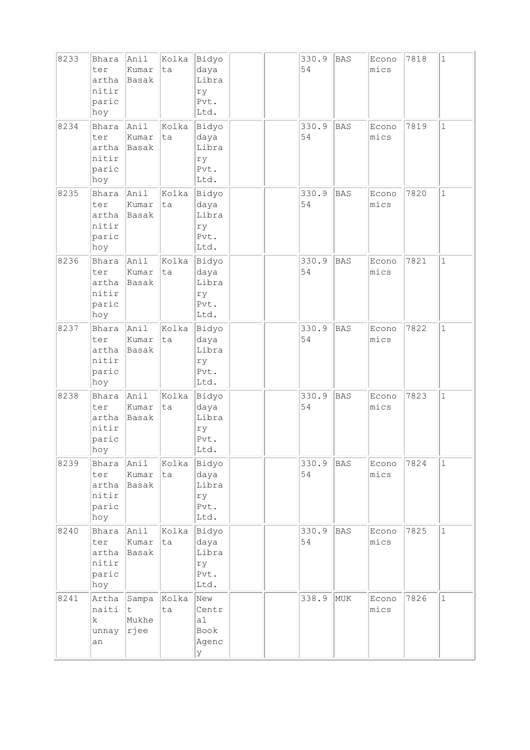| 8233 | Bhara<br>ter<br>artha<br>nitir<br>paric<br>hoy | Anil<br>Kumar<br>Basak      | Kolka<br>ta | Bidyo<br>daya<br>Libra<br>ry<br>Pvt.<br>Ltd. |  | 330.9<br>54 | <b>BAS</b> | Econo<br>mics | 7818 | $\mathbf{1}$ |
|------|------------------------------------------------|-----------------------------|-------------|----------------------------------------------|--|-------------|------------|---------------|------|--------------|
| 8234 | Bhara<br>ter<br>artha<br>nitir<br>paric<br>hoy | Anil<br>Kumar<br>Basak      | Kolka<br>ta | Bidyo<br>daya<br>Libra<br>ry<br>Pvt.<br>Ltd. |  | 330.9<br>54 | <b>BAS</b> | Econo<br>mics | 7819 | $\mathbf 1$  |
| 8235 | Bhara<br>ter<br>artha<br>nitir<br>paric<br>hoy | Anil<br>Kumar<br>Basak      | Kolka<br>ta | Bidyo<br>daya<br>Libra<br>ry<br>Pvt.<br>Ltd. |  | 330.9<br>54 | <b>BAS</b> | Econo<br>mics | 7820 | $\mathbf{1}$ |
| 8236 | Bhara<br>ter<br>artha<br>nitir<br>paric<br>hoy | Anil<br>Kumar<br>Basak      | Kolka<br>ta | Bidyo<br>daya<br>Libra<br>ry<br>Pvt.<br>Ltd. |  | 330.9<br>54 | <b>BAS</b> | Econo<br>mics | 7821 | $\mathbf{1}$ |
| 8237 | Bhara<br>ter<br>artha<br>nitir<br>paric<br>hoy | Anil<br>Kumar<br>Basak      | Kolka<br>ta | Bidyo<br>daya<br>Libra<br>ry<br>Pvt.<br>Ltd. |  | 330.9<br>54 | <b>BAS</b> | Econo<br>mics | 7822 | $\mathbf{1}$ |
| 8238 | Bhara<br>ter<br>artha<br>nitir<br>paric<br>hoy | Anil<br>Kumar<br>Basak      | Kolka<br>ta | Bidyo<br>daya<br>Libra<br>ry<br>Pvt.<br>Ltd. |  | 330.9<br>54 | <b>BAS</b> | Econo<br>mics | 7823 | $\mathbf 1$  |
| 8239 | Bhara<br>ter<br>artha<br>nitir<br>paric<br>hoy | Anil<br>Kumar<br>Basak      | Kolka<br>ta | Bidyo<br>daya<br>Libra<br>ry<br>Pvt.<br>Ltd. |  | 330.9<br>54 | BAS        | Econo<br>mics | 7824 | $\mathbf{1}$ |
| 8240 | Bhara<br>ter<br>artha<br>nitir<br>paric<br>hoy | Anil<br>Kumar<br>Basak      | Kolka<br>ta | Bidyo<br>daya<br>Libra<br>ry<br>Pvt.<br>Ltd. |  | 330.9<br>54 | <b>BAS</b> | Econo<br>mics | 7825 | $\mathbf{1}$ |
| 8241 | Artha<br>naiti<br>k.<br>unnay<br>an            | Sampa<br>t<br>Mukhe<br>rjee | Kolka<br>ta | New<br>Centr<br>a1<br>Book<br>Agenc<br>У     |  | 338.9       | MUK        | Econo<br>mics | 7826 | $\mathbf 1$  |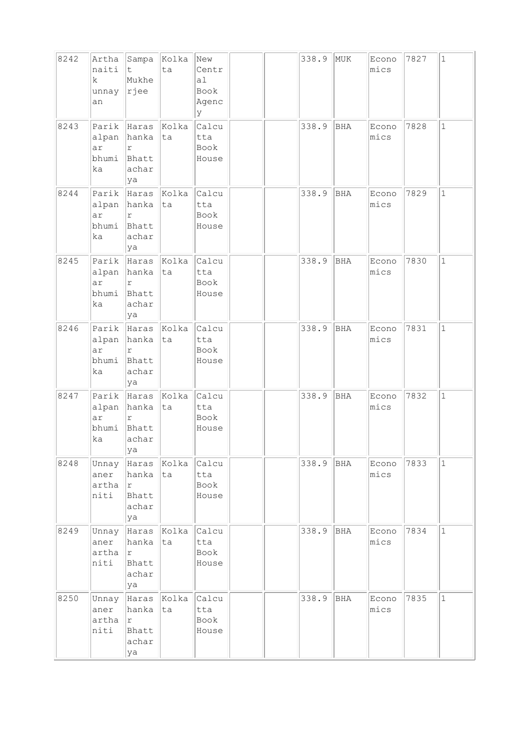| 8242 | naiti<br>k.<br>unnay<br>an          | Artha Sampa Kolka<br>It.<br>Mukhe<br>$\ $ rjee                         | ta                | New<br>Centr<br>a1<br>Book<br>Agenc<br>У |  | 338.9 | MUK        | Econo<br>mics | 7827 | $\mathbf{1}$ |
|------|-------------------------------------|------------------------------------------------------------------------|-------------------|------------------------------------------|--|-------|------------|---------------|------|--------------|
| 8243 | alpan<br>ar<br>bhumi<br>ka          | Parik Haras<br>hanka<br>$\Upsilon$<br>Bhatt<br>achar<br>ya             | Kolka<br>ta       | Calcu<br>tta<br>Book<br>House            |  | 338.9 | BHA        | Econo<br>mics | 7828 | $\mathbf 1$  |
| 8244 | Parik<br>alpan<br>ar<br>bhumi<br>ka | Haras Kolka<br>hanka ta<br>$\mathtt{r}$<br>Bhatt<br>achar<br>ya        |                   | Calcu<br>tta<br>Book<br>House            |  | 338.9 | BHA        | Econo<br>mics | 7829 | $\mathbf{1}$ |
| 8245 | ar<br>bhumi<br>ka                   | Parik Haras Kolka<br>alpan hanka<br>$\Upsilon$<br>Bhatt<br>achar<br>ya | ta                | Calcu<br>tta<br>Book<br>House            |  | 338.9 | <b>BHA</b> | Econo<br>mics | 7830 | $\mathbf{1}$ |
| 8246 | alpan<br>ar<br>bhumi<br>ka          | Parik Haras Kolka<br>hanka<br>r<br>Bhatt<br>achar<br>ya                | ta                | Calcu<br>tta<br>Book<br>House            |  | 338.9 | BHA        | Econo<br>mics | 7831 | $\mathbf{1}$ |
| 8247 | Parik<br>alpan<br>ar<br>bhumi<br>ka | Haras Kolka<br>hanka<br>$\Upsilon$<br>Bhatt<br>achar<br> ya            | ta                | Calcu<br>tta<br>Book<br>House            |  | 338.9 | BHA        | Econo<br>mics | 7832 | $\mathbf 1$  |
| 8248 | Unnay<br>aner<br>artha<br>niti      | hanka<br> r<br>Bhatt<br>achar<br>ya                                    | Haras Kolka<br>ta | Calcu<br>tta<br>Book<br>House            |  | 338.9 | BHA        | Econo<br>mics | 7833 | $\mathbf{1}$ |
| 8249 | Unnay<br>aner<br>artha<br>niti      | Haras Kolka<br>hanka ta<br> r<br>Bhatt<br>achar<br>ya                  |                   | Calcu<br>tta<br>Book<br>House            |  | 338.9 | BHA        | Econo<br>mics | 7834 | $\mathbf 1$  |
| 8250 | Unnay<br>aner<br>artha<br>niti      | Haras Kolka<br>hanka<br>lr.<br>Bhatt<br>achar<br>ya                    | ta                | Calcu<br>tta<br>Book<br>House            |  | 338.9 | BHA        | Econo<br>mics | 7835 | $\mathbf 1$  |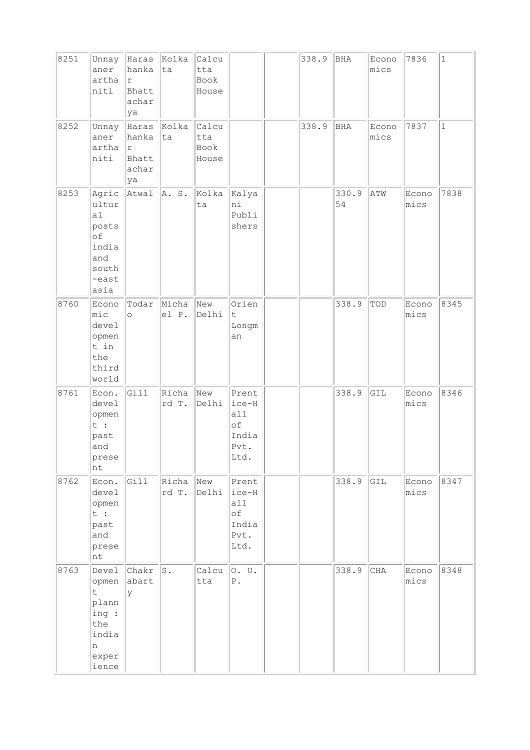| 8251 |                                                                               |                                              | Kolka          | Calcu                         |                                                      | 338.9 | <b>BHA</b>  |               | 7836          | $\vert$ 1 |
|------|-------------------------------------------------------------------------------|----------------------------------------------|----------------|-------------------------------|------------------------------------------------------|-------|-------------|---------------|---------------|-----------|
|      | Unnay<br>aner<br>artha<br>niti                                                | Haras<br>hanka<br> r<br>Bhatt<br>achar<br>ya | ta             | tta<br>Book<br>House          |                                                      |       |             | Econo<br>mics |               |           |
| 8252 | Unnay<br>aner<br>artha<br>niti                                                | Haras<br>hanka<br>r<br>Bhatt<br>achar<br>ya  | Kolka<br> ta   | Calcu<br>tta<br>Book<br>House |                                                      | 338.9 | BHA         | Econo<br>mics | 7837          | $\vert$ 1 |
| 8253 | Agric<br>ultur<br>a1<br>posts<br>of<br>india<br>and<br>south<br>-east<br>asia | Atwal                                        | A. S.          | Kolka<br>ta                   | Kalya<br>ni<br>Publi<br>shers                        |       | 330.9<br>54 | ATW           | Econo<br>mics | 7838      |
| 8760 | Econo<br>$ $ mic<br>devel<br>opmen<br>t in<br>the<br>third<br>world           | Todar<br>$\circ$                             | Micha<br>el P. | New<br>Delhi                  | Orien<br>t<br>Longm<br>an                            |       | 338.9       | TOD           | Econo<br>mics | 8345      |
| 8761 | Econ.<br>devel<br>opmen<br>t :<br>past<br>and<br>prese<br>nt                  | Gill                                         | Richa<br>rd T. | New<br>Delhi                  | Prent<br>ice-H<br>all<br>оf<br>India<br>Pvt.<br>Ltd. |       | 338.9       | GIL           | Econo<br>mics | 8346      |
| 8762 | Econ.<br>devel<br>opmen<br>t :<br>past<br>and<br>prese<br>nt                  | Gill                                         | Richa<br>rd T. | New<br>Delhi                  | Prent<br>ice-H<br>a11<br>оf<br>India<br>Pvt.<br>Ltd. |       | 338.9       | GIL           | Econo<br>mics | 8347      |
| 8763 | Devel<br>opmen<br>t.<br>plann<br>ing :<br>the<br>india<br>n<br>exper<br>ience | Chakr<br>abart<br>У                          | s.             | Calcu<br>tta                  | 0. U.<br>${\mathbb P}$ .                             |       | 338.9       | CHA           | Econo<br>mics | 8348      |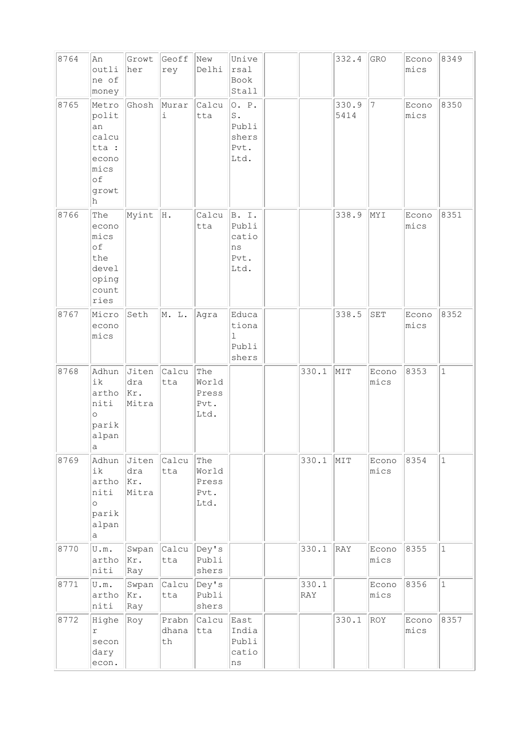| 8764 | An<br>outli<br>ne of<br>money                                               | Growt<br>her                 | Geoff<br>rey               | New<br>Delhi                          | Unive<br>rsal<br>Book<br>Stall                                           |              | 332.4         | GRO                  | Econo<br>mics | 8349         |
|------|-----------------------------------------------------------------------------|------------------------------|----------------------------|---------------------------------------|--------------------------------------------------------------------------|--------------|---------------|----------------------|---------------|--------------|
| 8765 | Metro<br>polit<br>an<br>calcu<br>tta :<br>econo<br>mics<br>of<br>growt<br>h | Ghosh                        | Murar<br>i                 | Calcu<br>tta                          | O. P.<br>$\operatorname{\mathsf{S}}$ .<br>Publi<br>shers<br>Pvt.<br>Ltd. |              | 330.9<br>5414 | 7                    | Econo<br>mics | 8350         |
| 8766 | The<br>econo<br>mics<br>of<br>the<br>devel<br>oping<br>count<br>ries        | Myint                        | H.                         | Calcu<br>tta                          | B. I.<br>Publi<br>catio<br>$\rm ns$<br>Pvt.<br>Ltd.                      |              | 338.9         | MYI                  | Econo<br>mics | 8351         |
| 8767 | Micro<br>econo<br>mics                                                      | Seth                         | M. L.                      | Agra                                  | Educa<br>tiona<br>$\mathbf{1}$<br>Publi<br>shers                         |              | 338.5         | $\operatorname{SET}$ | Econo<br>mics | 8352         |
| 8768 | Adhun<br>ik<br>artho<br>niti<br>$\circ$<br>parik<br>alpan<br>$\rm{a}$       | Jiten<br>dra<br>Kr.<br>Mitra | Calcu<br>tta               | The<br>World<br>Press<br>Pvt.<br>Ltd. |                                                                          | 330.1        | MIT           | Econo<br>mics        | 8353          | $\mathbf{1}$ |
| 8769 | Adhun<br>ik<br>artho<br>niti<br>$\circ$<br>parik<br>alpan<br>a              | Jiten<br>dra<br>Kr.<br>Mitra | Calcu<br>tta               | The<br>World<br>Press<br>Pvt.<br>Ltd. |                                                                          | 330.1        | MIT           | Econo<br>mics        | 8354          | $\mathbf 1$  |
| 8770 | U.m.<br>artho<br>niti                                                       | Swpan<br>Kr.<br>Ray          | Calcu<br>tta               | Dey's<br>Publi<br>shers               |                                                                          | 330.1        | RAY           | Econo<br>mics        | 8355          | $\mathbf 1$  |
| 8771 | U.m.<br>artho<br>niti                                                       | Swpan<br>Kr.<br>Ray          | Calcu<br>tta               | Dey's<br>Publi<br>shers               |                                                                          | 330.1<br>RAY |               | Econo<br>mics        | 8356          | $\mathbf{1}$ |
| 8772 | Highe<br>r<br>secon<br>dary<br>econ.                                        | Roy                          | Prabn<br>dhana<br>$\tt th$ | Calcu<br>tta                          | East<br>India<br>Publi<br>catio<br>$\rm ns$                              |              | 330.1         | ROY                  | Econo<br>mics | 8357         |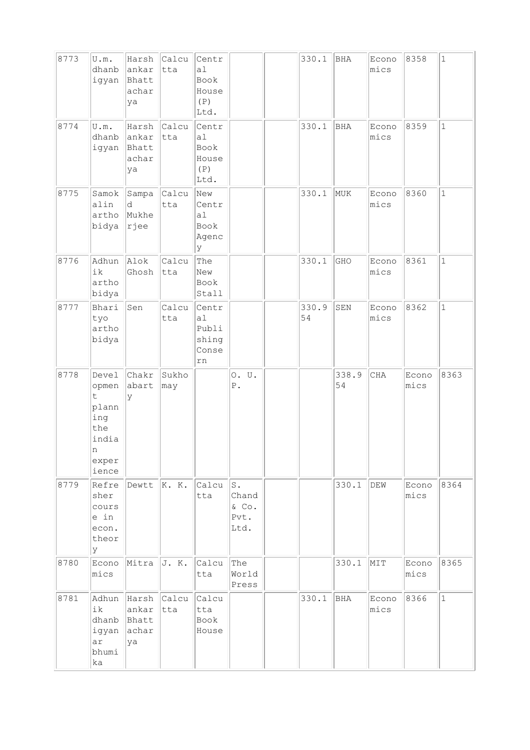| 8773 | U.m.<br>dhanb<br>igyan                                                     | Harsh<br>ankar<br>Bhatt<br>achar<br>ya       | Calcu<br>tta | Centr<br>a1<br>Book<br>House<br>(P)<br>Ltd.  |                                         | 330.1       | BHA         | Econo<br>mics | 8358          | $\mathbf{1}$ |
|------|----------------------------------------------------------------------------|----------------------------------------------|--------------|----------------------------------------------|-----------------------------------------|-------------|-------------|---------------|---------------|--------------|
| 8774 | U.m.<br>dhanb<br>igyan                                                     | Harsh<br>ankar<br>Bhatt<br>achar<br>ya       | Calcu<br>tta | Centr<br>a1<br>Book<br>House<br>(P)<br>Ltd.  |                                         | 330.1       | <b>BHA</b>  | Econo<br>mics | 8359          | $\mathbf{1}$ |
| 8775 | Samok<br>alin<br>artho<br>bidya                                            | Sampa<br>d<br>Mukhe<br>rjee                  | Calcu<br>tta | New<br>Centr<br>al<br>Book<br>Agenc<br>ly.   |                                         | 330.1       | MUK         | Econo<br>mics | 8360          | $\mathbf{1}$ |
| 8776 | Adhun<br>ik<br>artho<br>bidya                                              | Alok<br>Ghosh                                | Calcu<br>tta | The<br>New<br>Book<br>Stall                  |                                         | 330.1       | GHO         | Econo<br>mics | 8361          | $\mathbf{1}$ |
| 8777 | Bhari<br>tyo<br>artho<br>bidya                                             | Sen                                          | Calcu<br>tta | Centr<br>a1<br>Publi<br>shing<br>Conse<br>rn |                                         | 330.9<br>54 | SEN         | Econo<br>mics | 8362          | $\mathbf{1}$ |
| 8778 | Devel<br>opmen<br>t<br>plann<br>ing<br>the<br>india<br>n<br>exper<br>ience | Chakr<br>abart<br>У                          | Sukho<br>may |                                              | 0. U.<br>${\mathbb P}$ .                |             | 338.9<br>54 | CHA           | Econo<br>mics | 8363         |
| 8779 | Refre<br>sher<br>cours<br>e in<br>econ.<br>theor<br>У                      | Dewtt                                        | $\ K. K.$    | Calcu<br>tta                                 | $S$ .<br>Chand<br>& Co.<br>Pvt.<br>Ltd. |             | 330.1       | DEW           | Econo<br>mics | 8364         |
| 8780 | Econo<br>mics                                                              | Mitra                                        | J. K.        | Calcu<br>tta                                 | The<br>World<br>Press                   |             | 330.1       | MIT           | Econo<br>mics | 8365         |
| 8781 | Adhun<br>ik<br>dhanb<br>igyan<br>ar<br>bhumi<br>ka                         | Harsh Calcu<br>ankar<br>Bhatt<br>achar<br>ya | tta          | Calcu<br>tta<br>Book<br>House                |                                         | 330.1       | BHA         | Econo<br>mics | 8366          | $\mathbf{1}$ |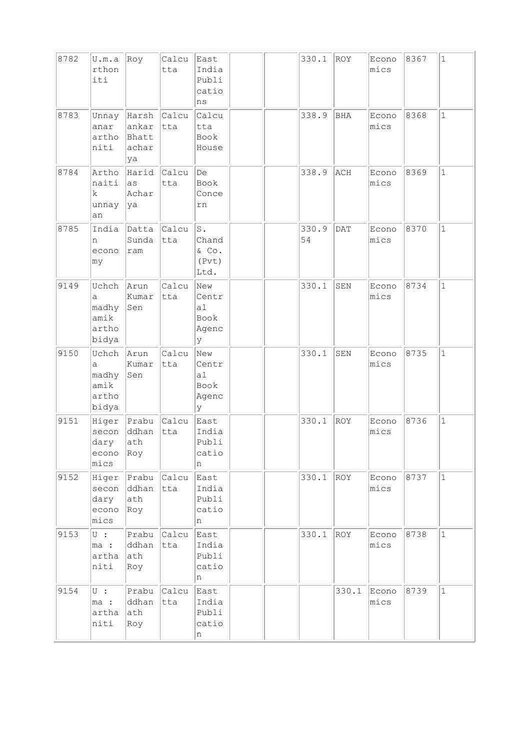| 8782 | U.m.a<br>rthon<br>iti                         | Roy                                    | Calcu<br>tta | East<br>India<br>Publi<br>catio<br>ns              |  | 330.1       | ROY         | Econo<br>mics | 8367 | $\mathbf{1}$ |
|------|-----------------------------------------------|----------------------------------------|--------------|----------------------------------------------------|--|-------------|-------------|---------------|------|--------------|
| 8783 | Unnay<br>anar<br>artho<br>niti                | Harsh<br>ankar<br>Bhatt<br>achar<br>ya | Calcu<br>tta | Calcu<br>tta<br>Book<br>House                      |  | 338.9       | <b>BHA</b>  | Econo<br>mics | 8368 | 1            |
| 8784 | Artho<br>naiti<br>k.<br>unnay<br>an           | Harid<br>las<br>Achar<br> ya           | Calcu<br>tta | De<br>Book<br>Conce<br>rn                          |  | 338.9       | ACH         | Econo<br>mics | 8369 | $\mathbf{1}$ |
| 8785 | India<br>n<br>econo<br>my                     | Datta<br>Sunda<br>ram                  | Calcu<br>tta | $\mathbbm{S}$ .<br>Chand<br>& Co.<br>(Pvt)<br>Ltd. |  | 330.9<br>54 | <b>DAT</b>  | Econo<br>mics | 8370 | $\mathbf{1}$ |
| 9149 | Uchch<br>a<br>madhy<br>amik<br>artho<br>bidya | Arun<br>Kumar<br>Sen                   | Calcu<br>tta | New<br>Centr<br>a1<br>Book<br>Agenc<br>У           |  | 330.1       | ${\tt SEM}$ | Econo<br>mics | 8734 | $\mathbf 1$  |
| 9150 | Uchch<br>a<br>madhy<br>amik<br>artho<br>bidya | Arun<br>Kumar<br>Sen                   | Calcu<br>tta | New<br>Centr<br>al<br>Book<br>Agenc<br>lУ          |  | 330.1       | SEN         | Econo<br>mics | 8735 | $\mathbf{1}$ |
| 9151 | Higer<br>secon<br>dary<br>econo<br>mics       | Prabu<br>ddhan<br>ath<br>Roy           | Calcu<br>tta | East<br>India<br>Publi<br>catio<br>n               |  | 330.1       | ROY         | Econo<br>mics | 8736 | $\mathbf 1$  |
| 9152 | Higer<br>secon<br>dary<br>econo<br>mics       | Prabu<br>ddhan<br>ath<br>Roy           | Calcu<br>tta | East<br>India<br>Publi<br>catio<br>n               |  | 330.1       | ROY         | Econo<br>mics | 8737 | $\mathbf{1}$ |
| 9153 | $U$ :<br>ma :<br>artha<br>niti                | Prabu<br>ddhan<br>ath<br>Roy           | Calcu<br>tta | East<br>India<br>Publi<br>catio<br>n               |  | 330.1       | ROY         | Econo<br>mics | 8738 | $\mathbf{1}$ |
| 9154 | $\overline{\cup}$ :<br>ma :<br>artha<br>niti  | Prabu<br>ddhan<br>ath<br>Roy           | Calcu<br>tta | East<br>India<br>Publi<br>catio<br>n               |  |             | 330.1       | Econo<br>mics | 8739 | $\mathbf{1}$ |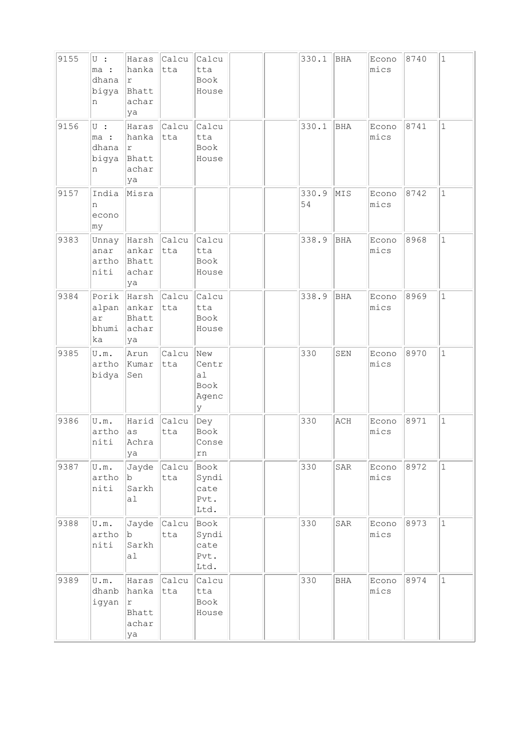| 9155 | $U$ :<br>ma:<br>dhana<br>bigya<br>n  | Haras<br>hanka<br>١r<br>Bhatt<br>achar<br>ya             | Calcu<br>tta | Calcu<br>tta<br>Book<br>House             |  | 330.1       | BHA                              | Econo<br>mics | 8740 | $\mathbf{1}$ |
|------|--------------------------------------|----------------------------------------------------------|--------------|-------------------------------------------|--|-------------|----------------------------------|---------------|------|--------------|
| 9156 | $U$ :<br>ma :<br>dhana<br>bigya<br>n | Haras<br>hanka<br>١r<br>Bhatt<br>achar<br>ya             | Calcu<br>tta | Calcu<br>tta<br>Book<br>House             |  | 330.1       | <b>BHA</b>                       | Econo<br>mics | 8741 | $\mathbf 1$  |
| 9157 | India<br>n<br>econo<br>∣my           | Misra                                                    |              |                                           |  | 330.9<br>54 | MIS                              | Econo<br>mics | 8742 | $\mathbf{1}$ |
| 9383 | anar<br>artho<br>niti                | Unnay Harsh Calcu<br>ankar<br>Bhatt<br>achar<br>ya       | tta          | Calcu<br>tta<br>Book<br>House             |  | 338.9       | BHA                              | Econo<br>mics | 8968 | $\mathbf{1}$ |
| 9384 | ar<br>bhumi<br>ka                    | Porik Harsh Calcu<br>alpan ankar<br>Bhatt<br>achar<br>ya | tta          | Calcu<br>tta<br>Book<br>House             |  | 338.9       | BHA                              | Econo<br>mics | 8969 | $\mathbf{1}$ |
| 9385 | U.m.<br>artho<br>bidya               | Arun<br>Kumar<br>Sen                                     | Calcu<br>tta | New<br>Centr<br>al<br>Book<br>Agenc<br>lУ |  | 330         | SEN                              | Econo<br>mics | 8970 | $\mathbf{1}$ |
| 9386 | U.m.<br>artho<br>niti                | Harid<br>as<br>Achra<br>ya                               | Calcu<br>tta | Dey<br>Book<br>Conse<br>rn                |  | 330         | $\mathbb{A}\mathbb{C}\mathbb{H}$ | Econo<br>mics | 8971 | $\mathbf 1$  |
| 9387 | U.m.<br>artho<br>niti                | Jayde<br>b<br>Sarkh<br>al                                | Calcu<br>tta | Book<br>Syndi<br>cate<br>Pvt.<br>Ltd.     |  | 330         | SAR                              | Econo<br>mics | 8972 | $\mathbf{1}$ |
| 9388 | U.m.<br>artho<br>niti                | Jayde<br>b<br>Sarkh<br>a <sub>1</sub>                    | Calcu<br>tta | Book<br>Syndi<br>cate<br>Pvt.<br>Ltd.     |  | 330         | SAR                              | Econo<br>mics | 8973 | $\mathbf{1}$ |
| 9389 | U.m.<br>dhanb<br>igyan               | Haras<br>hanka<br>Ιr<br>Bhatt<br>achar<br>ya             | Calcu<br>tta | Calcu<br>tta<br>Book<br>House             |  | 330         | <b>BHA</b>                       | Econo<br>mics | 8974 | $\mathbf{1}$ |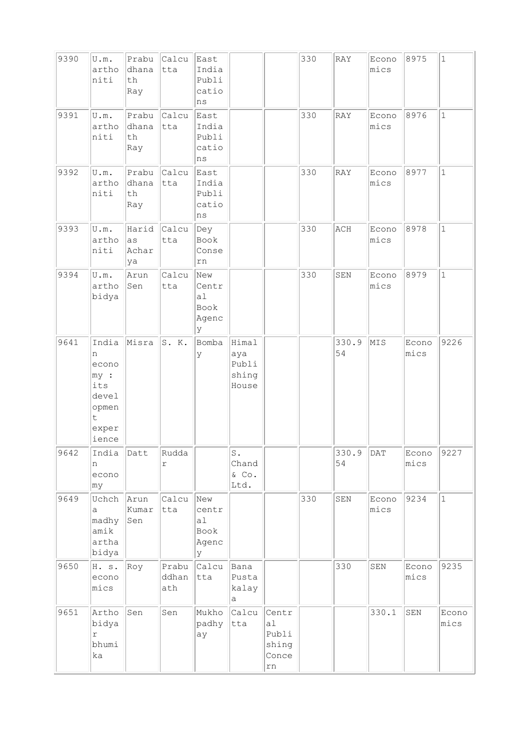| 9390 | U.m.<br>artho<br>niti                                                       | Prabu<br>dhana<br>th<br>Ray                           | Calcu<br>tta        | East<br>India<br>Publi<br>catio<br>ns       |                                         | 330 | RAY         | Econo<br>mics | 8975          | $\mathbf 1$  |
|------|-----------------------------------------------------------------------------|-------------------------------------------------------|---------------------|---------------------------------------------|-----------------------------------------|-----|-------------|---------------|---------------|--------------|
| 9391 | U.m.<br>artho<br>niti                                                       | Prabu<br>dhana<br>th<br>Ray                           | Calcu<br>tta        | East<br>India<br>Publi<br>catio<br>$\rm ns$ |                                         | 330 | RAY         | Econo<br>mics | 8976          | $\mathbf{1}$ |
| 9392 | U.m.<br>artho<br>niti                                                       | Prabu<br>dhana<br>$\operatorname{\mathsf{th}}$<br>Ray | Calcu<br>tta        | East<br>India<br>Publi<br>catio<br>$\rm ns$ |                                         | 330 | RAY         | Econo<br>mics | 8977          | $\mathbf{1}$ |
| 9393 | U.m.<br>artho<br>niti                                                       | Harid<br>as<br>Achar<br>ya                            | Calcu<br>tta        | Dey<br>Book<br>Conse<br>rn                  |                                         | 330 | ACH         | Econo<br>mics | 8978          | $\mathbf{1}$ |
| 9394 | U.m.<br>artho<br>bidya                                                      | Arun<br>Sen                                           | Calcu<br>tta        | New<br>Centr<br>a1<br>Book<br>Agenc<br>У    |                                         | 330 | SEN         | Econo<br>mics | 8979          | $\mathbf{1}$ |
| 9641 | India<br>n<br>econo<br>my:<br>its<br>devel<br>opmen<br>t.<br>exper<br>ience | Misra                                                 | S. K.               | Bomba<br>У                                  | Himal<br>aya<br>Publi<br>shing<br>House |     | 330.9<br>54 | MIS           | Econo<br>mics | 9226         |
| 9642 | India<br>n<br>econo<br> my                                                  | Datt                                                  | Rudda<br>$\Upsilon$ |                                             | s.<br>Chand<br>& Co.<br>Ltd.            |     | 330.9<br>54 | DAT           | Econo<br>mics | 9227         |
| 9649 | Uchch<br>a<br>madhy<br>amik<br>artha<br>bidya                               | Arun<br>Kumar<br>Sen                                  | Calcu<br>tta        | New<br>centr<br>a1<br>Book<br>Agenc<br>У    |                                         | 330 | SEN         | Econo<br>mics | 9234          | $\mathbf 1$  |
| 9650 | H. s.<br>econo<br>mics                                                      | Roy                                                   | Prabu<br>ddhan      | Calcu<br>tta                                | Bana<br>Pusta<br>kalay                  |     | 330         | SEN           | Econo<br>mics | 9235         |
|      |                                                                             |                                                       | ath                 |                                             | а                                       |     |             |               |               |              |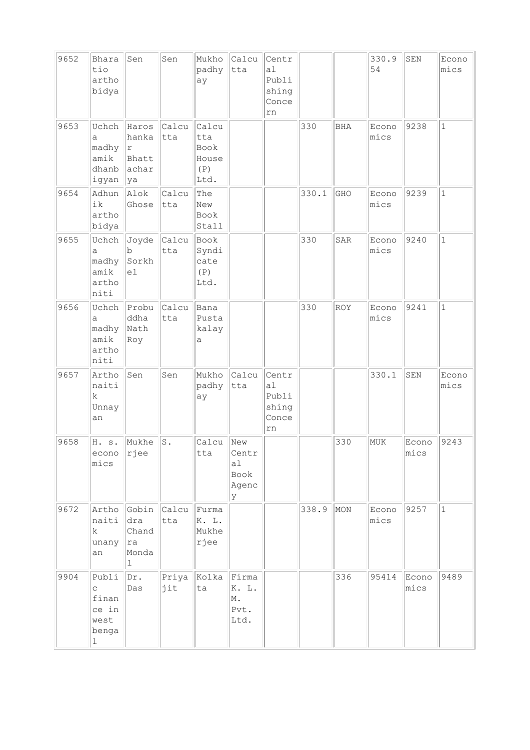| 9652 | Bhara<br>tio<br>artho<br>bidya                                | Sen                                           | Sen            | Mukho<br>padhy<br>ay                         | Calcu<br>tta                             | Centr<br>al<br>Publi<br>shing<br>Conce<br>rn |       |            | 330.9<br>54   | SEN           | Econo<br>mics |
|------|---------------------------------------------------------------|-----------------------------------------------|----------------|----------------------------------------------|------------------------------------------|----------------------------------------------|-------|------------|---------------|---------------|---------------|
| 9653 | Uchch<br>а<br>madhy<br>amik<br>dhanb<br>igyan                 | Haros<br>hanka<br> r<br>Bhatt<br>achar<br> ya | Calcu<br>tta   | Calcu<br>tta<br>Book<br>House<br>(P)<br>Ltd. |                                          |                                              | 330   | <b>BHA</b> | Econo<br>mics | 9238          | $\mathbf{1}$  |
| 9654 | Adhun<br>ik<br>artho<br>bidya                                 | Alok<br>Ghose                                 | Calcu<br>tta   | The<br>New<br>Book<br>Stall                  |                                          |                                              | 330.1 | GHO        | Econo<br>mics | 9239          | $\mathbf{1}$  |
| 9655 | Uchch<br>a<br>madhy<br>amik<br>artho<br>niti                  | Joyde<br>b<br>Sorkh<br>el                     | Calcu<br>tta   | Book<br>Syndi<br>cate<br>(P)<br>Ltd.         |                                          |                                              | 330   | SAR        | Econo<br>mics | 9240          | $\mathbf{1}$  |
| 9656 | Uchch<br>а<br>madhy<br>amik<br>artho<br>niti                  | Probu<br>ddha<br>Nath<br>Roy                  | Calcu<br>tta   | Bana<br>Pusta<br>kalay<br>а                  |                                          |                                              | 330   | <b>ROY</b> | Econo<br>mics | 9241          | $\mathbf{1}$  |
| 9657 | Artho<br>naiti<br>k.<br>Unnay<br>an                           | Sen                                           | Sen            | Mukho<br>padhy<br>ay                         | Calcu<br>tta                             | Centr<br>a1<br>Publi<br>shing<br>Conce<br>rn |       |            | 330.1         | SEN           | Econo<br>mics |
| 9658 | H. s.<br>econo<br>mics                                        | Mukhe<br>rjee                                 | $\texttt{S}$ . | Calcu<br>tta                                 | New<br>Centr<br>a1<br>Book<br>Agenc<br>У |                                              |       | 330        | MUK           | Econo<br>mics | 9243          |
| 9672 | Artho<br>naiti<br>k.<br>unany<br>an                           | Gobin<br>dra<br>Chand<br> ra<br>Monda<br>1    | Calcu<br>tta   | Furma<br>K. L.<br>Mukhe<br>rjee              |                                          |                                              | 338.9 | MON        | Econo<br>mics | 9257          | $\mathbf{1}$  |
| 9904 | Publi<br>$\mathsf{C}$<br>finan<br>ce in<br>west<br>benga<br>ı | Dr.<br>Das                                    | Priya<br>jit   | Kolka<br>ta                                  | Firma<br>K. L.<br>M.<br>Pvt.<br>Ltd.     |                                              |       | 336        | 95414         | Econo<br>mics | 9489          |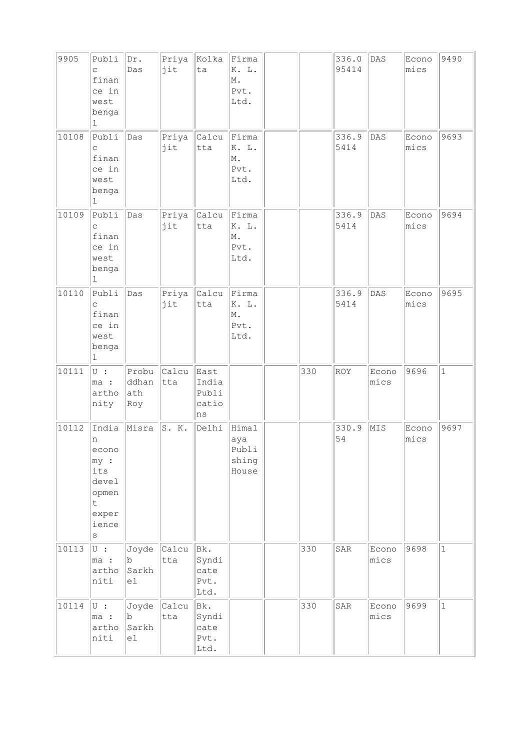| 9905  | Publi<br>C.<br>finan<br>ce in<br>west<br>benga<br>1                                   | Dr.<br>Das                   | Priya<br>jit | Kolka<br>ta                                 | Firma<br>K. L.<br>M.<br>Pvt.<br>Ltd.    |     | 336.0<br>95414 | DAS           | Econo<br>mics | 9490         |
|-------|---------------------------------------------------------------------------------------|------------------------------|--------------|---------------------------------------------|-----------------------------------------|-----|----------------|---------------|---------------|--------------|
| 10108 | Publi<br>$\mathsf C$<br>finan<br>ce in<br>west<br>benga<br>$\perp$                    | Das                          | Priya<br>jit | Calcu<br>tta                                | Firma<br>K. L.<br>M.<br>Pvt.<br>Ltd.    |     | 336.9<br>5414  | DAS           | Econo<br>mics | 9693         |
| 10109 | Publi<br>C<br>finan<br>ce in<br>west<br>benga<br>ı                                    | Das                          | Priya<br>jit | Calcu<br>tta                                | Firma<br>K. L.<br>M.<br>Pvt.<br>Ltd.    |     | 336.9<br>5414  | DAS           | Econo<br>mics | 9694         |
| 10110 | Publi<br>C<br>finan<br>ce in<br>west<br>benga<br>ı                                    | Das                          | Priya<br>jit | Calcu<br>tta                                | Firma<br>K. L.<br>M.<br>Pvt.<br>Ltd.    |     | 336.9<br>5414  | DAS           | Econo<br>mics | 9695         |
| 10111 | U :<br>ma :<br>artho<br>nity                                                          | Probu<br>ddhan<br>ath<br>Roy | Calcu<br>tta | East<br>India<br>Publi<br>catio<br>$\rm ns$ |                                         | 330 | ROY            | Econo<br>mics | 9696          | $\mathbf{1}$ |
| 10112 | India<br>n<br>econo<br>my:<br>its<br>devel<br>opmen<br>t<br>exper<br>ience<br>$\rm S$ | Misra                        | S. K.        | Delhi                                       | Himal<br>aya<br>Publi<br>shing<br>House |     | 330.9<br>54    | MIS           | Econo<br>mics | 9697         |
| 10113 | $\overline{\cup}$ :<br>ma :<br>artho<br>niti                                          | Joyde<br>b<br>Sarkh<br>e1    | Calcu<br>tta | Bk.<br>Syndi<br>cate<br>Pvt.<br>Ltd.        |                                         | 330 | SAR            | Econo<br>mics | 9698          | $1\,$        |
| 10114 | $\cup$ :<br>ma :<br>artho<br>niti                                                     | Joyde<br>b<br>Sarkh<br>el    | Calcu<br>tta | Bk.<br>Syndi<br>cate<br>Pvt.<br>Ltd.        |                                         | 330 | SAR            | Econo<br>mics | 9699          | $\mathbf 1$  |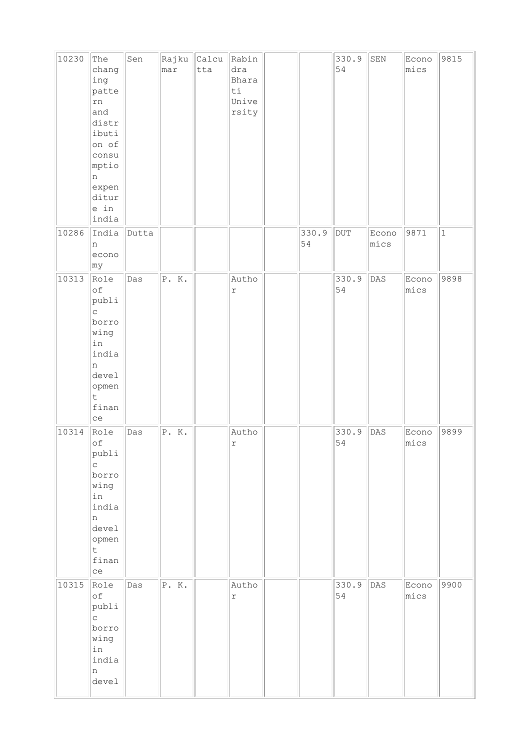| 10230 | The<br>chang<br>ing<br>patte<br>rn<br>and<br>distr<br>ibuti<br>on of<br>consu<br>mptio<br>n<br>expen<br>ditur<br>e in<br>india | Sen   | Rajku<br>mar | Calcu<br>tta | Rabin<br>dra<br>Bhara<br>ti<br>Unive<br>rsity |             | 330.9<br>54 | ${\tt SEN}$   | Econo<br>mics | 9815        |
|-------|--------------------------------------------------------------------------------------------------------------------------------|-------|--------------|--------------|-----------------------------------------------|-------------|-------------|---------------|---------------|-------------|
| 10286 | India<br>n<br>econo<br> my                                                                                                     | Dutta |              |              |                                               | 330.9<br>54 | $\rm DUT$   | Econo<br>mics | 9871          | $\mathbf 1$ |
| 10313 | Role<br>οf<br>publi<br>$\mathsf C$<br>borro<br>wing<br>in<br>india<br>n<br>devel<br>opmen<br>$\mathsf t$<br>finan<br>ce        | Das   | P. K.        |              | Autho<br>$\Upsilon$                           |             | 330.9<br>54 | DAS           | Econo<br>mics | 9898        |
| 10314 | Role<br>оf<br>publi<br>C.<br>borro<br>wing<br>in<br>india<br>n<br>devel<br>opmen<br>$\mathsf t$<br>finan<br>ce                 | Das   | P. K.        |              | Autho<br>$\Upsilon$                           |             | 330.9<br>54 | DAS           | Econo<br>mics | 9899        |
| 10315 | Role<br>оf<br>publi<br>$\mathsf C$<br>borro<br>wing<br>in<br>india<br>n<br>devel                                               | Das   | P. K.        |              | Autho<br>$\mathtt{r}$                         |             | 330.9<br>54 | DAS           | Econo<br>mics | 9900        |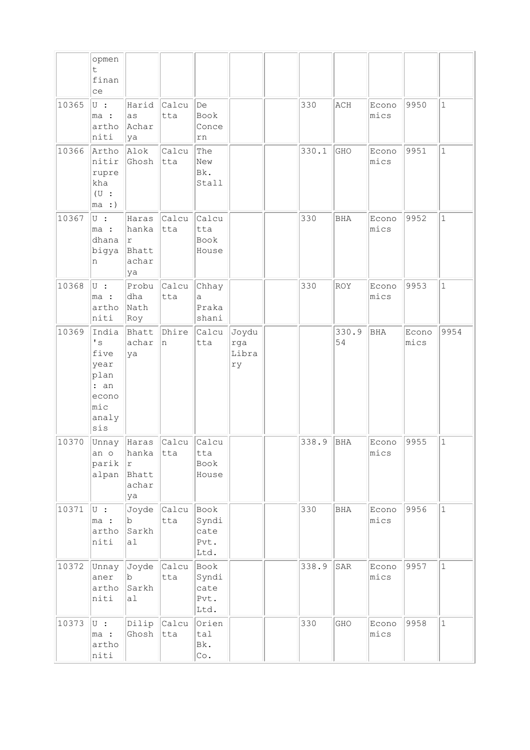|       | opmen<br>t.<br>finan<br>ce                                                         |                                                      |                     |                                            |                             |       |             |               |               |              |
|-------|------------------------------------------------------------------------------------|------------------------------------------------------|---------------------|--------------------------------------------|-----------------------------|-------|-------------|---------------|---------------|--------------|
| 10365 | $\overline{\mathsf{U}}$ :<br>ma :<br>artho<br>niti                                 | Harid<br>as<br>Achar<br>ya                           | Calcu<br>tta        | De<br>Book<br>Conce<br>rn                  |                             | 330   | ACH         | Econo<br>mics | 9950          | $\mathbf{1}$ |
| 10366 | Artho<br>nitir<br>rupre<br>kha<br>(U:<br>ma:                                       | Alok<br>Ghosh                                        | Calcu<br>tta        | The<br>New<br>Bk.<br>Stall                 |                             | 330.1 | GHO         | Econo<br>mics | 9951          | $\mathbf 1$  |
| 10367 | $U$ :<br>ma :<br>dhana<br>bigya<br>n                                               | Haras<br>hanka<br>r<br>Bhatt<br>achar<br>ya          | Calcu<br>tta        | Calcu<br>tta<br>Book<br>House              |                             | 330   | <b>BHA</b>  | Econo<br>mics | 9952          | $\mathbf{1}$ |
| 10368 | U :<br>ma :<br>artho<br>niti                                                       | Probu<br>dha<br>Nath<br>Roy                          | Calcu<br>tta        | Chhay<br>a<br>Praka<br>shani               |                             | 330   | <b>ROY</b>  | Econo<br>mics | 9953          | $\mathbf{1}$ |
| 10369 | India<br>$\cdot$ s<br>five<br>year<br>plan<br>: an<br>econo<br>mic<br>analy<br>sis | Bhatt<br>achar<br>ya                                 | Dhire<br>n          | Calcu<br>tta                               | Joydu<br>rga<br>Libra<br>ry |       | 330.9<br>54 | <b>BHA</b>    | Econo<br>mics | 9954         |
| 10370 | Unnay<br>an o<br>parik<br>alpan                                                    | Haras<br>hanka<br>$\Upsilon$<br>Bhatt<br>achar<br>ya | Calcu<br>tta        | Calcu<br>tta<br>Book<br>House              |                             | 338.9 | <b>BHA</b>  | Econo<br>Mics | 9955          | $\mathbf{1}$ |
| 10371 | $\overline{\cup}$ :<br>ma :<br>artho<br>niti                                       | Joyde<br>$\rm{b}$<br>Sarkh<br>a <sub>1</sub>         | <b>Calcu</b><br>tta | Book<br>Syndi<br>cate<br>Pvt.<br>Ltd.      |                             | 330   | BHA         | Econo<br>mics | 9956          | $\mathbf{1}$ |
| 10372 | Unnay<br>aner<br>artho<br>niti                                                     | Joyde<br>b<br>Sarkh<br>a <sub>1</sub>                | Calcu<br>tta        | Book<br>Syndi<br>cate<br>Pvt.<br>Ltd.      |                             | 338.9 | SAR         | Econo<br>mics | 9957          | $\mathbf{1}$ |
| 10373 | $\cup$ :<br>ma :<br>artho<br>niti                                                  | Dilip<br>Ghosh                                       | <b>Calcu</b><br>tta | Orien<br>tal<br>Bk.<br>$\mathbb{C}\circ$ . |                             | 330   | GHO         | Econo<br>mics | 9958          | $1\,$        |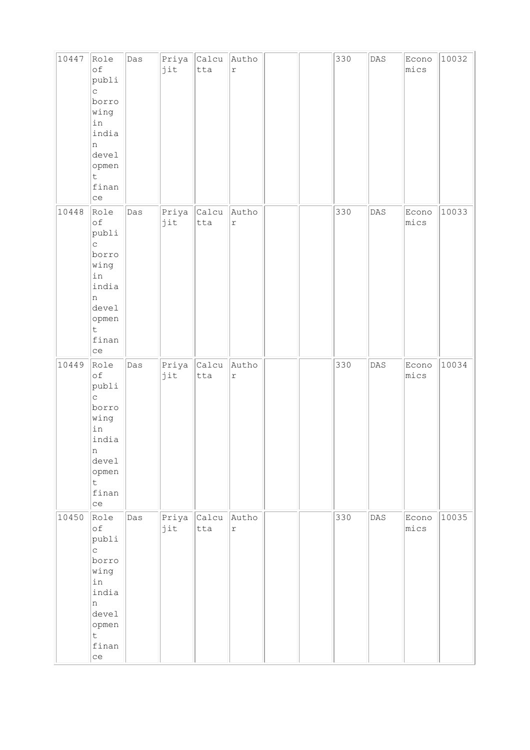| 10447 | Role<br>$\circ f$<br>publi<br>$\mathsf{C}$<br>borro<br>wing<br>in<br>india<br>n<br>devel<br>opmen<br>t.<br>finan<br>ce        | Das | Priya<br>jit | Calcu<br>tta | Autho<br>$\,$ $\,$ $\,$     |  | 330 | $\mathtt{DAS}$ | Econo<br>mics | 10032 |
|-------|-------------------------------------------------------------------------------------------------------------------------------|-----|--------------|--------------|-----------------------------|--|-----|----------------|---------------|-------|
| 10448 | Role<br>оf<br>publi<br>$\mathop{\mathsf{C}}$<br>borro<br>wing<br>in<br>india<br>n<br>devel<br>opmen<br>$\sf t$<br>finan<br>ce | Das | Priya<br>jit | Calcu<br>tta | Autho<br>$\Upsilon$         |  | 330 | $\mathtt{DAS}$ | Econo<br>mics | 10033 |
| 10449 | Role<br>оf<br>publi<br>$\mathsf C$<br>borro<br>wing<br>in<br>india<br>Щ<br>devel<br>opmen<br>$\mathsf t$<br>finan<br>ce       | Das | Priya<br>jit | Calcu<br>tta | Autho<br>$\acute{\text{r}}$ |  | 330 | DAS            | Econo<br>mics | 10034 |
| 10450 | Role<br>оf<br>publi<br>$\mathsf C$<br>borro<br>wing<br>in<br>india<br>n<br>devel<br>opmen<br>$\mathsf t$<br>finan<br>ce       | Das | Priya<br>jit | Calcu<br>tta | Autho<br>$\acute{\text{r}}$ |  | 330 | $\mathtt{DAS}$ | Econo<br>mics | 10035 |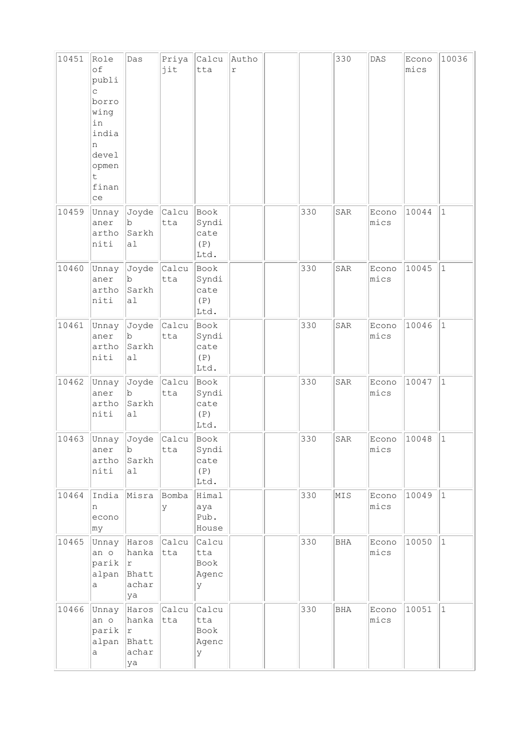| 10451 | Role<br>of<br>publi<br>C.<br>borro<br>wing<br>in<br>india<br>n<br>devel<br>opmen<br>t<br>finan<br>ce | Das                                                 | Priya<br>jit        | Calcu<br>tta                         | Autho<br>r |     | 330 | $\mathtt{DAS}$ | Econo<br>mics | 10036        |
|-------|------------------------------------------------------------------------------------------------------|-----------------------------------------------------|---------------------|--------------------------------------|------------|-----|-----|----------------|---------------|--------------|
| 10459 | Unnay<br>aner<br>artho<br>niti                                                                       | Joyde<br>b<br>Sarkh<br>a1                           | <b>Calcu</b><br>tta | Book<br>Syndi<br>cate<br>(P)<br>Ltd. |            | 330 | SAR | Econo<br>mics  | 10044         | $\mathbf{1}$ |
| 10460 | Unnay<br>aner<br>artho<br>niti                                                                       | Joyde<br>b<br>Sarkh<br>a1                           | Calcu<br>tta        | Book<br>Syndi<br>cate<br>(P)<br>Ltd. |            | 330 | SAR | Econo<br>mics  | 10045         | $\mathbf{1}$ |
| 10461 | Unnay<br>aner<br>artho<br>niti                                                                       | Joyde<br>b<br>Sarkh<br>a <sub>1</sub>               | Calcu<br>tta        | Book<br>Syndi<br>cate<br>(P)<br>Ltd. |            | 330 | SAR | Econo<br>mics  | 10046         | $\mathbf 1$  |
| 10462 | Unnay<br>aner<br>artho<br>niti                                                                       | Joyde<br>b<br>Sarkh<br>a1                           | <b>Calcu</b><br>tta | Book<br>Syndi<br>cate<br>(P)<br>Ltd. |            | 330 | SAR | Econo<br>mics  | 10047         | $\mathbf{1}$ |
| 10463 | Unnay<br>aner<br>artho<br>niti                                                                       | Joyde<br>$\mathbf{b}$<br>Sarkh<br>al                | Calcu<br>tta        | Book<br>Syndi<br>cate<br>(P)<br>Ltd. |            | 330 | SAR | Econo<br>mics  | 10048         | $\mathbf{1}$ |
| 10464 | India<br>n<br>econo<br>$ $ m $y$                                                                     | Misra                                               | Bomba<br>У          | Himal<br>aya<br>Pub.<br>House        |            | 330 | MIS | Econo<br>mics  | 10049         | $\mathbf{1}$ |
| 10465 | Unnay<br>an o<br>$\text{parity }  r $<br>alpan<br>a                                                  | Haros Calcu<br>hanka<br>Bhatt<br>achar<br>ya        | tta                 | Calcu<br>tta<br>Book<br>Agenc<br>У   |            | 330 | BHA | Econo<br>mics  | 10050         | $\vert$ 1    |
| 10466 | Unnay<br>an o<br>parik<br>alpan<br>a                                                                 | Haros Calcu<br>hanka<br> r <br>Bhatt<br>achar<br>ya | tta                 | Calcu<br>tta<br>Book<br>Agenc<br>У   |            | 330 | BHA | Econo<br>mics  | 10051         | $\mathbf 1$  |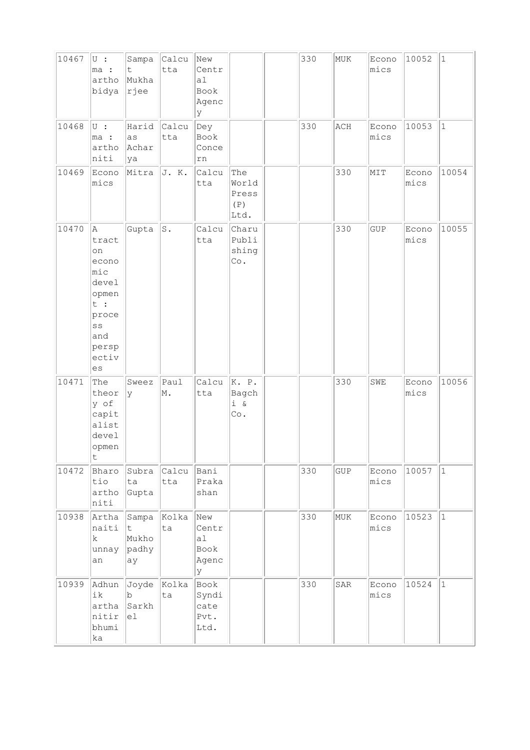| 10467 | $U$ :<br>ma :<br>artho<br>bidya                                                                         | Sampa<br>t.<br>Mukha<br> rjee       | Calcu<br>tta | New<br>Centr<br>a1<br>Book<br>Agenc<br>У |                                      | 330 | MUK | Econo<br>mics | 10052         | $ 1\rangle$ |
|-------|---------------------------------------------------------------------------------------------------------|-------------------------------------|--------------|------------------------------------------|--------------------------------------|-----|-----|---------------|---------------|-------------|
| 10468 | $\cup$ :<br>ma :<br>artho<br>niti                                                                       | Harid<br>as<br>Achar<br>ya          | Calcu<br>tta | Dey<br>Book<br>Conce<br>rn               |                                      | 330 | ACH | Econo<br>mics | 10053         | $\vert$ 1   |
| 10469 | Econo<br>mics                                                                                           | Mitra                               | J. K.        | Calcu<br>tta                             | The<br>World<br>Press<br>(P)<br>Ltd. |     | 330 | MIT           | Econo<br>mics | 10054       |
| 10470 | Α<br>tract<br>on<br>econo<br>mic<br>devel<br>opmen<br>t :<br>proce<br>SS<br>and<br>persp<br>ectiv<br>es | Gupta                               | ${\tt S}$ .  | Calcu<br>tta                             | Charu<br>Publi<br>shing<br>Co.       |     | 330 | GUP           | Econo<br>mics | 10055       |
| 10471 | The<br>theor<br>y of<br>capit<br>alist<br>devel<br>opmen<br>$\mathsf t$                                 | Sweez<br><sup>y</sup>               | Paul<br>M.   | Calcu<br>tta                             | K. P.<br>Bagch<br>i &<br>Co.         |     | 330 | SWE           | Econo<br>mics | 10056       |
| 10472 | Bharo<br>tio<br>artho<br>niti                                                                           | Subra<br>ta<br>Gupta                | Calcu<br>tta | Bani<br>Praka<br>shan                    |                                      | 330 | GUP | Econo<br>mics | 10057         | $\vert$ 1   |
| 10938 | Artha<br>naiti<br>$\mathbf k$<br>unnay<br>an                                                            | Sampa<br>t<br>Mukho<br>padhy<br>ay  | Kolka<br>ta  | New<br>Centr<br>a1<br>Book<br>Agenc<br>У |                                      | 330 | MUK | Econo<br>mics | 10523         | $\vert$ 1   |
| 10939 | Adhun<br>ik<br>artha<br>nitir<br>bhumi<br>ka                                                            | Joyde<br>$ {\rm b} $<br>Sarkh<br>el | Kolka<br>ta  | Book<br>Syndi<br>cate<br>Pvt.<br>Ltd.    |                                      | 330 | SAR | Econo<br>mics | 10524         | $\vert$ 1   |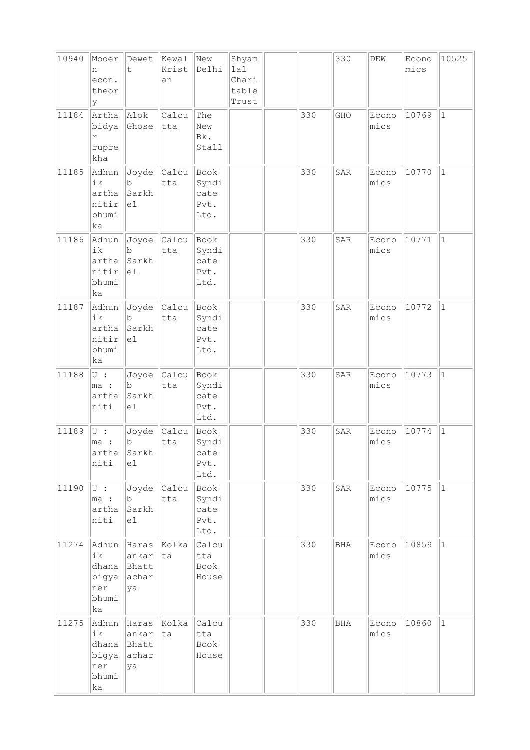| 10940 | Moder<br>n<br>econ.<br>theor<br>У                   | Dewet<br>t.                            | Kewal<br>Krist<br>an | New<br>Delhi                          | Shyam<br>lal<br>Chari<br>table<br>Trust |     | 330        | DEW           | Econo<br>mics | 10525        |
|-------|-----------------------------------------------------|----------------------------------------|----------------------|---------------------------------------|-----------------------------------------|-----|------------|---------------|---------------|--------------|
| 11184 | Artha<br>bidya<br>r<br>rupre<br>kha                 | Alok<br>Ghose                          | Calcu<br>tta         | The<br>New<br>Bk.<br>Stall            |                                         | 330 | GHO        | Econo<br>mics | 10769         | $\mathbf{1}$ |
| 11185 | Adhun<br>ik<br>artha<br>nitir<br>bhumi<br>ka        | Joyde<br>b<br>Sarkh<br>el              | Calcu<br>tta         | Book<br>Syndi<br>cate<br>Pvt.<br>Ltd. |                                         | 330 | SAR        | Econo<br>mics | 10770         | $\vert$ 1    |
| 11186 | Adhun<br>ik<br>artha<br>nitir<br>bhumi<br>ka        | Joyde<br>b<br>Sarkh<br>el              | Calcu<br>tta         | Book<br>Syndi<br>cate<br>Pvt.<br>Ltd. |                                         | 330 | SAR        | Econo<br>mics | 10771         | $\mathbf{1}$ |
| 11187 | Adhun<br>ik<br>artha<br>nitir<br>bhumi<br>ka        | Joyde<br>$\mathbf b$<br>Sarkh<br>e1    | Calcu<br>tta         | Book<br>Syndi<br>cate<br>Pvt.<br>Ltd. |                                         | 330 | SAR        | Econo<br>mics | 10772         | $\vert$ 1    |
| 11188 | $\cup$ :<br>ma :<br>artha<br>niti                   | Joyde<br>b<br>Sarkh<br>e1              | Calcu<br>tta         | Book<br>Syndi<br>cate<br>Pvt.<br>Ltd. |                                         | 330 | SAR        | Econo<br>mics | 10773         | $\mathbf{1}$ |
| 11189 | U :<br>ma :<br>artha<br>niti                        | Joyde<br>b<br>Sarkh<br>el              | Calcu<br>tta         | Book<br>Syndi<br>cate<br>Pvt.<br>Ltd. |                                         | 330 | SAR        | Econo<br>mics | 10774         | $\vert$ 1    |
| 11190 | $ U $ :<br>$\ln a$ :<br>artha<br>niti               | Joyde<br>b<br>Sarkh<br>el              | Calcu<br>tta         | Book<br>Syndi<br>cate<br>Pvt.<br>Ltd. |                                         | 330 | SAR        | Econo<br>mics | 10775         | $ 1\rangle$  |
| 11274 | Adhun<br>ik<br>dhana<br>bigya<br>ner<br>bhumi<br>ka | Haras<br>ankar<br>Bhatt<br>achar<br>ya | Kolka<br>lta         | Calcu<br>tta<br>Book<br>House         |                                         | 330 | <b>BHA</b> | Econo<br>mics | 10859         | $ 1\rangle$  |
| 11275 | Adhun<br>ik<br>dhana<br>bigya<br>ner<br>bhumi<br>ka | Haras<br>ankar<br>Bhatt<br>achar<br>ya | Kolka<br>ta          | Calcu<br>tta<br>Book<br>House         |                                         | 330 | <b>BHA</b> | Econo<br>mics | 10860         | $\vert$ 1    |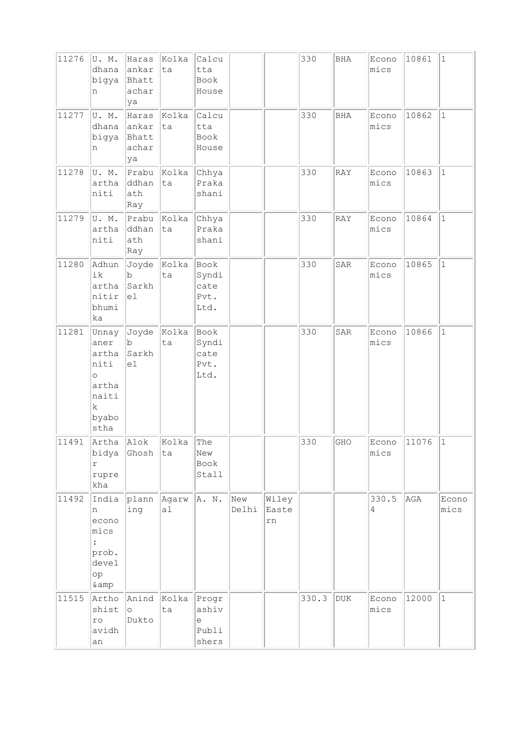| 11276 | U.M.<br>dhana<br>bigya<br>n                                                                 | Haras<br>ankar<br>Bhatt<br>achar<br>ya | Kolka<br>ta                   | Calcu<br>tta<br>Book<br>House         |              |                      | 330   | BHA        | Econo<br>mics | 10861 | $ 1\rangle$   |
|-------|---------------------------------------------------------------------------------------------|----------------------------------------|-------------------------------|---------------------------------------|--------------|----------------------|-------|------------|---------------|-------|---------------|
| 11277 | U.M.<br>dhana<br>bigya<br>n                                                                 | Haras<br>ankar<br>Bhatt<br>achar<br>ya | Kolka<br>ta                   | Calcu<br>tta<br>Book<br>House         |              |                      | 330   | <b>BHA</b> | Econo<br>mics | 10862 | $\vert$ 1     |
| 11278 | U.M.<br>artha<br>niti                                                                       | ddhan<br>ath<br>Ray                    | Prabu Kolka<br>ta             | Chhya<br>Praka<br>shani               |              |                      | 330   | RAY        | Econo<br>mics | 10863 | $ 1\rangle$   |
| 11279 | U.M.<br>artha<br>niti                                                                       | ddhan<br>ath<br>Ray                    | $ $ Prabu $ $ Kolka $ $<br>ta | Chhya<br>Praka<br>shani               |              |                      | 330   | RAY        | Econo<br>mics | 10864 | $\mathbf{1}$  |
| 11280 | Adhun<br>ik<br>artha<br>nitir<br>bhumi<br>ka                                                | $\mathbf b$<br>Sarkh<br>el             | Joyde Kolka<br>ta             | Book<br>Syndi<br>cate<br>Pvt.<br>Ltd. |              |                      | 330   | SAR        | Econo<br>mics | 10865 | $\vert$ 1     |
| 11281 | Unnay<br>aner<br>artha<br>niti<br>$\circ$<br>artha<br>naiti<br>$\mathbf k$<br>byabo<br>stha | b<br>Sarkh<br>e1                       | Joyde  Kolka<br>ta            | Book<br>Syndi<br>cate<br>Pvt.<br>Ltd. |              |                      | 330   | SAR        | Econo<br>mics | 10866 | $\vert$ 1     |
| 11491 | Artha Alok<br>bidya<br>$\Upsilon$<br>rupre<br>kha                                           | Ghosh                                  | Kolka<br>ta                   | The<br>New<br>Book<br>Stall           |              |                      | 330   | GHO        | Econo<br>mics | 11076 | $\vert$ 1     |
| 11492 | India<br>n<br>econo<br>mics<br>$\ddot{\cdot}$<br>prob.<br>devel<br>op<br>& amp              | plann<br>ing                           | Agarw<br>al                   | A. N.                                 | New<br>Delhi | Wiley<br>Easte<br>rn |       |            | 330.5<br>4    | AGA   | Econo<br>mics |
| 11515 | Artho<br>shist<br>ro<br>avidh<br>an                                                         | Anind<br>$\circ$<br>Dukto              | Kolka<br>ta                   | Progr<br>ashiv<br>e<br>Publi<br>shers |              |                      | 330.3 | <b>DUK</b> | Econo<br>mics | 12000 | $ 1\rangle$   |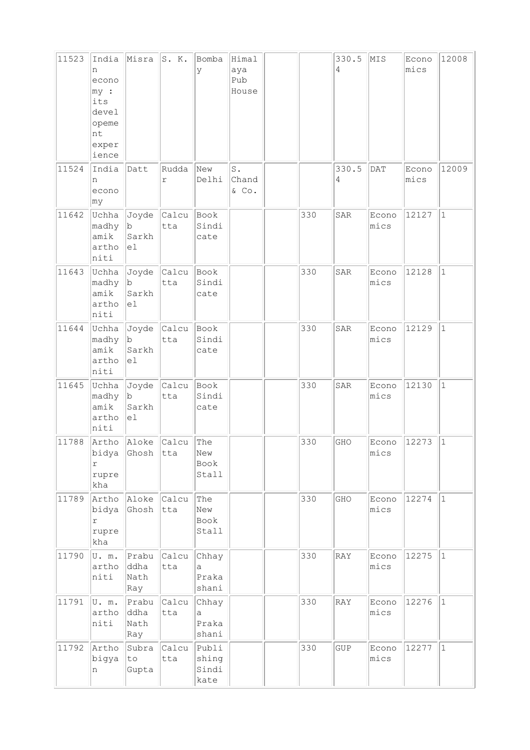| 11523 | India<br>n<br>econo<br>$ my $ :<br>its<br>devel<br>opeme<br>nt<br>exper<br>ience | Misra                          | S. K.              | Bomba<br>У                      | Himal<br>aya<br>Pub<br>House |     | 330.5<br>4 | MIS                 | Econo<br>mics | 12008        |
|-------|----------------------------------------------------------------------------------|--------------------------------|--------------------|---------------------------------|------------------------------|-----|------------|---------------------|---------------|--------------|
| 11524 | India<br>n<br>econo<br>∣my                                                       | Datt                           | Rudda<br>r         | New<br>Delhi                    | S.<br>Chand<br>& Co.         |     | 330.5<br>4 | DAT                 | Econo<br>mics | 12009        |
| 11642 | Uchha<br>madhy<br>amik<br>artho<br>niti                                          | Joyde<br> b <br>Sarkh<br>el    | Calcu<br>tta       | Book<br>Sindi<br>cate           |                              | 330 | SAR        | Econo<br>mics       | 12127         | $\vert$ 1    |
| 11643 | Uchha<br>madhy<br>amik<br>artho<br>niti                                          | Joyde<br> b <br>Sarkh<br>el    | Calcu<br>tta       | Book<br>Sindi<br>cate           |                              | 330 | SAR        | Econo<br>mics       | 12128         | $\mathbf{1}$ |
| 11644 | Uchha<br>madhy<br>amik<br>artho<br>niti                                          | b<br>Sarkh<br>el               | Joyde Calcu<br>tta | Book<br>Sindi<br>cate           |                              | 330 | SAR        | Econo<br>mics       | 12129         | $\mathbf{1}$ |
| 11645 | Uchha<br>madhy<br>amik<br>artho<br>niti                                          | Joyde<br> b <br>Sarkh<br>el    | Calcu Book<br>tta  | Sindi<br>cate                   |                              | 330 | SAR        | Econo<br>mics       | 12130         | $\vert$ 1    |
| 11788 | bidya<br>r<br>rupre<br>kha                                                       | Artho Aloke Calcu<br>Ghosh tta |                    | The<br>New<br>Book<br>Stall     |                              | 330 | GHO        | Econo 12273<br>mics |               | $ 1\rangle$  |
| 11789 | Artho<br>bidya<br>r<br>rupre<br>kha                                              | Aloke<br>Ghosh                 | Calcu<br>tta       | The<br>New<br>Book<br>Stall     |                              | 330 | GHO        | Econo<br>mics       | 12274         | $\vert$ 1    |
| 11790 | U.m.<br>artho<br>niti                                                            | Prabu<br>ddha<br>Nath<br>Ray   | Calcu<br>tta       | Chhay<br>a<br>Praka<br>shani    |                              | 330 | RAY        | Econo<br>mics       | 12275         | $ 1\rangle$  |
| 11791 | U. m.<br>artho<br>niti                                                           | Prabu<br>ddha<br>Nath<br>Ray   | Calcu<br>tta       | Chhay<br>a<br>Praka<br>shani    |                              | 330 | RAY        | Econo<br>mics       | 12276         | $\vert$ 1    |
| 11792 | Artho<br>bigya<br>n                                                              | Subra<br>to<br>Gupta           | Calcu<br>tta       | Publi<br>shing<br>Sindi<br>kate |                              | 330 | <b>GUP</b> | Econo<br>mics       | 12277         | $ 1\rangle$  |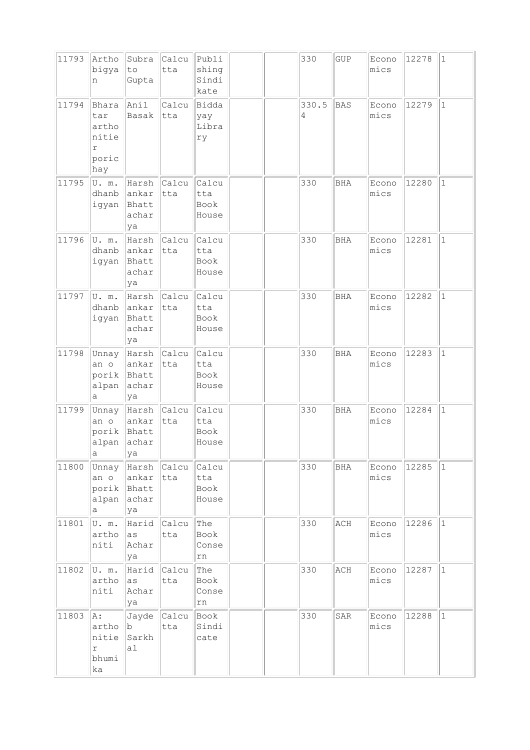| 11793 | Artho<br>bigya<br>n                                 | Subra<br>to<br>Gupta                                         | Calcu<br>tta              | Publi<br>shing<br>Sindi<br>kate |  | 330        | GUP        | Econo<br>mics | 12278 | $\vert$ 1    |
|-------|-----------------------------------------------------|--------------------------------------------------------------|---------------------------|---------------------------------|--|------------|------------|---------------|-------|--------------|
| 11794 | Bhara<br>tar<br>artho<br>nitie<br>r<br>poric<br>hay | Anil<br>Basak                                                | Calcu<br>tta              | Bidda<br>yay<br>Libra<br>ry     |  | 330.5<br>4 | <b>BAS</b> | Econo<br>mics | 12279 | $\vert$ 1    |
| 11795 | U.m.<br>dhanb<br>igyan                              | Harsh<br>lankar<br>Bhatt<br>achar<br>ya                      | Calcu<br> tta             | Calcu<br>tta<br>Book<br>House   |  | 330        | <b>BHA</b> | Econo<br>mics | 12280 | $\vert$ 1    |
| 11796 | U.m.<br>dhanb<br>igyan                              | ankar<br>Bhatt<br>achar<br>ya                                | Harsh <i>Calcu</i><br>tta | Calcu<br>tta<br>Book<br>House   |  | 330        | BHA        | Econo<br>mics | 12281 | $\mathbf{1}$ |
| 11797 | U.m.<br>dhanb<br>igyan                              | ankar<br>Bhatt<br>achar<br>ya                                | Harsh Calcu<br> tta       | Calcu<br>tta<br>Book<br>House   |  | 330        | BHA        | Econo<br>mics | 12282 | $\vert$ 1    |
| 11798 | Unnay<br>an o<br>porik Bhatt<br>alpan<br>а          | Harsh Calcu<br>ankar<br>achar<br>ya                          | tta                       | Calcu<br>tta<br>Book<br>House   |  | 330        | <b>BHA</b> | Econo<br>mics | 12283 | $\mathbf{1}$ |
| 11799 | an o<br>alpan<br>$\mathsf{a}$                       | Unnay   Harsh   Calcu<br>ankar<br>porik Bhatt<br>achar<br>ya | tta                       | Calcu<br>tta<br>Book<br>House   |  | 330        | <b>BHA</b> | Econo<br>mics | 12284 | $\vert$ 1    |
| 11800 | Unnay<br>an o<br>alpan<br>а                         | Harsh Calcu<br>ankar<br>porik Bhatt<br>achar<br>ya           | tta                       | Calcu<br>tta<br>Book<br>House   |  | 330        | BHA        | Econo<br>mics | 12285 | $\vert$ 1    |
| 11801 | U.m.<br>artho<br>niti                               | as<br>Achar<br>ya                                            | Harid Calcu<br>tta        | The<br>Book<br>Conse<br>rn      |  | 330        | ACH        | Econo<br>mics | 12286 | $ 1\rangle$  |
| 11802 | U. m.<br>artho<br>niti                              | Harid Calcu<br>as<br>Achar<br>ya                             | tta                       | The<br>Book<br>Conse<br>rn      |  | 330        | ACH        | Econo<br>mics | 12287 | $\vert$ 1    |
| 11803 | A:<br>artho<br>nitie<br>r<br>bhumi<br>ka            | b.<br>Sarkh<br>al                                            | Jayde Calcu<br>tta        | Book<br>Sindi<br>cate           |  | 330        | SAR        | Econo<br>mics | 12288 | $\vert$ 1    |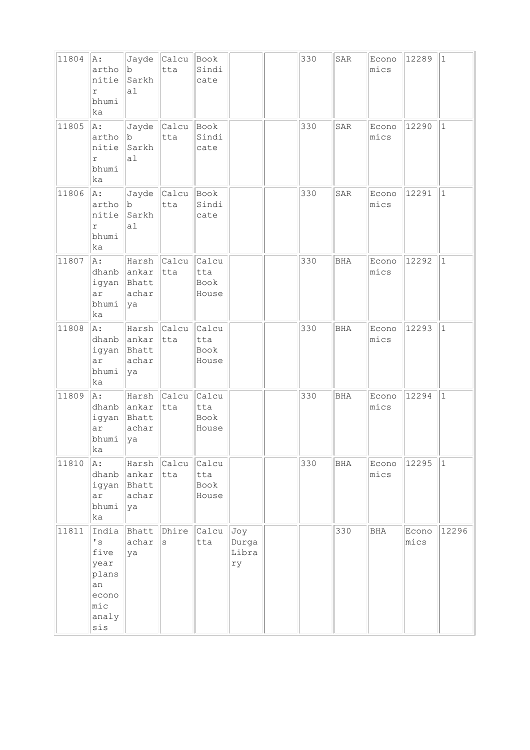| 11804 | A:<br>artho<br>nitie<br>$\Upsilon$<br>bhumi<br>ka                                                | b <br>Sarkh<br>al                      | Jayde Calcu Book<br>tta | Sindi<br>cate                 |                             | 330 | SAR | Econo<br>mics | 12289         | $ 1\rangle$ |
|-------|--------------------------------------------------------------------------------------------------|----------------------------------------|-------------------------|-------------------------------|-----------------------------|-----|-----|---------------|---------------|-------------|
| 11805 | A:<br>artho<br>nitie<br>r<br>bhumi<br>ka                                                         | b <br>Sarkh<br>a <sub>1</sub>          | Jayde Calcu<br>tta      | Book<br>Sindi<br>cate         |                             | 330 | SAR | Econo<br>mics | 12290         | $\vert$ 1   |
| 11806 | A:<br>artho<br>nitie<br>$\Upsilon$<br>bhumi<br>ka                                                | b <br>Sarkh<br>a1                      | Jayde Calcu<br>tta      | Book<br>Sindi<br>cate         |                             | 330 | SAR | Econo<br>mics | 12291         | $\vert$ 1   |
| 11807 | A:<br>dhanb<br>igyan<br>ar<br>bhumi<br>ka                                                        | ankar<br>Bhatt<br>achar<br>ya          | Harsh Calcu<br>tta      | Calcu<br>tta<br>Book<br>House |                             | 330 | BHA | Econo<br>mics | 12292         | $ 1\rangle$ |
| 11808 | A:<br>dhanb<br>ar<br>bhumi<br>ka                                                                 | ankar<br>igyan Bhatt<br>achar<br> ya   | Harsh Calcu<br>tta      | Calcu<br>tta<br>Book<br>House |                             | 330 | BHA | Econo<br>mics | 12293         | $\vert$ 1   |
| 11809 | A:<br>dhanb<br>igyan<br>ar<br>bhumi<br>ka                                                        | ankar<br>Bhatt<br>achar<br>ya          | Harsh Calcu<br>$ $ tta  | Calcu<br>tta<br>Book<br>House |                             | 330 | BHA | Econo<br>mics | 12294         | $\vert$ 1   |
| 11810 | A:<br>dhanb<br>igyan<br>ar<br>bhumi<br>ka                                                        | Harsh<br>ankar<br>Bhatt<br>achar<br>ya | Calcu<br>tta            | Calcu<br>tta<br>Book<br>House |                             | 330 | BHA | Econo<br>mics | 12295         | $\vert$ 1   |
| 11811 | India<br>$\mathstrut^{\bullet}$ s<br>five<br>year<br>plans<br>an<br>econo<br>mic<br>analy<br>sis | Bhatt<br>achar<br>ya                   | Dhire<br>S              | Calcu<br>tta                  | Joy<br>Durga<br>Libra<br>ry |     | 330 | BHA           | Econo<br>mics | 12296       |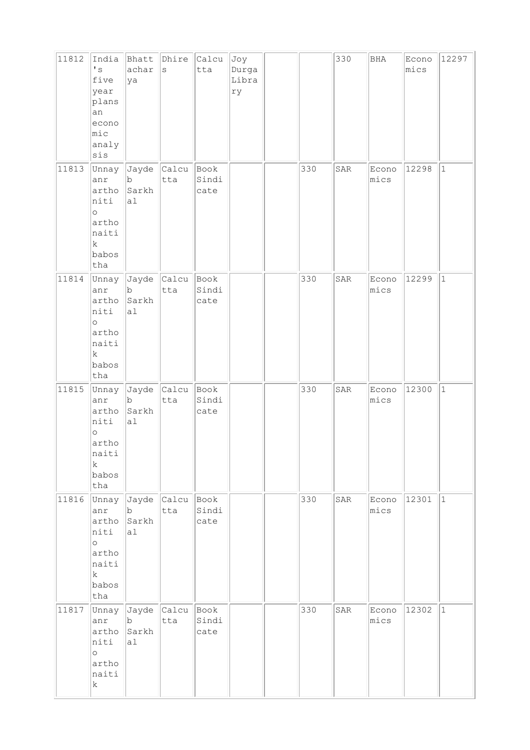| 11812 | India<br>$\mathbf{I}$ s<br>five<br>year<br>plans<br>an<br>econo<br>$ $ mic<br>analy<br>sis | Bhatt<br>achar<br>ya                                | Dhire<br>$\rm s$    | Calcu<br>tta          | Joy<br>Durga<br>Libra<br>ry |     | 330 | BHA           | Econo<br>mics | 12297       |
|-------|--------------------------------------------------------------------------------------------|-----------------------------------------------------|---------------------|-----------------------|-----------------------------|-----|-----|---------------|---------------|-------------|
| 11813 | Unnay<br>anr<br>artho<br>niti<br>$\circ$<br>artho<br>naiti<br>$\rm k$<br>babos<br>tha      | Jayde<br>b<br>Sarkh<br>al                           | <b>Calcu</b><br>tta | Book<br>Sindi<br>cate |                             | 330 | SAR | Econo<br>mics | 12298         | $ 1\rangle$ |
| 11814 | Unnay<br>anr<br>artho<br>niti<br>$\circ$<br>artho<br>naiti<br>$\mathbf k$<br>babos<br>tha  | $\ $ Jayde $\ $ Calcu<br>$\mathsf b$<br>Sarkh<br>a1 | tta                 | Book<br>Sindi<br>cate |                             | 330 | SAR | Econo<br>mics | 12299         | $\vert$ 1   |
| 11815 | Unnay<br>anr<br>artho<br>niti<br>$\circ$<br>artho<br>naiti<br>$\rm k$<br>babos<br>tha      | Jayde Calcu<br>b<br>Sarkh<br>a1                     | tta                 | Book<br>Sindi<br>cate |                             | 330 | SAR | Econo<br>mics | 12300         | $\vert$ 1   |
| 11816 | Unnay<br>anr<br>artho<br>niti<br>$\circ$<br>artho<br>naiti<br>$\mathbf k$<br>babos<br>tha  | Jayde Calcu<br>b<br>Sarkh<br>al                     | tta                 | Book<br>Sindi<br>cate |                             | 330 | SAR | Econo<br>mics | 12301         | $ 1\rangle$ |
| 11817 | Unnay<br>anr<br>artho<br>niti<br>$\circ$<br>artho<br>naiti<br>$\rm k$                      | Jayde<br>b<br>Sarkh<br>a1                           | Calcu<br>tta        | Book<br>Sindi<br>cate |                             | 330 | SAR | Econo<br>mics | 12302         | $\vert$ 1   |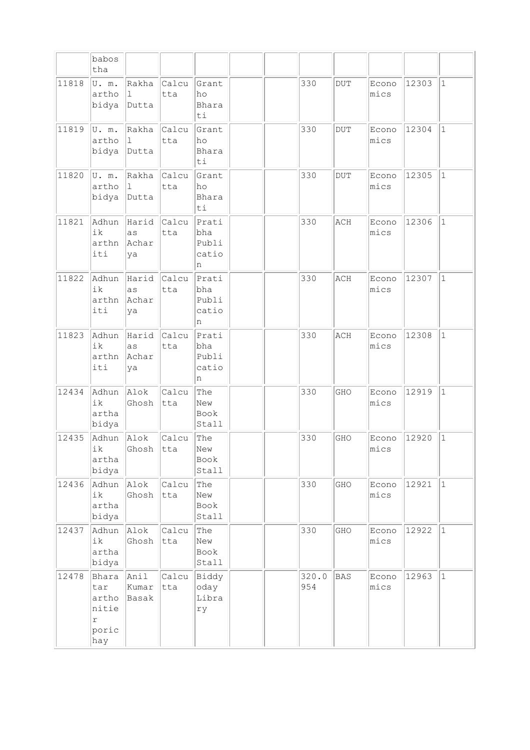|       | babos<br>tha                                        |                                |               |                                     |  |              |            |               |       |              |
|-------|-----------------------------------------------------|--------------------------------|---------------|-------------------------------------|--|--------------|------------|---------------|-------|--------------|
| 11818 | U. m.<br>artho<br>bidya                             | Rakha<br>$\mathbf{1}$<br>Dutta | Calcu<br>tta  | Grant<br>ho<br>Bhara<br>ti          |  | 330          | <b>DUT</b> | Econo<br>mics | 12303 | $\mathbf{1}$ |
| 11819 | U.m.<br>artho<br>bidya                              | Rakha<br>$\mathbf{1}$<br>Dutta | Calcu<br>tta  | Grant<br>ho<br>Bhara<br>ti          |  | 330          | <b>DUT</b> | Econo<br>mics | 12304 | $\mathbf{1}$ |
| 11820 | U.m.<br>artho<br>bidya                              | Rakha<br>$\mathbf 1$<br>Dutta  | Calcu<br>tta  | Grant<br>ho<br>Bhara<br>ti          |  | 330          | <b>DUT</b> | Econo<br>mics | 12305 | $\mathbf{1}$ |
| 11821 | Adhun<br>ik<br>arthn<br>iti                         | Harid<br>as<br>Achar<br>ya     | Calcu<br>tta  | Prati<br>bha<br>Publi<br>catio<br>n |  | 330          | ACH        | Econo<br>mics | 12306 | $\mathbf{1}$ |
| 11822 | Adhun<br>ik<br>arthn<br>iti                         | Harid<br>as<br>Achar<br>ya     | Calcu<br>tta  | Prati<br>bha<br>Publi<br>catio<br>n |  | 330          | ACH        | Econo<br>mics | 12307 | $\mathbf{1}$ |
| 11823 | Adhun<br>ik<br>arthn<br>iti                         | Harid<br>as<br>Achar<br>ya     | Calcu<br>tta  | Prati<br>bha<br>Publi<br>catio<br>n |  | 330          | ACH        | Econo<br>mics | 12308 | $\mathbf 1$  |
| 12434 | Adhun<br>ik<br>artha<br>bidya                       | Alok<br>Ghosh                  | Calcu<br>tta  | The<br>New<br>Book<br>Stall         |  | 330          | GHO        | Econo<br>mics | 12919 | $\mathbf{1}$ |
| 12435 | Adhun<br>ik<br>artha<br>bidya                       | Alok<br>Ghosh                  | Calcu<br> tta | The<br>New<br>Book<br>Stall         |  | 330          | GHO        | Econo<br>mics | 12920 | $\mathbf 1$  |
| 12436 | Adhun<br>ik<br>artha<br>bidya                       | Alok<br>Ghosh                  | Calcu<br>tta  | The<br>New<br>Book<br>Stall         |  | 330          | GHO        | Econo<br>mics | 12921 | $\mathbf{1}$ |
| 12437 | Adhun<br>ik<br>artha<br>bidya                       | Alok<br>Ghosh                  | Calcu<br>tta  | The<br>New<br>Book<br>Stall         |  | 330          | GHO        | Econo<br>mics | 12922 | $\mathbf 1$  |
| 12478 | Bhara<br>tar<br>artho<br>nitie<br>r<br>poric<br>hay | Anil<br>Kumar<br>Basak         | Calcu<br>tta  | Biddy<br>oday<br>Libra<br>ry        |  | 320.0<br>954 | <b>BAS</b> | Econo<br>mics | 12963 | $\mathbf{1}$ |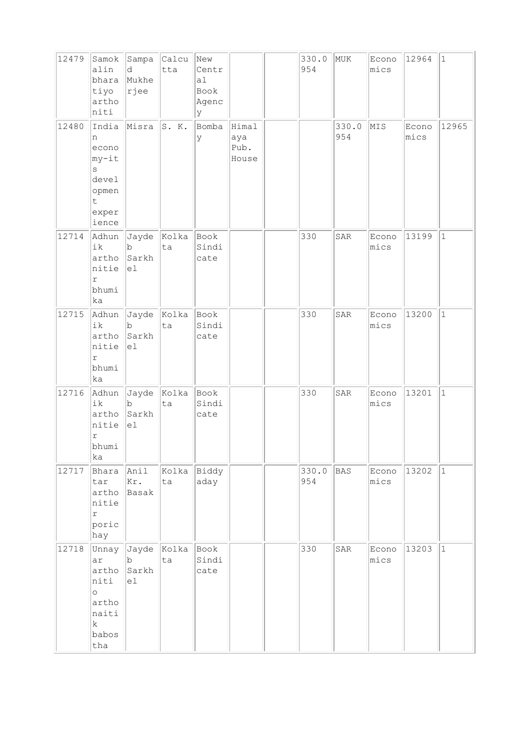| 12479 | Samok<br>alin<br>bhara<br>tiyo<br>artho<br>niti                                          | d<br>Mukhe<br>rjee              | Sampa Calcu<br>tta | New<br>Centr<br>a1<br>Book<br>Agenc<br>У |                               | 330.0<br>954 | MUK          | Econo<br>mics | 12964         | $\vert$ 1    |
|-------|------------------------------------------------------------------------------------------|---------------------------------|--------------------|------------------------------------------|-------------------------------|--------------|--------------|---------------|---------------|--------------|
| 12480 | India<br>n<br>econo<br>my-it<br>S<br>devel<br>opmen<br>t.<br>exper<br>ience              | Misra                           | S. K.              | Bomba<br>У                               | Himal<br>aya<br>Pub.<br>House |              | 330.0<br>954 | MIS           | Econo<br>mics | 12965        |
| 12714 | Adhun<br>ik<br>artho<br>nitie<br>r<br>bhumi<br>ka                                        | $\mathbf b$<br>Sarkh<br>el      | Jayde Kolka<br>ta  | Book<br>Sindi<br>cate                    |                               | 330          | SAR          | Econo<br>mics | 13199         | $\mathbf{1}$ |
| 12715 | Adhun<br>ik<br>artho<br>nitie<br>r<br>bhumi<br>ka                                        | $\mathbf b$<br>Sarkh<br>el      | Jayde Kolka<br>ta  | Book<br>Sindi<br>cate                    |                               | 330          | SAR          | Econo<br>mics | 13200         | $\mathbf{1}$ |
| 12716 | Adhun<br>ik<br>artho<br>nitie<br>r<br>bhumi<br>ka                                        | Jayde Kolka<br>b<br>Sarkh<br>el | ta                 | Book<br>Sindi<br>cate                    |                               | 330          | SAR          | Econo<br>mics | 13201         | $\mathbf{1}$ |
| 12717 | Bhara<br>tar<br>artho<br>nitie<br>$\Upsilon$<br>poric<br>hay                             | Anil<br>Kr.<br>Basak            | Kolka<br>ta        | Biddy<br>aday                            |                               | 330.0<br>954 | <b>BAS</b>   | Econo<br>mics | 13202         | $\vert$ 1    |
| 12718 | Unnay<br>ar<br>artho<br>niti<br>$\circ$<br>artho<br>naiti<br>$\mathbf k$<br>babos<br>tha | Jayde<br>b<br>Sarkh<br>el       | Kolka<br>ta        | Book<br>Sindi<br>cate                    |                               | 330          | SAR          | Econo<br>mics | 13203         | $\mathbf{1}$ |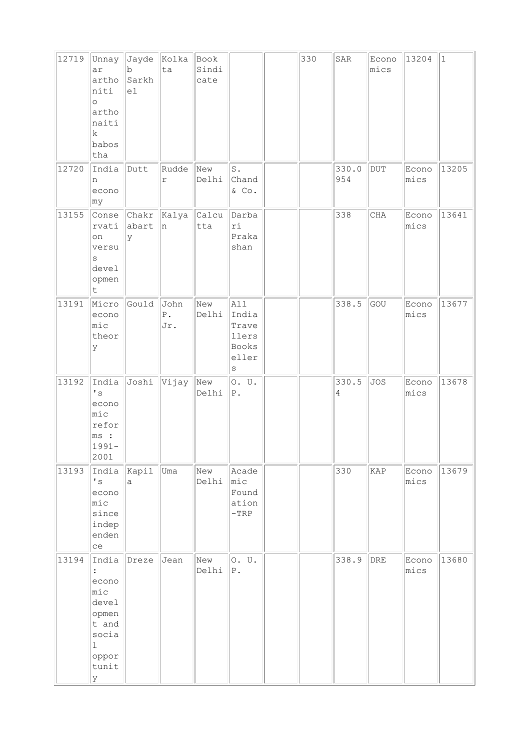| 12719 | Unnay<br>ar<br>artho<br>niti<br>$\circ$<br>artho<br>naiti<br>k<br>babos<br>tha                                    | Jayde<br>b<br>Sarkh<br>el | Kolka<br>ta                    | Book<br>Sindi<br>cate |                                                             | 330 | $\mathtt{SAR}$ | Econo<br>mics  | 13204         | $\vert$ 1 |
|-------|-------------------------------------------------------------------------------------------------------------------|---------------------------|--------------------------------|-----------------------|-------------------------------------------------------------|-----|----------------|----------------|---------------|-----------|
| 12720 | India<br>n<br>econo<br>∣my                                                                                        | Dutt                      | Rudde<br>r                     | New<br>Delhi          | $\mathtt{S}$ .<br>Chand<br>$\&$ Co.                         |     | 330.0<br>954   | $\rm DUT$      | Econo<br>mics | 13205     |
| 13155 | Conse<br>rvati<br>on<br>versu<br>S<br>devel<br>opmen<br>t                                                         | abart<br>У                | Chakr Kalya<br>n               | Calcu<br>tta          | Darba<br>ri<br>Praka<br>shan                                |     | 338            | $\rm CHA$      | Econo<br>mics | 13641     |
| 13191 | Micro<br>econo<br>mic<br>theor<br>У                                                                               | Gould                     | John<br>${\mathbb P}$ .<br>Jr. | New<br>Delhi          | All<br>India<br>Trave<br>llers<br>Books<br>eller<br>$\rm s$ |     | 338.5          | GOU            | Econo<br>mics | 13677     |
| 13192 | India<br>$\mathstrut^{\bullet}$ s<br>econo<br>$ $ mic<br>refor<br>ms:<br>$1991 -$<br>2001                         | Joshi                     | Vijay                          | New<br>Delhi          | 0. U.<br>${\mathbb P}$ .                                    |     | 330.5<br>4     | <b>JOS</b>     | Econo<br>mics | 13678     |
| 13193 | India<br>$\mathstrut^{\bullet}$ s<br>econo<br>$ $ mic<br>since<br>indep<br>enden<br>ce                            | Kapil<br>a                | Uma                            | New<br>Delhi          | Acade<br>$ $ mic<br>Found<br>ation<br>$-TRP$                |     | 330            | KAP            | Econo<br>mics | 13679     |
| 13194 | India<br>$\ddot{\cdot}$<br>econo<br>mic<br>devel<br>opmen<br>t and<br>socia<br>$\mathbf 1$<br>oppor<br>tunit<br>У | Dreze                     | Jean                           | New<br>Delhi          | 0. U.<br>${\tt P}$ .                                        |     | 338.9          | $\mathtt{DRE}$ | Econo<br>mics | 13680     |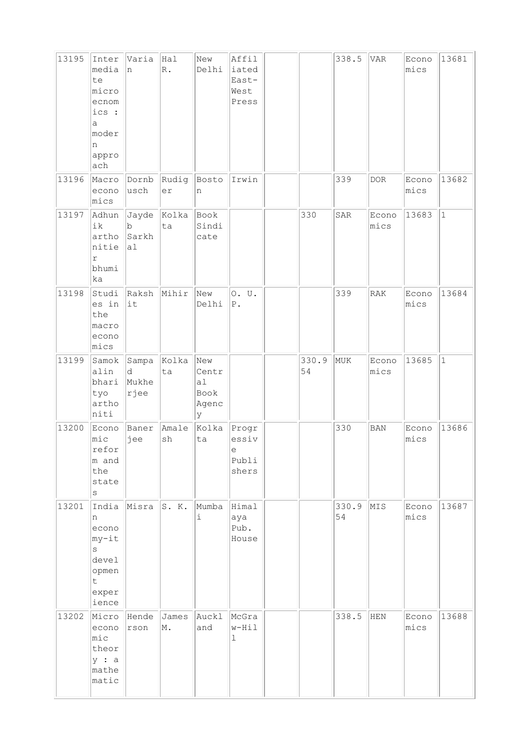| 13195 | Inter<br>media<br>te<br>micro<br>ecnom<br>ics :<br>a<br>moder<br>n<br>appro<br>ach | Varia<br>n                  | Hal<br>$\mathbb{R}$ . | New<br>Delhi                             | Affil<br>iated<br>East-<br>West<br>Press       |             | 338.5       | <b>VAR</b>    | Econo<br>mics | 13681     |
|-------|------------------------------------------------------------------------------------|-----------------------------|-----------------------|------------------------------------------|------------------------------------------------|-------------|-------------|---------------|---------------|-----------|
| 13196 | Macro<br>econo<br>mics                                                             | Dornb<br>usch               | Rudig<br>er           | Bosto<br>n                               | Irwin                                          |             | 339         | <b>DOR</b>    | Econo<br>mics | 13682     |
| 13197 | Adhun<br>ik<br>artho<br>nitie<br>$\Upsilon$<br>bhumi<br>ka                         | $\mathbf b$<br>Sarkh<br>al  | Jayde Kolka<br>ta     | Book<br>Sindi<br>cate                    |                                                | 330         | SAR         | Econo<br>mics | 13683         | $\vert$ 1 |
| 13198 | Studi<br>es in<br>the<br>macro<br>econo<br>mics                                    | Raksh<br>it                 | Mihir                 | New<br>Delhi                             | 0. U.<br>${\tt P}$ .                           |             | 339         | RAK           | Econo<br>mics | 13684     |
| 13199 | Samok<br>alin<br>bhari<br>tyo<br>artho<br>niti                                     | Sampa<br>d<br>Mukhe<br>rjee | Kolka<br>ta           | New<br>Centr<br>a1<br>Book<br>Agenc<br>У |                                                | 330.9<br>54 | MUK         | Econo<br>mics | 13685         | $\vert$ 1 |
| 13200 | Econo<br>$ $ mic<br>refor<br>m and<br>the<br>state<br>$\rm s$                      | Baner<br>jee                | Amale<br>sh           | Kolka<br>ta                              | Progr<br>essiv<br>$\epsilon$<br>Publi<br>shers |             | 330         | <b>BAN</b>    | Econo<br>mics | 13686     |
| 13201 | India<br>n<br>econo<br>my-it<br>$\rm s$<br>devel<br>opmen<br>t<br>exper<br>ience   | Misra                       | S. K.                 | Mumba<br>i                               | Himal<br>aya<br>Pub.<br>House                  |             | 330.9<br>54 | MIS           | Econo<br>mics | 13687     |
| 13202 | Micro<br>econo<br>mic<br>theor<br>y : a<br>mathe<br>matic                          | Hende<br>rson               | James<br>M.           | Auckl<br>and                             | McGra<br>w-Hil<br>1                            |             | 338.5       | HEN           | Econo<br>mics | 13688     |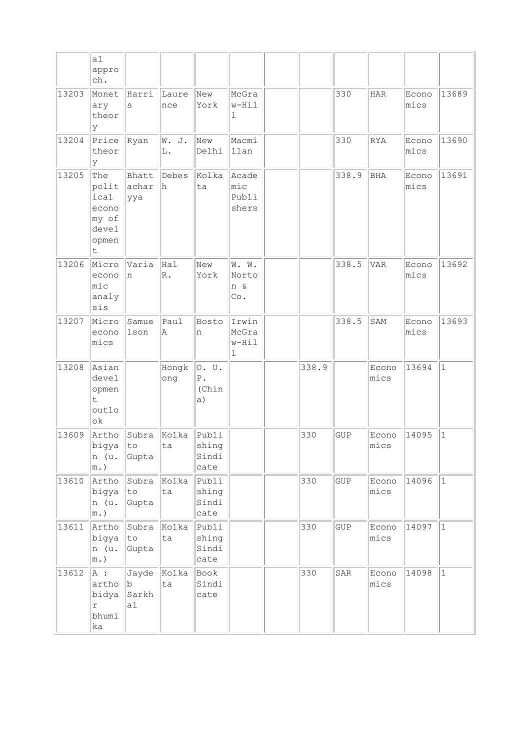|       | a1<br>appro<br>ch.                                             |                           |                      |                                     |                                          |       |             |               |               |              |
|-------|----------------------------------------------------------------|---------------------------|----------------------|-------------------------------------|------------------------------------------|-------|-------------|---------------|---------------|--------------|
| 13203 | Monet<br>ary<br>theor<br>У                                     | Harri<br>S                | Laure<br>nce         | New<br>York                         | McGra<br>w-Hil<br>1                      |       | 330         | <b>HAR</b>    | Econo<br>mics | 13689        |
| 13204 | Price<br>theor<br>У                                            | Ryan                      | W. J.<br>L.          | New<br>Delhi                        | Macmi<br>llan                            |       | 330         | RYA           | Econo<br>mics | 13690        |
| 13205 | The<br>polit<br>ical<br>econo<br>my of<br>devel<br>opmen<br>t. | Bhatt<br>achar<br>ууа     | Debes<br>h           | Kolka<br>ta                         | Acade<br>mic<br>Publi<br>shers           |       | 338.9       | <b>BHA</b>    | Econo<br>mics | 13691        |
| 13206 | Micro<br>econo<br>mic<br>analy<br>sis                          | Varia<br>n                | Hal<br>$\mathbb R$ . | New<br>York                         | W. W.<br>Norto<br>n &<br>Co.             |       | 338.5       | <b>VAR</b>    | Econo<br>mics | 13692        |
| 13207 | Micro<br>econo<br>mics                                         | Samue<br>lson             | Paul<br>Α            | Bosto<br>n                          | Irwin<br>McGra<br>$w-Hil$<br>$\mathbf 1$ |       | 338.5       | SAM           | Econo<br>mics | 13693        |
| 13208 | Asian<br>devel<br>opmen<br>t.<br>outlo<br>ok                   |                           | Hongk<br>ong         | 0. U.<br>${\bf P}$ .<br>(Chin<br>a) |                                          | 338.9 |             | Econo<br>mics | 13694         | $\mathbf{1}$ |
| 13609 | Artho<br>bigya<br>n (u.<br>$m.$ )                              | Subra<br>to<br>Gupta      | Kolka<br>ta          | Publi<br>shing<br>Sindi<br>cate     |                                          | 330   | <b>GUP</b>  | Econo<br>mics | 14095         | $\mathbf{1}$ |
| 13610 | Artho<br>bigya<br>n (u.<br>$m.$ )                              | Subra<br>to<br>Gupta      | Kolka<br>ta          | Publi<br>shing<br>Sindi<br>cate     |                                          | 330   | <b>GUP</b>  | Econo<br>mics | 14096         | $\vert$ 1    |
| 13611 | Artho<br>bigya<br>n (u.<br>$ m.$ )                             | Subra<br>to<br>Gupta      | Kolka<br>ta          | Publi<br>shing<br>Sindi<br>cate     |                                          | 330   | ${\tt GUP}$ | Econo<br>mics | 14097         | $ 1\rangle$  |
| 13612 | A :<br>artho<br>bidya<br>$\acute{\text{r}}$<br>bhumi<br>ka     | Jayde<br>b<br>Sarkh<br>al | Kolka<br>ta          | Book<br>Sindi<br>cate               |                                          | 330   | SAR         | Econo<br>mics | 14098         | $\vert$ 1    |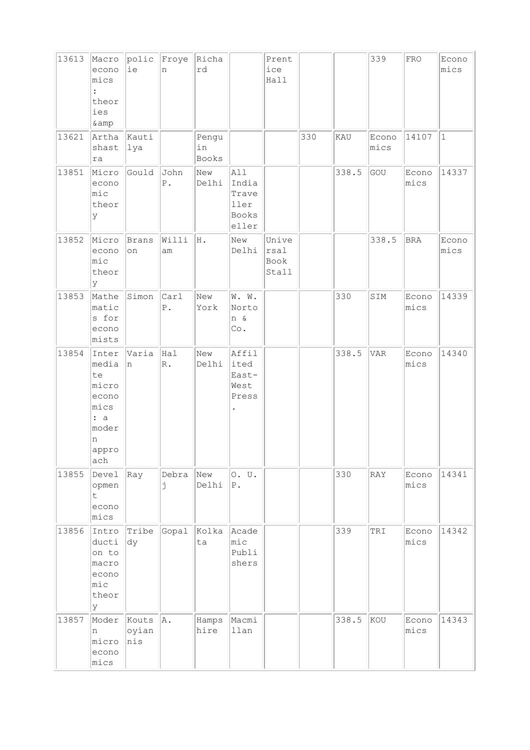| 13613 | Macro<br>econo<br>mics<br>$\ddot{\cdot}$<br>theor<br>ies<br>& amp                   | polic Froye<br>ie     | n                       | Richa<br>rd          |                                                 | Prent<br>ice<br>Hall           |     |       | 339           | FRO           | Econo<br>mics |
|-------|-------------------------------------------------------------------------------------|-----------------------|-------------------------|----------------------|-------------------------------------------------|--------------------------------|-----|-------|---------------|---------------|---------------|
| 13621 | Artha<br>shast<br>ra                                                                | Kauti<br>lya          |                         | Pengu<br>in<br>Books |                                                 |                                | 330 | KAU   | Econo<br>mics | 14107         | $\vert$ 1     |
| 13851 | Micro<br>econo<br>mic<br>theor<br>У                                                 | Gould                 | John<br>${\mathbb P}$ . | New<br>Delhi         | All<br>India<br>Trave<br>ller<br>Books<br>eller |                                |     | 338.5 | GOU           | Econo<br>mics | 14337         |
| 13852 | Micro<br>econo<br>mic<br>theor<br>У                                                 | Brans<br>on           | Willi<br>am             | Η.                   | New<br>Delhi                                    | Unive<br>rsal<br>Book<br>Stall |     |       | 338.5         | <b>BRA</b>    | Econo<br>mics |
| 13853 | Mathe<br>matic<br>s for<br>econo<br>mists                                           | Simon                 | Carl<br>${\mathbb P}$ . | New<br>York          | W. W.<br>Norto<br>n &<br>Co.                    |                                |     | 330   | SIM           | Econo<br>mics | 14339         |
| 13854 | Inter<br>media<br>te<br>micro<br>econo<br>mics<br>: a<br>moder<br>n<br>appro<br>ach | Varia<br>n            | Hal<br>$\mathbb{R}$ .   | New<br>Delhi         | Affil<br>ited<br>East-<br>West<br>Press         |                                |     | 338.5 | <b>VAR</b>    | Econo<br>mics | 14340         |
| 13855 | Devel<br>opmen<br>t.<br>econo<br>mics                                               | Ray                   | Debra<br>Ė              | New<br>Delhi         | 0. U.<br>Ρ.                                     |                                |     | 330   | RAY           | Econo<br>mics | 14341         |
| 13856 | Intro<br>ducti<br>on to<br>macro<br>econo<br>mic<br>theor<br>У                      | Tribe<br>dy           | Gopal                   | Kolka<br>ta          | Acade<br>$ {\tt mic} $<br>Publi<br>shers        |                                |     | 339   | TRI           | Econo<br>mics | 14342         |
| 13857 | Moder<br>n<br>micro<br>econo<br>mics                                                | Kouts<br>oyian<br>nis | A.                      | Hamps<br>hire        | Macmi<br>llan                                   |                                |     | 338.5 | kou           | Econo<br>mics | 14343         |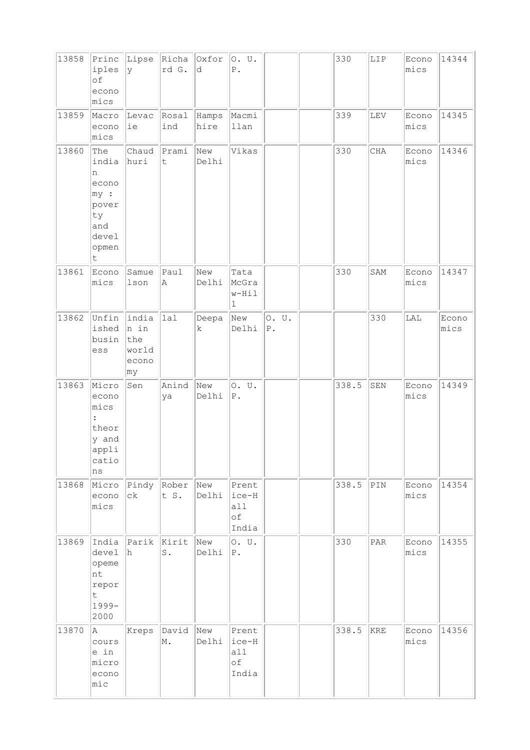| 13858 | Princ<br>iples<br>of<br>econo<br>mics                                          | Lipse<br>lу                                   | rd G.                       | Richa Oxfor<br>d | O. U.<br>${\mathbb P}$ .              |                          | 330   | LIP       | Econo<br>mics | 14344         |
|-------|--------------------------------------------------------------------------------|-----------------------------------------------|-----------------------------|------------------|---------------------------------------|--------------------------|-------|-----------|---------------|---------------|
| 13859 | Macro<br>econo<br>mics                                                         | Levac<br>ie                                   | Rosal<br>ind                | Hamps<br>hire    | Macmi<br>llan                         |                          | 339   | LEV       | Econo<br>mics | 14345         |
| 13860 | The<br>india<br>n<br>econo<br>my:<br>pover<br>ty<br>and<br>devel<br>opmen<br>t | Chaud<br>huri                                 | Prami<br>$\mathsf t$        | New<br>Delhi     | Vikas                                 |                          | 330   | $\rm CHA$ | Econo<br>mics | 14346         |
| 13861 | Econo<br>mics                                                                  | Samue<br>lson                                 | Paul<br>Α                   | New<br>Delhi     | Tata<br>McGra<br>w-Hil<br>$\mathbf 1$ |                          | 330   | SAM       | Econo<br>mics | 14347         |
| 13862 | Unfin<br>ished<br>busin<br>ess                                                 | india<br>n in<br>the<br>world<br>econo<br> my | lal                         | Deepa<br>k       | New<br>Delhi                          | 0. U.<br>${\mathbb P}$ . |       | 330       | LAL           | Econo<br>mics |
| 13863 | Micro<br>econo<br>mics<br>:<br>theor<br>y and<br>appli<br>catio<br>ns          | Sen                                           | Anind<br>ya                 | New<br>Delhi     | 0. U.<br>${\tt P}$ .                  |                          | 338.5 | SEN       | Econo<br>mics | 14349         |
| 13868 | Micro<br>econo<br>mics                                                         | $c\,k$                                        | Pindy Rober New<br>t S.     | Delhi            | Prent<br>ice-H<br>all<br>of<br>India  |                          | 338.5 | PIN       | Econo<br>mics | 14354         |
| 13869 | India<br>devel<br>opeme<br>nt<br>repor<br>$\sf t$<br>1999-<br>2000             | Parik<br>h.                                   | Kirit New<br>$\texttt{S}$ . | Delhi            | 0. U.<br>$P$ .                        |                          | 330   | PAR       | Econo<br>mics | 14355         |
| 13870 | A<br>cours<br>e in<br>micro<br>econo<br>mic                                    | Kreps                                         | David New<br>M.             | Delhi            | Prent<br>ice-H<br>all<br>of<br>India  |                          | 338.5 | KRE       | Econo<br>mics | 14356         |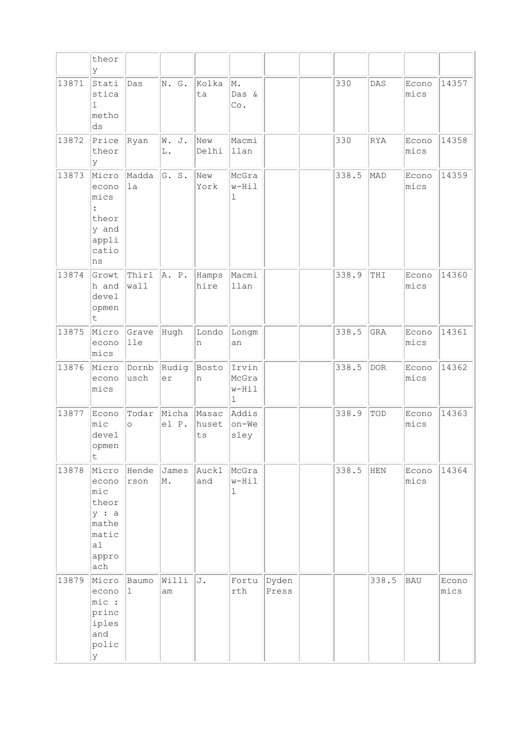|       | theor<br>У                                                                                 |                      |                      |               |                                          |                |       |            |               |               |
|-------|--------------------------------------------------------------------------------------------|----------------------|----------------------|---------------|------------------------------------------|----------------|-------|------------|---------------|---------------|
| 13871 | Stati<br>stica<br>$\mathbf 1$<br>metho<br>ds                                               | Das                  | N. G.                | Kolka<br>ta   | M.<br>Das &<br>Co.                       |                | 330   | DAS        | Econo<br>mics | 14357         |
| 13872 | Price<br>theor<br>У                                                                        | Ryan                 | W. J.<br>L.          | New<br>Delhi  | Macmi<br>llan                            |                | 330   | RYA        | Econo<br>mics | 14358         |
| 13873 | Micro<br>econo<br>mics<br>$\ddot{\cdot}$<br>theor<br>y and<br>appli<br>catio<br>ns         | Madda<br>1a          | G. S.                | New<br>York   | McGra<br>$w-Hi1$<br>1                    |                | 338.5 | MAD        | Econo<br>mics | 14359         |
| 13874 | Growt<br>h and<br>devel<br>opmen<br>t                                                      | Thirl<br>wall        | A. P.                | Hamps<br>hire | Macmi<br>llan                            |                | 338.9 | THI        | Econo<br>mics | 14360         |
| 13875 | Micro<br>econo<br>mics                                                                     | Grave<br> 11e        | Hugh                 | Londo<br>n    | Longm<br>an                              |                | 338.5 | GRA        | Econo<br>mics | 14361         |
| 13876 | Micro<br>econo<br>mics                                                                     | Dornb<br>usch        | Rudig<br>er          | Bosto<br>n    | Irvin<br>McGra<br>$w-Hi1$<br>$\mathbf 1$ |                | 338.5 | <b>DOR</b> | Econo<br>mics | 14362         |
| 13877 | Econo<br>mic<br>devel<br>opmen<br>t                                                        | Todar<br>$\circ$     | Micha Masac<br>el P. | huset<br>ts   | Addis<br>on-We<br>sley                   |                | 338.9 | TOD        | Econo<br>mics | 14363         |
| 13878 | Micro<br>econo<br>$\mathtt{mic}$<br>theor<br>y : a<br>mathe<br>matic<br>a1<br>appro<br>ach | Hende<br>rson        | James<br>Μ.          | Auckl<br>and  | McGra<br>w-Hil<br>$\mathbf 1$            |                | 338.5 | <b>HEN</b> | Econo<br>mics | 14364         |
| 13879 | Micro<br>econo<br>mic :<br>princ<br>iples<br>and<br>polic<br>У                             | Baumo<br>$\mathbf 1$ | Willi<br>am          | J.            | Fortu<br>rth                             | Dyden<br>Press |       | 338.5      | <b>BAU</b>    | Econo<br>mics |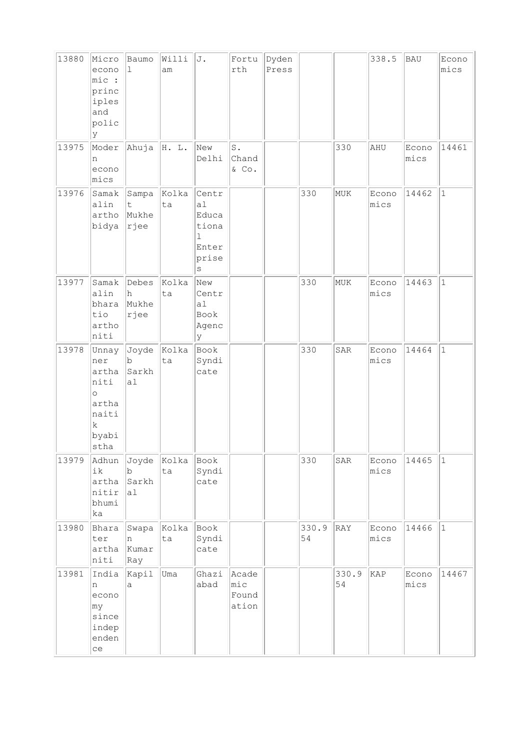| 13880 | Micro<br>econo<br>mic :<br>princ<br>iples<br>and<br>polic<br>lУ                            | Baumo<br>$\mathbf{1}$                  | Willi<br>am       | J.                                                                         | Fortu<br>rth                      | Dyden<br>Press |             |             | 338.5         | <b>BAU</b>    | Econo<br>mics |
|-------|--------------------------------------------------------------------------------------------|----------------------------------------|-------------------|----------------------------------------------------------------------------|-----------------------------------|----------------|-------------|-------------|---------------|---------------|---------------|
| 13975 | Moder<br>n<br>econo<br>mics                                                                | Ahuja                                  | H. L.             | New<br>Delhi                                                               | $\mathbbm{S}$ .<br>Chand<br>& Co. |                |             | 330         | AHU           | Econo<br>mics | 14461         |
| 13976 | Samak<br>alin<br>artho<br>bidya                                                            | Sampa<br>$\mathsf{t}$<br>Mukhe<br>rjee | Kolka<br>ta       | Centr<br>a1<br>Educa<br>tiona<br>$\mathbf{1}$<br>Enter<br>prise<br>$\rm S$ |                                   |                | 330         | MUK         | Econo<br>mics | 14462         | $\vert$ 1     |
| 13977 | Samak<br>alin<br>bhara<br>tio<br>artho<br>niti                                             | Debes<br>h<br>Mukhe<br>rjee            | Kolka<br>ta       | New<br>Centr<br>a1<br>Book<br>Agenc<br>У                                   |                                   |                | 330         | MUK         | Econo<br>mics | 14463         | $\mathbf{1}$  |
| 13978 | Unnay<br>ner<br>artha<br>niti<br>$\circ$<br>artha<br>naiti<br>$\mathbf k$<br>byabi<br>stha | Joyde<br>b<br>Sarkh<br>a1              | Kolka<br>ta       | Book<br>Syndi<br>cate                                                      |                                   |                | 330         | SAR         | Econo<br>mics | 14464         | $\vert$ 1     |
| 13979 | Adhun<br>ik<br>artha<br>nitir<br>bhumi<br>ka                                               | Joyde<br>$\mathbf b$<br>Sarkh<br> a    | Kolka<br>ta       | Book<br>Syndi<br>cate                                                      |                                   |                | 330         | SAR         | Econo<br>mics | 14465         | $\vert$ 1     |
| 13980 | Bhara<br>ter<br>artha<br>niti                                                              | n<br>Kumar<br>Ray                      | Swapa Kolka<br>ta | Book<br>Syndi<br>cate                                                      |                                   |                | 330.9<br>54 | RAY         | Econo<br>mics | 14466         | $ 1\rangle$   |
| 13981 | India<br>n<br>econo<br>my<br>since<br>indep<br>enden<br>ce                                 | Kapil<br>a                             | Uma               | Ghazi<br>abad                                                              | Acade<br>mic<br>Found<br>ation    |                |             | 330.9<br>54 | KAP           | Econo<br>mics | 14467         |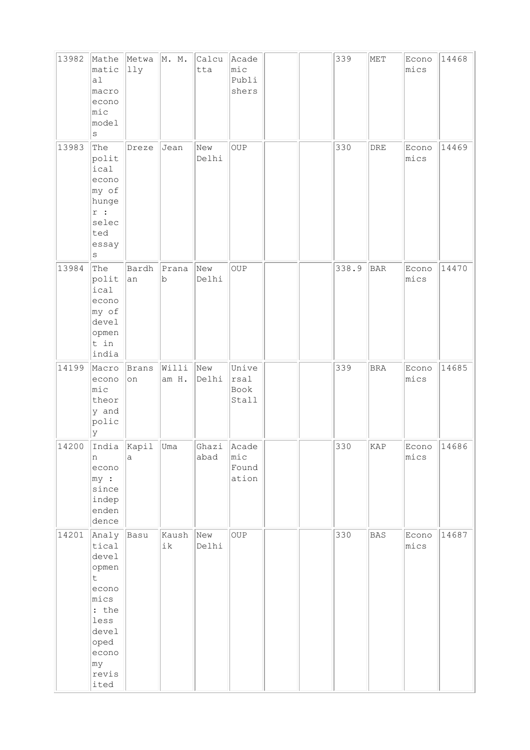| 13982 | Mathe<br>matic<br>a1<br>macro<br>econo<br>$ $ mic<br>model<br>$\rm s$                                                       | Metwa<br>lly         | M. M.          | Calcu<br>tta  | Acade<br>$ $ mic<br>Publi<br>shers |  | 339   | MET        | Econo<br>mics | 14468 |
|-------|-----------------------------------------------------------------------------------------------------------------------------|----------------------|----------------|---------------|------------------------------------|--|-------|------------|---------------|-------|
| 13983 | The<br>polit<br>ical<br>econo<br>my of<br>hunge<br>r :<br>selec<br>ted<br>essay<br>S                                        | Dreze                | Jean           | New<br>Delhi  | $_{\rm OUP}$                       |  | 330   | DRE        | Econo<br>mics | 14469 |
| 13984 | The<br>polit<br>ical<br>econo<br>my of<br>devel<br>opmen<br>t in<br>india                                                   | Bardh<br>an          | Prana<br>b     | New<br>Delhi  | OUP                                |  | 338.9 | <b>BAR</b> | Econo<br>mics | 14470 |
| 14199 | Macro<br>econo<br>mic<br>theor<br>y and<br>polic<br>У                                                                       | <b>Brans</b><br>on   | Willi<br>am H. | New<br>Delhi  | Unive<br>rsal<br>Book<br>Stall     |  | 339   | <b>BRA</b> | Econo<br>mics | 14685 |
| 14200 | India<br>n<br>econo<br>$ my $ :<br>since<br>indep<br>enden<br>dence                                                         | Kapil<br>$\mathsf a$ | Uma            | Ghazi<br>abad | Acade<br>mic<br>Found<br>ation     |  | 330   | KAP        | Econo<br>mics | 14686 |
| 14201 | Analy<br>tical<br>devel<br>opmen<br>t.<br>econo<br>mics<br>: the<br>less<br>devel<br>oped<br>econo<br> my <br>revis<br>ited | Basu                 | Kaush<br>ik    | New<br>Delhi  | OUP                                |  | 330   | <b>BAS</b> | Econo<br>mics | 14687 |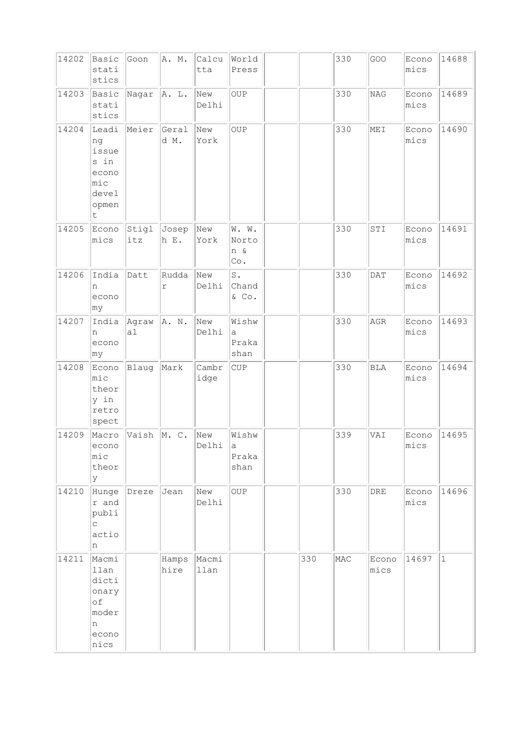| 14202 | Basic<br>stati<br>stics                                                           | Goon         | A. M.               | Calcu<br>tta  | World<br>Press                               |     | 330 | GOO            | Econo<br>mics | 14688        |
|-------|-----------------------------------------------------------------------------------|--------------|---------------------|---------------|----------------------------------------------|-----|-----|----------------|---------------|--------------|
| 14203 | Basic<br>stati<br>stics                                                           | Nagar        | A. L.               | New<br>Delhi  | OUP                                          |     | 330 | NAG            | Econo<br>mics | 14689        |
| 14204 | Leadi<br>ng<br>issue<br>s in<br>econo<br>$ $ mic<br>devel<br>opmen<br>$\mathsf t$ | Meier        | Geral<br>d M.       | New<br>York   | OUP                                          |     | 330 | MEI            | Econo<br>mics | 14690        |
| 14205 | Econo<br>mics                                                                     | Stigl<br>itz | Josep<br>h E.       | New<br>York   | W. W.<br>Norto<br>n &<br>$\mathbb{C}\circ$ . |     | 330 | STI            | Econo<br>mics | 14691        |
| 14206 | India<br>n<br>econo<br>∣my                                                        | Datt         | Rudda<br>$\Upsilon$ | New<br>Delhi  | s.<br>Chand<br>& Co.                         |     | 330 | DATA           | Econo<br>mics | 14692        |
| 14207 | India<br>n<br>econo<br>∣my                                                        | Agraw<br>a1  | A. N.               | New<br>Delhi  | Wishw<br>a<br>Praka<br>shan                  |     | 330 | $\mathbb{AGR}$ | Econo<br>mics | 14693        |
| 14208 | Econo<br>$ $ mic<br>theor<br>y in<br>retro<br>spect                               | Blaug        | Mark                | Cambr<br>idge | <b>CUP</b>                                   |     | 330 | <b>BLA</b>     | Econo<br>mics | 14694        |
| 14209 | Macro<br>econo<br>mic<br>theor<br>У                                               | Vaish        | M. C.               | New<br>Delhi  | Wishw<br>а<br>Praka<br>shan                  |     | 339 | VAI            | Econo<br>mics | 14695        |
| 14210 | Hunge<br>r and<br>publi<br>$\mathsf{C}$<br>actio<br>n                             | Dreze        | Jean                | New<br>Delhi  | OUP                                          |     | 330 | DRE            | Econo<br>mics | 14696        |
| 14211 | Macmi<br>llan<br>dicti<br>onary<br>of<br>moder<br>n<br>econo<br>nics              |              | Hamps<br>hire       | Macmi<br>llan |                                              | 330 | MAC | Econo<br>mics  | 14697         | $\mathbf{1}$ |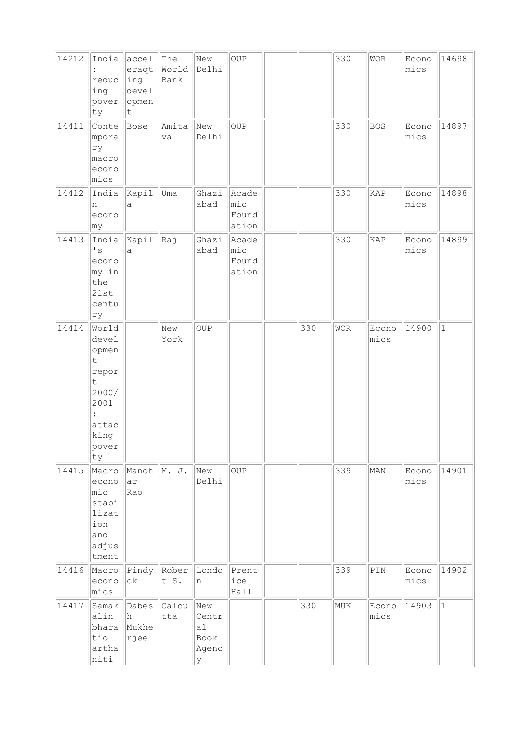| 14212 | India<br>reduc<br>ing<br>pover<br>ty                                                                                                    | accel<br>eraqt<br>ing<br>devel<br>opmen<br>t | The<br>World<br>Bank | New<br>Delhi                             | $_{\rm OUP}$                       |     | 330 | <b>WOR</b>     | Econo<br>mics | 14698       |
|-------|-----------------------------------------------------------------------------------------------------------------------------------------|----------------------------------------------|----------------------|------------------------------------------|------------------------------------|-----|-----|----------------|---------------|-------------|
| 14411 | Conte<br>mpora<br>ry<br>macro<br>econo<br>mics                                                                                          | Bose                                         | Amita<br>va          | New<br>Delhi                             | OUP                                |     | 330 | <b>BOS</b>     | Econo<br>mics | 14897       |
| 14412 | India<br>n<br>econo<br>∣my                                                                                                              | Kapil<br>a                                   | Uma                  | Ghazi<br>abad                            | Acade<br>$ $ mic<br>Found<br>ation |     | 330 | KAP            | Econo<br>mics | 14898       |
| 14413 | India<br>$\mathbf{F}$<br>econo<br>my in<br>the<br>21st<br>centu<br>ry                                                                   | Kapil<br>a                                   | Raj                  | Ghazi<br>abad                            | Acade<br>$ $ mic<br>Found<br>ation |     | 330 | KAP            | Econo<br>mics | 14899       |
| 14414 | World<br>devel<br>opmen<br>$\mathsf t$<br>repor<br>$\mathsf t$<br>2000/<br>2001<br>$\ddot{\phantom{a}}$<br>attac<br>king<br>pover<br>ty |                                              | New<br>York          | <b>OUP</b>                               |                                    | 330 | WOR | Econo<br>mics  | 14900         | $\vert$ 1   |
| 14415 | Macro<br>econo<br>mic<br>stabi<br>lizat<br>ion<br>and<br>adjus<br>tment                                                                 | Manoh M. J.<br>ar<br>Rao                     |                      | New<br>Delhi                             | OUP                                |     | 339 | MAN            | Econo<br>mics | 14901       |
| 14416 | Macro<br>econo<br>mics                                                                                                                  | Pindy<br>сk                                  | Rober<br>t S.        | Londo<br>n                               | Prent<br>ice<br>Hall               |     | 339 | $\texttt{PIN}$ | Econo<br>mics | 14902       |
| 14417 | Samak<br>alin<br>bhara<br>tio<br>artha<br>niti                                                                                          | Dabes<br>h.<br>Mukhe<br>rjee                 | Calcu<br>tta         | New<br>Centr<br>a1<br>Book<br>Agenc<br>У |                                    | 330 | MUK | Econo<br>mics  | 14903         | $ 1\rangle$ |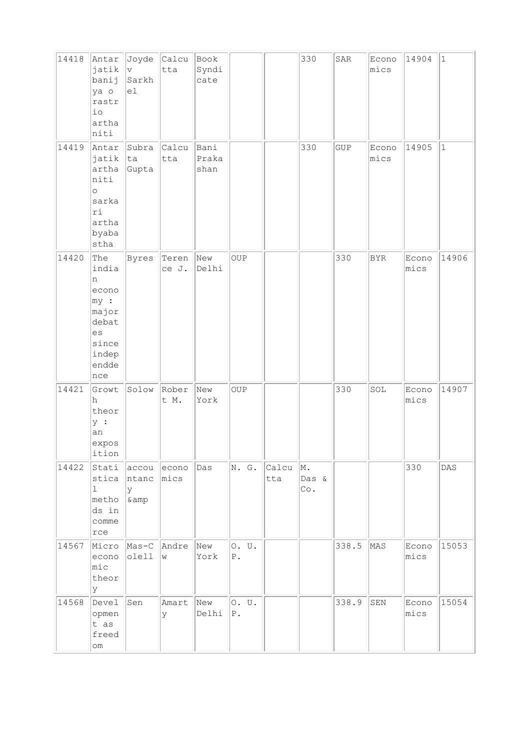| 14418 | Antar<br>jatik<br>banij<br>ya o<br>rastr<br>$\rm i\, \rm o$<br>artha<br>niti                     | $\rm v$<br>Sarkh<br>el       | Joyde Calcu<br>tta      | Book<br>Syndi<br>cate |                      |              | 330                | SAR   | Econo<br>mics | 14904         | 1           |
|-------|--------------------------------------------------------------------------------------------------|------------------------------|-------------------------|-----------------------|----------------------|--------------|--------------------|-------|---------------|---------------|-------------|
| 14419 | Antar<br>jatik<br>artha<br>niti<br>$\circ$<br>sarka<br>ri<br>artha<br>byaba<br>stha              | Subra<br> ta<br>Gupta        | Calcu<br>tta            | Bani<br>Praka<br>shan |                      |              | 330                | GUP   | Econo<br>mics | 14905         | $ 1\rangle$ |
| 14420 | The<br>india<br>n<br>econo<br>$ my $ :<br>major<br>debat<br>es<br>since<br>indep<br>endde<br>nce | Byres                        | Teren<br>ce J.          | New<br>Delhi          | <b>OUP</b>           |              |                    | 330   | <b>BYR</b>    | Econo<br>mics | 14906       |
| 14421 | Growt<br>h<br>theor<br>y :<br>an<br>expos<br>ition                                               | Solow                        | Rober<br>t M.           | New<br>York           | OUP                  |              |                    | 330   | SOL           | Econo<br>mics | 14907       |
| 14422 | Stati<br>stica<br>$\mathbf 1$<br>metho<br>ds in<br>comme<br>rce                                  | accou<br>ntanc<br>У<br>& amp | econo<br>$ {\tt mics} $ | Das                   | N. G.                | Calcu<br>tta | M.<br>Das &<br>Co. |       |               | 330           | DAS         |
| 14567 | Micro<br>econo<br>$ $ mic<br>theor<br>Y                                                          | $Mas-C$<br>olell             | Andre<br>W              | New<br>York           | 0. U.<br>${\tt P}$ . |              |                    | 338.5 | MAS           | Econo<br>mics | 15053       |
| 14568 | Devel<br>opmen<br>t as<br>freed<br>$\circlearrowright$                                           | Sen                          | Amart<br>У              | New<br>Delhi          | 0. U.<br>${\tt P}$ . |              |                    | 338.9 | SEN           | Econo<br>mics | 15054       |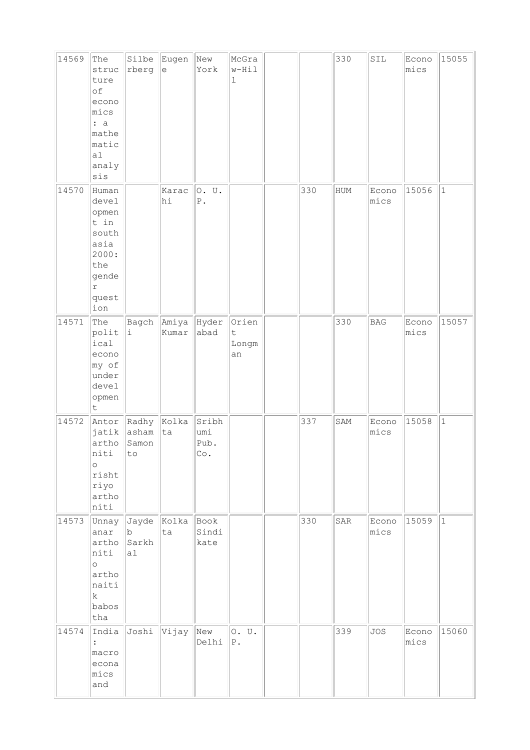| 14569 | The<br>struc<br>ture<br>of<br>econo<br>mics<br>: a<br>mathe<br>matic<br>a1<br>analy<br>sis              | rberg                                    | Silbe Eugen<br>$\epsilon$ | New<br>York                                 | McGra<br>w-Hil<br>$\mathbf 1$       |     | 330 | SIL           | Econo<br>mics | 15055       |
|-------|---------------------------------------------------------------------------------------------------------|------------------------------------------|---------------------------|---------------------------------------------|-------------------------------------|-----|-----|---------------|---------------|-------------|
| 14570 | Human<br>devel<br>opmen<br>t in<br>south<br>asia<br>2000:<br>the<br>gende<br>$\Upsilon$<br>quest<br>ion |                                          | Karac<br>hi               | 0. U.<br>${\mathbb P}$ .                    |                                     | 330 | HUM | Econo<br>mics | 15056         | $\vert$ 1   |
| 14571 | The<br>polit<br>ical<br>econo<br>my of<br>under<br>devel<br>opmen<br>$\sf t$                            | Bagch<br>i                               | Amiya Hyder<br>Kumar      | abad                                        | Orien<br>$\mathsf t$<br>Longm<br>an |     | 330 | BAG           | Econo<br>mics | 15057       |
| 14572 | Antor<br>jatik<br>artho<br>niti<br>$\circ$<br>risht<br>riyo<br>artho<br>niti                            | Radhy<br>asham<br>Samon<br>$\texttt{to}$ | $ $ Kolka<br>ta           | Sribh<br>umi<br>Pub.<br>$\mathbb{C}\circ$ . |                                     | 337 | SAM | Econo<br>mics | 15058         | $ 1\rangle$ |
| 14573 | Unnay<br>anar<br>artho<br>niti<br>$\circ$<br>artho<br>naiti<br>$\mathbf k$<br>babos<br>tha              | Jayde<br>b<br>Sarkh<br>a1                | Kolka<br>ta               | Book<br>Sindi<br>kate                       |                                     | 330 | SAR | Econo<br>mics | 15059         | $ 1\rangle$ |
| 14574 | India<br>$\ddot{\cdot}$<br>macro<br>econa<br>mics<br>and                                                | Joshi                                    | Vijay                     | New<br>Delhi                                | 0. U.<br>${\bf P}$ .                |     | 339 | <b>JOS</b>    | Econo<br>mics | 15060       |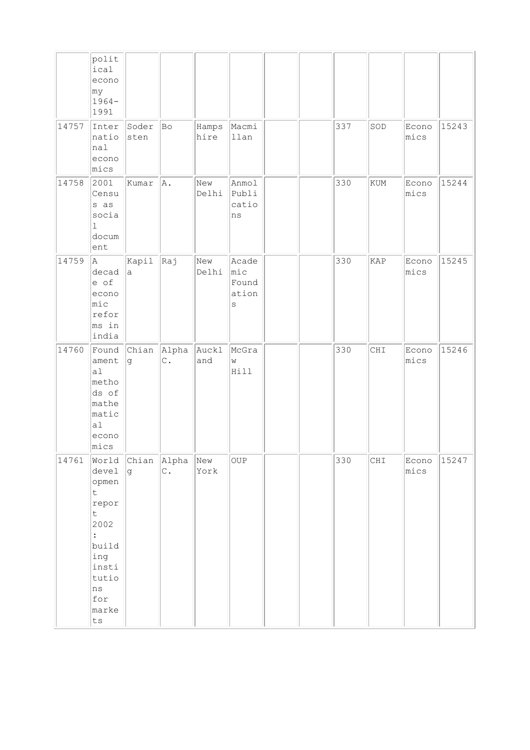|       | polit<br>ical<br>econo<br> my <br>$1964-$<br>1991                                                                                                                          |                    |                         |               |                                                     |  |     |     |               |       |
|-------|----------------------------------------------------------------------------------------------------------------------------------------------------------------------------|--------------------|-------------------------|---------------|-----------------------------------------------------|--|-----|-----|---------------|-------|
| 14757 | Inter<br>natio<br>nal<br>econo<br>mics                                                                                                                                     | Soder<br>sten      | Bo                      | Hamps<br>hire | Macmi<br>llan                                       |  | 337 | SOD | Econo<br>mics | 15243 |
| 14758 | 2001<br>Censu<br>s as<br>socia<br>$\mathbf{1}$<br>docum<br>ent                                                                                                             | Kumar              | A.                      | New<br>Delhi  | Anmol<br>Publi<br>catio<br>ns                       |  | 330 | KUM | Econo<br>mics | 15244 |
| 14759 | A<br>decad<br>e of<br>econo<br>mic<br>refor<br>ms in<br>india                                                                                                              | Kapil<br>a         | Raj                     | New<br>Delhi  | Acade<br>$ {\tt mic} $<br>Found<br>ation<br>$\rm S$ |  | 330 | KAP | Econo<br>mics | 15245 |
| 14760 | Found<br>ament<br> a <br>metho<br>ds of<br>mathe<br>matic<br> a <br>econo<br>mics                                                                                          | Chian<br>lg.       | Alpha<br>$\mathsf{C}$ . | Auckl<br>and  | McGra<br>W<br>Hill                                  |  | 330 | CHI | Econo<br>mics | 15246 |
| 14761 | World<br>devel<br>opmen<br>$\mathsf t$<br>repor<br>$\mathsf t$<br>2002<br>$\ddot{\cdot}$<br>build<br>ing<br>insti<br>tutio<br>ns<br>for<br>marke<br>$\mathop{\mathtt{ts}}$ | Chian Alpha<br>lg. | $\infty$ .              | New<br>York   | OUP                                                 |  | 330 | CHI | Econo<br>mics | 15247 |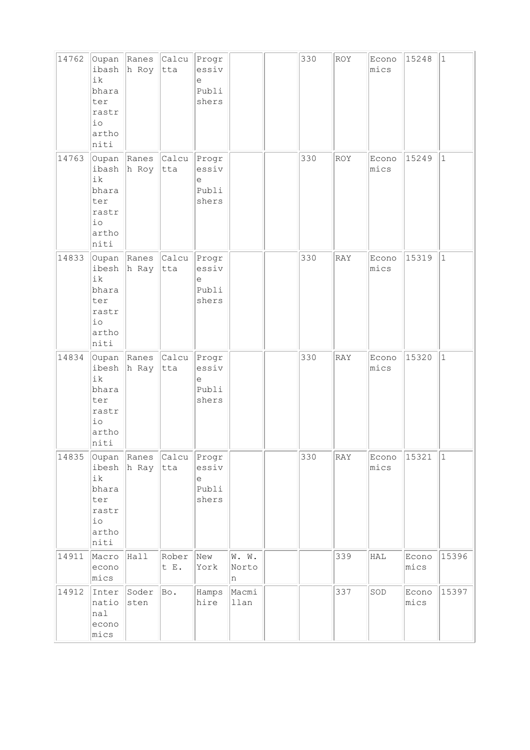| 14762 | Oupan<br>ibash<br>ik<br>bhara<br>ter<br>rastr<br>io<br>artho<br>niti          | Ranes Calcu<br>h Roy       | tta              | Progr<br>essiv<br>e<br>Publi<br>shers       |                     | 330 | ROY        | Econo<br>mics | 15248         | $ 1\rangle$ |
|-------|-------------------------------------------------------------------------------|----------------------------|------------------|---------------------------------------------|---------------------|-----|------------|---------------|---------------|-------------|
| 14763 | ibash<br>ik<br>bhara<br>ter<br>rastr<br>$\rm i\, \rm o$<br>artho<br>niti      | Oupan Ranes<br>h Roy       | Calcu<br>tta     | Progr<br>essiv<br>$\rm e$<br>Publi<br>shers |                     | 330 | ROY        | Econo<br>mics | 15249         | $\vert$ 1   |
| 14833 | Oupan Ranes<br>ibesh<br>ik<br>bhara<br>ter<br>rastr<br>io<br>artho<br>niti    | h Ray                      | $ $ Calcu<br>tta | Progr<br>essiv<br>e<br>Publi<br>shers       |                     | 330 | <b>RAY</b> | Econo<br>mics | 15319         | $\vert$ 1   |
| 14834 | ibesh<br>ik<br>bhara<br>ter<br>rastr<br>$\rm i\, \rm o$<br>artho<br>niti      | Oupan Ranes Calcu<br>h Ray | tta              | Progr<br>essiv<br>$\in$<br>Publi<br>shers   |                     | 330 | RAY        | Econo<br>mics | 15320         | $\vert$ 1   |
| 14835 | Oupan<br>ibesh<br>ik<br>bhara<br>ter<br>rastr<br>$\rm i\, o$<br>artho<br>niti | Ranes<br>h Ray             | Calcu<br>tta     | Progr<br>essiv<br>e<br>Publi<br>shers       |                     | 330 | RAY        | Econo<br>mics | 15321         | $\vert$ 1   |
| 14911 | Macro<br>econo<br>mics                                                        | Hall                       | Rober<br>t E.    | New<br>York                                 | W. W.<br>Norto<br>n |     | 339        | ${\tt HAL}$   | Econo<br>mics | 15396       |
| 14912 | Inter<br>natio<br>nal<br>econo<br>mics                                        | Soder<br>sten              | Bo.              | Hamps<br>hire                               | Macmi<br>llan       |     | 337        | SOD           | Econo<br>mics | 15397       |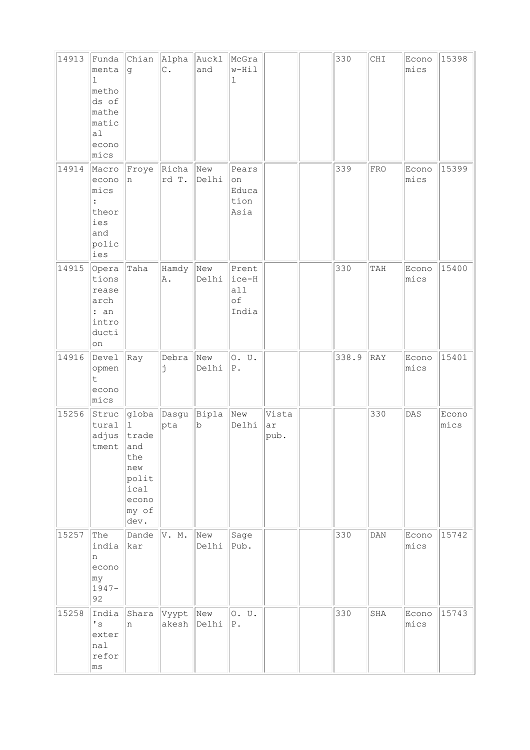| 14913 | Funda<br>menta<br>1<br>metho<br>ds of<br>mathe<br>matic<br>a1<br>econo<br>mics | Chian<br>g                                                                                      | Alpha<br>$\mathsf{C}$ . | Auckl<br>and | McGra<br>$w-Hil$<br>$\mathbf 1$      |                     | 330   | CHI            | Econo<br>mics | 15398         |
|-------|--------------------------------------------------------------------------------|-------------------------------------------------------------------------------------------------|-------------------------|--------------|--------------------------------------|---------------------|-------|----------------|---------------|---------------|
| 14914 | Macro<br>econo<br>mics<br>theor<br>ies<br>and<br>polic<br>ies                  | Froye<br>n                                                                                      | Richa<br>rd T.          | New<br>Delhi | Pears<br>on<br>Educa<br>tion<br>Asia |                     | 339   | <b>FRO</b>     | Econo<br>mics | 15399         |
| 14915 | Opera<br>tions<br>rease<br>arch<br>: an<br>intro<br>ducti<br>on                | Taha                                                                                            | Hamdy<br>Α.             | New<br>Delhi | Prent<br>ice-H<br>all<br>оf<br>India |                     | 330   | TAH            | Econo<br>mics | 15400         |
| 14916 | Devel<br>opmen<br>t<br>econo<br>mics                                           | Ray                                                                                             | Debra<br>j              | New<br>Delhi | 0. U.<br>${\bf P}$ .                 |                     | 338.9 | RAY            | Econo<br>mics | 15401         |
| 15256 | Struc<br>tural<br>adjus<br>tment                                               | globa Dasgu<br>$\perp$<br>trade<br>and<br>the<br>new<br>polit<br>ical<br>econo<br>my of<br>dev. | pta                     | Bipla<br>b   | New<br>Delhi                         | Vista<br>ar<br>pub. |       | 330            | DAS           | Econo<br>mics |
| 15257 | The<br>india<br>n<br>econo<br>my<br>$1947 -$<br>92                             | Dande<br>kar                                                                                    | V. M.                   | New<br>Delhi | Sage<br>Pub.                         |                     | 330   | $\texttt{DAN}$ | Econo<br>mics | 15742         |
| 15258 | India<br>$\mathbf{I}$ s<br>exter<br>nal<br>refor<br>$ \text{ms} $              | Shara<br>n                                                                                      | Vyypt<br>akesh          | New<br>Delhi | 0. U.<br>${\bf P}$ .                 |                     | 330   | SHA            | Econo<br>mics | 15743         |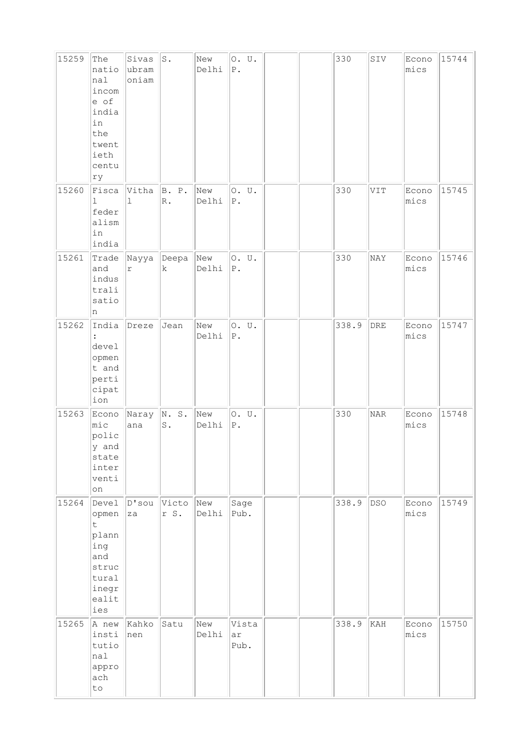| 15259 | The<br>natio<br>nal<br>incom<br>e of<br>india<br>in<br>the<br>twent<br>ieth<br>centu<br>ry | Sivas<br>ubram<br>oniam | $\mathtt{S}$ .         | New<br>Delhi | ${\mathbb P}$ . | 0. U.         |  | 330   | SIV         | Econo<br>mics | 15744 |
|-------|--------------------------------------------------------------------------------------------|-------------------------|------------------------|--------------|-----------------|---------------|--|-------|-------------|---------------|-------|
| 15260 | Fisca<br>$\mathbf{1}$<br>feder<br>alism<br>in<br>india                                     | Vitha<br>$\mathbf 1$    | B. P.<br>$\mathbb R$ . | New<br>Delhi | $P$ .           | 0. U.         |  | 330   | VIT         | Econo<br>mics | 15745 |
| 15261 | Trade<br>and<br>indus<br>trali<br>satio<br>n                                               | Nayya<br>$\mathtt{r}$   | $\vert$ Deepa<br>k     | New<br>Delhi | ${\mathbb P}$ . | 0. U.         |  | 330   | NAY         | Econo<br>mics | 15746 |
| 15262 | India<br>devel<br>opmen<br>t and<br>perti<br>cipat<br>ion                                  | Dreze                   | Jean                   | New<br>Delhi | ${\mathbb P}$ . | 0. U.         |  | 338.9 | ${\tt DRE}$ | Econo<br>mics | 15747 |
| 15263 | Econo<br>mic<br>polic<br>y and<br>state<br>inter<br>venti<br>on                            | Naray<br>ana            | N.S.<br>${\tt S}$ .    | New<br>Delhi | ${\mathbb P}$ . | 0. U.         |  | 330   | <b>NAR</b>  | Econo<br>mics | 15748 |
| 15264 | Devel<br>opmen<br>t.<br>plann<br>ing<br>and<br>struc<br>tural<br>inegr<br>ealit<br>ies     | $ D$ 'sou<br>za         | Victo<br>r S.          | New<br>Delhi |                 | Sage<br>Pub.  |  | 338.9 | <b>DSO</b>  | Econo<br>mics | 15749 |
| 15265 | A new<br>insti<br>tutio<br>nal<br>appro<br>ach<br>to                                       | Kahko<br>nen            | Satu                   | New<br>Delhi | ar              | Vista<br>Pub. |  | 338.9 | KAH         | Econo<br>mics | 15750 |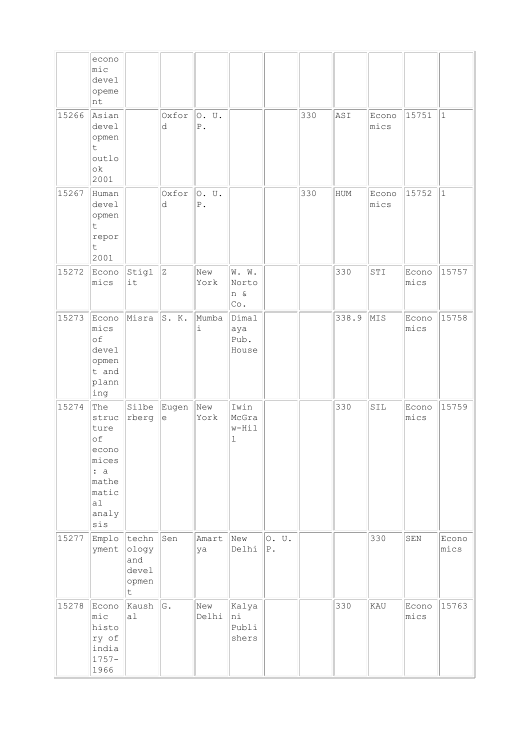|       | econo<br>mic<br>devel<br>opeme<br>nt                                                        |                                              |             |                              |                               |                |     |       |               |               |               |
|-------|---------------------------------------------------------------------------------------------|----------------------------------------------|-------------|------------------------------|-------------------------------|----------------|-----|-------|---------------|---------------|---------------|
| 15266 | Asian<br>devel<br>opmen<br>$\mathsf t$<br>outlo<br>ok<br>2001                               |                                              | Oxfor<br>d  | O. U.<br>${\mathbb P}$ .     |                               |                | 330 | ASI   | Econo<br>mics | 15751         | $\vert$ 1     |
| 15267 | Human<br>devel<br>opmen<br>t<br>repor<br>t<br>2001                                          |                                              | Oxfor<br>d  | 0. U.<br>${\mathbb P}$ .     |                               |                | 330 | HUM   | Econo<br>mics | 15752         | $\mathbf{1}$  |
| 15272 | Econo<br>mics                                                                               | Stigl<br>it                                  | Z           | New<br>York                  | W. W.<br>Norto<br>n &<br>Co.  |                |     | 330   | STI           | Econo<br>mics | 15757         |
| 15273 | Econo<br>mics<br>of<br>devel<br>opmen<br>t and<br>plann<br>ing                              | Misra                                        | S. K.       | Mumba<br>$\dot{\mathbbm{1}}$ | Dimal<br>aya<br>Pub.<br>House |                |     | 338.9 | MIS           | Econo<br>mics | 15758         |
| 15274 | The<br>struc<br>ture<br>of<br>econo<br>mices<br>: a<br>mathe<br>matic<br>a1<br>analy<br>sis | Silbe<br>rberg                               | Eugen<br>le | New<br>York                  | Iwin<br>McGra<br>w-Hil<br>ı   |                |     | 330   | SIL           | Econo<br>mics | 15759         |
| 15277 | Emplo<br>yment                                                                              | techn<br>ology<br>and<br>devel<br>opmen<br>t | Sen         | Amart<br>ya                  | New<br>Delhi                  | 0. U.<br>$P$ . |     |       | 330           | ${\tt SEN}$   | Econo<br>mics |
| 15278 | Econo<br>mic<br>histo<br>ry of<br>india<br>$1757 -$<br>1966                                 | Kaush<br>a1                                  | G.          | New<br>Delhi                 | Kalya<br>ni<br>Publi<br>shers |                |     | 330   | KAU           | Econo<br>mics | 15763         |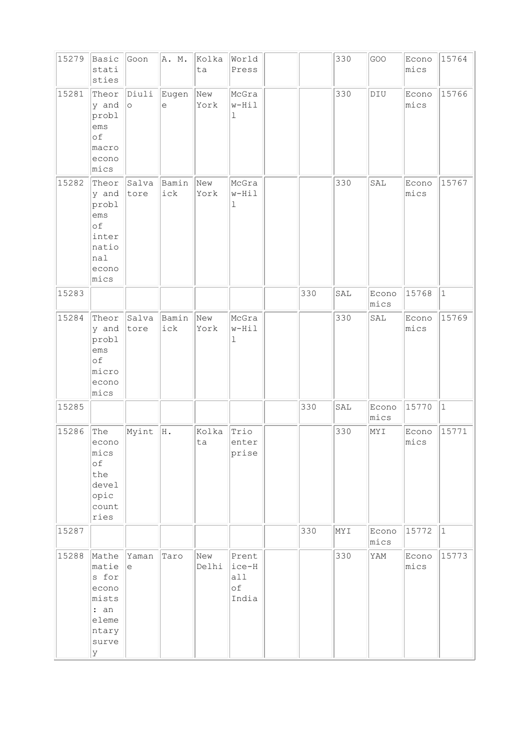| 15279 | Basic<br>stati<br>sties                                                           | Goon             | A. M.               | Kolka<br>ta  | World<br>Press                       |     | 330 | GOO           | Econo<br>mics | 15764       |
|-------|-----------------------------------------------------------------------------------|------------------|---------------------|--------------|--------------------------------------|-----|-----|---------------|---------------|-------------|
| 15281 | Theor<br>y and<br>probl<br>ems<br>of<br>macro<br>econo<br>mics                    | Diuli<br>$\circ$ | Eugen<br>$\epsilon$ | New<br>York  | McGra<br>w-Hil<br>$\mathbf 1$        |     | 330 | DIU           | Econo<br>mics | 15766       |
| 15282 | Theor<br>y and<br>probl<br>ems<br>of<br>inter<br>natio<br>nal<br>econo<br>mics    | Salva<br>tore    | Bamin<br>ick        | New<br>York  | McGra<br>w-Hil<br>ı                  |     | 330 | SAL           | Econo<br>mics | 15767       |
| 15283 |                                                                                   |                  |                     |              |                                      | 330 | SAL | Econo<br>mics | 15768         | $\mathbf 1$ |
| 15284 | Theor<br>y and<br>probl<br>ems<br>of<br>micro<br>econo<br>mics                    | Salva<br>tore    | Bamin<br>ick        | New<br>York  | McGra<br>w-Hil<br>$\mathbf 1$        |     | 330 | SAL           | Econo<br>mics | 15769       |
| 15285 |                                                                                   |                  |                     |              |                                      | 330 | SAL | Econo<br>mics | 15770         | $1\,$       |
| 15286 | The<br>econo<br>mics<br>of<br>the<br>devel<br>opic<br>count<br>ries               | Myint            | H.                  | Kolka<br>ta  | Trio<br>enter<br>prise               |     | 330 | NYI           | Econo<br>mics | 15771       |
| 15287 |                                                                                   |                  |                     |              |                                      | 330 | NYI | Econo<br>mics | 15772         | $\vert$ 1   |
| 15288 | Mathe<br>matie<br>s for<br>econo<br>mists<br>: an<br>eleme<br>ntary<br>surve<br>У | Yaman<br>е       | Taro                | New<br>Delhi | Prent<br>ice-H<br>all<br>оf<br>India |     | 330 | YAM           | Econo<br>mics | 15773       |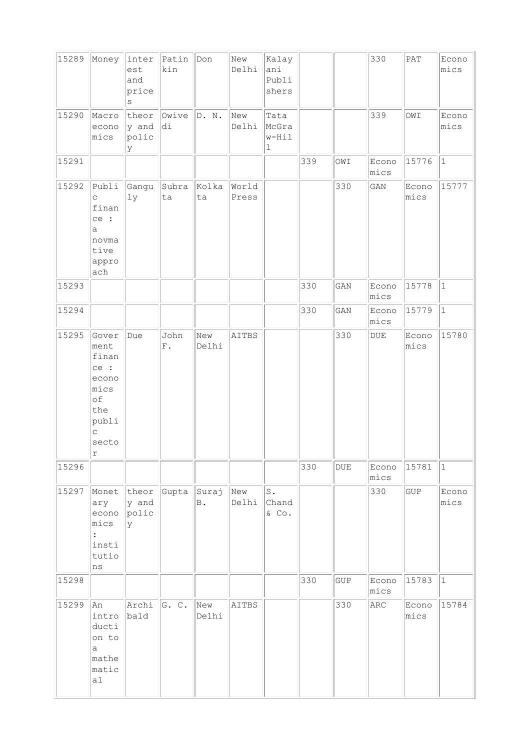| 15289 | Money                                                                                    | inter<br>est<br>and<br>price<br>$\rm s$ | Patin<br>kin        | Don          | New<br>Delhi   | Kalay<br>ani<br>Publi<br>shers        |     |            | 330                         | $\mathtt{PAT}$ | Econo<br>mics |
|-------|------------------------------------------------------------------------------------------|-----------------------------------------|---------------------|--------------|----------------|---------------------------------------|-----|------------|-----------------------------|----------------|---------------|
| 15290 | Macro<br>econo<br>mics                                                                   | theor<br>y and<br>polic<br>У            | Owive<br>di         | D. N.        | New<br>Delhi   | Tata<br>McGra<br>w-Hil<br>$\mathbf 1$ |     |            | 339                         | IWO            | Econo<br>mics |
| 15291 |                                                                                          |                                         |                     |              |                |                                       | 339 | IWO        | Econo<br>mics               | 15776          | $ 1\rangle$   |
| 15292 | Publi<br>$\mathop{\mathsf{C}}$<br>finan<br>ce :<br>a<br>novma<br>tive<br>appro<br>ach    | Gangu<br>ly                             | Subra<br>ta         | Kolka<br>ta  | World<br>Press |                                       |     | 330        | $\mathop{\rm GAN}\nolimits$ | Econo<br>mics  | 15777         |
| 15293 |                                                                                          |                                         |                     |              |                |                                       | 330 | GAN        | Econo<br>mics               | 15778          | $\vert$ 1     |
| 15294 |                                                                                          |                                         |                     |              |                |                                       | 330 | GAN        | Econo<br>mics               | 15779          | $\vert$ 1     |
| 15295 | Gover<br>ment<br>finan<br>ce :<br>econo<br>mics<br>of<br>the<br>publi<br>C<br>secto<br>r | Due                                     | John<br>${\rm F}$ . | New<br>Delhi | AITBS          |                                       |     | 330        | $\texttt{DUE}$              | Econo<br>mics  | 15780         |
| 15296 |                                                                                          |                                         |                     |              |                |                                       | 330 | <b>DUE</b> | Econo<br>mics               | 15781          | $\vert$ 1     |
| 15297 | Monet<br>ary<br>econo<br>mics<br>insti<br>tutio<br>ns                                    | theor<br>y and<br>polic<br>У            | Gupta               | Suraj<br>B.  | New<br>Delhi   | $\mathtt{S}$ .<br>Chand<br>& Co.      |     |            | 330                         | GUP            | Econo<br>mics |
| 15298 |                                                                                          |                                         |                     |              |                |                                       | 330 | GUP        | Econo<br>mics               | 15783          | $ 1\rangle$   |
| 15299 | An<br>intro<br>ducti<br>on to<br>a<br>mathe<br>matic<br> a                               | Archi<br>bald                           | G. C.               | New<br>Delhi | AITBS          |                                       |     | 330        | ARC                         | Econo<br>mics  | 15784         |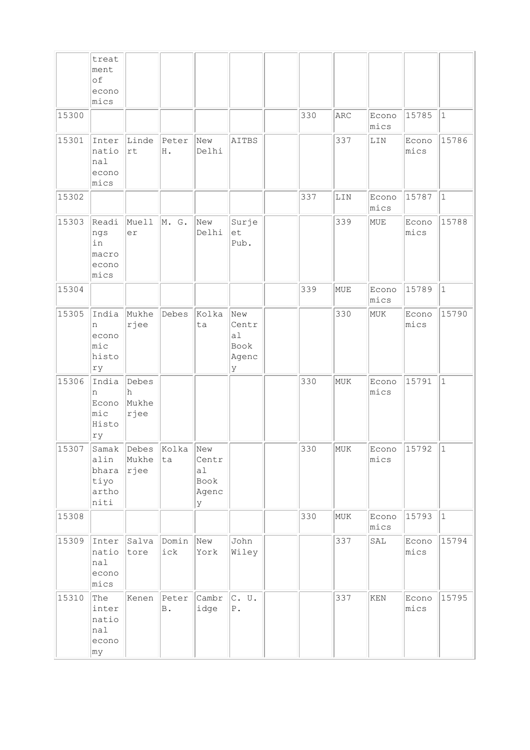|       | treat<br>ment<br>of<br>econo<br>mics         |                             |                              |                                   |                                          |     |     |                             |               |              |
|-------|----------------------------------------------|-----------------------------|------------------------------|-----------------------------------|------------------------------------------|-----|-----|-----------------------------|---------------|--------------|
| 15300 |                                              |                             |                              |                                   |                                          | 330 | ARC | Econo<br>mics               | 15785         | $\mathbf{1}$ |
| 15301 | Inter<br>natio<br>nal<br>econo<br>mics       | Linde<br>rt                 | Peter<br>Η.                  | New<br>Delhi                      | AITBS                                    |     | 337 | LIN                         | Econo<br>mics | 15786        |
| 15302 |                                              |                             |                              |                                   |                                          | 337 | LIN | Econo<br>mics               | 15787         | $\mathbf{1}$ |
| 15303 | Readi<br>ngs<br>in<br>macro<br>econo<br>mics | Muell<br>er                 | M. G.                        | New<br>Delhi                      | Surje<br>et<br>Pub.                      |     | 339 | MUE                         | Econo<br>mics | 15788        |
| 15304 |                                              |                             |                              |                                   |                                          | 339 | MUE | Econo<br>mics               | 15789         | $\mathbf{1}$ |
| 15305 | India<br>n<br>econo<br>mic<br>histo<br>ry    | Mukhe<br>rjee               | Debes                        | Kolka<br>ta                       | New<br>Centr<br>a1<br>Book<br>Agenc<br>У |     | 330 | MUK                         | Econo<br>mics | 15790        |
| 15306 | India<br>n<br>Econo<br>mic<br>Histo<br>ry    | Debes<br>h<br>Mukhe<br>rjee |                              |                                   |                                          | 330 | MUK | Econo<br>mics               | 15791         | $\mathbf{1}$ |
| 15307 | alin<br>bhara<br>tiyo<br>artho<br>niti       | Mukhe<br> rjee              | Samak Debes Kolka New<br> ta | Centr<br>a1<br>Book<br>Agenc<br>У |                                          | 330 | MUK | Econo 15792<br>mics         |               | $ 1\rangle$  |
| 15308 |                                              |                             |                              |                                   |                                          | 330 | MUK | Econo<br>mics               | 15793         | $\mathbf{1}$ |
| 15309 | Inter<br>natio<br>nal<br>econo<br>mics       | Salva<br>tore               | Domin<br>ick                 | New<br>York                       | John<br>Wiley                            |     | 337 | SAL                         | Econo<br>mics | 15794        |
| 15310 | The<br>inter<br>natio<br>nal<br>econo<br>my  | Kenen                       | $\mathbb B$ .                | Peter Cambr<br>idge               | $ c.$ U.<br>${\bf P}$ .                  |     | 337 | $\mathop{\rm KEN}\nolimits$ | Econo<br>mics | 15795        |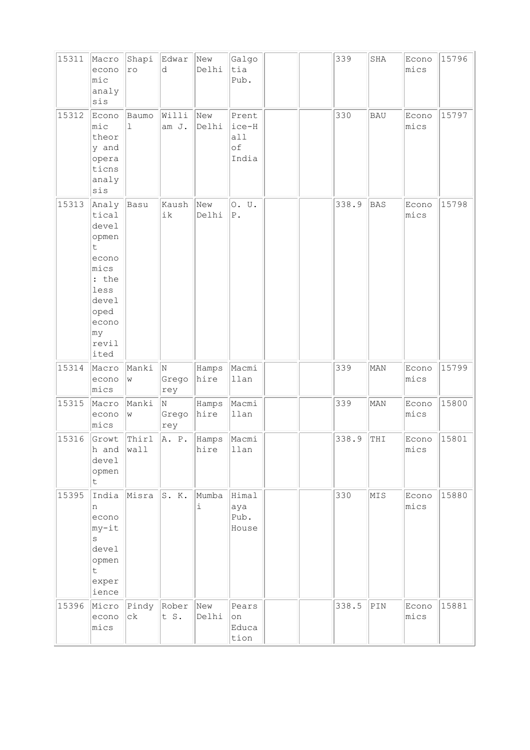| 15311 | Macro<br>econo<br>mic<br>analy<br>sis                                                                                    | Shapi<br>ro   | Edwar<br>d        | New<br>Delhi  | Galgo<br>tia<br>Pub.                 |  | 339   | SHA        | Econo<br>mics | 15796 |
|-------|--------------------------------------------------------------------------------------------------------------------------|---------------|-------------------|---------------|--------------------------------------|--|-------|------------|---------------|-------|
| 15312 | Econo<br>mic<br>theor<br>y and<br>opera<br>ticns<br>analy<br>sis                                                         | Baumo<br>ı    | Willi<br>am J.    | New<br>Delhi  | Prent<br>ice-H<br>a11<br>оf<br>India |  | 330   | <b>BAU</b> | Econo<br>mics | 15797 |
| 15313 | Analy<br>tical<br>devel<br>opmen<br>t<br>econo<br>mics<br>: the<br>less<br>devel<br>oped<br>econo<br>my<br>revil<br>ited | Basu          | Kaush<br>ik       | New<br>Delhi  | 0. U.<br>$P$ .                       |  | 338.9 | <b>BAS</b> | Econo<br>mics | 15798 |
| 15314 | Macro<br>econo<br>mics                                                                                                   | Manki<br>W    | N<br>Grego<br>rey | Hamps<br>hire | Macmi<br>llan                        |  | 339   | MAN        | Econo<br>mics | 15799 |
| 15315 | Macro<br>econo<br>mics                                                                                                   | Manki<br>W    | N<br>Grego<br>rey | Hamps<br>hire | Macmi<br>llan                        |  | 339   | MAN        | Econo<br>mics | 15800 |
| 15316 | Growt<br>h and<br>devel<br>opmen<br>t                                                                                    | Thirl<br>wall | A. P.             | Hamps<br>hire | Macmi<br>llan                        |  | 338.9 | THI        | Econo<br>mics | 15801 |
| 15395 | India<br>n<br>econo<br>my-it<br>$\rm s$<br>devel<br>opmen<br>t.<br>exper<br>ience                                        | Misra         | S. K.             | Mumba<br>i    | Himal<br>aya<br>Pub.<br>House        |  | 330   | MIS        | Econo<br>mics | 15880 |
| 15396 | Micro<br>econo<br>mics                                                                                                   | Pindy<br>сk   | Rober<br>t S.     | New<br>Delhi  | Pears<br>on<br>Educa<br>tion         |  | 338.5 | PIN        | Econo<br>mics | 15881 |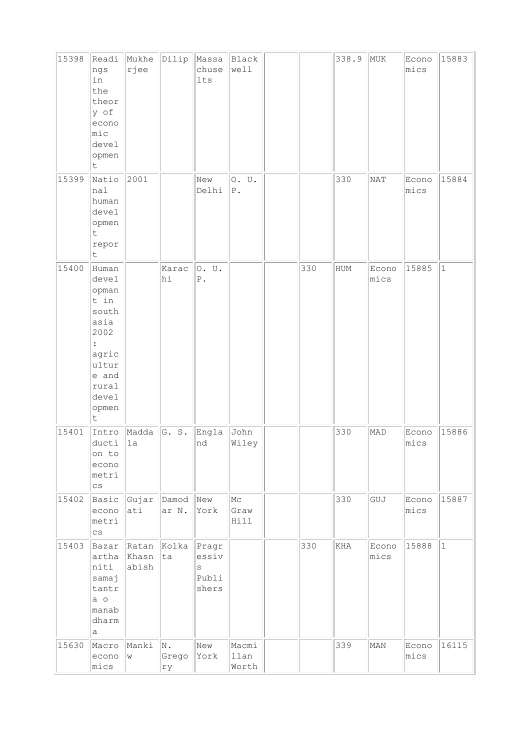| 15398 | Readi<br>ngs<br>in<br>the<br>theor<br>y of<br>econo<br>$ $ mic<br>devel<br>opmen<br>t                               | Mukhe<br>rjee           | Dilip             | Massa<br>chuse<br>lts                            | Black<br>well          |     | 338.9 | MUK           | Econo<br>mics | 15883        |
|-------|---------------------------------------------------------------------------------------------------------------------|-------------------------|-------------------|--------------------------------------------------|------------------------|-----|-------|---------------|---------------|--------------|
| 15399 | Natio<br>nal<br>human<br>devel<br>opmen<br>t.<br>repor<br>t                                                         | 2001                    |                   | New<br>Delhi                                     | 0. U.<br>${\tt P}$ .   |     | 330   | NAT           | Econo<br>mics | 15884        |
| 15400 | Human<br>devel<br>opman<br>t in<br>south<br>asia<br>2002<br>agric<br>ultur<br>e and<br>rural<br>devel<br>opmen<br>t |                         | Karac<br>hi       | 0. U.<br>${\mathbb P}$ .                         |                        | 330 | HUM   | Econo<br>mics | 15885         | $\mathbf{1}$ |
| 15401 | Intro<br>ducti<br>on to<br>econo<br>metri<br>$\mathsf{cs}$                                                          | Madda<br>1a             | G. S.             | Engla<br>nd                                      | John<br>Wiley          |     | 330   | MAD           | Econo<br>mics | 15886        |
| 15402 | Basic<br>econo<br>metri<br>$\mathtt{CS}$                                                                            | Gujar<br>ati            | Damod<br>ar N.    | New<br>York                                      | Mс<br>Graw<br>Hill     |     | 330   | GUJ           | Econo<br>mics | 15887        |
| 15403 | Bazar<br>artha<br>niti<br>samaj<br>tantr<br>$a$ o<br>manab<br>dharm<br>а                                            | Ratan<br>Khasn<br>abish | Kolka<br>ta       | Pragr<br>essiv<br>$\mathtt{s}$<br>Publi<br>shers |                        | 330 | KHA   | Econo<br>mics | 15888         | $\mathbf{1}$ |
| 15630 | Macro<br>econo<br>mics                                                                                              | Manki<br>W              | N.<br>Grego<br>rу | New<br>York                                      | Macmi<br>llan<br>Worth |     | 339   | MAN           | Econo<br>mics | 16115        |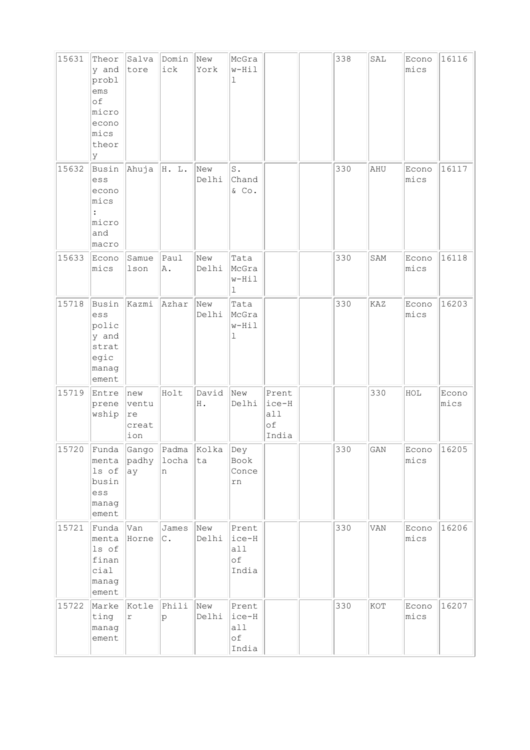| 15631 | Theor<br>y and<br>probl<br>ems<br>of<br>micro<br>econo<br>mics<br>theor<br>lУ | Salva<br>tore                      | Domin<br>ick           | New<br>York  | McGra<br>w-Hil<br>ı                    |                                      | 338 | SAL                         | Econo<br>mics | 16116         |
|-------|-------------------------------------------------------------------------------|------------------------------------|------------------------|--------------|----------------------------------------|--------------------------------------|-----|-----------------------------|---------------|---------------|
| 15632 | Busin<br>ess<br>econo<br>mics<br>micro<br>and<br>macro                        | Ahuja                              | H. L.                  | New<br>Delhi | S.<br>Chand<br>$&$ Co.                 |                                      | 330 | AHU                         | Econo<br>mics | 16117         |
| 15633 | Econo<br>mics                                                                 | Samue<br>lson                      | lPaul<br>A.            | New<br>Delhi | Tata<br>McGra<br>w-Hil<br>ı            |                                      | 330 | SAM                         | Econo<br>mics | 16118         |
| 15718 | Busin<br>ess<br>polic<br>y and<br>strat<br>egic<br>manag<br>ement             | Kazmi                              | Azhar                  | New<br>Delhi | Tata<br>McGra<br>w-Hil<br>ı            |                                      | 330 | KAZ                         | Econo<br>mics | 16203         |
| 15719 | Entre<br>prene<br>wship                                                       | new<br>ventu<br>re<br>creat<br>ion | Holt                   | David<br>Η.  | New<br>Delhi                           | Prent<br>ice-H<br>a11<br>оf<br>India |     | 330                         | $_{\rm HOL}$  | Econo<br>mics |
|       | 15720 Funda Gango Padma Kolka Dey<br>ls of<br>busin<br>ess<br>manag<br>ement  | ay                                 | menta padhy locha<br>n | ta           | Book<br>Conce<br>rn                    |                                      | 330 | $\mathop{\rm GAN}\nolimits$ | Econo<br>mics | 16205         |
| 15721 | Funda<br>menta<br>ls of<br>finan<br>cial<br>manag<br>ement                    | Van<br>Horne                       | James<br>$\circ$ .     | New<br>Delhi | Prent<br>$ice-H$<br>all<br>оf<br>India |                                      | 330 | VAN                         | Econo<br>mics | 16206         |
| 15722 | Marke<br>ting<br>manag<br>ement                                               | Kotle<br>r                         | Phili<br>Ιp            | New<br>Delhi | Prent<br>ice-H<br>all<br>оf<br>India   |                                      | 330 | KOT                         | Econo<br>mics | 16207         |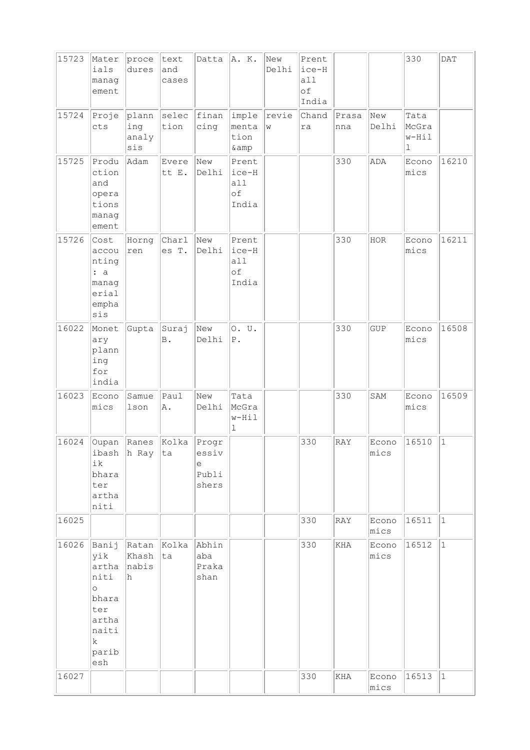| 15723 | Mater<br>ials<br>manag<br>ement                                                                  | proce<br>dures               | text<br>and<br>cases | Datta                                 | A. K.                                  | New<br>Delhi | Prent<br>$ice-H$<br>all<br>of<br>India |                      |               | 330                         | DATA         |
|-------|--------------------------------------------------------------------------------------------------|------------------------------|----------------------|---------------------------------------|----------------------------------------|--------------|----------------------------------------|----------------------|---------------|-----------------------------|--------------|
| 15724 | Proje<br>cts                                                                                     | plann<br>ing<br>analy<br>sis | selec<br>tion        | finan<br>cing                         | imple<br>menta<br>tion<br>& amp        | revie<br>W   | Chand<br>ra                            | Prasa<br>nna         | New<br>Delhi  | Tata<br>McGra<br>w-Hil<br>ı |              |
| 15725 | Produ<br>ction<br>and<br>opera<br>tions<br>manag<br>ement                                        | Adam                         | Evere<br>tt E.       | New<br>Delhi                          | Prent<br>ice-H<br>all<br>of<br>India   |              |                                        | 330                  | ADA           | Econo<br>mics               | 16210        |
| 15726 | Cost<br>accou<br>nting<br>: a<br>manag<br>erial<br>empha<br>sis                                  | Horng<br>ren                 | Charl<br>es T.       | New<br>Delhi                          | Prent<br>ice-H<br>all<br>of<br>India   |              |                                        | 330                  | HOR           | Econo<br>mics               | 16211        |
| 16022 | Monet<br>ary<br>plann<br>ing<br>for<br>india                                                     | Gupta                        | Suraj<br><b>B</b> .  | New<br>Delhi                          | 0. U.<br>$P$ .                         |              |                                        | 330                  | GUP           | Econo<br>mics               | 16508        |
| 16023 | Econo<br>mics                                                                                    | Samue<br>lson                | Paul<br>A.           | New<br>Delhi                          | Tata<br>McGra<br>w-Hil<br>$\mathbf{1}$ |              |                                        | 330                  | SAM           | Econo<br>mics               | 16509        |
| 16024 | Oupan<br>ibash<br>ik<br>bhara<br>ter<br>artha<br>niti                                            | Ranes<br>h Ray               | Kolka<br> ta         | Progr<br>essiv<br>е<br>Publi<br>shers |                                        |              | 330                                    | RAY                  | Econo<br>mics | 16510                       | $\mathbf{1}$ |
| 16025 |                                                                                                  |                              |                      |                                       |                                        |              | 330                                    | RAY                  | Econo<br>mics | 16511                       | $\vert$ 1    |
| 16026 | Banij<br>yik<br>artha<br>niti<br>$\circ$<br>bhara<br>ter<br>artha<br>naiti<br>k.<br>parib<br>esh | Ratan<br>Khash<br>nabis<br>h | Kolka<br>ta          | Abhin<br>aba<br>Praka<br>shan         |                                        |              | 330                                    | <b>KHA</b>           | Econo<br>mics | 16512                       | $\mathbf{1}$ |
| 16027 |                                                                                                  |                              |                      |                                       |                                        |              | 330                                    | $\operatorname{KHA}$ | Econo<br>mics | 16513                       | $\mathbf{1}$ |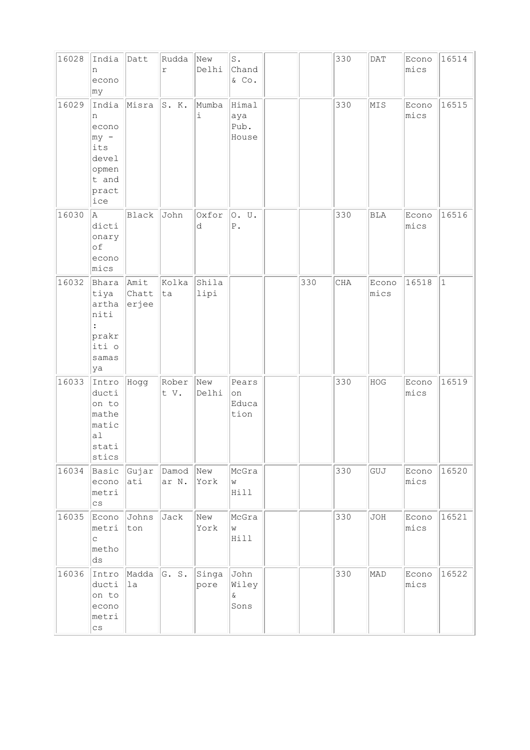| 16028 | India<br>n<br>econo<br>∣my                                                       | Datt                       | Rudda<br>$\mathbf r$ | New<br>Delhi  | $\texttt{S}$ .<br>Chand<br>$\&$ Co. |     | 330 | DATA          | Econo<br>mics | 16514     |
|-------|----------------------------------------------------------------------------------|----------------------------|----------------------|---------------|-------------------------------------|-----|-----|---------------|---------------|-----------|
| 16029 | India<br>n<br>econo<br>$ my -$<br>its<br>devel<br>opmen<br>t and<br>pract<br>ice | Misra                      | S. K.                | Mumba<br>i    | Himal<br>aya<br>Pub.<br>House       |     | 330 | MIS           | Econo<br>mics | 16515     |
| 16030 | A.<br>dicti<br>onary<br>оf<br>econo<br>mics                                      | Black                      | John                 | Oxfor<br>d    | 0. U.<br>${\mathbb P}$ .            |     | 330 | <b>BLA</b>    | Econo<br>mics | 16516     |
| 16032 | Bhara<br>tiya<br>artha<br>niti<br>prakr<br>iti o<br>samas<br>ya                  | Amit<br>Chatt<br>$ $ erjee | Kolka<br>ta          | Shila<br>lipi |                                     | 330 | CHA | Econo<br>mics | 16518         | $\vert$ 1 |
| 16033 | Intro<br>ducti<br>on to<br>mathe<br>matic<br>al<br>stati<br>stics                | Hogg                       | Rober<br>t V.        | New<br>Delhi  | Pears<br>on<br>Educa<br>tion        |     | 330 | HOG           | Econo<br>mics | 16519     |
| 16034 | Basic<br>econo<br>metri<br>$\mathtt{CS}$                                         | Gujar<br>ati               | Damod<br>ar N.       | New<br>York   | McGra<br>W<br>Hill                  |     | 330 | GUJ           | Econo<br>mics | 16520     |
| 16035 | Econo<br>metri<br>$\mathop{\mathsf{C}}$<br>metho<br>ds                           | Johns<br>ton               | Jack                 | New<br>York   | McGra<br>W<br>Hill                  |     | 330 | <b>JOH</b>    | Econo<br>mics | 16521     |
| 16036 | Intro<br>ducti<br>on to<br>econo<br>metri<br>$\mathtt{CS}$                       | Madda<br>1a                | G. S.                | Singa<br>pore | John<br>Wiley<br>$\delta$<br>Sons   |     | 330 | MAD           | Econo<br>mics | 16522     |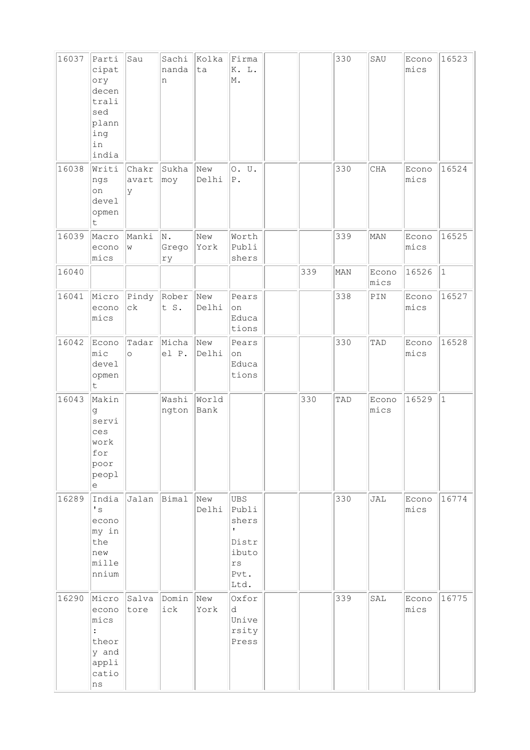| 16037 | Parti<br>cipat<br>ory<br>decen<br>trali<br>sed<br>plann<br>ing<br>in<br>india       | Sau                    | Sachi<br>nanda<br>n | Kolka<br>ta   | Firma<br>K. L.<br>M.                                                                            |     | 330 | SAU           | Econo<br>mics | 16523        |
|-------|-------------------------------------------------------------------------------------|------------------------|---------------------|---------------|-------------------------------------------------------------------------------------------------|-----|-----|---------------|---------------|--------------|
| 16038 | Writi<br>ngs<br>on<br>devel<br>opmen<br>t.                                          | Chakr<br>avart<br>У    | Sukha<br>moy        | New<br>Delhi  | 0. U.<br>${\tt P}$ .                                                                            |     | 330 | CHA           | Econo<br>mics | 16524        |
| 16039 | Macro<br>econo<br>mics                                                              | Manki<br>W             | N.<br>Grego<br>ry   | New<br>York   | Worth<br>Publi<br>shers                                                                         |     | 339 | MAN           | Econo<br>mics | 16525        |
| 16040 |                                                                                     |                        |                     |               |                                                                                                 | 339 | MAN | Econo<br>mics | 16526         | $\vert$ 1    |
| 16041 | Micro<br>econo<br>mics                                                              | Pindy<br>$c\mathbf{k}$ | Rober<br>t S.       | New<br>Delhi  | Pears<br>on<br>Educa<br>tions                                                                   |     | 338 | PIN           | Econo<br>mics | 16527        |
| 16042 | Econo<br>$ $ mic<br>devel<br>opmen<br>t.                                            | Tadar<br>$\circ$       | Micha<br>el P.      | New<br>Delhi  | Pears<br>on<br>Educa<br>tions                                                                   |     | 330 | TAD           | Econo<br>mics | 16528        |
| 16043 | Makin<br>đ<br>servi<br>ces<br>work<br>for<br>poor<br>peopl<br>е                     |                        | Washi<br>ngton      | World<br>Bank |                                                                                                 | 330 | TAD | Econo<br>mics | 16529         | $\mathbf{1}$ |
| 16289 | India<br>$\mathstrut^{\bullet}$ s<br>econo<br>my in<br>the<br>new<br>mille<br>nnium | Jalan                  | Bimal               | New<br>Delhi  | <b>UBS</b><br>Publi<br>shers<br>$\mathbf{r}$<br>Distr<br>ibuto<br>$\mathtt{rs}$<br>Pvt.<br>Ltd. |     | 330 | JAL           | Econo<br>mics | 16774        |
| 16290 | Micro<br>econo<br>mics<br>theor<br>y and<br>appli<br>catio<br>$\rm ns$              | Salva<br>tore          | Domin<br>ick        | New<br>York   | Oxfor<br>d<br>Unive<br>rsity<br>Press                                                           |     | 339 | SAL           | Econo<br>mics | 16775        |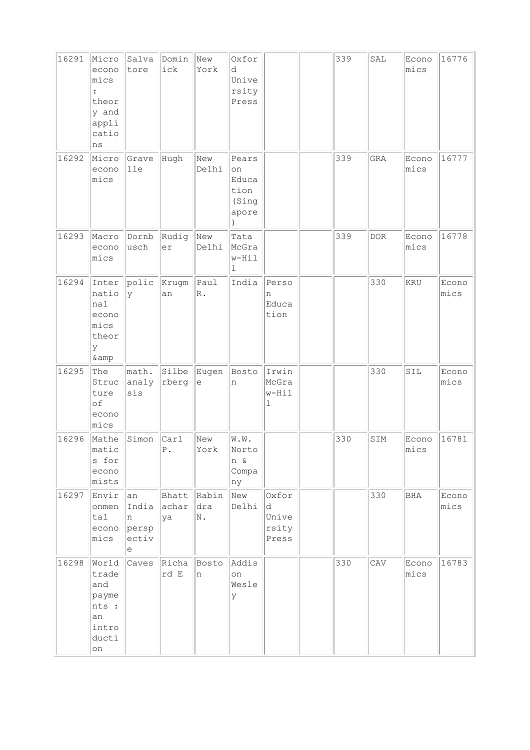| 16291 | Micro<br>econo<br>mics<br>theor<br>y and<br>appli<br>catio<br>ns      | Salva<br>tore                           | Domin<br>ick            | New<br>York           | Oxfor<br>d<br>Unive<br>rsity<br>Press          |                                       | 339 | SAL   | Econo<br>mics | 16776         |
|-------|-----------------------------------------------------------------------|-----------------------------------------|-------------------------|-----------------------|------------------------------------------------|---------------------------------------|-----|-------|---------------|---------------|
| 16292 | Micro<br>econo<br>mics                                                | Grave<br>lle                            | Hugh                    | New<br>Delhi          | Pears<br>on<br>Educa<br>tion<br>(Sing<br>apore |                                       | 339 | GRA   | Econo<br>mics | 16777         |
| 16293 | Macro<br>econo<br>mics                                                | Dornb<br>usch                           | Rudig<br>er             | New<br>Delhi          | Tata<br>McGra<br>w-Hil<br>ı                    |                                       | 339 | $DOR$ | Econo<br>mics | 16778         |
| 16294 | Inter<br>natio<br>nal<br>econo<br>mics<br>theor<br>У<br>& amp         | polic<br>У                              | Krugm<br>an             | Paul<br>$\mathbb R$ . | India                                          | Perso<br>n<br>Educa<br>tion           |     | 330   | <b>KRU</b>    | Econo<br>mics |
| 16295 | The<br>Struc<br>ture<br>of<br>econo<br>mics                           | math.<br>analy<br>sis                   | Silbe<br>rberg          | Eugen<br>е            | Bosto<br>n                                     | Irwin<br>McGra<br>w-Hil<br>l          |     | 330   | SIL           | Econo<br>mics |
| 16296 | Mathe<br>matic<br>s for<br>econo<br>mists                             | Simon                                   | Carl<br>${\mathbb P}$ . | New<br>York           | W.W.<br>Norto<br>n &<br>Compa<br>ny            |                                       | 330 | SIM   | Econo<br>mics | 16781         |
| 16297 | Envir<br>onmen<br>tal<br>econo<br>mics                                | an<br>India<br>n<br>persp<br>ectiv<br>е | Bhatt<br>achar<br>ya    | Rabin<br>dra<br>Ν.    | New<br>Delhi                                   | Oxfor<br>d<br>Unive<br>rsity<br>Press |     | 330   | BHA           | Econo<br>mics |
| 16298 | World<br>trade<br>and<br>payme<br>nts :<br>an<br>intro<br>ducti<br>on | Caves                                   | Richa<br>rd E           | Bosto<br>n            | Addis<br>on<br>Wesle<br>У                      |                                       | 330 | CAV   | Econo<br>mics | 16783         |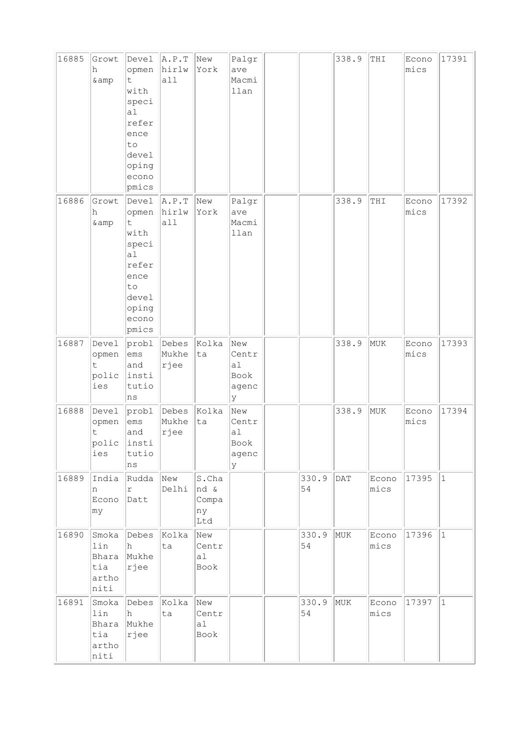| 16885 | Growt<br>h<br>& amp                           | Devel<br>opmen<br>t.<br>with<br>speci<br>a <sub>1</sub><br>refer<br>ence<br>to<br>devel<br>oping<br>econo<br>pmics | A.P.T<br>hirlw<br>a11  | New<br>York                         | Palgr<br>ave<br>Macmi<br>llan            |             | 338.9      | THI           | Econo<br>mics | 17391       |
|-------|-----------------------------------------------|--------------------------------------------------------------------------------------------------------------------|------------------------|-------------------------------------|------------------------------------------|-------------|------------|---------------|---------------|-------------|
| 16886 | Growt<br>h<br>& amp                           | Devel<br>opmen<br>t<br>with<br>speci<br>a1<br>refer<br>ence<br>to<br>devel<br>oping<br>econo<br>pmics              | A.P.T<br>hirlw<br>all  | New<br>York                         | Palgr<br>ave<br>Macmi<br>llan            |             | 338.9      | THI           | Econo<br>mics | 17392       |
| 16887 | Devel<br>opmen<br>t<br>polic<br>ies           | probl<br>ems<br>and<br>insti<br>tutio<br>ns                                                                        | Debes<br>Mukhe<br>rjee | Kolka<br>ta                         | New<br>Centr<br>a1<br>Book<br>agenc<br>У |             | 338.9      | MUK           | Econo<br>mics | 17393       |
| 16888 | Devel<br>opmen<br>t<br>polic<br>ies           | prob1<br>ems<br>and<br>insti<br>tutio<br>ns                                                                        | Debes<br>Mukhe<br>rjee | Kolka<br>ta                         | New<br>Centr<br>a1<br>Book<br>agenc<br>У |             | 338.9      | MUK           | Econo<br>mics | 17394       |
| 16889 | India<br>n<br>Econo<br>my                     | Rudda<br>r<br>Datt                                                                                                 | New<br>Delhi           | S.Cha<br>nd &<br>Compa<br>ny<br>Ltd |                                          | 330.9<br>54 | <b>DAT</b> | Econo<br>mics | 17395         | $ 1\rangle$ |
| 16890 | Smoka<br>lin<br>Bhara<br>tia<br>artho<br>niti | Debes<br>h<br>Mukhe<br>rjee                                                                                        | Kolka<br>ta            | New<br>Centr<br>a1<br>Book          |                                          | 330.9<br>54 | MUK        | Econo<br>mics | 17396         | $ 1\rangle$ |
| 16891 | Smoka<br>lin<br>Bhara<br>tia<br>artho<br>niti | Debes<br>h<br>Mukhe<br>rjee                                                                                        | Kolka<br>ta            | New<br>Centr<br>a1<br>Book          |                                          | 330.9<br>54 | MUK        | Econo<br>mics | 17397         | $\vert$ 1   |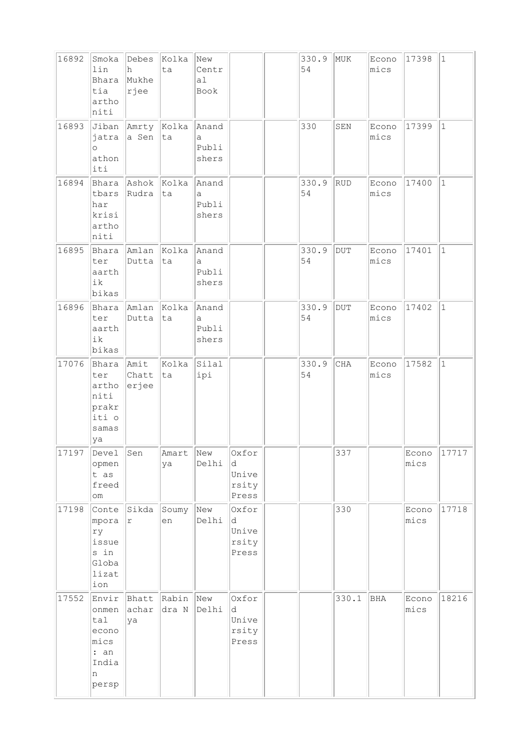| 16892 | Smoka<br>lin<br>Bhara<br>tia<br>artho<br>niti                         | Debes<br>h<br>Mukhe<br>rjee | Kolka<br>ta    | New<br>Centr<br>a1<br>Book   |                                       | 330.9<br>54 | MUK        | Econo<br>mics | 17398         | 1            |
|-------|-----------------------------------------------------------------------|-----------------------------|----------------|------------------------------|---------------------------------------|-------------|------------|---------------|---------------|--------------|
| 16893 | Jiban<br>jatra<br>$\circ$<br>athon<br>iti                             | Amrty Kolka<br>a Sen        | ta             | Anand<br>a<br>Publi<br>shers |                                       | 330         | SEN        | Econo<br>mics | 17399         | $\vert$ 1    |
| 16894 | Bhara<br>tbars<br>har<br>krisi<br>artho<br>niti                       | Ashok Kolka<br>Rudra        | ta             | Anand<br>a<br>Publi<br>shers |                                       | 330.9<br>54 | <b>RUD</b> | Econo<br>mics | 17400         | $\mathbf{1}$ |
| 16895 | Bhara<br>ter<br>aarth<br>ik<br>bikas                                  | Amlan Kolka<br>Dutta        | ta             | Anand<br>a<br>Publi<br>shers |                                       | 330.9<br>54 | $\rm DUT$  | Econo<br>mics | 17401         | $\vert$ 1    |
| 16896 | Bhara<br>ter<br>aarth<br>ik<br>bikas                                  | Amlan Kolka<br>Dutta        | ta             | Anand<br>a<br>Publi<br>shers |                                       | 330.9<br>54 | <b>DUT</b> | Econo<br>mics | 17402         | $\mathbf{1}$ |
| 17076 | Bhara<br>ter<br>artho<br>niti<br>prakr<br>iti o<br>samas<br>ya        | Amit<br>Chatt<br>erjee      | Kolka<br>ta    | Silal<br>ipi                 |                                       | 330.9<br>54 | CHA        | Econo<br>mics | 17582         | $\mathbf{1}$ |
| 17197 | Devel<br>opmen<br>t as<br>freed<br>$\verb om $                        | Sen                         | Amart<br>ya    | New<br>Delhi                 | Oxfor<br>d<br>Unive<br>rsity<br>Press |             | 337        |               | Econo<br>mics | 17717        |
| 17198 | Conte<br>mpora<br>ry<br>issue<br>s in<br>Globa<br>lizat<br>ion        | Sikda<br>r                  | Soumy<br>en    | New<br>Delhi                 | Oxfor<br>d<br>Unive<br>rsity<br>Press |             | 330        |               | Econo<br>mics | 17718        |
| 17552 | Envir<br>onmen<br>tal<br>econo<br>mics<br>: an<br>India<br>n<br>persp | Bhatt<br>achar<br>ya        | Rabin<br>dra N | New<br>Delhi                 | Oxfor<br>d<br>Unive<br>rsity<br>Press |             | 330.1      | BHA           | Econo<br>mics | 18216        |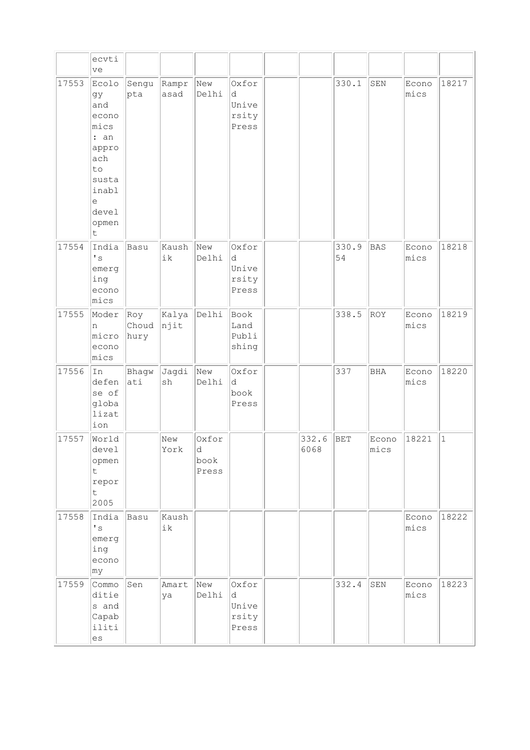|       | ecvti<br>ve                                                                                                     |                      |               |                             |                                       |               |             |               |               |              |
|-------|-----------------------------------------------------------------------------------------------------------------|----------------------|---------------|-----------------------------|---------------------------------------|---------------|-------------|---------------|---------------|--------------|
| 17553 | Ecolo<br>gy<br>and<br>econo<br>mics<br>: an<br>appro<br>ach<br>to<br>susta<br>inabl<br>e<br>devel<br>opmen<br>t | Sengu<br>pta         | Rampr<br>asad | New<br>Delhi                | Oxfor<br>d<br>Unive<br>rsity<br>Press |               | 330.1       | SEN           | Econo<br>mics | 18217        |
| 17554 | India<br>$\mathbf{I}$ s<br>emerg<br>ing<br>econo<br>mics                                                        | Basu                 | Kaush<br>ik   | New<br>Delhi                | Oxfor<br>d<br>Unive<br>rsity<br>Press |               | 330.9<br>54 | <b>BAS</b>    | Econo<br>mics | 18218        |
| 17555 | Moder<br>n<br>micro<br>econo<br>mics                                                                            | Roy<br>Choud<br>hury | Kalya<br>njit | Delhi                       | Book<br>Land<br>Publi<br>shing        |               | 338.5       | ROY           | Econo<br>mics | 18219        |
| 17556 | In<br>defen<br>se of<br>globa<br>lizat<br>ion                                                                   | Bhagw<br>ati         | Jagdi<br>sh   | New<br>Delhi                | Oxfor<br>d.<br>book<br>Press          |               | 337         | <b>BHA</b>    | Econo<br>mics | 18220        |
| 17557 | World<br>devel<br>opmen<br>$\mathsf{t}$<br>repor<br>t.<br>2005                                                  |                      | New<br>York   | Oxfor<br>d<br>book<br>Press |                                       | 332.6<br>6068 | <b>BET</b>  | Econo<br>mics | 18221         | $\mathbf{1}$ |
| 17558 | India<br>$^\prime$ s<br>emerg<br>ing<br>econo<br>my                                                             | Basu                 | Kaush<br>ik   |                             |                                       |               |             |               | Econo<br>mics | 18222        |
| 17559 | Commo<br>ditie<br>s and<br>Capab<br>iliti<br>es                                                                 | Sen                  | Amart<br>ya   | New<br>Delhi                | Oxfor<br>d<br>Unive<br>rsity<br>Press |               | 332.4       | SEN           | Econo<br>mics | 18223        |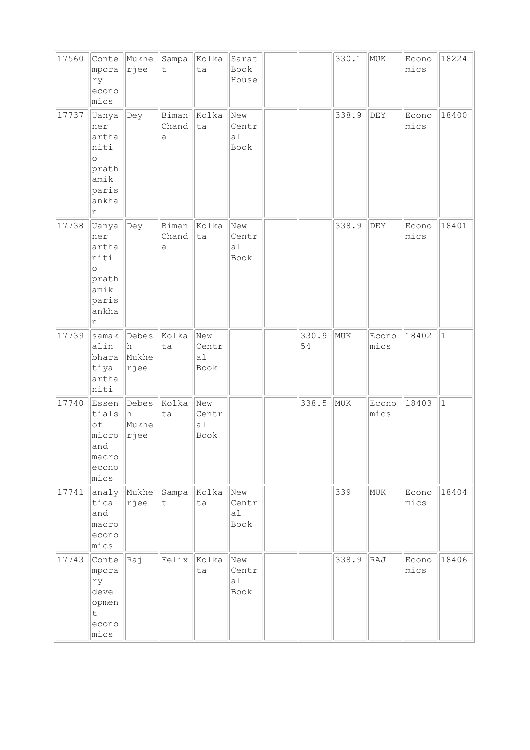| 17560 | Conte<br>mpora<br>ry<br>econo<br>mics                                            | Mukhe<br> rjee                 | Sampa<br>$\mathsf t$           | Kolka<br>ta                | Sarat<br>Book<br>House                 |             | 330.1 | MUK                         | Econo<br>mics | 18224        |
|-------|----------------------------------------------------------------------------------|--------------------------------|--------------------------------|----------------------------|----------------------------------------|-------------|-------|-----------------------------|---------------|--------------|
| 17737 | Uanya<br>ner<br>artha<br>niti<br>$\circ$<br>prath<br>amik<br>paris<br>ankha<br>n | Dey                            | Biman<br>Chand<br>$\mathsf{a}$ | Kolka<br>ta                | New<br>Centr<br>a1<br>Book             |             | 338.9 | <b>DEY</b>                  | Econo<br>mics | 18400        |
| 17738 | Uanya<br>ner<br>artha<br>niti<br>$\circ$<br>prath<br>amik<br>paris<br>ankha<br>n | $\vert$ Dey                    | Biman<br>Chand<br>а            | Kolka<br>ta                | New<br>Centr<br>a <sub>1</sub><br>Book |             | 338.9 | $\mathop{\rm DEY}\nolimits$ | Econo<br>mics | 18401        |
| 17739 | samak<br>alin<br>bhara<br>tiya<br>artha<br>niti                                  | Debes<br>h<br>Mukhe<br> rjee   | Kolka<br>ta                    | New<br>Centr<br>al<br>Book |                                        | 330.9<br>54 | MUK   | Econo<br>mics               | 18402         | $\mathbf{1}$ |
| 17740 | Essen<br>tials<br>of<br>micro<br>and<br>macro<br>econo<br>mics                   | Debes<br>lh.<br>Mukhe<br> rjee | Kolka<br>ta                    | New<br>Centr<br>al<br>Book |                                        | 338.5       | MUK   | Econo<br>mics               | 18403         | $\mathbf{1}$ |
| 17741 | analy Mukhe<br>tical<br>and<br>macro<br>econo<br>mics                            | rjee                           | Sampa<br>$\mathsf t$           | Kolka<br>ta                | New<br>Centr<br>al<br>Book             |             | 339   | MUK                         | Econo<br>mics | 18404        |
| 17743 | Conte<br>mpora<br>ry<br>devel<br>opmen<br>t<br>econo<br>mics                     | kaj                            | Felix                          | Kolka<br>ta                | New<br>Centr<br>al<br>Book             |             | 338.9 | RAJ                         | Econo<br>mics | 18406        |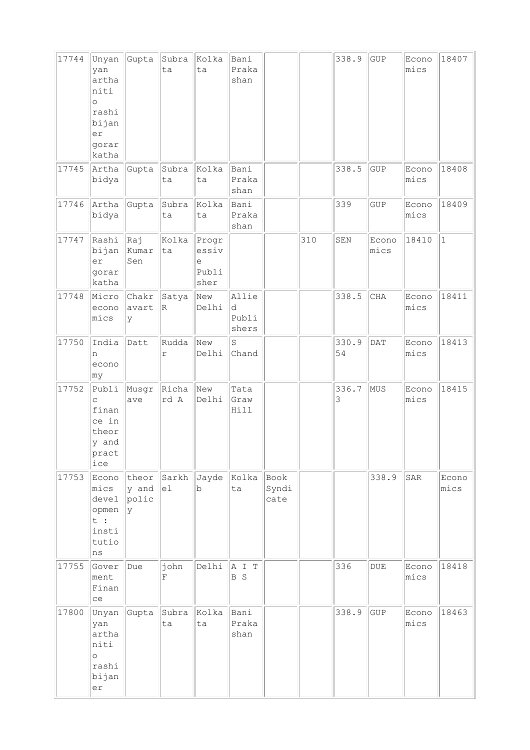| 17744 | Unyan<br>yan<br>artha<br>niti<br>$\circ$<br>rashi<br>bijan<br>er<br>gorar<br>katha | Gupta                                  | Subra<br>ta   | Kolka<br>ta                              | Bani<br>Praka<br>shan        |                       |     | 338.9       | GUP           | Econo<br>mics | 18407         |
|-------|------------------------------------------------------------------------------------|----------------------------------------|---------------|------------------------------------------|------------------------------|-----------------------|-----|-------------|---------------|---------------|---------------|
| 17745 | Artha<br>bidya                                                                     | Gupta                                  | Subra<br>ta   | Kolka<br>ta                              | Bani<br>Praka<br>shan        |                       |     | 338.5       | <b>GUP</b>    | Econo<br>mics | 18408         |
| 17746 | Artha<br>bidya                                                                     | Gupta                                  | Subra<br>ta   | Kolka<br>ta                              | Bani<br>Praka<br>shan        |                       |     | 339         | GUP           | Econo<br>mics | 18409         |
| 17747 | Rashi<br>bijan<br>er<br>gorar<br>katha                                             | kaj<br>Kumar<br>Sen                    | Kolka<br>ta   | Progr<br>essiv<br>$\in$<br>Publi<br>sher |                              |                       | 310 | SEN         | Econo<br>mics | 18410         | $\mathbf{1}$  |
| 17748 | Micro<br>econo<br>mics                                                             | Chakr<br>avart<br>У                    | Satya<br>R.   | New<br>Delhi                             | Allie<br>d<br>Publi<br>shers |                       |     | 338.5       | CHA           | Econo<br>mics | 18411         |
| 17750 | India<br>n<br>econo<br>my                                                          | Datt                                   | Rudda<br>r    | New<br>Delhi                             | S<br>Chand                   |                       |     | 330.9<br>54 | <b>DAT</b>    | Econo<br>mics | 18413         |
| 17752 | Publi<br>$\mathsf C$<br>finan<br>ce in<br>theor<br>y and<br>pract<br>ice           | Musgr<br>ave                           | Richa<br>rd A | New<br>Delhi                             | Tata<br>Graw<br>Hill         |                       |     | 336.7<br>3  | MUS           | Econo<br>mics | 18415         |
| 17753 | Econo<br>mics<br>devel<br>opmen<br>t :<br>insti<br>tutio<br>ns                     | theor<br>$y$ and $ e1$<br>polic<br>ly. | Sarkh         | Jayde<br>b                               | Kolka<br>ta                  | Book<br>Syndi<br>cate |     |             | 338.9         | SAR           | Econo<br>mics |
| 17755 | Gover<br>ment<br>Finan<br>ce                                                       | Due                                    | john<br>F     | Delhi                                    | AI T<br>B S                  |                       |     | 336         | $\rm DUE$     | Econo<br>mics | 18418         |
| 17800 | Unyan<br>yan<br>artha<br>niti<br>$\circ$<br>rashi<br>bijan<br>er                   | Gupta                                  | Subra<br>ta   | Kolka<br>ta                              | Bani<br>Praka<br>shan        |                       |     | 338.9       | <b>GUP</b>    | Econo<br>mics | 18463         |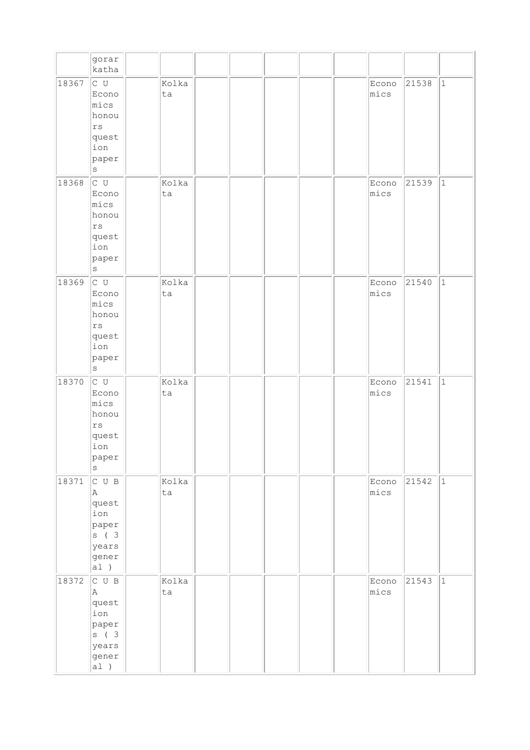|       | gorar<br>katha                                                                       |             |  |  |               |       |             |
|-------|--------------------------------------------------------------------------------------|-------------|--|--|---------------|-------|-------------|
| 18367 | $C$ U<br>Econo<br>mics<br>honou<br>rs<br>quest<br>ion<br>paper<br>$\rm s$            | Kolka<br>ta |  |  | Econo<br>mics | 21538 | $ 1\rangle$ |
| 18368 | $C$ U<br>Econo<br>mics<br>honou<br>$\mathtt{rs}$<br>quest<br>ion<br>paper<br>$\rm S$ | Kolka<br>ta |  |  | Econo<br>mics | 21539 | $ 1\rangle$ |
| 18369 | c u<br>Econo<br>mics<br>honou<br>$\mathtt{rs}$<br>quest<br>ion<br>paper<br>S         | Kolka<br>ta |  |  | Econo<br>mics | 21540 | $ 1\rangle$ |
| 18370 | c u<br>Econo<br>mics<br>honou<br>$\mathtt{rs}$<br>quest<br>ion<br>paper<br>S         | Kolka<br>ta |  |  | Econo<br>mics | 21541 | $\vert$ 1   |
| 18371 | CUB<br>A<br>quest<br>ion<br>paper<br>s(3)<br>years<br>gener<br>a1)                   | Kolka<br>ta |  |  | Econo<br>mics | 21542 | $ 1\rangle$ |
| 18372 | C U B<br>A<br>quest<br>ion<br>paper<br>s ( 3<br>years<br>gener<br>a1)                | Kolka<br>ta |  |  | Econo<br>mics | 21543 | 1           |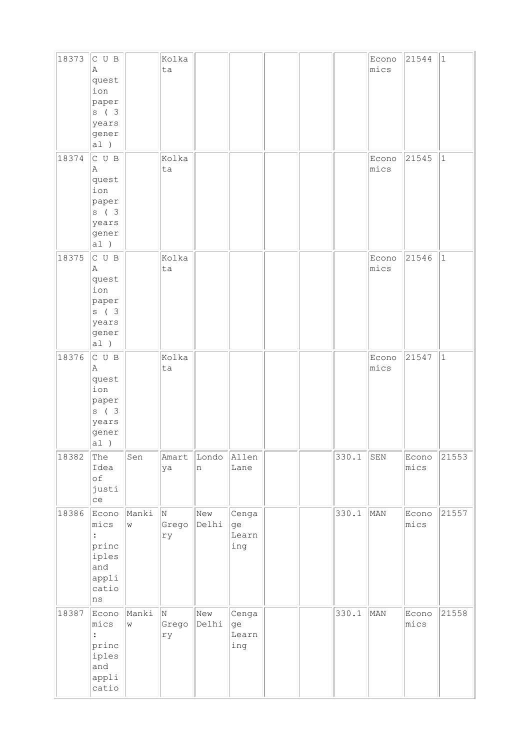| 18373 | C U B<br>A<br>quest<br>ion<br>paper<br>s ( 3<br>years<br>gener<br>a1)      |                             | Kolka<br>ta      |              |                             |  |       | Econo<br>mics | 21544         | $\vert$ 1   |
|-------|----------------------------------------------------------------------------|-----------------------------|------------------|--------------|-----------------------------|--|-------|---------------|---------------|-------------|
| 18374 | C U B<br>Α<br>quest<br>ion<br>paper<br>s(3)<br>years<br>gener<br>a1)       |                             | Kolka<br>ta      |              |                             |  |       | Econo<br>mics | 21545         | $\vert$ 1   |
| 18375 | C U B<br>Α<br>quest<br>ion<br>paper<br>s ( 3<br>years<br>gener<br>a1)      |                             | Kolka<br>ta      |              |                             |  |       | Econo<br>mics | 21546         | $\mathbf 1$ |
| 18376 | C U B<br>A<br>quest<br>ion<br>paper<br>s ( 3<br>years<br>gener<br>a1)      |                             | Kolka<br>ta      |              |                             |  |       | Econo<br>mics | 21547         | $\vert$ 1   |
| 18382 | The<br>Idea<br>of<br>justi<br>ce                                           | Sen                         | Amart<br>ya      | Londo<br>n   | Allen<br>Lane               |  | 330.1 | ${\tt SEN}$   | Econo<br>mics | 21553       |
| 18386 | Econo<br>mics<br>princ<br>iples<br>and<br>appli<br>catio<br>ns             | Manki<br>$\bar{\mathsf{W}}$ | N<br>Grego<br>ry | New<br>Delhi | Cenga<br>ge<br>Learn<br>ing |  | 330.1 | MAN           | Econo<br>mics | 21557       |
| 18387 | Econo<br>mics<br>$\ddot{\cdot}$<br>princ<br>iples<br>and<br>appli<br>catio | Manki<br>$\mathbf W$        | N<br>Grego<br>rу | New<br>Delhi | Cenga<br>ge<br>Learn<br>ing |  | 330.1 | MAN           | Econo<br>mics | 21558       |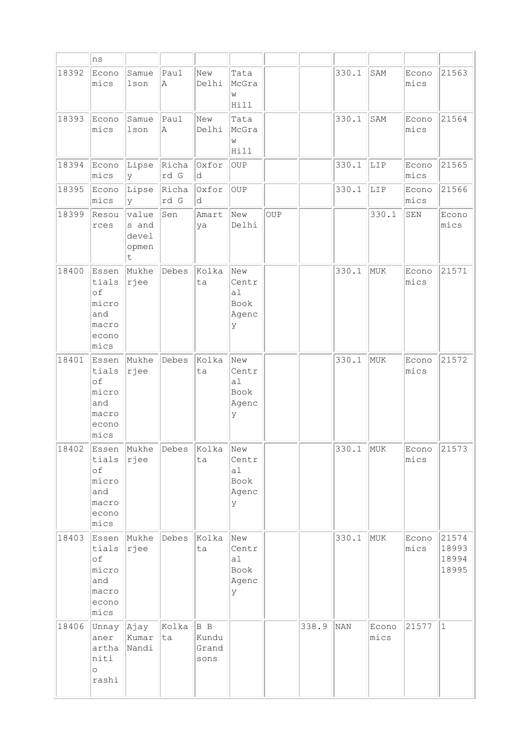|       | ns                                                             |                                        |               |                               |                                                      |     |       |       |               |               |                                  |
|-------|----------------------------------------------------------------|----------------------------------------|---------------|-------------------------------|------------------------------------------------------|-----|-------|-------|---------------|---------------|----------------------------------|
| 18392 | Econo<br>mics                                                  | Samue<br>lson                          | Paul<br>Α     | New<br>Delhi                  | Tata<br>McGra<br>W<br>Hill                           |     |       | 330.1 | SAM           | Econo<br>mics | 21563                            |
| 18393 | Econo<br>mics                                                  | Samue<br>lson                          | Paul<br>Α     | New<br>Delhi                  | Tata<br>McGra<br>W<br>Hill                           |     |       | 330.1 | SAM           | Econo<br>mics | 21564                            |
| 18394 | Econo<br>mics                                                  | Lipse<br>y                             | Richa<br>rd G | Oxfor<br>d                    | <b>OUP</b>                                           |     |       | 330.1 | LIP           | Econo<br>mics | 21565                            |
| 18395 | Econo<br>mics                                                  | Lipse<br>У                             | Richa<br>rd G | Oxfor<br>d                    | OUP                                                  |     |       | 330.1 | LIP           | Econo<br>mics | 21566                            |
| 18399 | Resou<br>rces                                                  | value<br>s and<br>devel<br>opmen<br>t. | Sen           | Amart<br>ya                   | New<br>Delhi                                         | OUP |       |       | 330.1         | SEN           | Econo<br>mics                    |
| 18400 | Essen<br>tials<br>of<br>micro<br>and<br>macro<br>econo<br>mics | Mukhe<br>rjee                          | Debes         | Kolka<br>ta                   | New<br>Centr<br>a1<br>Book<br>Agenc<br>У             |     |       | 330.1 | MUK           | Econo<br>mics | 21571                            |
| 18401 | Essen<br>tials<br>of<br>micro<br>and<br>macro<br>econo<br>mics | Mukhe<br>rjee                          | Debes         | Kolka<br>ta                   | New<br>Centr<br>a1<br>Book<br>Agenc<br>У             |     |       | 330.1 | MUK           | Econo<br>mics | 21572                            |
| 18402 | Essen<br>tials<br>of<br>micro<br>and<br>macro<br>econo<br>mics | Mukhe<br>rjee                          | Debes         | Kolka<br>ta                   | New<br>Centr<br>a1<br>Book<br>Agenc<br>У             |     |       | 330.1 | MUK           | Econo<br>mics | 21573                            |
| 18403 | Essen<br>tials<br>of<br>micro<br>and<br>macro<br>econo<br>mics | Mukhe<br>rjee                          | Debes         | Kolka<br>ta                   | New<br>Centr<br>a <sub>1</sub><br>Book<br>Agenc<br>У |     |       | 330.1 | MUK           | Econo<br>mics | 21574<br>18993<br>18994<br>18995 |
| 18406 | Unnay<br>aner<br>artha<br>niti<br>$\circ$<br>rashi             | Ajay<br>Kumar<br>Nandi                 | Kolka<br>ta   | B B<br>Kundu<br>Grand<br>sons |                                                      |     | 338.9 | NAN   | Econo<br>mics | 21577         | $ 1\rangle$                      |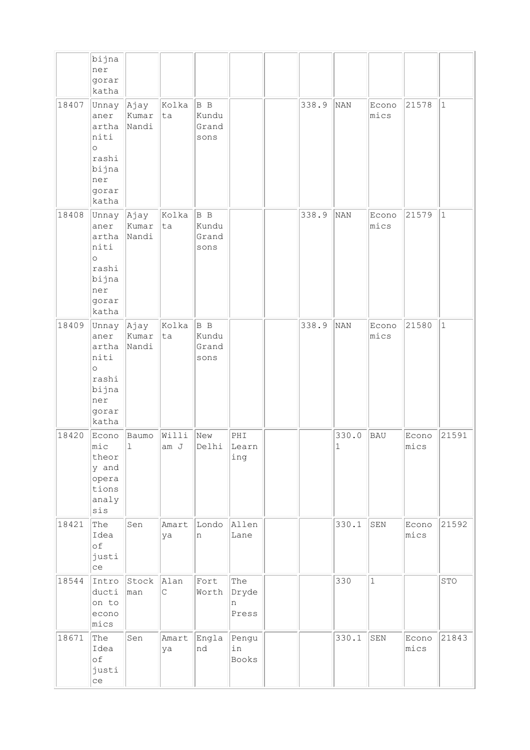|       | bijna<br>ner<br>gorar<br>katha                                                            |                        |                     |                                     |                            |       |                      |               |               |              |
|-------|-------------------------------------------------------------------------------------------|------------------------|---------------------|-------------------------------------|----------------------------|-------|----------------------|---------------|---------------|--------------|
| 18407 | Unnay<br>aner<br>artha<br>niti<br>$\circ$<br>rashi<br>bijna<br>ner<br>gorar<br>katha      | Ajay<br>Kumar<br>Nandi | Kolka<br>ta         | $ B \, B$<br>Kundu<br>Grand<br>sons |                            | 338.9 | NAN                  | Econo<br>mics | 21578         | $\vert$ 1    |
| 18408 | Unnay Ajay<br>aner<br>artha<br>niti<br>$\circ$<br>rashi<br>bijna<br>ner<br>gorar<br>katha | Kumar<br>Nandi         | Kolka<br> ta        | B B<br>Kundu<br>Grand<br>sons       |                            | 338.9 | NAN                  | Econo<br>mics | 21579         | $\mathbf{1}$ |
| 18409 | Unnay<br>aner<br>artha<br>niti<br>$\circ$<br>rashi<br>bijna<br>ner<br>gorar<br>katha      | Ajay<br>Kumar<br>Nandi | Kolka<br>ta         | B B<br>Kundu<br>Grand<br>sons       |                            | 338.9 | NAN                  | Econo<br>mics | 21580         | $1\,$        |
| 18420 | Econo<br>mic<br>theor<br>y and<br>opera<br>tions<br>analy<br>sis                          | Baumo<br>$\mathbf 1$   | Willi<br>am J       | New<br>Delhi                        | PHI<br>Learn<br>ing        |       | 330.0<br>$\mathbf 1$ | <b>BAU</b>    | Econo<br>mics | 21591        |
| 18421 | The<br>Idea<br>of<br>justi<br>ce                                                          | Sen                    | Amart<br>ya         | Londo<br>n                          | Allen<br>Lane              |       | 330.1                | SEN           | Econo<br>mics | 21592        |
| 18544 | Intro<br>ducti<br>on to<br>econo<br>mics                                                  | Stock<br>man           | Alan<br>$\mathsf C$ | Fort<br>Worth                       | The<br>Dryde<br>n<br>Press |       | 330                  | $\mathbf{1}$  |               | STO          |
| 18671 | The<br>Idea<br>of<br>justi<br>ce                                                          | Sen                    | Amart<br>ya         | Engla<br>nd                         | Pengu<br>in<br>Books       |       | 330.1                | SEN           | Econo<br>mics | 21843        |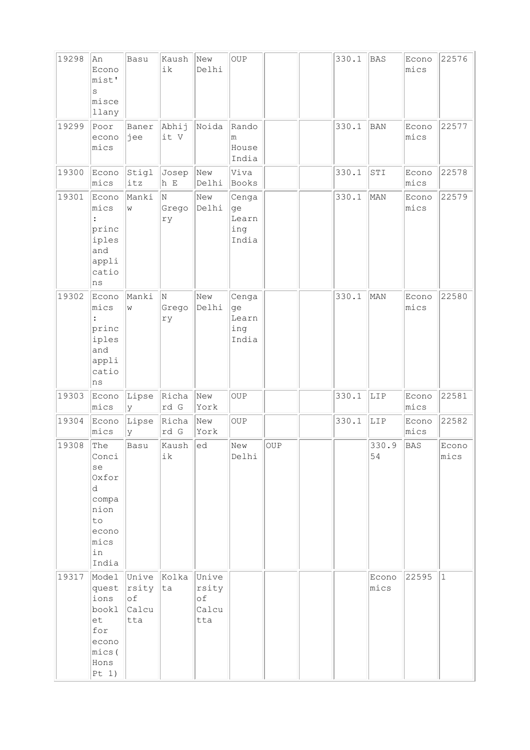| 19298 | An<br>Econo<br>mist'<br>S<br>misce<br>llany                                              | Basu                                       | Kaush<br>ik      | New<br>Delhi                         | OUP                                  |     | 330.1 | <b>BAS</b>    | Econo<br>mics | 22576         |
|-------|------------------------------------------------------------------------------------------|--------------------------------------------|------------------|--------------------------------------|--------------------------------------|-----|-------|---------------|---------------|---------------|
| 19299 | Poor<br>econo<br>mics                                                                    | Baner<br>jee                               | Abhij<br>it V    | Noida                                | Rando<br>m<br>House<br>India         |     | 330.1 | <b>BAN</b>    | Econo<br>mics | 22577         |
| 19300 | Econo<br>mics                                                                            | Stigl<br>itz                               | Josep<br>h E     | New<br>Delhi                         | Viva<br>Books                        |     | 330.1 | STI           | Econo<br>mics | 22578         |
| 19301 | Econo<br>mics<br>princ<br>iples<br>and<br>appli<br>catio<br>ns                           | Manki<br>W                                 | N<br>Grego<br>ry | New<br>Delhi                         | Cenga<br>ge<br>Learn<br>ing<br>India |     | 330.1 | MAN           | Econo<br>mics | 22579         |
| 19302 | Econo<br>mics<br>princ<br>iples<br>and<br>appli<br>catio<br>ns                           | Manki<br>W                                 | N<br>Grego<br>rу | New<br>Delhi                         | Cenga<br>ge<br>Learn<br>ing<br>India |     | 330.1 | MAN           | Econo<br>mics | 22580         |
| 19303 | Econo<br>mics                                                                            | Lipse<br>У                                 | Richa<br>rd G    | New<br>York                          | OUP                                  |     | 330.1 | LIP           | Econo<br>mics | 22581         |
| 19304 | Econo<br>mics                                                                            | Lipse<br>У                                 | Richa<br>rd G    | New<br>York                          | OUP                                  |     | 330.1 | LIP           | Econo<br>mics | 22582         |
| 19308 | The<br>Conci<br>se<br>Oxfor<br>d.<br>compa<br>nion<br>to<br>econo<br>mics<br>in<br>India | Basu                                       | Kaush<br>ik      | ed                                   | New<br>Delhi                         | OUP |       | 330.9<br>54   | <b>BAS</b>    | Econo<br>mics |
| 19317 | Model<br>quest<br>ions<br>bookl<br>et<br>for<br>econo<br>mics(<br>Hons<br>Pt 1)          | Unive Kolka<br>rsity<br>оf<br>Calcu<br>tta | ta               | Unive<br>rsity<br>of<br>Calcu<br>tta |                                      |     |       | Econo<br>mics | 22595         | $ 1\rangle$   |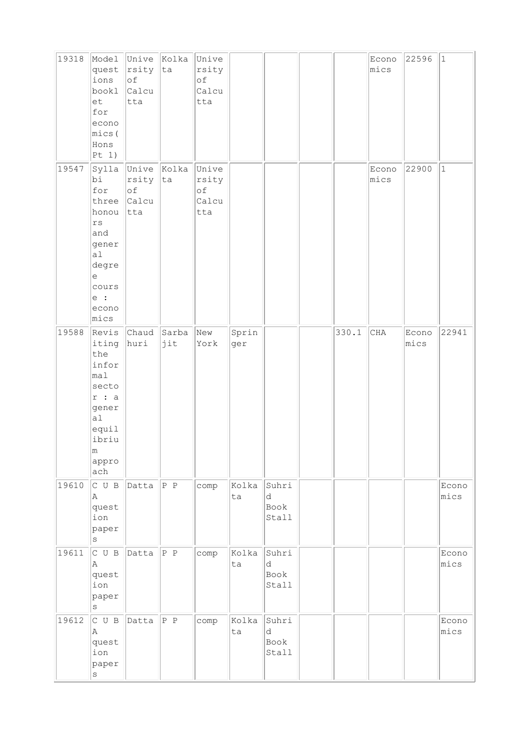| 19318 | Model<br>quest<br>ions<br>bookl<br>et<br>for<br>econo<br>mics(<br>Hons<br> Pt 1)                               | Unive Kolka<br>rsity<br>of<br>Calcu<br>tta | ta           | Unive<br>rsity<br>of<br>Calcu<br>tta |              |                             |       | Econo<br>mics | 22596         | $ 1\rangle$   |
|-------|----------------------------------------------------------------------------------------------------------------|--------------------------------------------|--------------|--------------------------------------|--------------|-----------------------------|-------|---------------|---------------|---------------|
| 19547 | Sylla<br>bi<br>for<br>three<br>honou<br>rs<br>and<br>gener<br>a1<br>degre<br>е<br>cours<br>e:<br>econo<br>mics | Unive<br>rsity<br>of<br>Calcu<br>tta       | Kolka<br> ta | Unive<br>rsity<br>of<br>Calcu<br>tta |              |                             |       | Econo<br>mics | 22900         | $\vert$ 1     |
| 19588 | Revis<br>iting<br>the<br>infor<br>mal<br>secto<br>r : a<br>gener<br>a1<br>equil<br>ibriu<br>m<br>appro<br>ach  | Chaud<br>huri                              | Sarba<br>jit | New<br>York                          | Sprin<br>ger |                             | 330.1 | CHA           | Econo<br>mics | 22941         |
| 19610 | C U B<br>A<br>quest<br>ion<br>paper<br>$\rm s$                                                                 | Datta                                      | $\ P\ P\ $   | comp                                 | Kolka<br>ta  | Suhri<br>d<br>Book<br>Stall |       |               |               | Econo<br>mics |
| 19611 | C U B<br>A<br>quest<br>ion<br>paper<br>$\rm s$                                                                 | Datta                                      | P P          | comp                                 | Kolka<br>ta  | Suhri<br>d<br>Book<br>Stall |       |               |               | Econo<br>mics |
| 19612 | C U B<br>A<br>quest<br>ion<br>paper<br>$\rm s$                                                                 | Datta                                      | $ P \ P$     | comp                                 | Kolka<br>ta  | Suhri<br>d<br>Book<br>Stall |       |               |               | Econo<br>mics |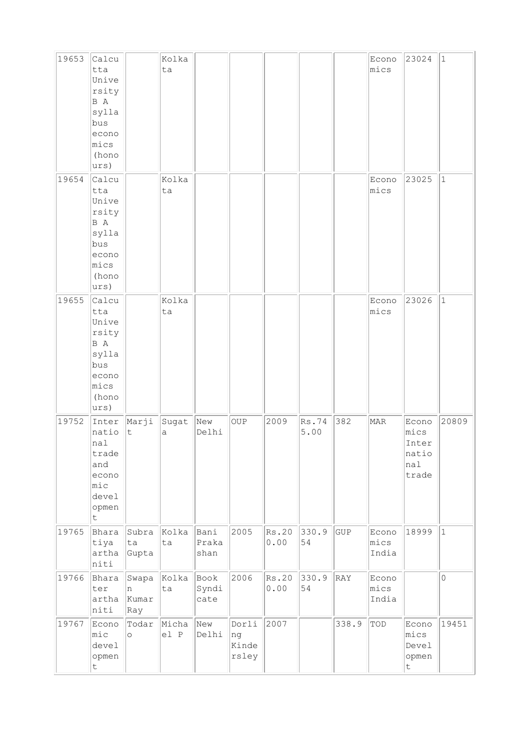| 19653 | Calcu<br>tta<br>Unive<br>rsity<br>B A<br>sylla<br>bus<br>econo<br>mics<br>(hono<br>urs) |                            | Kolka<br>ta   |                       |                               |               |               |       | Econo<br>mics                    | 23024                                           | 1           |
|-------|-----------------------------------------------------------------------------------------|----------------------------|---------------|-----------------------|-------------------------------|---------------|---------------|-------|----------------------------------|-------------------------------------------------|-------------|
| 19654 | Calcu<br>tta<br>Unive<br>rsity<br>B A<br>sylla<br>bus<br>econo<br>mics<br>(hono<br>urs) |                            | Kolka<br>ta   |                       |                               |               |               |       | Econo<br>mics                    | 23025                                           | $\vert$ 1   |
| 19655 | Calcu<br>tta<br>Unive<br>rsity<br>B A<br>sylla<br>bus<br>econo<br>mics<br>(hono<br>urs) |                            | Kolka<br>ta   |                       |                               |               |               |       | Econo<br>mics                    | 23026                                           | $\vert$ 1   |
| 19752 | Inter<br>natio<br>nal<br>trade<br>and<br>econo<br>$ $ mic<br>devel<br>opmen<br>t        | Marji<br>t                 | Sugat<br>а    | New<br>Delhi          | <b>OUP</b>                    | 2009          | Rs.74<br>5.00 | 382   | MAR                              | Econo<br>mics<br>Inter<br>natio<br>nal<br>trade | 20809       |
| 19765 | Bhara<br>tiya<br>artha<br>niti                                                          | Subra<br>ta<br>Gupta       | Kolka<br>ta   | Bani<br>Praka<br>shan | 2005                          | Rs.20<br>0.00 | 330.9<br>54   | GUP   | Econo<br>mics<br>India           | 18999                                           | $ 1\rangle$ |
| 19766 | Bhara<br>ter<br>artha<br>niti                                                           | Swapa<br>n<br>Kumar<br>Ray | Kolka<br>ta   | Book<br>Syndi<br>cate | 2006                          | Rs.20<br>0.00 | 330.9<br>54   | RAY   | Econo<br>mics<br>India           |                                                 | $\mathsf O$ |
| 19767 | Econo<br>$ $ mic<br>devel<br>opmen<br>t                                                 | Todar<br>$\circ$           | Micha<br>el P | New<br>Delhi          | Dorli<br>ng<br>Kinde<br>rsley | 2007          |               | 338.9 | $\mathbb{T}\mathbb{O}\mathbb{D}$ | Econo<br>mics<br>Devel<br>opmen<br>t            | 19451       |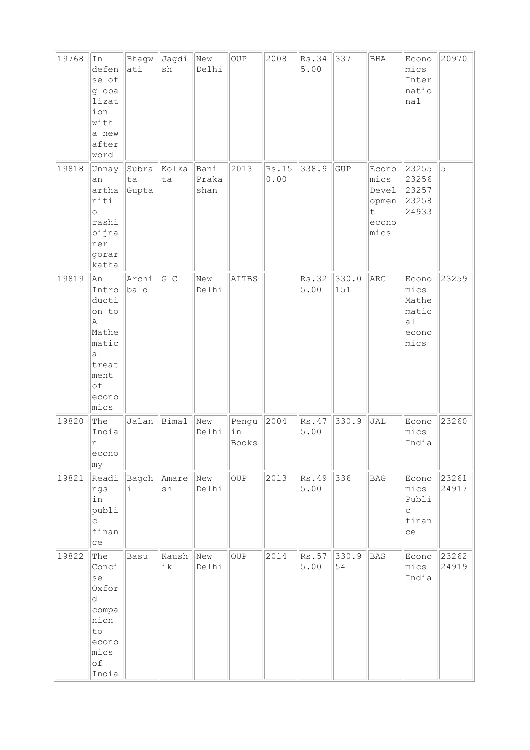| 19768 | In<br>defen<br>se of<br>globa<br>lizat<br>ion<br>with<br>a new<br>after<br>word                    | Bhagw<br>ati         | Jagdi<br>sh | New<br>Delhi          | OUP                  | 2008          | Rs.34<br>5.00 | 337          | <b>BHA</b>                                                      | Econo<br>mics<br>Inter<br>natio<br>nal                 | 20970          |
|-------|----------------------------------------------------------------------------------------------------|----------------------|-------------|-----------------------|----------------------|---------------|---------------|--------------|-----------------------------------------------------------------|--------------------------------------------------------|----------------|
| 19818 | Unnay<br>an<br>artha<br>niti<br>$\circ$<br>rashi<br>bijna<br>ner<br>gorar<br>katha                 | Subra<br>ta<br>Gupta | Kolka<br>ta | Bani<br>Praka<br>shan | 2013                 | Rs.15<br>0.00 | 338.9         | GUP          | Econo<br>mics<br>Devel<br>opmen<br>$\mathsf t$<br>econo<br>mics | 23255<br>23256<br>23257<br>23258<br>24933              | 5              |
| 19819 | An<br>Intro<br>ducti<br>on to<br>Α<br>Mathe<br>matic<br>a1<br>treat<br>ment<br>of<br>econo<br>mics | Archi<br>bald        | G C         | New<br>Delhi          | AITBS                |               | Rs.32<br>5.00 | 330.0<br>151 | ARC                                                             | Econo<br>mics<br>Mathe<br>matic<br>al<br>econo<br>mics | 23259          |
| 19820 | The<br>India<br>n<br>econo<br> my                                                                  | Jalan                | Bimal       | New<br>Delhi          | Pengu<br>in<br>Books | 2004          | Rs.47<br>5.00 | 330.9        | JAL                                                             | Econo<br>mics<br>India                                 | 23260          |
| 19821 | Readi<br>ngs<br>in<br>publi<br>C<br>finan<br>ce                                                    | Bagch<br>i.          | Amare<br>sh | New<br>Delhi          | <b>OUP</b>           | 2013          | Rs.49<br>5.00 | 336          | <b>BAG</b>                                                      | Econo<br>mics<br>Publi<br>$\mathsf{C}$<br>finan<br>ce  | 23261<br>24917 |
| 19822 | The<br>Conci<br>se<br>Oxfor<br>d<br>compa<br>nion<br>to<br>econo<br>mics<br>of<br>India            | Basu                 | Kaush<br>ik | New<br>Delhi          | OUP                  | 2014          | Rs.57<br>5.00 | 330.9<br>54  | <b>BAS</b>                                                      | Econo<br>mics<br>India                                 | 23262<br>24919 |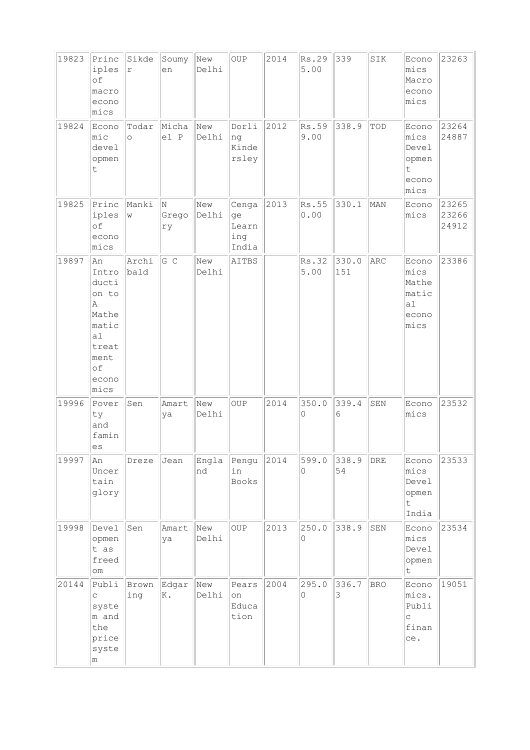| 19823 | Princ<br>iples<br>of<br>macro<br>econo<br>mics                                                     | Sikde<br>r       | Soumy<br>en      | New<br>Delhi | OUP                                  | 2014 | Rs.29<br>5.00     | 339          | SIK         | Econo<br>mics<br>Macro<br>econo<br>mics                  | 23263                   |
|-------|----------------------------------------------------------------------------------------------------|------------------|------------------|--------------|--------------------------------------|------|-------------------|--------------|-------------|----------------------------------------------------------|-------------------------|
| 19824 | Econo<br>mic<br>devel<br>opmen<br>t                                                                | Todar<br>$\circ$ | Micha<br>el P    | New<br>Delhi | Dorli<br>ng<br>Kinde<br>rsley        | 2012 | Rs.59<br>9.00     | 338.9        | TOD         | Econo<br>mics<br>Devel<br>opmen<br>t<br>econo<br>mics    | 23264<br>24887          |
| 19825 | Princ<br>iples<br>of<br>econo<br>mics                                                              | Manki<br>W       | N<br>Grego<br>ry | New<br>Delhi | Cenga<br>ge<br>Learn<br>ing<br>India | 2013 | Rs.55<br>0.00     | 330.1        | MAN         | Econo<br>mics                                            | 23265<br>23266<br>24912 |
| 19897 | An<br>Intro<br>ducti<br>on to<br>Α<br>Mathe<br>matic<br>a1<br>treat<br>ment<br>of<br>econo<br>mics | Archi<br>bald    | $G$ C            | New<br>Delhi | AITBS                                |      | Rs.32<br>5.00     | 330.0<br>151 | ARC         | Econo<br>mics<br>Mathe<br>matic<br>a1<br>econo<br>mics   | 23386                   |
| 19996 | Pover<br>ty<br>and<br>famin<br>es                                                                  | Sen              | Amart<br>ya      | New<br>Delhi | <b>OUP</b>                           | 2014 | 350.0<br>0        | 339.4<br>6   | ${\tt SEM}$ | Econo<br>mics                                            | 23532                   |
| 19997 | An<br>Uncer<br>tain<br>glory                                                                       | Dreze            | Jean             | Engla<br>nd  | Pengu<br>in<br><b>Books</b>          | 2014 | 599.0<br>$\Omega$ | 338.9<br>54  | ${\tt DRE}$ | Econo<br>mics<br>Devel<br>opmen<br>$\mathsf{t}$<br>India | 23533                   |
| 19998 | Devel<br>opmen<br>t as<br>freed<br>om                                                              | Sen              | Amart<br>ya      | New<br>Delhi | <b>OUP</b>                           | 2013 | 250.0<br>0        | 338.9        | SEN         | Econo<br>mics<br>Devel<br>opmen<br>$\mathsf{t}$          | 23534                   |
| 20144 | Publi<br>$\mathsf{C}$<br>syste<br>m and<br>the<br>price<br>syste<br>m                              | Brown<br>ing     | Edgar<br>K.      | New<br>Delhi | Pears<br>on<br>Educa<br>tion         | 2004 | 295.0<br>$\circ$  | 336.7<br>3   | <b>BRO</b>  | Econo<br>mics.<br>Publi<br>$\mathsf{C}$<br>finan<br>ce.  | 19051                   |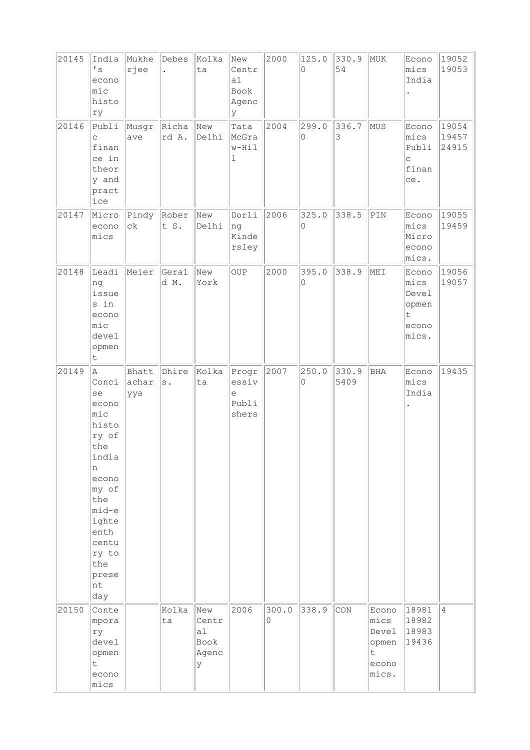| 20145 | India<br>$\mathbf{I}$ s<br>econo<br>$ $ mic<br>histo<br>ry                                                                                                                | Mukhe<br>rjee         | Debes<br>$\ddot{\phantom{a}}$ | Kolka<br>ta                              | New<br>Centr<br>a <sub>1</sub><br>Book<br>Agenc<br>У | 2000       | 125.0<br>$\Omega$    | 330.9<br>54   | MUK                                                    | Econo<br>mics<br>India                                 | 19052<br>19053          |
|-------|---------------------------------------------------------------------------------------------------------------------------------------------------------------------------|-----------------------|-------------------------------|------------------------------------------|------------------------------------------------------|------------|----------------------|---------------|--------------------------------------------------------|--------------------------------------------------------|-------------------------|
| 20146 | Publi<br>C<br>finan<br>ce in<br>theor<br>y and<br>pract<br>ice                                                                                                            | Musgr<br>ave          | Richa<br>rd A.                | New<br>Delhi                             | Tata<br>McGra<br>w-Hil<br>$\mathbf 1$                | 2004       | 299.0<br>$\mathsf O$ | 336.7<br>3    | MUS                                                    | Econo<br>mics<br>Publi<br>$\mathsf C$<br>finan<br>ce.  | 19054<br>19457<br>24915 |
| 20147 | Micro<br>econo<br>mics                                                                                                                                                    | Pindy<br>${\tt c}$    | Rober<br>t S.                 | New<br>Delhi                             | Dorli<br>ng<br>Kinde<br>rsley                        | 2006       | 325.0<br>$\Omega$    | 338.5         | $\texttt{PIN}$                                         | Econo<br>mics<br>Micro<br>econo<br>mics.               | 19055<br>19459          |
| 20148 | Leadi<br>ng<br>issue<br>s in<br>econo<br>$ $ mic<br>devel<br>opmen<br>t.                                                                                                  | Meier                 | Geral<br>d M.                 | New<br>York                              | <b>OUP</b>                                           | 2000       | 395.0<br>0           | 338.9         | MEI                                                    | Econo<br>mics<br>Devel<br>opmen<br>t<br>econo<br>mics. | 19056<br>19057          |
| 20149 | A<br>Conci<br>se<br>econo<br>mic<br>histo<br>ry of<br>the<br>india<br>n<br>econo<br>my of<br>the<br>mid-e<br>ighte<br>enth<br>centu<br>ry to<br>the<br>prese<br>nt<br>day | Bhatt<br>achar<br>ууа | Dhire<br>$\mathbf s$ .        | Kolka<br>ta                              | Progr<br>essiv<br>е<br>Publi<br>shers                | 2007       | 250.0<br>$\mathsf O$ | 330.9<br>5409 | BHA                                                    | Econo<br>mics<br>India                                 | 19435                   |
| 20150 | Conte<br>mpora<br>ry<br>devel<br>opmen<br>t.<br>econo<br>mics                                                                                                             |                       | Kolka<br>ta                   | New<br>Centr<br>a1<br>Book<br>Agenc<br>У | 2006                                                 | 300.0<br>0 | 338.9                | CON           | Econo<br>mics<br>Devel<br>opmen<br>t<br>econo<br>mics. | 18981<br>18982<br>18983<br>19436                       | $\overline{4}$          |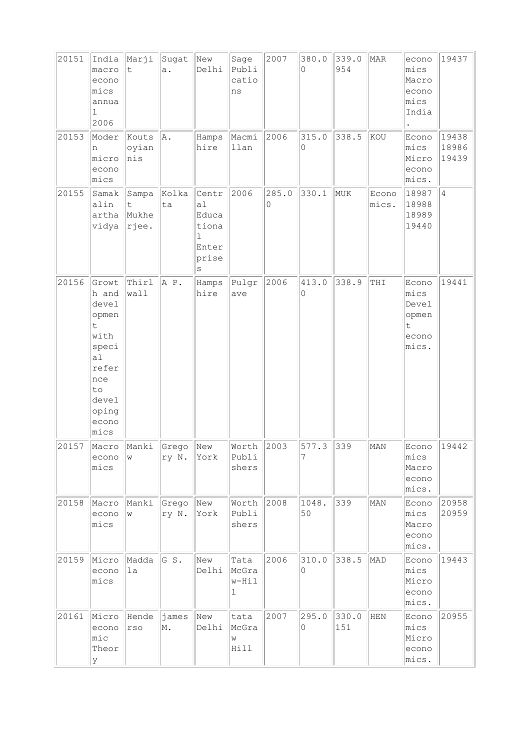| 20151 | India<br>macro<br>econo<br>mics<br>annua<br>$\mathbf 1$<br>2006                                                                    | Marji<br>t.                      | Sugat<br>a.    | New<br>Delhi                                              | Sage<br>Publi<br>catio<br>ns | 2007       | 380.0<br>$\Omega$ | 339.0<br>954 | MAR            | econo<br>mics<br>Macro<br>econo<br>mics<br>India        | 19437                   |
|-------|------------------------------------------------------------------------------------------------------------------------------------|----------------------------------|----------------|-----------------------------------------------------------|------------------------------|------------|-------------------|--------------|----------------|---------------------------------------------------------|-------------------------|
| 20153 | Moder<br>n<br>micro<br>econo<br>mics                                                                                               | Kouts<br>oyian<br>his            | A.             | Hamps<br>hire                                             | Macmi<br>llan                | 2006       | 315.0<br>0        | 338.5        | KOU            | Econo<br>mics<br>Micro<br>econo<br>mics.                | 19438<br>18986<br>19439 |
| 20155 | Samak<br>alin<br>artha<br>vidya                                                                                                    | Sampa<br>t.<br>Mukhe<br>$r$ jee. | Kolka<br>ta    | Centr<br>a1<br>Educa<br>tiona<br>1<br>Enter<br>prise<br>S | 2006                         | 285.0<br>0 | 330.1             | MUK          | Econo<br>mics. | 18987<br>18988<br>18989<br>19440                        | $\overline{4}$          |
| 20156 | Growt<br>h and<br>devel<br>opmen<br>t.<br>with<br>speci<br>a <sub>1</sub><br>refer<br>nce<br>to<br>devel<br>oping<br>econo<br>mics | Thirl<br>wall                    | A P.           | Hamps<br>hire                                             | Pulgr<br>ave                 | 2006       | 413.0<br>0        | 338.9        | THI            | Econo<br>mics<br>Devel<br>opmen<br>t.<br>econo<br>mics. | 19441                   |
| 20157 | Macro<br>econo<br>mics                                                                                                             | Manki<br>W                       | Grego<br>ry N. | New<br>York                                               | Worth<br>Publi<br>shers      | 2003       | 577.3<br>7        | 339          | MAN            | Econo<br>mics<br>Macro<br>econo<br>mics.                | 19442                   |
| 20158 | Macro<br>econo<br>mics                                                                                                             | Manki<br>W                       | Grego<br>ry N. | New<br>York                                               | Worth<br>Publi<br>shers      | 2008       | 1048.<br>50       | 339          | MAN            | Econo<br>mics<br>Macro<br>econo<br>mics.                | 20958<br>20959          |
| 20159 | Micro<br>econo<br>mics                                                                                                             | Madda<br>la                      | GS.            | New<br>Delhi                                              | Tata<br>McGra<br>w-Hil<br>1  | 2006       | 310.0<br>0        | 338.5        | MAD            | Econo<br>mics<br>Micro<br>econo<br>mics.                | 19443                   |
| 20161 | Micro<br>econo<br>$\mathtt{mic}$<br>Theor<br>У                                                                                     | Hende<br>$rso$                   | james<br>M.    | New<br>Delhi                                              | tata<br>McGra<br>W<br>Hill   | 2007       | 295.0<br>0        | 330.0<br>151 | HEN            | Econo<br>mics<br>Micro<br>econo<br>$ $ mics.            | 20955                   |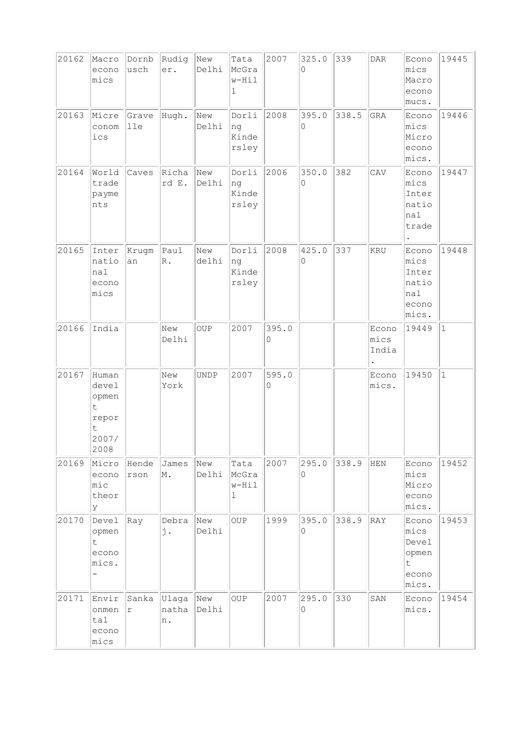| 20162 | Macro<br>econo<br>mics                                                | Dornb<br>usch | Rudig<br>er.          | New<br>Delhi | Tata<br>McGra<br>w-Hil<br>ı    | 2007       | 325.0<br>$\Omega$ | 339   | $\texttt{DAR}$         | Econo<br>mics<br>Macro<br>econo<br>mucs.                              | 19445        |
|-------|-----------------------------------------------------------------------|---------------|-----------------------|--------------|--------------------------------|------------|-------------------|-------|------------------------|-----------------------------------------------------------------------|--------------|
| 20163 | Micre<br>conom<br>ics                                                 | Grave<br>lle  | Hugh.                 | New<br>Delhi | Dorli<br>ng<br>Kinde<br>rsley  | 2008       | 395.0<br>0        | 338.5 | GRA                    | Econo<br>mics<br>Micro<br>econo<br>mics.                              | 19446        |
| 20164 | World<br>trade<br>payme<br>nts                                        | Caves         | Richa<br>rd E.        | New<br>Delhi | Dorli<br> ng<br>Kinde<br>rsley | 2006       | 350.0<br>0        | 382   | CAV                    | Econo<br>mics<br>Inter<br>natio<br>nal<br>trade                       | 19447        |
| 20165 | Inter<br>natio<br>nal<br>econo<br>mics                                | Krugm<br>an   | Paul<br>$\mathbb R$ . | New<br>delhi | Dorli<br>ng<br>Kinde<br>rsley  | 2008       | 425.0<br>0        | 337   | KRU                    | Econo<br>mics<br>Inter<br>natio<br>nal<br>econo<br>mics.              | 19448        |
| 20166 | India                                                                 |               | New<br>Delhi          | OUP          | 2007                           | 395.0<br>0 |                   |       | Econo<br>mics<br>India | 19449                                                                 | $\mathbf{1}$ |
| 20167 | Human<br>devel<br>opmen<br>$\mathsf t$<br>repor<br>t<br>2007/<br>2008 |               | New<br>York           | <b>UNDP</b>  | 2007                           | 595.0<br>0 |                   |       | Econo<br>mics.         | 19450                                                                 | $\mathbf{1}$ |
| 20169 | Micro<br>econo<br>$\mathtt{mic}$<br>theor<br>У                        | Hende<br>rson | James<br>M.           | New<br>Delhi | Tata<br>McGra<br>w-Hil<br>ı    | 2007       | 295.0<br>0        | 338.9 | HEN                    | Econo<br>mics<br>Micro<br>econo<br>mics.                              | 19452        |
| 20170 | Devel<br>opmen<br>t.<br>econo<br>mics.                                | $ {\rm Ray} $ | Debra<br>j.           | New<br>Delhi | OUP                            | 1999       | 395.0<br>0        | 338.9 | RAY                    | Econo<br>mics<br>Devel<br>opmen<br>$\mathsf{t}$<br>econo<br>$ $ mics. | 19453        |
| 20171 | Envir<br>onmen<br>tau1<br>econo<br>mics                               | Sanka<br>r    | Ulaga<br>natha<br>n.  | New<br>Delhi | OUP                            | 2007       | 295.0<br>0        | 330   | SAN                    | Econo<br>mics.                                                        | 19454        |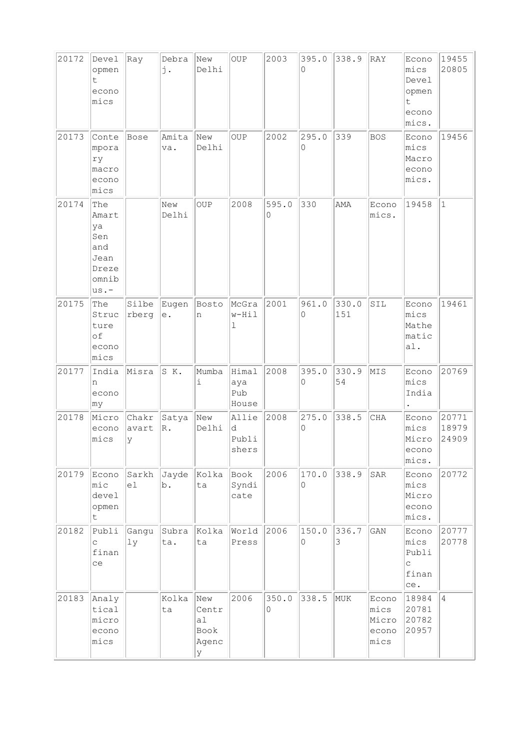| 20172 | Devel<br>opmen<br>t.<br>econo<br>mics                              | Ray                 | Debra<br>j.        | New<br>Delhi                             | $_{\rm OUP}$                 | 2003       | 395.0<br>$\Omega$ | 338.9        | RAY                                     | Econo<br>mics<br>Devel<br>opmen<br>t<br>econo<br>mics.          | 19455<br>20805          |
|-------|--------------------------------------------------------------------|---------------------|--------------------|------------------------------------------|------------------------------|------------|-------------------|--------------|-----------------------------------------|-----------------------------------------------------------------|-------------------------|
| 20173 | Conte<br>mpora<br>ry<br>macro<br>econo<br>mics                     | <b>Bose</b>         | Amita<br>va.       | New<br>Delhi                             | <b>OUP</b>                   | 2002       | 295.0<br>0        | 339          | <b>BOS</b>                              | Econo<br>mics<br>Macro<br>econo<br>mics.                        | 19456                   |
| 20174 | The<br>Amart<br>ya<br>Sen<br>and<br>Jean<br>Dreze<br>omnib<br>us.- |                     | New<br>Delhi       | <b>OUP</b>                               | 2008                         | 595.0<br>0 | 330               | AMA          | Econo<br>mics.                          | 19458                                                           | $\vert$ 1               |
| 20175 | The<br>Struc<br>ture<br>of<br>econo<br>mics                        | Silbe<br>rberg      | Eugen<br>$\rm e$ . | Bosto<br>n                               | McGra<br>w-Hil<br>1          | 2001       | 961.0<br>0        | 330.0<br>151 | SIL                                     | Econo<br>mics<br>Mathe<br>matic<br>a1.                          | 19461                   |
| 20177 | India<br>n<br>econo<br>my                                          | Misra               | SK.                | Mumba<br>i                               | Himal<br>aya<br>Pub<br>House | 2008       | 395.0<br>0        | 330.9<br>54  | MIS                                     | Econo<br>mics<br>India                                          | 20769                   |
| 20178 | Micro<br>econo<br>mics                                             | Chakr<br>avart<br>У | Satya<br>$R$ .     | New<br>Delhi                             | Allie<br>d<br>Publi<br>shers | 2008       | 275.0<br>0        | 338.5        | CHA                                     | Econo<br>mics<br>Micro<br>econo<br>mics.                        | 20771<br>18979<br>24909 |
| 20179 | Econo<br>mic<br>devel<br>opmen<br>t                                | Sarkh<br>el         | Jayde<br>b.        | Kolka<br>ta                              | Book<br>Syndi<br>cate        | 2006       | 170.0<br>0        | 338.9        | SAR                                     | Econo<br>mics<br>Micro<br>econo<br>mics.                        | 20772                   |
| 20182 | Publi<br>C<br>finan<br>ce                                          | Gangu<br>1y         | Subra<br>ta.       | Kolka<br>ta                              | World<br>Press               | 2006       | 150.0<br>$\circ$  | 336.7<br>3   | $\mathop{\rm GAN}\nolimits$             | Econo<br>mics<br>Publi<br>$\mathop{\mathsf{C}}$<br>finan<br>ce. | 20777<br>20778          |
| 20183 | Analy<br>tical<br>micro<br>econo<br>mics                           |                     | Kolka<br>ta        | New<br>Centr<br>al<br>Book<br>Agenc<br>У | 2006                         | 350.0<br>0 | 338.5             | MUK          | Econo<br>mics<br>Micro<br>econo<br>mics | 18984<br>20781<br>20782<br>20957                                | $\overline{4}$          |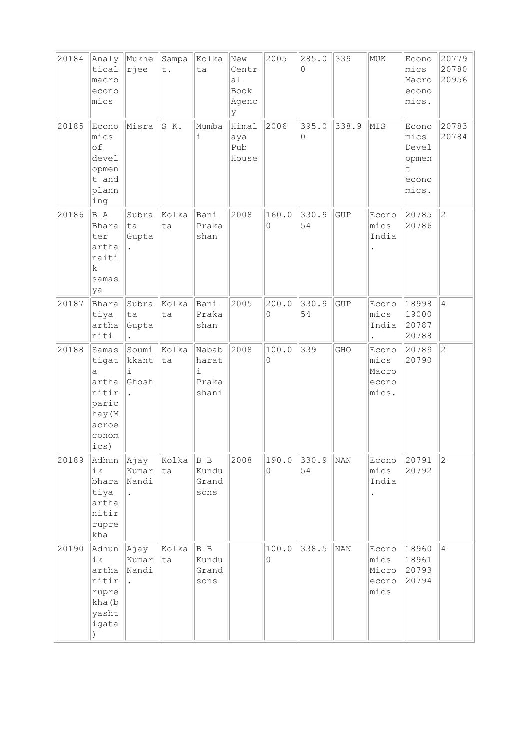| 20184 | Analy<br>tical<br>macro<br>econo<br>mics                                           | Mukhe<br>rjee                                | Sampa<br>t. | Kolka<br>ta                           | New<br>Centr<br>al<br>Book<br>Agenc<br>У | 2005       | 285.0<br>$\Omega$ | 339   | MUK                                            | Econo<br>mics<br>Macro<br>econo<br>mics.               | 20779<br>20780<br>20956 |
|-------|------------------------------------------------------------------------------------|----------------------------------------------|-------------|---------------------------------------|------------------------------------------|------------|-------------------|-------|------------------------------------------------|--------------------------------------------------------|-------------------------|
| 20185 | Econo<br>mics<br>of<br>devel<br>opmen<br>t and<br>plann<br>ing                     | Misra                                        | S K.        | Mumba<br>i                            | Himal<br>aya<br>Pub<br>House             | 2006       | 395.0<br>0        | 338.9 | MIS                                            | Econo<br>mics<br>Devel<br>opmen<br>t<br>econo<br>mics. | 20783<br>20784          |
| 20186 | B A<br>Bhara<br>ter<br>artha<br>naiti<br>k<br>samas<br>ya                          | Subra<br>ta<br>Gupta                         | Kolka<br>ta | Bani<br>Praka<br>shan                 | 2008                                     | 160.0<br>0 | 330.9<br>54       | GUP   | Econo<br>mics<br>India                         | 20785<br>20786                                         | $ 2\rangle$             |
| 20187 | Bhara<br>tiya<br>artha<br>niti                                                     | Subra<br>ta<br>Gupta<br>$\ddot{\phantom{a}}$ | Kolka<br>ta | Bani<br>Praka<br>shan                 | 2005                                     | 200.0<br>0 | 330.9<br>54       | GUP   | Econo<br>mics<br>India<br>$\ddot{\phantom{0}}$ | 18998<br>19000<br>20787<br>20788                       | $\overline{4}$          |
| 20188 | Samas<br>tigat<br>a<br>artha<br>nitir<br>paric<br>hay (M<br>acroe<br>conom<br>ics) | Soumi<br>kkant<br>i<br>Ghosh                 | Kolka<br>ta | Nabab<br>harat<br>i<br>Praka<br>shani | 2008                                     | 100.0<br>0 | 339               | GHO   | Econo<br>mics<br>Macro<br>econo<br>mics.       | 20789<br>20790                                         | $\overline{2}$          |
| 20189 | Adhun<br>ik<br>bhara<br>tiya<br>artha<br>nitir<br>rupre<br>kha                     | Ajay<br>Kumar<br>Nandi<br>$\bullet$          | Kolka<br>ta | B B<br>Kundu<br>Grand<br>sons         | 2008                                     | 190.0<br>0 | 330.9<br>54       | NAN   | Econo<br>mics<br>India                         | 20791<br>20792                                         | $\overline{2}$          |
| 20190 | Adhun<br>ik<br>artha<br>nitir<br>rupre<br>kha (b<br>yasht<br>igata                 | Ajay<br>Kumar<br>Nandi                       | Kolka<br>ta | B B<br>Kundu<br>Grand<br>sons         |                                          | 100.0<br>0 | 338.5             | NAN   | Econo<br>mics<br>Micro<br>econo<br>mics        | 18960<br>18961<br>20793<br>20794                       | $\overline{4}$          |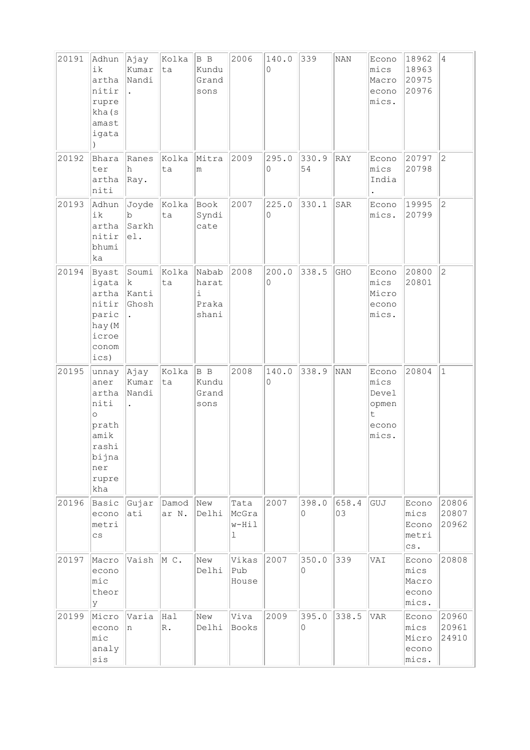| 20191 | Adhun<br>ik<br>artha<br>nitir<br>rupre<br>kha (s<br>amast<br>igata                                       | Ajay<br>Kumar<br>Nandi<br>$\ddot{\phantom{a}}$ | Kolka<br>ta                  | B B<br>Kundu<br>Grand<br>sons         | 2006                                   | 140.0<br>0 | 339                          | <b>NAN</b>  | Econo<br>mics<br>Macro<br>econo<br>mics.                          | 18962<br>18963<br>20975<br>20976                                   | $\overline{4}$          |
|-------|----------------------------------------------------------------------------------------------------------|------------------------------------------------|------------------------------|---------------------------------------|----------------------------------------|------------|------------------------------|-------------|-------------------------------------------------------------------|--------------------------------------------------------------------|-------------------------|
| 20192 | Bhara<br>ter<br>artha<br>niti                                                                            | Ranes<br>h<br>$ $ Ray.                         | Kolka<br>ta                  | Mitra<br>m                            | 2009                                   | 295.0<br>0 | 330.9<br>54                  | RAY         | Econo<br>mics<br>India                                            | 20797<br>20798                                                     | $ 2\rangle$             |
| 20193 | Adhun<br>ik<br>artha<br>nitir<br>bhumi<br>ka                                                             | $\mathbf b$<br>Sarkh<br>el.                    | $J$ oyde $ $ Kolka $ $<br>ta | Book<br>Syndi<br>cate                 | 2007                                   | 225.0<br>0 | 330.1                        | SAR         | Econo 19995<br>mics.                                              | 20799                                                              | $\overline{c}$          |
| 20194 | Byast Soumi<br>igata $ k $<br>artha<br>nitir<br>paric<br>hay (M<br>icroe<br>conom<br>ics)                | Kanti<br>Ghosh                                 | Kolka<br>ta                  | Nabab<br>harat<br>i<br>Praka<br>shani | 2008                                   | 200.0<br>0 | 338.5                        | GHO         | Econo<br>mics<br>Micro<br>econo<br>mics.                          | 20800<br>20801                                                     | $\overline{c}$          |
| 20195 | unnay Ajay<br>aner<br>artha<br>niti<br>$\circ$<br>prath<br>amik<br>rashi<br>bijna<br>ner<br>rupre<br>kha | Kumar<br>Nandi                                 | Kolka<br>ta                  | B B<br>Kundu<br>Grand<br>sons         | 2008                                   | 140.0<br>0 | 338.9                        | NAN         | Econo<br>mics<br>Devel<br>opmen<br>$\mathsf{t}$<br>econo<br>mics. | 20804                                                              | $1\,$                   |
| 20196 | Basic<br>econo<br>metri<br>$\mathtt{CS}$                                                                 | Gujar<br>ati                                   | Damod<br>ar N.               | New<br>Delhi                          | Tata<br>McGra<br>w-Hil<br>$\mathbf{1}$ | 2007       | 398.0<br>0                   | 658.4<br>03 | GUJ                                                               | Econo<br>mics<br>Econo<br>metri<br>${\scriptstyle{\mathsf{CS}}}$ . | 20806<br>20807<br>20962 |
| 20197 | Macro<br>econo<br>mic<br>theor<br>У                                                                      | Vaish                                          | M C.                         | New<br>Delhi                          | Vikas<br>Pub<br>House                  | 2007       | 350.0<br>$\mathsf{O}\xspace$ | 339         | VAI                                                               | Econo<br>mics<br>Macro<br>econo<br>mics.                           | 20808                   |
| 20199 | Micro<br>econo<br>mic<br>analy<br>sis                                                                    | Varia<br>n                                     | Hal<br>R.                    | New<br>Delhi                          | Viva<br>Books                          | 2009       | 395.0<br>0                   | 338.5       | <b>VAR</b>                                                        | Econo<br>mics<br>Micro<br>econo<br>mics.                           | 20960<br>20961<br>24910 |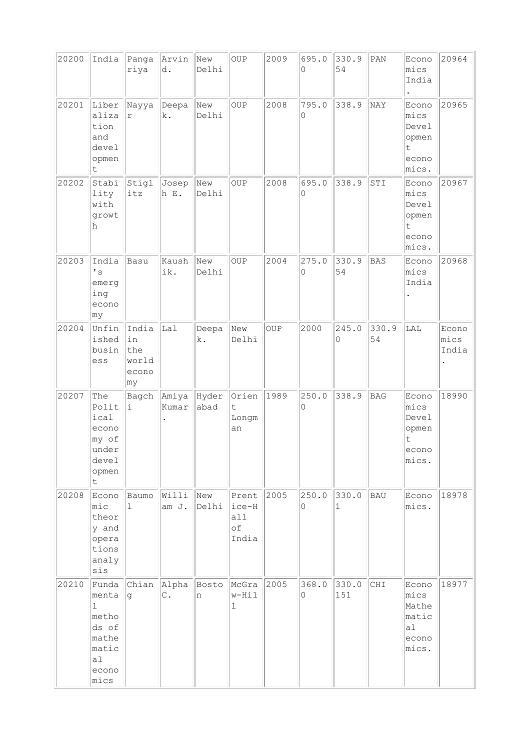| 20200 | India                                                                          | Panga<br>riya                               | Arvin<br>d.            | New<br>Delhi  | <b>OUP</b>                           | 2009 | 695.0<br>0        | 330.9<br>54  | $\texttt{PAN}$ | Econo<br>mics                                                       | 20964                  |
|-------|--------------------------------------------------------------------------------|---------------------------------------------|------------------------|---------------|--------------------------------------|------|-------------------|--------------|----------------|---------------------------------------------------------------------|------------------------|
|       |                                                                                |                                             |                        |               |                                      |      |                   |              |                | India                                                               |                        |
| 20201 | Liber<br>aliza<br>tion<br>and<br>devel<br>opmen<br>t                           | Nayya<br>$\Upsilon$                         | Deepa<br>k.            | New<br>Delhi  | <b>OUP</b>                           | 2008 | 795.0<br>0        | 338.9        | NAY            | Econo<br>mics<br>Devel<br>opmen<br>t<br>econo<br>mics.              | 20965                  |
| 20202 | Stabi<br>lity<br>with<br>growt<br>h                                            | Stigl<br>itz                                | Josep<br>h E.          | New<br>Delhi  | <b>OUP</b>                           | 2008 | 695.0<br>0        | 338.9        | STI            | Econo<br>mics<br>Devel<br>opmen<br>$\mathsf t$<br>econo<br>mics.    | 20967                  |
| 20203 | India<br>$\mathbf{I}$ s<br>emerg<br>ing<br>econo<br>∣my                        | Basu                                        | Kaush<br>ik.           | New<br>Delhi  | <b>OUP</b>                           | 2004 | 275.0<br>0        | 330.9<br>54  | <b>BAS</b>     | Econo<br>mics<br>India                                              | 20968                  |
| 20204 | Unfin<br>ished<br>busin<br>ess                                                 | India<br>in<br>the<br>world<br>econo<br>∣my | Lal                    | Deepa<br>k.   | New<br>Delhi                         | OUP  | 2000              | 245.0<br>0   | 330.9<br>54    | LAL                                                                 | Econo<br>mics<br>India |
| 20207 | The<br>Polit<br>ical<br>econo<br>my of<br>under<br>devel<br>opmen<br>t.        | Bagch<br>i                                  | Amiya<br>Kumar         | Hyder<br>abad | Orien<br>$\mathsf t$<br>Longm<br>an  | 1989 | 250.0<br>$\circ$  | 338.9        | <b>BAG</b>     | Econo<br>mics<br>Devel<br>opmen<br>t<br>econo<br>mics.              | 18990                  |
| 20208 | Econo<br>mic<br>theor<br>y and<br>opera<br>tions<br>analy<br>sis               | Baumo<br>$\mathbf{1}$                       | Willi<br>am J.         | New<br>Delhi  | Prent<br>ice-H<br>all<br>оf<br>India | 2005 | 250.0<br>$\circ$  | 330.0<br>1   | BAU            | Econo<br>mics.                                                      | 18978                  |
| 20210 | Funda<br>menta<br>1<br>metho<br>ds of<br>mathe<br>matic<br>a1<br>econo<br>mics | Chian<br>lg.                                | Alpha<br>$\mathbb C$ . | Bosto<br>n    | McGra<br>w-Hil<br>ı                  | 2005 | 368.0<br>$\Omega$ | 330.0<br>151 | CHI            | Econo<br>mics<br>Mathe<br>matic<br>a <sub>1</sub><br>econo<br>mics. | 18977                  |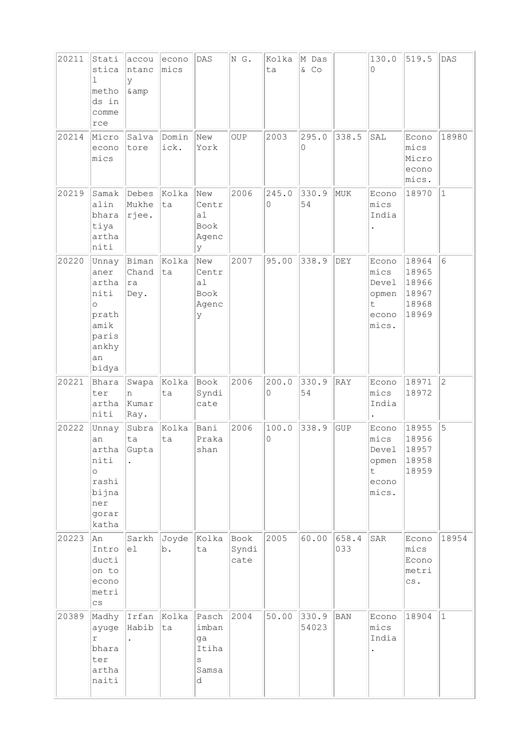| 20211 | Stati<br>stica<br>ı<br>metho<br>ds in<br>comme<br>rce                                       | accou<br>Intanc<br>У<br>& amp | econo<br>mics | DAS                                              | NG.                   | Kolka<br>ta | M Das<br>& CO  |              | 130.0<br>0                                              | 519.5                                              | DAS            |
|-------|---------------------------------------------------------------------------------------------|-------------------------------|---------------|--------------------------------------------------|-----------------------|-------------|----------------|--------------|---------------------------------------------------------|----------------------------------------------------|----------------|
| 20214 | Micro<br>econo<br>mics                                                                      | Salva<br>tore                 | Domin<br>ick. | New<br>York                                      | OUP                   | 2003        | 295.0<br>0     | 338.5        | SAL                                                     | Econo<br>mics<br>Micro<br>econo<br>mics.           | 18980          |
| 20219 | Samak<br>alin<br>bhara<br>tiya<br>artha<br>niti                                             | Debes<br>Mukhe<br>rjee.       | Kolka<br>ta   | New<br>Centr<br>a1<br>Book<br>Agenc<br>У         | 2006                  | 245.0<br>0  | 330.9<br>54    | MUK          | Econo<br>mics<br>India                                  | 18970                                              | $\vert$ 1      |
| 20220 | Unnay<br>aner<br>artha<br>niti<br>$\circ$<br>prath<br>amik<br>paris<br>ankhy<br>an<br>bidya | Biman<br>Chand<br> ra<br>Dey. | Kolka<br>ta   | New<br>Centr<br>a1<br>Book<br>Agenc<br>У         | 2007                  | 95.00       | 338.9          | DEY          | Econo<br>mics<br>Devel<br>opmen<br>t.<br>econo<br>mics. | 18964<br>18965<br>18966<br>18967<br>18968<br>18969 | 6              |
| 20221 | Bhara<br>ter<br>artha<br>niti                                                               | Swapa<br>n<br>Kumar<br>Ray.   | Kolka<br>ta   | Book<br>Syndi<br>cate                            | 2006                  | 200.0<br>0  | 330.9<br>54    | RAY          | Econo<br>mics<br>India                                  | 18971<br>18972                                     | $\overline{c}$ |
| 20222 | Unnay<br>an<br>artha<br>niti<br>$\circ$<br>rashi<br>bijna<br>ner<br>gorar<br>katha          | Subra<br>ta<br>Gupta          | Kolka<br>ta   | Bani<br>Praka<br>shan                            | 2006                  | 100.0<br>0  | 338.9          | <b>GUP</b>   | Econo<br>mics<br>Devel<br>opmen<br>t<br>econo<br>mics.  | 18955<br>18956<br>18957<br>18958<br>18959          | 5              |
| 20223 | An<br>Intro<br>ducti<br>on to<br>econo<br>metri<br>$_{\rm CS}$                              | Sarkh<br>el                   | Joyde<br>b.   | Kolka<br>ta                                      | Book<br>Syndi<br>cate | 2005        | 60.00          | 658.4<br>033 | SAR                                                     | Econo<br>mics<br>Econo<br>metri<br>CS.             | 18954          |
| 20389 | Madhy<br>ayuge<br>$\Upsilon$<br>bhara<br>ter<br>artha<br>naiti                              | Irfan<br>Habib                | Kolka<br>ta   | Pasch<br>imban<br>ga<br>Itiha<br>S<br>Samsa<br>d | 2004                  | 50.00       | 330.9<br>54023 | BAN          | Econo<br>mics<br>India                                  | 18904                                              | $\mathbf{1}$   |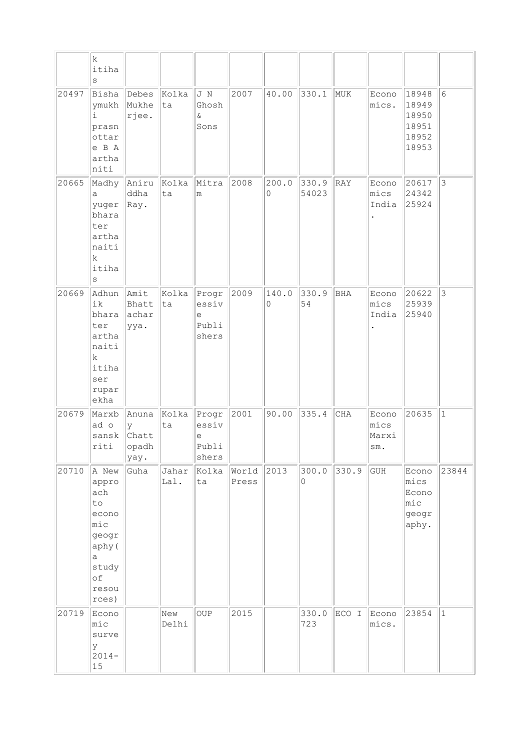|       | $\rm k$<br>itiha<br>$\rm s$                                                                          |                                      |               |                                               |                |            |                |            |                               |                                                    |                |
|-------|------------------------------------------------------------------------------------------------------|--------------------------------------|---------------|-----------------------------------------------|----------------|------------|----------------|------------|-------------------------------|----------------------------------------------------|----------------|
| 20497 | Bisha<br>ymukh<br>i.<br>prasn<br>ottar<br>e B A<br>artha<br>niti                                     | Debes<br>Mukhe<br>rjee.              | Kolka<br> ta  | J N<br>Ghosh<br>$\delta$<br>Sons              | 2007           | 40.00      | 330.1          | MUK        | Econo<br>mics.                | 18948<br>18949<br>18950<br>18951<br>18952<br>18953 | 6              |
| 20665 | Madhy<br>a<br>yuger<br>bhara<br>ter<br>artha<br>naiti<br>$\mathbf k$<br>itiha<br>S                   | Aniru<br>ddha<br>$ $ Ray.            | Kolka<br>ta   | Mitra<br>m                                    | 2008           | 200.0<br>0 | 330.9<br>54023 | RAY        | Econo<br>mics<br>India        | 20617<br>24342<br>25924                            | $\mathfrak{Z}$ |
| 20669 | Adhun<br>ik<br>bhara<br>ter<br>artha<br>naiti<br>$\mathbf k$<br>itiha<br>ser<br>rupar<br>ekha        | Amit<br>Bhatt<br>achar<br>ууа.       | ta            | Kolka   Progr<br>essiv<br>e<br>Publi<br>shers | 2009           | 140.0<br>0 | 330.9<br>54    | <b>BHA</b> | Econo<br>mics<br>India        | 20622<br>25939<br>25940                            | $\mathfrak{Z}$ |
| 20679 | Marxb<br>ad o<br>sansk<br>riti                                                                       | Anuna<br>У<br>Chatt<br>opadh<br>yay. | Kolka<br>ta   | Progr <br>essiv<br>е<br>Publi<br>shers        | 2001           | 90.00      | 335.4          | <b>CHA</b> | Econo<br>mics<br>Marxi<br>sm. | 20635                                              | $\mathbf{1}$   |
| 20710 | A New<br>appro<br>ach<br>to<br>econo<br>mic<br>geogr<br>aphy (<br>a<br>study<br>of<br>resou<br>rces) | Guha                                 | Jahar<br>Lal. | Kolka<br>ta                                   | World<br>Press | 2013       | 300.0<br>0     | 330.9      | GUH                           | Econo<br>mics<br>Econo<br>mic<br>geogr<br>aphy.    | 23844          |
| 20719 | Econo<br>mic<br>surve<br>У<br>$2014-$<br>$15\,$                                                      |                                      | New<br>Delhi  | OUP                                           | 2015           |            | 330.0<br>723   | ECO I      | Econo<br>mics.                | 23854                                              | $\mathbf{1}$   |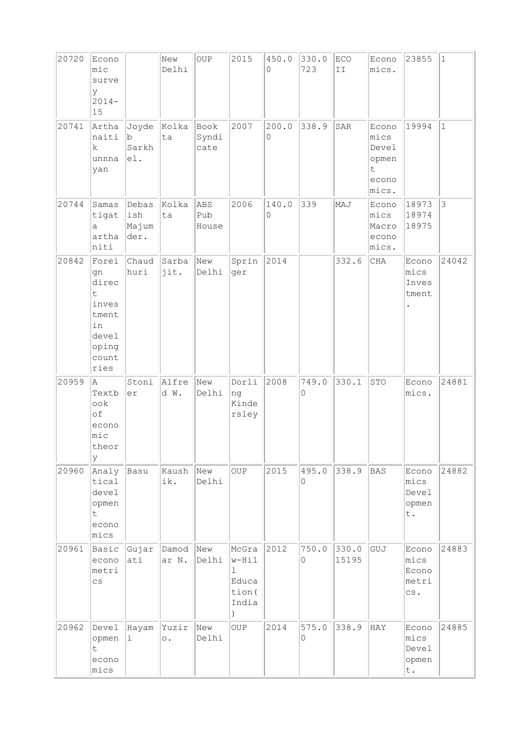| 20720 | Econo<br>mic<br>surve<br>У<br>$2014-$<br>15                                          |                               | New<br>Delhi       | OUP                   | 2015                                                         | 450.0<br>0 | 330.0<br>723     | ECO<br>II      | Econo<br>mics.                                         | 23855                                  | $\mathbf{1}$   |
|-------|--------------------------------------------------------------------------------------|-------------------------------|--------------------|-----------------------|--------------------------------------------------------------|------------|------------------|----------------|--------------------------------------------------------|----------------------------------------|----------------|
| 20741 | Artha<br>naiti<br>k<br>unnna<br>yan                                                  | Joyde<br>lb.<br>Sarkh<br>e1.  | Kolka<br>ta        | Book<br>Syndi<br>cate | 2007                                                         | 200.0<br>0 | 338.9            | SAR            | Econo<br>mics<br>Devel<br>opmen<br>t<br>econo<br>mics. | 19994                                  | $\mathbf{1}$   |
| 20744 | Samas<br>tigat<br>a<br>artha<br>niti                                                 | Debas<br>ish<br>Majum<br>der. | Kolka<br>ta        | ABS<br>Pub<br>House   | 2006                                                         | 140.0<br>0 | 339              | MAJ            | Econo<br>mics<br>Macro<br>econo<br>mics.               | 18973<br>18974<br>18975                | $\mathfrak{Z}$ |
| 20842 | Forei<br>qn<br>direc<br>t<br>inves<br>tment<br>in<br>devel<br>oping<br>count<br>ries | Chaud<br>huri                 | Sarba<br>jit.      | New<br>Delhi          | Sprin<br>ger                                                 | 2014       |                  | 332.6          | CHA                                                    | Econo<br>mics<br>Inves<br>tment        | 24042          |
| 20959 | la.<br>Textb<br>$\circ \circ k$<br>of<br>econo<br>mic<br>theor<br>lУ                 | Stoni<br>er                   | Alfre<br>d W.      | New<br>Delhi          | Dorli<br>ng<br>Kinde<br>rsley                                | 2008       | 749.0<br>0       | 330.1          | STO                                                    | Econo<br>mics.                         | 24881          |
| 20960 | Analy<br>tical<br>devel<br>opmen<br>$\mathsf t$<br>econo<br>mics                     | Basu                          | Kaush<br>ik.       | New<br>Delhi          | <b>OUP</b>                                                   | 2015       | 495.0<br>$\circ$ | 338.9          | <b>BAS</b>                                             | Econo<br>mics<br>Devel<br>opmen<br>t.  | 24882          |
| 20961 | Basic<br>econo<br>metri<br>$\mathtt{CS}$                                             | Gujar<br>ati                  | Damod<br>ar N.     | New<br>Delhi          | McGra<br>w-Hil<br>ı<br>Educa<br>tion (<br>India<br>$\lambda$ | 2012       | 750.0<br>0       | 330.0<br>15195 | GUJ                                                    | Econo<br>mics<br>Econo<br>metri<br>CS. | 24883          |
| 20962 | Devel<br>opmen<br>$\mathsf t$<br>econo<br>mics                                       | Hayam<br>i.                   | Yuzir<br>$\circ$ . | New<br>Delhi          | OUP                                                          | 2014       | 575.0<br>$\circ$ | 338.9          | HAY                                                    | Econo<br>mics<br>Devel<br>opmen<br>t.  | 24885          |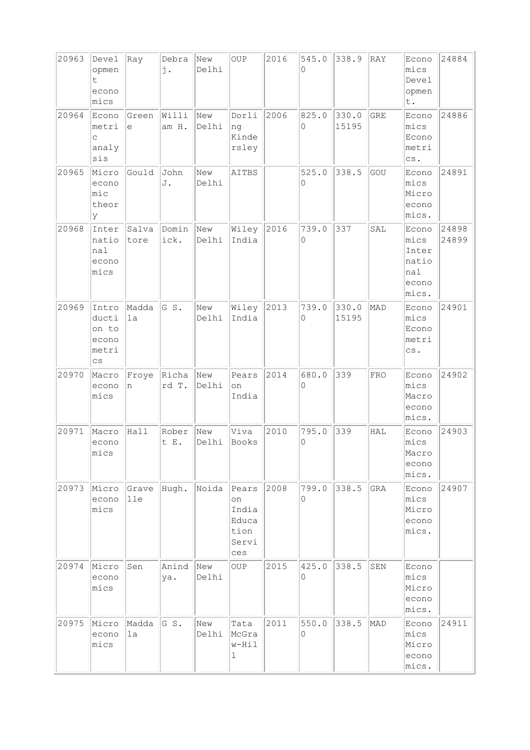| 20963 | Devel<br>opmen<br>t<br>econo<br>mics                       | Ray           | Debra<br>j.    | New<br>Delhi | <b>OUP</b>                                            | 2016 | 545.0<br>$\Omega$            | 338.9          | RAY        | Econo<br>mics<br>Devel<br>opmen<br>t.                              | 24884          |
|-------|------------------------------------------------------------|---------------|----------------|--------------|-------------------------------------------------------|------|------------------------------|----------------|------------|--------------------------------------------------------------------|----------------|
| 20964 | Econo<br>metri<br>C<br>analy<br>sis                        | Green<br>е    | Willi<br>am H. | New<br>Delhi | Dorli<br>ng<br>Kinde<br>rsley                         | 2006 | 825.0<br>0                   | 330.0<br>15195 | <b>GRE</b> | Econo<br>mics<br>Econo<br>metri<br>${\scriptstyle{\mathsf{CS}}}$ . | 24886          |
| 20965 | Micro<br>econo<br>mic<br>theor<br>У                        | Gould         | John<br>J.     | New<br>Delhi | AITBS                                                 |      | 525.0<br>$\Omega$            | 338.5          | GOU        | Econo<br>mics<br>Micro<br>econo<br>mics.                           | 24891          |
| 20968 | Inter<br>natio<br>nal<br>econo<br>mics                     | Salva<br>tore | Domin<br>ick.  | New<br>Delhi | Wiley<br>India                                        | 2016 | 739.0<br>0                   | 337            | SAL        | Econo<br>mics<br>Inter<br>natio<br>nal<br>econo<br>mics.           | 24898<br>24899 |
| 20969 | Intro<br>ducti<br>on to<br>econo<br>metri<br>$\mathsf{cs}$ | Madda<br>1a   | GS.            | New<br>Delhi | Wiley<br>India                                        | 2013 | 739.0<br>0                   | 330.0<br>15195 | MAD        | Econo<br>mics<br>Econo<br>metri<br>CS.                             | 24901          |
| 20970 | Macro<br>econo<br>mics                                     | Froye<br>n    | Richa<br>rd T. | New<br>Delhi | Pears<br>on<br>India                                  | 2014 | 680.0<br>0                   | 339            | <b>FRO</b> | Econo<br>mics<br>Macro<br>econo<br>mics.                           | 24902          |
| 20971 | Macro<br>econo<br>mics                                     | Hall          | Rober<br>t E.  | New<br>Delhi | Viva<br><b>Books</b>                                  | 2010 | 795.0<br>0                   | 339            | HAL        | Econo<br>mics<br>Macro<br>econo<br>mics.                           | 24903          |
| 20973 | Micro<br>econo<br>mics                                     | Grave<br>lle  | Hugh.          | Noida        | Pears<br>on<br>India<br>Educa<br>tion<br>Servi<br>ces | 2008 | 799.0<br>0                   | 338.5          | GRA        | Econo<br>mics<br>Micro<br>econo<br>mics.                           | 24907          |
| 20974 | Micro<br>econo<br>mics                                     | Sen           | Anind<br>ya.   | New<br>Delhi | OUP                                                   | 2015 | 425.0<br>0                   | 338.5          | SEN        | Econo<br>mics<br>Micro<br>econo<br>mics.                           |                |
| 20975 | Micro<br>econo<br>mics                                     | Madda<br>1a   | GS.            | New<br>Delhi | Tata<br>McGra<br>w-Hil<br>ı                           | 2011 | 550.0<br>$\mathsf{O}\xspace$ | 338.5          | MAD        | Econo<br>mics<br>Micro<br>econo<br>mics.                           | 24911          |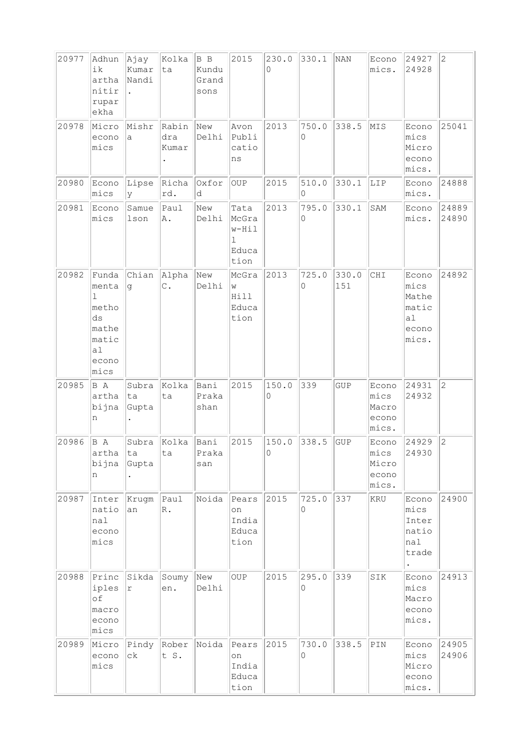| 20977 | Adhun<br>ik<br>artha<br>nitir<br>rupar<br>ekha                                        | Ajay<br>Kumar<br>Nandi<br>$\ddot{\phantom{a}}$ | Kolka<br>ta            | B B<br>Kundu<br>Grand<br>sons | 2015                                         | 230.0<br>0 | 330.1      | NAN          | Econo<br>mics.                           | 24927<br>24928                                          | $\overline{2}$ |
|-------|---------------------------------------------------------------------------------------|------------------------------------------------|------------------------|-------------------------------|----------------------------------------------|------------|------------|--------------|------------------------------------------|---------------------------------------------------------|----------------|
| 20978 | Micro<br>econo<br>mics                                                                | Mishr<br>a                                     | Rabin<br>dra<br>Kumar  | New<br>Delhi                  | Avon<br>Publi<br>catio<br>ns                 | 2013       | 750.0<br>0 | 338.5        | MIS                                      | Econo<br>mics<br>Micro<br>econo<br>$ $ mics.            | 25041          |
| 20980 | Econo<br>mics                                                                         | Lipse<br>y                                     | Richa<br>rd.           | Oxfor<br>d                    | <b>OUP</b>                                   | 2015       | 510.0<br>0 | 330.1        | LIP                                      | Econo<br>mics.                                          | 24888          |
| 20981 | Econo<br>mics                                                                         | Samue<br>lson                                  | Paul<br>Α.             | New<br>Delhi                  | Tata<br>McGra<br>w-Hil<br>ı<br>Educa<br>tion | 2013       | 795.0<br>0 | 330.1        | SAM                                      | Econo<br>mics.                                          | 24889<br>24890 |
| 20982 | Funda<br>menta<br>$\mathbf 1$<br>metho<br>ds<br>mathe<br>matic<br>a1<br>econo<br>mics | Chian<br>g                                     | Alpha<br>$\mathsf C$ . | New<br>Delhi                  | McGra<br>W<br>Hill<br>Educa<br>tion          | 2013       | 725.0<br>0 | 330.0<br>151 | CHI                                      | Econo<br>mics<br>Mathe<br>matic<br>a1<br>econo<br>mics. | 24892          |
| 20985 | B A<br>artha<br>bijna<br>n                                                            | Subra<br>ta<br>Gupta                           | Kolka<br>ta            | Bani<br>Praka<br>shan         | 2015                                         | 150.0<br>0 | 339        | <b>GUP</b>   | Econo<br>mics<br>Macro<br>econo<br>mics. | 24931<br>24932                                          | $\overline{2}$ |
| 20986 | B A<br>artha<br>bijna<br>n                                                            | Subra<br> ta<br>Gupta                          | Kolka<br>ta            | Bani<br>Praka<br>san          | 2015                                         | 150.0<br>0 | 338.5      | GUP          | Econo<br>mics<br>Micro<br>econo<br>mics. | 24929<br>24930                                          | $\overline{2}$ |
| 20987 | Inter<br>natio<br>nal<br>econo<br>mics                                                | Krugm<br>an                                    | Paul<br>$R$ .          | Noida                         | Pears<br>on<br>India<br>Educa<br>tion        | 2015       | 725.0<br>0 | 337          | <b>KRU</b>                               | Econo<br>mics<br>Inter<br>natio<br>nal<br>trade         | 24900          |
| 20988 | Princ<br>iples<br>of<br>macro<br>econo<br>mics                                        | Sikda<br>r                                     | Soumy<br>en.           | New<br>Delhi                  | <b>OUP</b>                                   | 2015       | 295.0<br>0 | 339          | SIK                                      | Econo<br>mics<br>Macro<br>econo<br>mics.                | 24913          |
| 20989 | Micro<br>econo<br>mics                                                                | Pindy<br>сk                                    | Rober<br>t S.          | Noida                         | Pears<br>on<br>India<br>Educa<br>tion        | 2015       | 730.0<br>0 | 338.5        | PIN                                      | Econo<br>mics<br>Micro<br>econo<br>mics.                | 24905<br>24906 |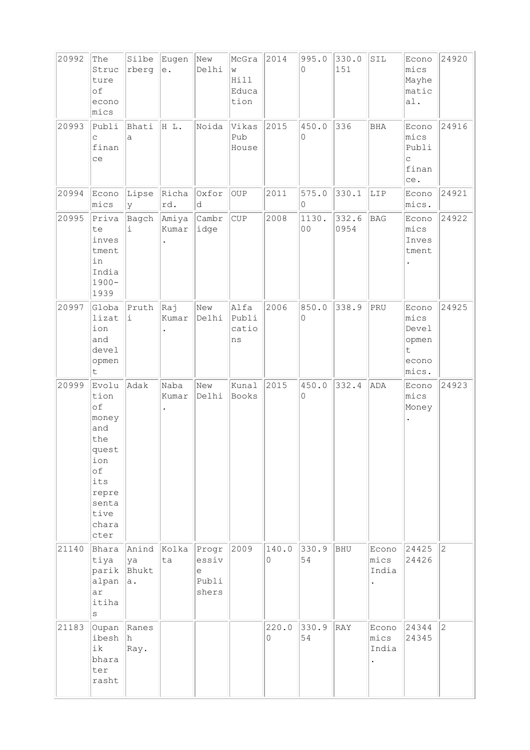| 20992 | The<br>Struc<br>ture<br>of<br>econo<br>mics                                                                        | Silbe<br>rberg      | Eugen<br>$\rm e$ . | New<br>Delhi                          | McGra<br>W<br>Hill<br>Educa<br>tion | 2014       | 995.0<br>$\Omega$       | 330.0<br>151  | SIL                    | Econo<br>mics<br>Mayhe<br>matic<br>a1.                           | 24920          |
|-------|--------------------------------------------------------------------------------------------------------------------|---------------------|--------------------|---------------------------------------|-------------------------------------|------------|-------------------------|---------------|------------------------|------------------------------------------------------------------|----------------|
| 20993 | Publi<br>C<br>finan<br>ce                                                                                          | Bhati<br>a          | HL.                | Noida                                 | Vikas<br>Pub<br>House               | 2015       | 450.0<br>0              | 336           | BHA                    | Econo<br>mics<br>Publi<br>$\mathsf C$<br>finan<br>ce.            | 24916          |
| 20994 | Econo<br>mics                                                                                                      | Lipse<br>У          | Richa<br>rd.       | Oxfor<br>d                            | OUP                                 | 2011       | 575.0<br>0              | 330.1         | LIP                    | Econo<br>mics.                                                   | 24921          |
| 20995 | Priva<br>te<br>inves<br>tment<br>in<br>India<br>$1900 -$<br>1939                                                   | Bagch<br>i          | Amiya  <br>kumar   | Cambr<br>idge                         | <b>CUP</b>                          | 2008       | 1130.<br>0 <sub>0</sub> | 332.6<br>0954 | <b>BAG</b>             | Econo<br>mics<br>Inves<br>tment                                  | 24922          |
| 20997 | Globa<br>lizat<br>ion<br>and<br>devel<br>opmen<br>$\sf t$                                                          | Pruth<br>i          | kaj<br>Kumar       | New<br>Delhi                          | Alfa<br>Publi<br>catio<br>ns        | 2006       | 850.0<br>0              | 338.9         | PRU                    | Econo<br>mics<br>Devel<br>opmen<br>$\mathsf t$<br>econo<br>mics. | 24925          |
| 20999 | Evolu<br>tion<br>of<br>money<br>and<br>the<br>quest<br>ion<br>оf<br>its<br>repre<br>senta<br>tive<br>chara<br>cter | Adak                | Naba<br>Kumar      | New<br>Delhi                          | Kunal<br>Books                      | 2015       | 450.0<br>0              | 332.4         | ADA                    | Econo<br>mics<br>Money                                           | 24923          |
| 21140 | Bhara<br>tiya<br>parik Bhukt<br>alpan<br>ar<br>itiha<br>$\vert$ S                                                  | Anind<br> ya<br> a. | Kolka<br>ta        | Progr<br>essiv<br>e<br>Publi<br>shers | 2009                                | 140.0<br>0 | 330.9<br>54             | BHU           | Econo<br>mics<br>India | 24425<br>24426                                                   | $\overline{2}$ |
| 21183 | Oupan Ranes<br>ibesh<br>ik<br>bhara<br>ter<br>rasht                                                                | h<br>Ray.           |                    |                                       |                                     | 220.0<br>0 | 330.9<br>54             | RAY           | Econo<br>mics<br>India | 24344<br>24345                                                   | $\overline{2}$ |